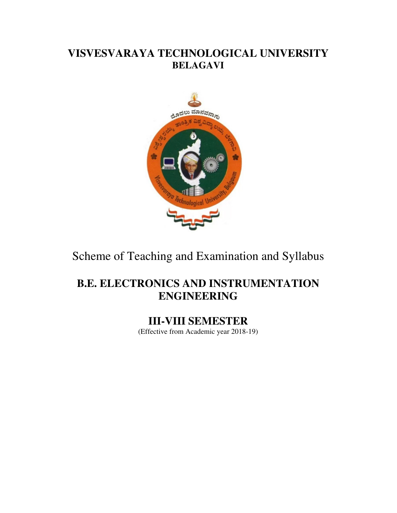# **VISVESVARAYA TECHNOLOGICAL UNIVERSITY BELAGAVI**



Scheme of Teaching and Examination and Syllabus

# **B.E. ELECTRONICS AND INSTRUMENTATION ENGINEERING**

**III-VIII SEMESTER**  (Effective from Academic year 2018-19)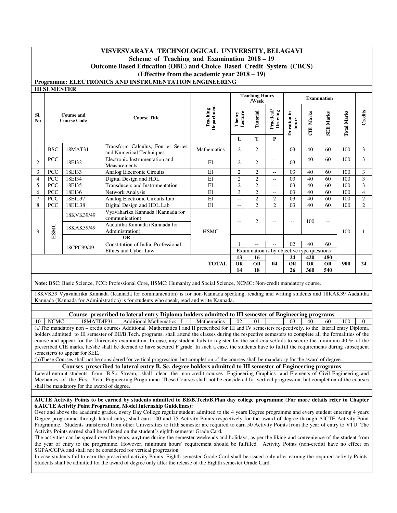## **VISVESVARAYA TECHNOLOGICAL UNIVERSITY, BELAGAVI Scheme of Teaching and Examination 2018 – 19**

## **Outcome Based Education (OBE) and Choice Based Credit System (CBCS)**

#### **(Effective from the academic year 2018 – 19) Programme: ELECTRONICS AND INSTRUMENTATION ENGINEERING**

|                       | <b>III SEMESTER</b> |                                  |                                                                                      |                        |                          |                                |                                            |                      |                              |                          |                    |                |
|-----------------------|---------------------|----------------------------------|--------------------------------------------------------------------------------------|------------------------|--------------------------|--------------------------------|--------------------------------------------|----------------------|------------------------------|--------------------------|--------------------|----------------|
|                       |                     |                                  |                                                                                      |                        |                          | <b>Teaching Hours</b><br>/Week |                                            |                      |                              | <b>Examination</b>       |                    |                |
| SI.<br>N <sub>0</sub> |                     | Course and<br><b>Course Code</b> | <b>Course Title</b>                                                                  | Department<br>Teaching | Lecture<br>Theory<br>L   | Tutorial<br>т                  | Practical/<br>Drawing<br>P                 | Duration in<br>hours | Marks<br>$\ddot{\mathbf{E}}$ | <b>SEE Marks</b>         | <b>Total Marks</b> | Credits        |
| $\overline{1}$        | <b>BSC</b>          | 18MAT31                          | Transform Calculus, Fourier Series<br>and Numerical Techniques                       | Mathematics            | $\overline{2}$           | $\overline{c}$                 | $-$                                        | 03                   | 40                           | 60                       | 100                | 3              |
| $\overline{2}$        | <b>PCC</b>          | 18EI32                           | Electronic Instrumentation and<br>Measurements                                       | EI                     | 2                        | $\overline{c}$                 | $- -$                                      | 03                   | 40                           | 60                       | 100                | 3              |
| 3                     | PCC                 | 18EI33                           | Analog Electronic Circuits                                                           | EI                     | $\overline{2}$           | $\overline{c}$                 | $-$                                        | 03                   | 40                           | 60                       | 100                | 3              |
| 4                     | <b>PCC</b>          | 18EI34                           | Digital Design and HDL                                                               | EI                     | $\overline{c}$           | $\overline{c}$                 | $-$                                        | 03                   | 40                           | 60                       | 100                | 3              |
| 5                     | <b>PCC</b>          | 18EI35                           | Transducers and Instrumentation                                                      | EI                     | $\overline{2}$           | $\overline{2}$                 | $-$                                        | 03                   | 40                           | 60                       | 100                | 3              |
| 6                     | <b>PCC</b>          | 18EI36                           | Network Analysis                                                                     | EI                     | 3                        | $\overline{2}$                 | $\sim$ $\sim$                              | 03                   | 40                           | 60                       | 100                | $\overline{4}$ |
| $\overline{7}$        | PCC                 | 18EIL37                          | Analog Electronic Circuits Lab                                                       | $E$ I                  | $-$                      | $\overline{2}$                 | $\overline{2}$                             | 03                   | 40                           | 60                       | 100                | $\overline{c}$ |
| 8                     | PCC                 | 18EIL38                          | Digital Design and HDL Lab                                                           | EI                     | $\sim$                   | $\overline{2}$                 | $\mathfrak{D}$                             | 03                   | 40                           | 60                       | 100                | $\overline{c}$ |
|                       |                     | 18KVK39/49                       | Vyavaharika Kannada (Kannada for<br>communication)<br>Aadalitha Kannada (Kannada for |                        | $\overline{\phantom{a}}$ | $\overline{c}$                 | --                                         | $-$                  | 100                          | $\overline{\phantom{m}}$ |                    |                |
| $\mathbf{Q}$          | HSMC                | 18KAK39/49                       | Administration)                                                                      | <b>HSMC</b>            |                          |                                |                                            |                      |                              |                          | 100                | 1              |
|                       |                     |                                  | <b>OR</b>                                                                            |                        |                          |                                |                                            |                      |                              |                          |                    |                |
|                       |                     | 18CPC39/49                       | Constitution of India, Professional                                                  |                        |                          | $-$                            | $-$                                        | 02                   | 40                           | 60                       |                    |                |
|                       |                     |                                  | Ethics and Cyber Law                                                                 |                        |                          |                                | Examination is by objective type questions |                      |                              |                          |                    |                |
|                       |                     |                                  |                                                                                      |                        | 13                       | 16                             |                                            | 24                   | 420                          | 480                      |                    |                |
|                       |                     |                                  |                                                                                      | <b>TOTAL</b>           | <b>OR</b>                | <b>OR</b>                      | 04                                         | <b>OR</b>            | <b>OR</b>                    | <b>OR</b>                | 900                | 24             |
|                       |                     |                                  |                                                                                      |                        | 14                       | 18                             |                                            | 26                   | 360                          | 540                      |                    |                |

**Note:** BSC: Basic Science, PCC: Professional Core, HSMC: Humanity and Social Science, NCMC: Non-credit mandatory course.

18KVK39 Vyavaharika Kannada (Kannada for communication) is for non-Kannada speaking, reading and writing students and 18KAK39 Aadalitha Kannada (Kannada for Administration) is for students who speak, read and write Kannada.

**Course prescribed to lateral entry Diploma holders admitted to III semester of Engineering programs**

10 | NCMC | 18MATDIP31 | Additional Mathematics - I | Mathematics | 02 | 01 | -- | 03 | 40 | 60 (a)The mandatory non – credit courses Additional Mathematics I and II prescribed for III and IV semesters respectively, to the lateral entry Diploma holders admitted to III semester of BE/B.Tech. programs, shall attend the classes during the respective semesters to complete all the formalities of the course and appear for the University examination. In case, any student fails to register for the said course/fails to secure the minimum 40 % of the prescribed CIE marks, he/she shall be deemed to have secured F grade. In such a case, the students have to fulfill the requirements during subsequent semester/s to appear for SEE.

(b)These Courses shall not be considered for vertical progression, but completion of the courses shall be mandatory for the award of degree.

**Courses prescribed to lateral entry B. Sc. degree holders admitted to III semester of Engineering programs**

Lateral entrant students from B.Sc. Stream, shall clear the non-credit courses Engineering Graphics and Elements of Civil Engineering and Mechanics of the First Year Engineering Programme. These Courses shall not be considered for vertical progression, but completion of the courses shall be mandatory for the award of degree.

#### **AICTE Activity Points to be earned by students admitted to BE/B.Tech/B.Plan day college programme (For more details refer to Chapter 6,AICTE Activity Point Programme, Model Internship Guidelines):**

Over and above the academic grades, every Day College regular student admitted to the 4 years Degree programme and every student entering 4 years Degree programme through lateral entry, shall earn 100 and 75 Activity Points respectively for the award of degree through AICTE Activity Point Programme. Students transferred from other Universities to fifth semester are required to earn 50 Activity Points from the year of entry to VTU. The Activity Points earned shall be reflected on the student's eighth semester Grade Card.

The activities can be spread over the years, anytime during the semester weekends and holidays, as per the liking and convenience of the student from the year of entry to the programme. However, minimum hours' requirement should be fulfilled. Activity Points (non-credit) have no effect on SGPA/CGPA and shall not be considered for vertical progression.

In case students fail to earn the prescribed activity Points, Eighth semester Grade Card shall be issued only after earning the required activity Points. Students shall be admitted for the award of degree only after the release of the Eighth semester Grade Card.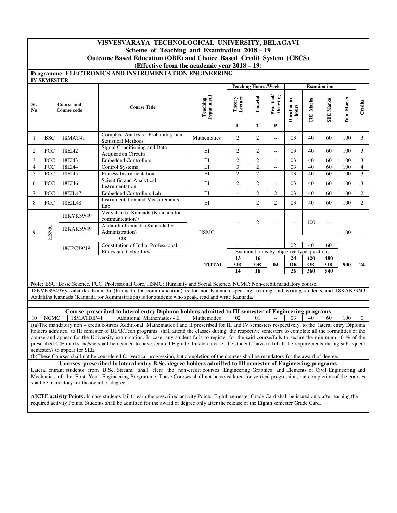## **VISVESVARAYA TECHNOLOGICAL UNIVERSITY, BELAGAVI Scheme of Teaching and Examination 2018 – 19 Outcome Based Education (OBE) and Choice Based Credit System (CBCS) (Effective from the academic year 2018 – 19)**

## **Programme: ELECTRONICS AND INSTRUMENTATION ENGINEERING**

|                       | <b>IV SEMESTER</b> |                                             |                                                                                                                                                                                                                                                               |                        |                   |                             |                                               |                          |                  |                    |                    |                |
|-----------------------|--------------------|---------------------------------------------|---------------------------------------------------------------------------------------------------------------------------------------------------------------------------------------------------------------------------------------------------------------|------------------------|-------------------|-----------------------------|-----------------------------------------------|--------------------------|------------------|--------------------|--------------------|----------------|
|                       |                    |                                             |                                                                                                                                                                                                                                                               |                        |                   | <b>Teaching Hours /Week</b> |                                               |                          |                  | <b>Examination</b> |                    |                |
| SI.<br>N <sub>0</sub> |                    | <b>Course and</b><br><b>Course code</b>     | <b>Course Title</b>                                                                                                                                                                                                                                           | Department<br>Teaching | Theory<br>Lecture | Tutorial                    | Practical<br>Drawing                          | Duration in<br>hours     | <b>CIE Marks</b> | <b>SEE Marks</b>   | <b>Total Marks</b> | Credits        |
|                       |                    |                                             |                                                                                                                                                                                                                                                               |                        | L                 | T                           | $\mathbf{P}$                                  |                          |                  |                    |                    |                |
| 1                     | <b>BSC</b>         | 18MAT41                                     | Complex Analysis, Probability and<br><b>Statistical Methods</b>                                                                                                                                                                                               | Mathematics            | $\overline{2}$    | $\overline{2}$              | Ξ.                                            | 03                       | 40               | 60                 | 100                | 3              |
| $\overline{2}$        | PCC                | 18EI42                                      | <b>Signal Conditioning and Data</b><br><b>Acquisition Circuits</b>                                                                                                                                                                                            | EI                     | $\overline{2}$    | $\overline{2}$              | Ξ.                                            | 03                       | 40               | 60                 | 100                | $\mathfrak{Z}$ |
| 3                     | PCC                | 18EI43                                      | <b>Embedded Controllers</b>                                                                                                                                                                                                                                   | $\overline{EI}$        | $\overline{c}$    | $\overline{c}$              | $\mathord{\hspace{1pt}\text{--}\hspace{1pt}}$ | 03                       | 40               | 60                 | 100                | 3              |
| $\overline{4}$        | <b>PCC</b>         | 18EI44                                      | <b>Control Systems</b>                                                                                                                                                                                                                                        | EI                     | 3                 | $\overline{2}$              | $\mathbb{L}^2$                                | 03                       | 40               | 60                 | 100                | $\overline{4}$ |
| 5                     | PCC                | 18EI45                                      | Process Instrumentation                                                                                                                                                                                                                                       | EI                     | $\overline{c}$    | $\overline{c}$              | ÷.                                            | 03                       | 40               | 60                 | 100                | $\mathfrak{Z}$ |
| 6                     | PCC                | 18EI46                                      | Scientific and Analytical<br>Instrumentation                                                                                                                                                                                                                  | EI                     | $\overline{c}$    | $\overline{2}$              | 44                                            | 03                       | 40               | 60                 | 100                | 3              |
| $\boldsymbol{7}$      | PCC                | 18EIL47                                     | <b>Embedded Controllers Lab</b>                                                                                                                                                                                                                               | E                      | Ξ.                | $\sqrt{2}$                  | $\sqrt{2}$                                    | 03                       | 40               | 60                 | 100                | $\overline{2}$ |
| 8                     | PCC                | 18EIL48                                     | <b>Instrumentation and Measurements</b><br>Lab                                                                                                                                                                                                                | EI                     | Ξ.                | $\overline{2}$              | $\overline{c}$                                | 03                       | 40               | 60                 | 100                | $\overline{c}$ |
|                       |                    | 18KVK39/49                                  | Vyavaharika Kannada (Kannada for<br>communication)/                                                                                                                                                                                                           |                        |                   | $\overline{2}$              |                                               |                          | 100              |                    |                    |                |
| 9                     | HSMC               | 18KAK39/49                                  | Aadalitha Kannada (Kannada for<br>Administration)                                                                                                                                                                                                             | <b>HSMC</b>            |                   |                             | $\overline{a}$                                | $\overline{\phantom{a}}$ |                  | Ξ.                 | 100                | $\mathbf{1}$   |
|                       |                    |                                             | <b>OR</b>                                                                                                                                                                                                                                                     |                        |                   |                             |                                               |                          |                  |                    |                    |                |
|                       |                    | 18CPC39/49                                  | Constitution of India, Professional                                                                                                                                                                                                                           |                        | $\mathbf{1}$      | $\overline{a}$              | $\overline{a}$                                | 02                       | 40               | 60                 |                    |                |
|                       |                    |                                             | Ethics and Cyber Law                                                                                                                                                                                                                                          |                        |                   |                             | Examination is by objective type questions    |                          |                  |                    |                    |                |
|                       |                    |                                             |                                                                                                                                                                                                                                                               |                        | 13                | 16                          |                                               | 24                       | 420              | 480                |                    |                |
|                       |                    |                                             |                                                                                                                                                                                                                                                               | <b>TOTAL</b>           | OR                | OR                          | 04                                            | OR                       | <b>OR</b>        | <b>OR</b>          | 900                | 24             |
|                       |                    |                                             |                                                                                                                                                                                                                                                               |                        | 14                | 18                          |                                               | 26                       | 360              | 540                |                    |                |
|                       |                    |                                             |                                                                                                                                                                                                                                                               |                        |                   |                             |                                               |                          |                  |                    |                    |                |
|                       |                    |                                             | Note: BSC: Basic Science, PCC: Professional Core, HSMC: Humanity and Social Science, NCMC: Non-credit mandatory course.<br>18KVK39/49Vyavaharika Kannada (Kannada for communication) is for non-Kannada speaking, reading and writing students and 18KAK39/49 |                        |                   |                             |                                               |                          |                  |                    |                    |                |
|                       |                    |                                             | Aadalitha Kannada (Kannada for Administration) is for students who speak, read and write Kannada.                                                                                                                                                             |                        |                   |                             |                                               |                          |                  |                    |                    |                |
|                       |                    |                                             |                                                                                                                                                                                                                                                               |                        |                   |                             |                                               |                          |                  |                    |                    |                |
|                       |                    |                                             | Course prescribed to lateral entry Diploma holders admitted to III semester of Engineering programs                                                                                                                                                           |                        |                   |                             |                                               |                          |                  |                    |                    |                |
| 10                    | <b>NCMC</b>        | 18MATDIP41                                  | Additional Mathematics - II                                                                                                                                                                                                                                   | Mathematics            | 02                | 01                          | $\sim$                                        | 03                       | 40               | 60                 | 100                | $\Omega$       |
|                       |                    |                                             | ((a) The mandatory non - credit courses Additional Mathematics I and II prescribed for III and IV semesters respectively, to the lateral entry Diploma                                                                                                        |                        |                   |                             |                                               |                          |                  |                    |                    |                |
|                       |                    |                                             | holders admitted to III semester of BE/B.Tech programs, shall attend the classes during the respective semesters to complete all the formalities of the                                                                                                       |                        |                   |                             |                                               |                          |                  |                    |                    |                |
|                       |                    |                                             | course and appear for the University examination. In case, any student fails to register for the said course/fails to secure the minimum 40 % of the                                                                                                          |                        |                   |                             |                                               |                          |                  |                    |                    |                |
|                       |                    |                                             | prescribed CIE marks, he/she shall be deemed to have secured F grade. In such a case, the students have to fulfill the requirements during subsequent                                                                                                         |                        |                   |                             |                                               |                          |                  |                    |                    |                |
|                       |                    | semester/s to appear for SEE.               |                                                                                                                                                                                                                                                               |                        |                   |                             |                                               |                          |                  |                    |                    |                |
|                       |                    |                                             | (b) These Courses shall not be considered for vertical progression, but completion of the courses shall be mandatory for the award of degree.                                                                                                                 |                        |                   |                             |                                               |                          |                  |                    |                    |                |
|                       |                    |                                             | Courses prescribed to lateral entry B.Sc. degree holders admitted to III semester of Engineering programs                                                                                                                                                     |                        |                   |                             |                                               |                          |                  |                    |                    |                |
|                       |                    |                                             | Lateral entrant students from B.Sc. Stream, shall clear the non-credit courses Engineering Graphics and Elements of Civil Engineering and                                                                                                                     |                        |                   |                             |                                               |                          |                  |                    |                    |                |
|                       |                    |                                             | Mechanics of the First Year Engineering Programme. These Courses shall not be considered for vertical progression, but completion of the courses                                                                                                              |                        |                   |                             |                                               |                          |                  |                    |                    |                |
|                       |                    | shall be mandatory for the award of degree. |                                                                                                                                                                                                                                                               |                        |                   |                             |                                               |                          |                  |                    |                    |                |
|                       |                    |                                             |                                                                                                                                                                                                                                                               |                        |                   |                             |                                               |                          |                  |                    |                    |                |

**AICTE activity Points:** In case students fail to earn the prescribed activity Points, Eighth semester Grade Card shall be issued only after earning the required activity Points. Students shall be admitted for the award of degree only after the release of the Eighth semester Grade Card.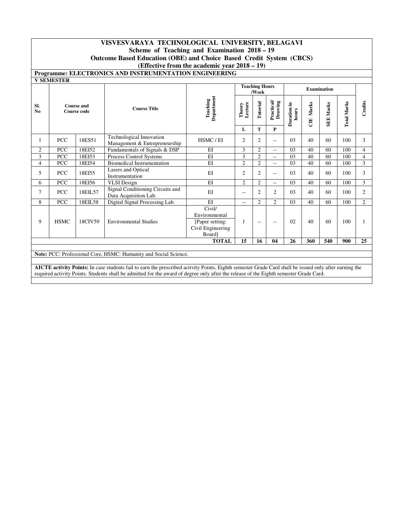## **VISVESVARAYA TECHNOLOGICAL UNIVERSITY, BELAGAVI Scheme of Teaching and Examination 2018 – 19**

**Outcome Based Education (OBE) and Choice Based Credit System (CBCS)** 

**(Effective from the academic year 2018 – 19)**

## **Programme: ELECTRONICS AND INSTRUMENTATION ENGINEERING**

| SI.<br>N <sub>0</sub><br>1<br>2<br>3<br>$\overline{4}$<br>5<br>6 |             |         | <b>Course Title</b>                                                                                                                                    | Department<br>Teaching                                                    |                   |                |                             |                      |             |                  |                    |                |
|------------------------------------------------------------------|-------------|---------|--------------------------------------------------------------------------------------------------------------------------------------------------------|---------------------------------------------------------------------------|-------------------|----------------|-----------------------------|----------------------|-------------|------------------|--------------------|----------------|
|                                                                  |             |         | <b>Course and</b><br>Course code                                                                                                                       |                                                                           | Lecture<br>Theory | Tutorial       | Practical/<br>Drawing       | Duration in<br>hours | Marks<br>UE | <b>SEE Marks</b> | <b>Total Marks</b> | Credits        |
|                                                                  |             |         |                                                                                                                                                        |                                                                           | L                 | T              | P                           |                      |             |                  |                    |                |
|                                                                  | <b>PCC</b>  | 18ES51  | Technological Innovation<br>Management & Entrepreneurship                                                                                              | HSMC/EI                                                                   | 2                 | 2              | --                          | 03                   | 40          | 60               | 100                | 3              |
|                                                                  | <b>PCC</b>  | 18EI52  | Fundamentals of Signals & DSP                                                                                                                          | EI                                                                        | 3                 | $\overline{c}$ | $-$                         | 03                   | 40          | 60               | 100                | 4              |
|                                                                  | <b>PCC</b>  | 18EI53  | Process Control Systems                                                                                                                                | EI                                                                        | 3                 | $\overline{2}$ | $\overline{a}$              | 03                   | 40          | 60               | 100                | $\overline{4}$ |
|                                                                  | PCC         | 18EI54  | <b>Biomedical Instrumentation</b>                                                                                                                      | EI                                                                        | $\overline{c}$    | $\overline{c}$ | $-$                         | 03                   | 40          | 60               | 100                | 3              |
|                                                                  | <b>PCC</b>  | 18EI55  | Lasers and Optical<br>Instrumentation                                                                                                                  | $E$ I                                                                     | $\overline{c}$    | $\overline{c}$ | $-$                         | 03                   | 40          | 60               | 100                | 3              |
|                                                                  | <b>PCC</b>  | 18EI56  | <b>VLSI</b> Design                                                                                                                                     | EI                                                                        | $\overline{c}$    | $\overline{2}$ | $-$                         | 03                   | 40          | 60               | 100                | 3              |
| 7                                                                | <b>PCC</b>  | 18EIL57 | Signal Conditioning Circuits and<br>Data Acquisition Lab.                                                                                              | EI                                                                        | $\overline{a}$    | $\overline{2}$ | $\overline{c}$              | 03                   | 40          | 60               | 100                | $\overline{2}$ |
| 8                                                                | <b>PCC</b>  | 18EIL58 | Digital Signal Processing Lab.                                                                                                                         | EI                                                                        | $\sim$ $\sim$     | $\overline{2}$ | $\mathcal{D}_{\mathcal{L}}$ | 03                   | 40          | 60               | 100                | $\overline{2}$ |
| 9                                                                | <b>HSMC</b> | 18CIV59 | <b>Environmental Studies</b>                                                                                                                           | Civil/<br>Environmental<br>[Paper setting:<br>Civil Engineering<br>Board] | 1                 | $-$            | --                          | 02                   | 40          | 60               | 100                | 1              |
|                                                                  |             |         |                                                                                                                                                        | <b>TOTAL</b>                                                              | 15                | 16             | 04                          | 26                   | 360         | 540              | 900                | 25             |
|                                                                  |             |         | Note: PCC: Professional Core, HSMC: Humanity and Social Science.                                                                                       |                                                                           |                   |                |                             |                      |             |                  |                    |                |
|                                                                  |             |         |                                                                                                                                                        |                                                                           |                   |                |                             |                      |             |                  |                    |                |
|                                                                  |             |         | AICTE activity Points: In case students fail to earn the prescribed activity Points, Eighth semester Grade Card shall be issued only after earning the |                                                                           |                   |                |                             |                      |             |                  |                    |                |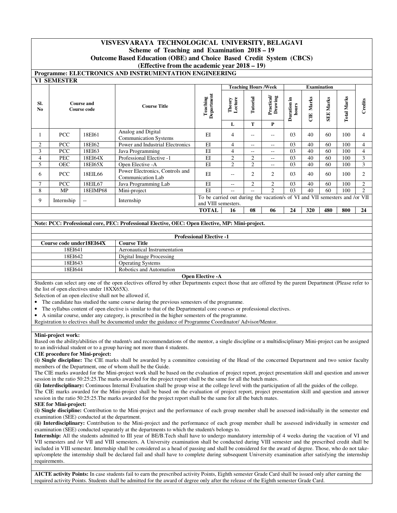## **VISVESVARAYA TECHNOLOGICAL UNIVERSITY, BELAGAVI**

#### **Scheme of Teaching and Examination 2018 – 19**

**Outcome Based Education (OBE) and Choice Based Credit System (CBCS)** 

#### **(Effective from the academic year 2018 – 19)**

**Programme: ELECTRONICS AND INSTRUMENTATION ENGINEERING** 

|                       | <b>VI SEMESTER</b> |                                         |                                                      |                                                                                                    |                   |                             |                       |                         |            |                    |                    |                |
|-----------------------|--------------------|-----------------------------------------|------------------------------------------------------|----------------------------------------------------------------------------------------------------|-------------------|-----------------------------|-----------------------|-------------------------|------------|--------------------|--------------------|----------------|
|                       |                    |                                         |                                                      |                                                                                                    |                   | <b>Teaching Hours /Week</b> |                       |                         |            | <b>Examination</b> |                    |                |
| Sl.<br>N <sub>0</sub> |                    | <b>Course and</b><br><b>Course code</b> | <b>Course Title</b>                                  | Department<br>Teaching                                                                             | Lecture<br>Theory | Tutorial                    | Practical/<br>Drawing | Ξ.<br>Duration<br>hours | Marks<br>Ë | Marks<br>SEE.      | <b>Total Marks</b> | Credits        |
|                       |                    |                                         |                                                      |                                                                                                    | L                 | Т                           | P                     |                         |            |                    |                    |                |
|                       | <b>PCC</b>         | 18EI61                                  | Analog and Digital<br><b>Communication Systems</b>   | EI                                                                                                 | $\overline{4}$    | $- -$                       | --                    | 03                      | 40         | 60                 | 100                | 4              |
| 2                     | PCC                | 18EI62                                  | Power and Industrial Electronics                     | EI                                                                                                 | 4                 | $- -$                       | $- -$                 | 03                      | 40         | 60                 | 100                | 4              |
| 3                     | <b>PCC</b>         | 18EI63                                  | Java Programming                                     | EI                                                                                                 | $\overline{4}$    | $- -$                       | $- -$                 | 03                      | 40         | 60                 | 100                | 4              |
| 4                     | PEC                | 18EI64X                                 | Professional Elective -1                             | EI                                                                                                 | $\overline{2}$    | $\overline{c}$              | $- -$                 | 03                      | 40         | 60                 | 100                | 3              |
| 5                     | <b>OEC</b>         | 18EI65X                                 | Open Elective -A                                     | EI                                                                                                 | 2                 | $\overline{c}$              | $- -$                 | 03                      | 40         | 60                 | 100                | 3              |
| 6                     | PCC                | 18EIL66                                 | Power Electronics, Controls and<br>Communication Lab | EI                                                                                                 | $-$               | $\overline{2}$              | $\overline{2}$        | 03                      | 40         | 60                 | 100                | 2              |
| $\mathcal{I}$         | PCC                | 18EIL67                                 | Java Programming Lab                                 | EI                                                                                                 | $\qquad \qquad -$ | $\overline{c}$              | 2                     | 03                      | 40         | 60                 | 100                | 2              |
| 8                     | MP                 | 18EIMP68                                | Mini-project                                         | EI                                                                                                 | $\qquad \qquad -$ | $- -$                       | $\mathfrak{D}$        | 03                      | 40         | 60                 | 100                | $\overline{2}$ |
| 9                     | Internship         | $-$                                     | Internship                                           | To be carried out during the vacation/s of VI and VII semesters and /or VII<br>and VIII semesters. |                   |                             |                       |                         |            |                    |                    |                |
|                       |                    |                                         |                                                      | <b>TOTAL</b>                                                                                       | 16                | 08                          | 06                    | 24                      | 320        | 480                | 800                | 24             |

#### **Note: PCC: Professional core, PEC: Professional Elective, OEC: Open Elective, MP: Mini-project.**

|                                 | <b>Professional Elective -1</b> |  |  |  |  |
|---------------------------------|---------------------------------|--|--|--|--|
| <b>Course code under18EI64X</b> | C <b>ourse Title</b>            |  |  |  |  |
| 18EI641                         | Aeronautical Instrumentation    |  |  |  |  |
| 18EI642                         | Digital Image Processing        |  |  |  |  |
| 18EI643                         | <b>Operating Systems</b>        |  |  |  |  |
| 18EI644                         | Robotics and Automation         |  |  |  |  |
|                                 | <b>Open Elective -A</b>         |  |  |  |  |

Students can select any one of the open electives offered by other Departments expect those that are offered by the parent Department (Please refer to the list of open electives under 18XX65X).

Selection of an open elective shall not be allowed if,

- The candidate has studied the same course during the previous semesters of the programme.
- The syllabus content of open elective is similar to that of the Departmental core courses or professional electives.
- A similar course, under any category, is prescribed in the higher semesters of the programme.

Registration to electives shall be documented under the guidance of Programme Coordinator/ Advisor/Mentor.

#### **Mini-project work:**

Based on the ability/abilities of the student/s and recommendations of the mentor, a single discipline or a multidisciplinary Mini-project can be assigned to an individual student or to a group having not more than 4 students.

#### **CIE procedure for Mini-project:**

**(i) Single discipline:** The CIE marks shall be awarded by a committee consisting of the Head of the concerned Department and two senior faculty members of the Department, one of whom shall be the Guide.

The CIE marks awarded for the Mini-project work shall be based on the evaluation of project report, project presentation skill and question and answer session in the ratio 50:25:25.The marks awarded for the project report shall be the same for all the batch mates.

**(ii) Interdisciplinary:** Continuous Internal Evaluation shall be group wise at the college level with the participation of all the guides of the college.

The CIE marks awarded for the Mini-project shall be based on the evaluation of project report, project presentation skill and question and answer session in the ratio 50:25:25.The marks awarded for the project report shall be the same for all the batch mates.

#### **SEE for Mini-project:**

**(i) Single discipline:** Contribution to the Mini-project and the performance of each group member shall be assessed individually in the semester end examination (SEE) conducted at the department.

**(ii) Interdisciplinary:** Contribution to the Mini-project and the performance of each group member shall be assessed individually in semester end examination (SEE) conducted separately at the departments to which the student/s belongs to.

**Internship:** All the students admitted to III year of BE/B.Tech shall have to undergo mandatory internship of 4 weeks during the vacation of VI and VII semesters and /or VII and VIII semesters. A University examination shall be conducted during VIII semester and the prescribed credit shall be included in VIII semester. Internship shall be considered as a head of passing and shall be considered for the award of degree. Those, who do not takeup/complete the internship shall be declared fail and shall have to complete during subsequent University examination after satisfying the internship requirements.

**AICTE activity Points:** In case students fail to earn the prescribed activity Points, Eighth semester Grade Card shall be issued only after earning the required activity Points. Students shall be admitted for the award of degree only after the release of the Eighth semester Grade Card.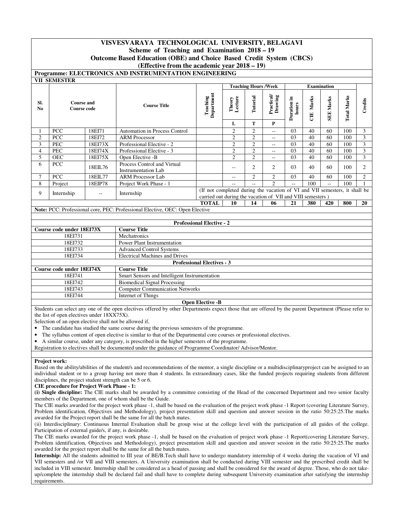## **VISVESVARAYA TECHNOLOGICAL UNIVERSITY, BELAGAVI**

## **Scheme of Teaching and Examination 2018 – 19**

**Outcome Based Education (OBE) and Choice Based Credit System (CBCS)** 

## **(Effective from the academic year 2018 – 19)**

**Programme: ELECTRONICS AND INSTRUMENTATION ENGINEERING** 

|                       | <b>VII SEMESTER</b>                     |                   |                                                                              |                                                                                                                                          |                   |                             |                             |                      |                       |                    |                    |                |
|-----------------------|-----------------------------------------|-------------------|------------------------------------------------------------------------------|------------------------------------------------------------------------------------------------------------------------------------------|-------------------|-----------------------------|-----------------------------|----------------------|-----------------------|--------------------|--------------------|----------------|
|                       |                                         |                   |                                                                              |                                                                                                                                          |                   | <b>Teaching Hours /Week</b> |                             |                      |                       | <b>Examination</b> |                    |                |
| SI.<br>N <sub>0</sub> | <b>Course and</b><br><b>Course code</b> |                   | <b>Course Title</b>                                                          | Department<br>Teaching                                                                                                                   | Lecture<br>Theory | Tutorial                    | Practical/<br>Drawing       | Duration in<br>hours | Marks<br>$\mathbb{E}$ | <b>SEE Marks</b>   | <b>Total Marks</b> | Credits        |
|                       |                                         |                   |                                                                              |                                                                                                                                          | L                 | T                           | P                           |                      |                       |                    |                    |                |
|                       | PCC                                     | 18EI71            | Automation in Process Control                                                |                                                                                                                                          | $\overline{c}$    | $\overline{2}$              | $\overline{a}$              | 03                   | 40                    | 60                 | 100                | 3              |
| $\overline{c}$        | <b>PCC</b>                              | 18EI72            | <b>ARM Processor</b>                                                         |                                                                                                                                          | $\overline{c}$    | $\overline{2}$              | $-$                         | 03                   | 40                    | 60                 | 100                | 3              |
| 3                     | <b>PEC</b>                              | 18EI73X           | Professional Elective - 2                                                    |                                                                                                                                          | $\overline{c}$    | $\overline{2}$              | $-$                         | 03                   | 40                    | 60                 | 100                | 3              |
| 4                     | <b>PEC</b>                              | 18EI74X           | Professional Elective - 3                                                    |                                                                                                                                          | $\sqrt{2}$        | $\overline{c}$              | $-$                         | 03                   | 40                    | 60                 | 100                | 3              |
| 5                     | <b>OEC</b>                              | 18EI75X           | Open Elective -B                                                             |                                                                                                                                          | $\overline{2}$    | $\overline{c}$              | $\overline{a}$              | 03                   | 40                    | 60                 | 100                | 3              |
| 6                     | <b>PCC</b>                              | 18EIL76           | Process Control and Virtual<br>Instrumentation Lab                           |                                                                                                                                          | $\sim$ $\sim$     | 2                           | 2                           | 03                   | 40                    | 60                 | 100                | 2              |
| 7                     | PCC                                     | 18EIL77           | <b>ARM Processor Lab</b>                                                     |                                                                                                                                          | $-$               | $\overline{2}$              | $\overline{c}$              | 03                   | 40                    | 60                 | 100                | $\overline{2}$ |
| 8                     | Project                                 | 18EIP78           | Project Work Phase - 1                                                       |                                                                                                                                          | $- -$             | $-$                         | $\mathcal{D}_{\mathcal{L}}$ | $-$                  | 100                   | $-1$               | 100                |                |
| 9                     | Internship                              | $\qquad \qquad -$ | Internship                                                                   | (If not completed during the vacation of VI and VII semesters, it shall be<br>carried out during the vacation of VII and VIII semesters) |                   |                             |                             |                      |                       |                    |                    |                |
|                       |                                         |                   |                                                                              | <b>TOTAL</b>                                                                                                                             | 10                | 14                          | 06                          | 21                   | 380                   | 420                | 800                | 20             |
|                       |                                         |                   | Note: PCC: Professional core, PEC: Professional Elective, OEC: Open Elective |                                                                                                                                          |                   |                             |                             |                      |                       |                    |                    |                |
|                       |                                         |                   |                                                                              |                                                                                                                                          |                   |                             |                             |                      |                       |                    |                    |                |
|                       |                                         |                   |                                                                              | <b>Professional Elective - 2</b>                                                                                                         |                   |                             |                             |                      |                       |                    |                    |                |
|                       | Course code under 18EI73X               |                   | <b>Course Title</b>                                                          |                                                                                                                                          |                   |                             |                             |                      |                       |                    |                    |                |
|                       | 18EI731                                 |                   | Mechatronics                                                                 |                                                                                                                                          |                   |                             |                             |                      |                       |                    |                    |                |
|                       | 18EI732                                 |                   | <b>Power Plant Instrumentation</b>                                           |                                                                                                                                          |                   |                             |                             |                      |                       |                    |                    |                |
|                       | 18EI733                                 |                   | <b>Advanced Control Systems</b>                                              |                                                                                                                                          |                   |                             |                             |                      |                       |                    |                    |                |
|                       | 18EI734                                 |                   | <b>Electrical Machines and Drives</b>                                        |                                                                                                                                          |                   |                             |                             |                      |                       |                    |                    |                |
|                       |                                         |                   |                                                                              | <b>Professional Electives - 3</b>                                                                                                        |                   |                             |                             |                      |                       |                    |                    |                |
|                       | Course code under 18EI74X               |                   | <b>Course Title</b>                                                          |                                                                                                                                          |                   |                             |                             |                      |                       |                    |                    |                |

| Course code under 18EI/4X | Course Title                                  |
|---------------------------|-----------------------------------------------|
| 18EI741                   | Smart Sensors and Intelligent Instrumentation |
| 18EI742                   | Biomedical Signal Processing                  |
| 18EI743                   | <b>Computer Communication Networks</b>        |
| 18EI744                   | Internet of Things                            |
|                           | $\mathbf{r}$<br>$\mathbf{r}$<br>$\sim$        |

## **Open Elective -B**

Students can select any one of the open electives offered by other Departments expect those that are offered by the parent Department (Please refer to the list of open electives under 18XX75X).

Selection of an open elective shall not be allowed if,

- The candidate has studied the same course during the previous semesters of the programme.
- The syllabus content of open elective is similar to that of the Departmental core courses or professional electives.
- A similar course, under any category, is prescribed in the higher semesters of the programme.
- Registration to electives shall be documented under the guidance of Programme Coordinator/ Advisor/Mentor.

## **Project work:**

Based on the ability/abilities of the student/s and recommendations of the mentor, a single discipline or a multidisciplinaryproject can be assigned to an individual student or to a group having not more than 4 students. In extraordinary cases, like the funded projects requiring students from different disciplines, the project student strength can be 5 or 6.

**CIE procedure for Project Work Phase - 1:**

**(i) Single discipline:** The CIE marks shall be awarded by a committee consisting of the Head of the concerned Department and two senior faculty members of the Department, one of whom shall be the Guide.

The CIE marks awarded for the project work phase -1, shall be based on the evaluation of the project work phase -1 Report (covering Literature Survey, Problem identification, Objectives and Methodology), project presentation skill and question and answer session in the ratio 50:25:25.The marks awarded for the Project report shall be the same for all the batch mates.

(ii) Interdisciplinary: Continuous Internal Evaluation shall be group wise at the college level with the participation of all guides of the college. Participation of external guide/s, if any, is desirable.

The CIE marks awarded for the project work phase -1, shall be based on the evaluation of project work phase -1 Report(covering Literature Survey, Problem identification, Objectives and Methodology), project presentation skill and question and answer session in the ratio 50:25:25.The marks awarded for the project report shall be the same for all the batch mates.

**Internship:** All the students admitted to III year of BE/B.Tech shall have to undergo mandatory internship of 4 weeks during the vacation of VI and VII semesters and /or VII and VIII semesters. A University examination shall be conducted during VIII semester and the prescribed credit shall be included in VIII semester. Internship shall be considered as a head of passing and shall be considered for the award of degree. Those, who do not takeup/complete the internship shall be declared fail and shall have to complete during subsequent University examination after satisfying the internship requirements.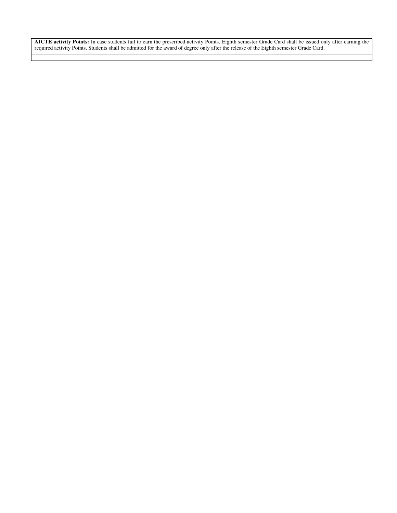**AICTE activity Points:** In case students fail to earn the prescribed activity Points, Eighth semester Grade Card shall be issued only after earning the required activity Points. Students shall be admitted for the award of degree only after the release of the Eighth semester Grade Card.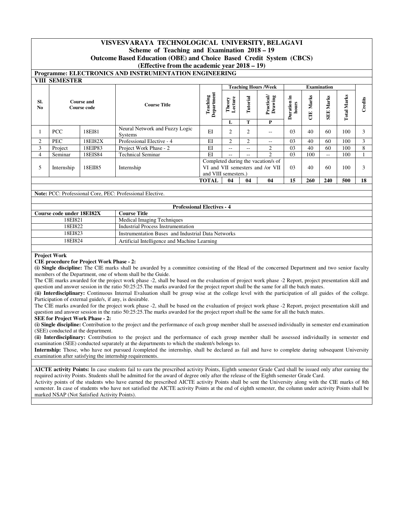## **VISVESVARAYA TECHNOLOGICAL UNIVERSITY, BELAGAVI**

## **Scheme of Teaching and Examination 2018 – 19**

**Outcome Based Education (OBE) and Choice Based Credit System (CBCS)** 

#### **(Effective from the academic year 2018 – 19)**

# **Programme: ELECTRONICS AND INSTRUMENTATION ENGINEERING**

|                       | <b>VIII SEMESTER</b> |                                  |                                           |                        |                   |                |                                                                        |                         |                    |                     |                |       |
|-----------------------|----------------------|----------------------------------|-------------------------------------------|------------------------|-------------------|----------------|------------------------------------------------------------------------|-------------------------|--------------------|---------------------|----------------|-------|
|                       |                      |                                  |                                           |                        |                   |                | <b>Teaching Hours /Week</b>                                            |                         |                    | <b>Examination</b>  |                |       |
| SI.<br>N <sub>0</sub> |                      | <b>Course and</b><br>Course code | <b>Course Title</b>                       | Department<br>Teaching | Lecture<br>Theory | Tutorial       | Practical<br>Drawing                                                   | .드<br>Duration<br>hours | rks<br>ಷ<br>Σ<br>Ë | Marks<br><b>SEE</b> | Marks<br>Total | edits |
|                       |                      |                                  |                                           |                        | L                 | т              | P                                                                      |                         |                    |                     |                |       |
|                       | <b>PCC</b>           | 18EI81                           | Neural Network and Fuzzy Logic<br>Systems | EI                     | $\overline{c}$    | $\overline{2}$ | --                                                                     | 03                      | 40                 | 60                  | 100            |       |
| 2                     | PEC                  | 18EI82X                          | Professional Elective - 4                 | EI                     | 2                 | $\overline{c}$ | --                                                                     | 03                      | 40                 | 60                  | 100            | 3     |
| 3                     | Project              | 18EIP83                          | Project Work Phase - 2                    | EI                     | --                | $- -$          | 2                                                                      | 03                      | 40                 | 60                  | 100            | 8     |
| $\overline{4}$        | Seminar              | 18EIS84                          | <b>Technical Seminar</b>                  | EI                     | --                | $- -$          | $\mathfrak{D}_{\mathfrak{p}}$                                          | 03                      | 100                | $- -$               | 100            |       |
| 5                     | Internship           | 18EII85                          | Internship                                | and VIII semesters.)   |                   |                | Completed during the vacation/s of<br>VI and VII semesters and /or VII | 03                      | 40                 | 60                  | 100            |       |
|                       |                      |                                  |                                           | <b>TOTAL</b>           | 04                | 04             | 04                                                                     | 15                      | 260                | 240                 | 500            | 18    |

#### **Note:** PCC: Professional Core, PEC: Professional Elective.

|                           | <b>Professional Electives - 4</b>                  |
|---------------------------|----------------------------------------------------|
| Course code under 18EI82X | <b>Course Title</b>                                |
| 18EI821                   | Medical Imaging Techniques                         |
| 18EI822                   | Industrial Process Instrumentation                 |
| 18EI823                   | Instrumentation Buses and Industrial Data Networks |
| 18EI824                   | Artificial Intelligence and Machine Learning       |

#### **Project Work**

#### **CIE procedure for Project Work Phase - 2:**

**(i) Single discipline:** The CIE marks shall be awarded by a committee consisting of the Head of the concerned Department and two senior faculty members of the Department, one of whom shall be the Guide.

The CIE marks awarded for the project work phase -2, shall be based on the evaluation of project work phase -2 Report, project presentation skill and question and answer session in the ratio 50:25:25.The marks awarded for the project report shall be the same for all the batch mates.

**(ii) Interdisciplinary:** Continuous Internal Evaluation shall be group wise at the college level with the participation of all guides of the college. Participation of external guide/s, if any, is desirable.

The CIE marks awarded for the project work phase -2, shall be based on the evaluation of project work phase -2 Report, project presentation skill and question and answer session in the ratio 50:25:25.The marks awarded for the project report shall be the same for all the batch mates.

#### **SEE for Project Work Phase - 2:**

**(i) Single discipline:** Contribution to the project and the performance of each group member shall be assessed individually in semester end examination (SEE) conducted at the department.

**(ii) Interdisciplinary:** Contribution to the project and the performance of each group member shall be assessed individually in semester end examination (SEE) conducted separately at the departments to which the student/s belongs to.

**Internship:** Those, who have not pursued /completed the internship, shall be declared as fail and have to complete during subsequent University examination after satisfying the internship requirements.

**AICTE activity Points:** In case students fail to earn the prescribed activity Points, Eighth semester Grade Card shall be issued only after earning the required activity Points. Students shall be admitted for the award of degree only after the release of the Eighth semester Grade Card. Activity points of the students who have earned the prescribed AICTE activity Points shall be sent the University along with the CIE marks of 8th semester. In case of students who have not satisfied the AICTE activity Points at the end of eighth semester, the column under activity Points shall be marked NSAP (Not Satisfied Activity Points).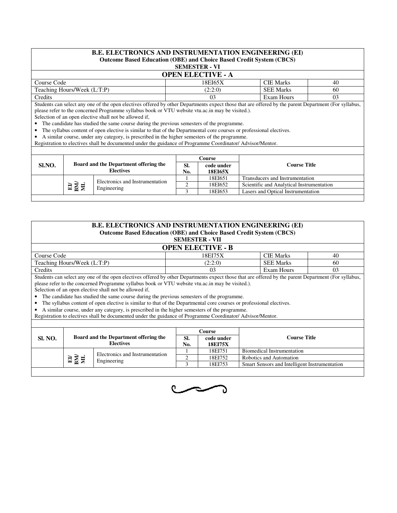#### B.E. ELECTRONICS AND INSTRUMENTATION ENGINEERING (EI) **Outcome Based Education (OBE) and Choice Based Credit System (CBCS)**  $\bf VI$

|  | SEMESTER - |  |  |  |
|--|------------|--|--|--|
|  |            |  |  |  |

|                             | <b>OPEN ELECTIVE - A</b> |                  |    |  |  |  |  |  |  |
|-----------------------------|--------------------------|------------------|----|--|--|--|--|--|--|
| Course Code                 | 18EI65X                  | <b>CIE Marks</b> | 40 |  |  |  |  |  |  |
| Teaching Hours/Week (L:T:P) | (2:2:0)                  | <b>SEE Marks</b> | 60 |  |  |  |  |  |  |
| Credits                     |                          | Exam Hours       | 03 |  |  |  |  |  |  |

Students can select any one of the open electives offered by other Departments expect those that are offered by the parent Department (For syllabus, please refer to the concerned Programme syllabus book or VTU website vtu.ac.in may be visited.). Selection of an open elective shall not be allowed if,

• The candidate has studied the same course during the previous semesters of the programme.

• The syllabus content of open elective is similar to that of the Departmental core courses or professional electives.

• A similar course, under any category, is prescribed in the higher semesters of the programme. • The syllabus content of open elective is similar to that<br>• A similar course, under any category, is prescribed in t<br>Registration to electives shall be documented under the gu

Registration to electives shall be documented under the guidance of Programme Coordinator/ Advisor/Mentor.

| Course Title<br>SI.NO.<br>SI.<br>code under<br><b>Electives</b><br>No.<br><b>18EI65X</b><br>18EI651<br>Transducers and Instrumentation |                                       |                                 | Course |  |
|----------------------------------------------------------------------------------------------------------------------------------------|---------------------------------------|---------------------------------|--------|--|
|                                                                                                                                        | Board and the Department offering the |                                 |        |  |
|                                                                                                                                        |                                       | Electronics and Instrumentation |        |  |
| 멸종<br>18EI652<br>Scientific and Analytical Instrumentation<br>Engineering                                                              |                                       |                                 |        |  |
| Lasers and Optical Instrumentation<br>18EI653                                                                                          |                                       |                                 |        |  |

| <b>B.E. ELECTRONICS AND INSTRUMENTATION ENGINEERING (EI)</b>                                                                                         |         |                  |    |  |  |  |  |
|------------------------------------------------------------------------------------------------------------------------------------------------------|---------|------------------|----|--|--|--|--|
| <b>Outcome Based Education (OBE) and Choice Based Credit System (CBCS)</b>                                                                           |         |                  |    |  |  |  |  |
| <b>SEMESTER - VII</b>                                                                                                                                |         |                  |    |  |  |  |  |
| <b>OPEN ELECTIVE - B</b>                                                                                                                             |         |                  |    |  |  |  |  |
| Course Code                                                                                                                                          | 18EI75X | <b>CIE Marks</b> | 40 |  |  |  |  |
| Teaching Hours/Week (L:T:P)<br>(2:2:0)<br><b>SEE Marks</b><br>60                                                                                     |         |                  |    |  |  |  |  |
| Credits<br>Exam Hours<br>03<br>03                                                                                                                    |         |                  |    |  |  |  |  |
| Students can select any one of the open electives offered by other Departments expect those that are offered by the parent Department (For syllabus, |         |                  |    |  |  |  |  |

please refer to the concerned Programme syllabus book or VTU website vtu.ac.in may be visited.). Selection of an open elective shall not be allowed if, explores the candidate has studied the same syllabus book or VTU website vtu.ac.in may be visited Selection of an open elective shall not be allowed if,<br>• The candidate has studied the same course during the previous semes

• The syllabus content of open elective is similar to that of the Departmental core courses or professional electives.

• A similar course, under any category, is prescribed in the higher semesters of the programme. • The syllabus content of open elective is similar to that<br>• A similar course, under any category, is prescribed in t<br>Registration to electives shall be documented under the gu

Registration to electives shall be documented under the guidance of Programme Coordinator/ Advisor/Mentor.

|                |    |                                                           |            | Course                       |                                               |
|----------------|----|-----------------------------------------------------------|------------|------------------------------|-----------------------------------------------|
| <b>SI. NO.</b> |    | Board and the Department offering the<br><b>Electives</b> | SI.<br>No. | code under<br><b>18EI75X</b> | <b>Course Title</b>                           |
|                |    | Electronics and Instrumentation                           |            | 18EI751                      | Biomedical Instrumentation                    |
|                | 평물 | Engineering                                               |            | 18EI752                      | Robotics and Automation                       |
|                |    |                                                           |            | 18EI753                      | Smart Sensors and Intelligent Instrumentation |
|                |    |                                                           |            |                              |                                               |

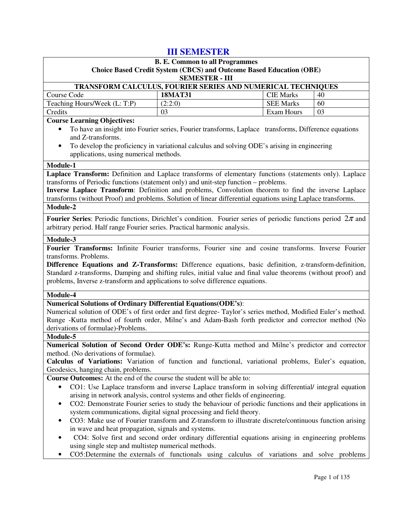## **III SEMESTER**

| <b>B. E. Common to all Programmes</b>                                                                                                              |                                                                                                   |                   |    |  |  |  |  |
|----------------------------------------------------------------------------------------------------------------------------------------------------|---------------------------------------------------------------------------------------------------|-------------------|----|--|--|--|--|
|                                                                                                                                                    | <b>Choice Based Credit System (CBCS) and Outcome Based Education (OBE)</b>                        |                   |    |  |  |  |  |
| <b>SEMESTER - III</b>                                                                                                                              |                                                                                                   |                   |    |  |  |  |  |
| TRANSFORM CALCULUS, FOURIER SERIES AND NUMERICAL TECHNIQUES                                                                                        |                                                                                                   |                   |    |  |  |  |  |
| Course Code                                                                                                                                        | <b>18MAT31</b>                                                                                    | <b>CIE Marks</b>  | 40 |  |  |  |  |
| Teaching Hours/Week (L: T:P)                                                                                                                       | (2:2:0)                                                                                           | <b>SEE Marks</b>  | 60 |  |  |  |  |
| Credits                                                                                                                                            | 03                                                                                                | <b>Exam Hours</b> | 03 |  |  |  |  |
| <b>Course Learning Objectives:</b>                                                                                                                 |                                                                                                   |                   |    |  |  |  |  |
| To have an insight into Fourier series, Fourier transforms, Laplace transforms, Difference equations                                               |                                                                                                   |                   |    |  |  |  |  |
| and Z-transforms.                                                                                                                                  |                                                                                                   |                   |    |  |  |  |  |
| To develop the proficiency in variational calculus and solving ODE's arising in engineering<br>$\bullet$<br>applications, using numerical methods. |                                                                                                   |                   |    |  |  |  |  |
|                                                                                                                                                    |                                                                                                   |                   |    |  |  |  |  |
| Module-1                                                                                                                                           |                                                                                                   |                   |    |  |  |  |  |
| Laplace Transform: Definition and Laplace transforms of elementary functions (statements only). Laplace                                            |                                                                                                   |                   |    |  |  |  |  |
| transforms of Periodic functions (statement only) and unit-step function – problems.                                                               |                                                                                                   |                   |    |  |  |  |  |
| Inverse Laplace Transform: Definition and problems, Convolution theorem to find the inverse Laplace                                                |                                                                                                   |                   |    |  |  |  |  |
| transforms (without Proof) and problems. Solution of linear differential equations using Laplace transforms.<br>Module-2                           |                                                                                                   |                   |    |  |  |  |  |
|                                                                                                                                                    |                                                                                                   |                   |    |  |  |  |  |
| <b>Fourier Series:</b> Periodic functions, Dirichlet's condition. Fourier series of periodic functions period $2\pi$ and                           |                                                                                                   |                   |    |  |  |  |  |
| arbitrary period. Half range Fourier series. Practical harmonic analysis.                                                                          |                                                                                                   |                   |    |  |  |  |  |
| Module-3                                                                                                                                           |                                                                                                   |                   |    |  |  |  |  |
| Fourier Transforms: Infinite Fourier transforms, Fourier sine and cosine transforms. Inverse Fourier                                               |                                                                                                   |                   |    |  |  |  |  |
| transforms. Problems.                                                                                                                              |                                                                                                   |                   |    |  |  |  |  |
| Difference Equations and Z-Transforms: Difference equations, basic definition, z-transform-definition,                                             |                                                                                                   |                   |    |  |  |  |  |
| Standard z-transforms, Damping and shifting rules, initial value and final value theorems (without proof) and                                      |                                                                                                   |                   |    |  |  |  |  |
| problems, Inverse z-transform and applications to solve difference equations.                                                                      |                                                                                                   |                   |    |  |  |  |  |
| Module-4                                                                                                                                           |                                                                                                   |                   |    |  |  |  |  |
| <b>Numerical Solutions of Ordinary Differential Equations (ODE's):</b>                                                                             |                                                                                                   |                   |    |  |  |  |  |
| Numerical solution of ODE's of first order and first degree-Taylor's series method, Modified Euler's method.                                       |                                                                                                   |                   |    |  |  |  |  |
| Runge -Kutta method of fourth order, Milne's and Adam-Bash forth predictor and corrector method (No                                                |                                                                                                   |                   |    |  |  |  |  |
| derivations of formulae)-Problems.                                                                                                                 |                                                                                                   |                   |    |  |  |  |  |
| Module-5                                                                                                                                           |                                                                                                   |                   |    |  |  |  |  |
| Numerical Solution of Second Order ODE's: Runge-Kutta method and Milne's predictor and corrector                                                   |                                                                                                   |                   |    |  |  |  |  |
| method. (No derivations of formulae).                                                                                                              |                                                                                                   |                   |    |  |  |  |  |
| Calculus of Variations: Variation of function and functional, variational problems, Euler's equation,                                              |                                                                                                   |                   |    |  |  |  |  |
| Geodesics, hanging chain, problems.                                                                                                                |                                                                                                   |                   |    |  |  |  |  |
| Course Outcomes: At the end of the course the student will be able to:                                                                             |                                                                                                   |                   |    |  |  |  |  |
| CO1: Use Laplace transform and inverse Laplace transform in solving differential/ integral equation<br>$\bullet$                                   |                                                                                                   |                   |    |  |  |  |  |
| arising in network analysis, control systems and other fields of engineering.                                                                      |                                                                                                   |                   |    |  |  |  |  |
| CO2: Demonstrate Fourier series to study the behaviour of periodic functions and their applications in                                             |                                                                                                   |                   |    |  |  |  |  |
| system communications, digital signal processing and field theory.                                                                                 |                                                                                                   |                   |    |  |  |  |  |
| CO3: Make use of Fourier transform and Z-transform to illustrate discrete/continuous function arising<br>٠                                         |                                                                                                   |                   |    |  |  |  |  |
| in wave and heat propagation, signals and systems.                                                                                                 |                                                                                                   |                   |    |  |  |  |  |
|                                                                                                                                                    | CO4: Solve first and second order ordinary differential equations arising in engineering problems |                   |    |  |  |  |  |
| using single step and multistep numerical methods.                                                                                                 |                                                                                                   |                   |    |  |  |  |  |
| CO5:Determine the externals of functionals using calculus of variations and solve problems                                                         |                                                                                                   |                   |    |  |  |  |  |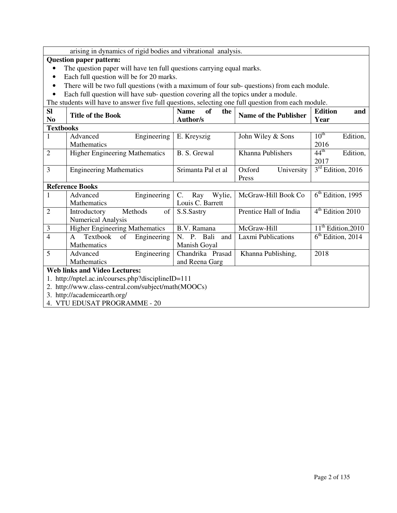|                              | arising in dynamics of rigid bodies and vibrational analysis.                                                                                                                            |                          |                              |                              |  |  |
|------------------------------|------------------------------------------------------------------------------------------------------------------------------------------------------------------------------------------|--------------------------|------------------------------|------------------------------|--|--|
|                              | <b>Question paper pattern:</b>                                                                                                                                                           |                          |                              |                              |  |  |
|                              | The question paper will have ten full questions carrying equal marks.                                                                                                                    |                          |                              |                              |  |  |
| $\bullet$                    | Each full question will be for 20 marks.                                                                                                                                                 |                          |                              |                              |  |  |
| $\bullet$                    | There will be two full questions (with a maximum of four sub-questions) from each module.                                                                                                |                          |                              |                              |  |  |
|                              |                                                                                                                                                                                          |                          |                              |                              |  |  |
| $\bullet$                    | Each full question will have sub-question covering all the topics under a module.<br>The students will have to answer five full questions, selecting one full question from each module. |                          |                              |                              |  |  |
| <b>SI</b>                    |                                                                                                                                                                                          | <b>Name</b><br><b>of</b> |                              | <b>Edition</b>               |  |  |
| N <sub>0</sub>               | <b>Title of the Book</b>                                                                                                                                                                 | the<br><b>Author/s</b>   | <b>Name of the Publisher</b> | and<br>Year                  |  |  |
| <b>Textbooks</b>             |                                                                                                                                                                                          |                          |                              |                              |  |  |
| 1                            | Advanced<br>Engineering                                                                                                                                                                  | E. Kreyszig              | John Wiley & Sons            | $10^{\text{th}}$<br>Edition, |  |  |
|                              | Mathematics                                                                                                                                                                              |                          |                              | 2016                         |  |  |
| $\overline{2}$               | <b>Higher Engineering Mathematics</b>                                                                                                                                                    | B. S. Grewal             | Khanna Publishers            | $44^{\text{th}}$<br>Edition, |  |  |
|                              |                                                                                                                                                                                          |                          |                              | 2017                         |  |  |
|                              | $\overline{3}$<br><b>Engineering Mathematics</b><br>Srimanta Pal et al                                                                                                                   |                          | Oxford<br>University         | $3rd$ Edition, 2016          |  |  |
|                              | Press                                                                                                                                                                                    |                          |                              |                              |  |  |
|                              | <b>Reference Books</b>                                                                                                                                                                   |                          |                              |                              |  |  |
|                              | Advanced<br>Engineering                                                                                                                                                                  | C.<br>Ray<br>Wylie,      | McGraw-Hill Book Co          | $6th$ Edition, 1995          |  |  |
|                              | Mathematics                                                                                                                                                                              | Louis C. Barrett         |                              |                              |  |  |
| $\overline{2}$               | Introductory<br>Methods<br>of                                                                                                                                                            | S.S.Sastry               | Prentice Hall of India       | 4 <sup>th</sup> Edition 2010 |  |  |
|                              | <b>Numerical Analysis</b>                                                                                                                                                                |                          |                              |                              |  |  |
| 3                            | <b>Higher Engineering Mathematics</b>                                                                                                                                                    | B.V. Ramana              | McGraw-Hill                  | $11th$ Edition, 2010         |  |  |
| $\overline{4}$               | Textbook<br>$\mathsf{A}$<br>Engineering<br>of                                                                                                                                            | N. P. Bali<br>and        | Laxmi Publications           | $6th$ Edition, 2014          |  |  |
|                              | Mathematics                                                                                                                                                                              | Manish Goyal             |                              |                              |  |  |
| 5                            | Advanced<br>Engineering                                                                                                                                                                  | Chandrika Prasad         | Khanna Publishing,           | 2018                         |  |  |
|                              | Mathematics                                                                                                                                                                              | and Reena Garg           |                              |                              |  |  |
|                              | <b>Web links and Video Lectures:</b>                                                                                                                                                     |                          |                              |                              |  |  |
|                              | 1. http://nptel.ac.in/courses.php?disciplineID=111<br>2. http://www.class-central.com/subject/math(MOOCs)                                                                                |                          |                              |                              |  |  |
|                              |                                                                                                                                                                                          |                          |                              |                              |  |  |
|                              | 3. http://academicearth.org/                                                                                                                                                             |                          |                              |                              |  |  |
| 4. VTU EDUSAT PROGRAMME - 20 |                                                                                                                                                                                          |                          |                              |                              |  |  |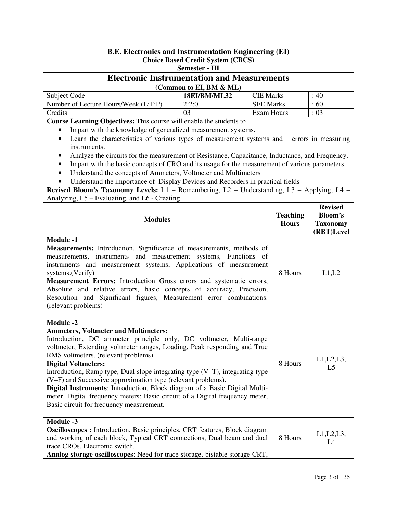| <b>B.E. Electronics and Instrumentation Engineering (EI)</b><br><b>Choice Based Credit System (CBCS)</b>                                                                                                                                                                                                                                                                                                                                                                                                                                                                                                                                            |                         |                   |                                 |                                                                   |  |  |
|-----------------------------------------------------------------------------------------------------------------------------------------------------------------------------------------------------------------------------------------------------------------------------------------------------------------------------------------------------------------------------------------------------------------------------------------------------------------------------------------------------------------------------------------------------------------------------------------------------------------------------------------------------|-------------------------|-------------------|---------------------------------|-------------------------------------------------------------------|--|--|
|                                                                                                                                                                                                                                                                                                                                                                                                                                                                                                                                                                                                                                                     | Semester - III          |                   |                                 |                                                                   |  |  |
| <b>Electronic Instrumentation and Measurements</b>                                                                                                                                                                                                                                                                                                                                                                                                                                                                                                                                                                                                  | (Common to EI, BM & ML) |                   |                                 |                                                                   |  |  |
| Subject Code                                                                                                                                                                                                                                                                                                                                                                                                                                                                                                                                                                                                                                        | 18EI/BM/ML32            | <b>CIE Marks</b>  |                                 | : 40                                                              |  |  |
| Number of Lecture Hours/Week (L:T:P)                                                                                                                                                                                                                                                                                                                                                                                                                                                                                                                                                                                                                | 2:2:0                   | <b>SEE Marks</b>  |                                 | :60                                                               |  |  |
| Credits                                                                                                                                                                                                                                                                                                                                                                                                                                                                                                                                                                                                                                             | 0 <sub>3</sub>          | <b>Exam Hours</b> |                                 | : 03                                                              |  |  |
| Course Learning Objectives: This course will enable the students to                                                                                                                                                                                                                                                                                                                                                                                                                                                                                                                                                                                 |                         |                   |                                 |                                                                   |  |  |
| Impart with the knowledge of generalized measurement systems.<br>$\bullet$<br>Learn the characteristics of various types of measurement systems and<br>instruments.<br>Analyze the circuits for the measurement of Resistance, Capacitance, Inductance, and Frequency.                                                                                                                                                                                                                                                                                                                                                                              |                         |                   |                                 | errors in measuring                                               |  |  |
| Impart with the basic concepts of CRO and its usage for the measurement of various parameters.<br>$\bullet$                                                                                                                                                                                                                                                                                                                                                                                                                                                                                                                                         |                         |                   |                                 |                                                                   |  |  |
| Understand the concepts of Ammeters, Voltmeter and Multimeters                                                                                                                                                                                                                                                                                                                                                                                                                                                                                                                                                                                      |                         |                   |                                 |                                                                   |  |  |
| Understand the importance of Display Devices and Recorders in practical fields                                                                                                                                                                                                                                                                                                                                                                                                                                                                                                                                                                      |                         |                   |                                 |                                                                   |  |  |
| Revised Bloom's Taxonomy Levels: L1 - Remembering, L2 - Understanding, L3 - Applying, L4 -                                                                                                                                                                                                                                                                                                                                                                                                                                                                                                                                                          |                         |                   |                                 |                                                                   |  |  |
| Analyzing, L5 - Evaluating, and L6 - Creating                                                                                                                                                                                                                                                                                                                                                                                                                                                                                                                                                                                                       |                         |                   |                                 |                                                                   |  |  |
| <b>Modules</b>                                                                                                                                                                                                                                                                                                                                                                                                                                                                                                                                                                                                                                      |                         |                   | <b>Teaching</b><br><b>Hours</b> | <b>Revised</b><br><b>Bloom's</b><br><b>Taxonomy</b><br>(RBT)Level |  |  |
| Measurements: Introduction, Significance of measurements, methods of<br>measurements, instruments and measurement systems, Functions of<br>instruments and measurement systems, Applications of measurement<br>systems.(Verify)<br>Measurement Errors: Introduction Gross errors and systematic errors,<br>Absolute and relative errors, basic concepts of accuracy, Precision,<br>Resolution and Significant figures, Measurement error combinations.<br>(relevant problems)                                                                                                                                                                       |                         |                   | 8 Hours                         | L1,L2                                                             |  |  |
|                                                                                                                                                                                                                                                                                                                                                                                                                                                                                                                                                                                                                                                     |                         |                   |                                 |                                                                   |  |  |
| <b>Module -2</b><br><b>Ammeters, Voltmeter and Multimeters:</b><br>Introduction, DC ammeter principle only, DC voltmeter, Multi-range<br>voltmeter, Extending voltmeter ranges, Loading, Peak responding and True<br>RMS voltmeters. (relevant problems)<br><b>Digital Voltmeters:</b><br>Introduction, Ramp type, Dual slope integrating type $(V-T)$ , integrating type<br>(V-F) and Successive approximation type (relevant problems).<br>Digital Instruments: Introduction, Block diagram of a Basic Digital Multi-<br>meter. Digital frequency meters: Basic circuit of a Digital frequency meter,<br>Basic circuit for frequency measurement. |                         |                   | 8 Hours                         | $L1,L2,L3$ ,<br>L <sub>5</sub>                                    |  |  |
|                                                                                                                                                                                                                                                                                                                                                                                                                                                                                                                                                                                                                                                     |                         |                   |                                 |                                                                   |  |  |
| <b>Module -3</b><br>Oscilloscopes : Introduction, Basic principles, CRT features, Block diagram<br>and working of each block, Typical CRT connections, Dual beam and dual<br>trace CROs, Electronic switch.<br>Analog storage oscilloscopes: Need for trace storage, bistable storage CRT,                                                                                                                                                                                                                                                                                                                                                          |                         |                   | 8 Hours                         | $L1,L2,L3$ ,<br>L <sub>4</sub>                                    |  |  |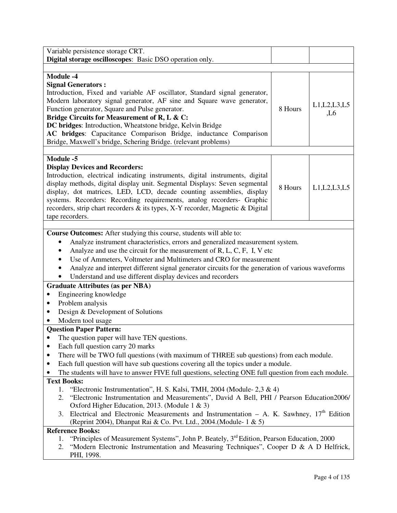| Variable persistence storage CRT.<br>Digital storage oscilloscopes: Basic DSO operation only.                                                                                                                                                                                                                                                                                                                                                                                                                                                                                                                                                                                                                                                                                                                                                                                                                                                                                                                                                                                                                      |         |                        |
|--------------------------------------------------------------------------------------------------------------------------------------------------------------------------------------------------------------------------------------------------------------------------------------------------------------------------------------------------------------------------------------------------------------------------------------------------------------------------------------------------------------------------------------------------------------------------------------------------------------------------------------------------------------------------------------------------------------------------------------------------------------------------------------------------------------------------------------------------------------------------------------------------------------------------------------------------------------------------------------------------------------------------------------------------------------------------------------------------------------------|---------|------------------------|
|                                                                                                                                                                                                                                                                                                                                                                                                                                                                                                                                                                                                                                                                                                                                                                                                                                                                                                                                                                                                                                                                                                                    |         |                        |
| <b>Module -4</b><br><b>Signal Generators:</b><br>Introduction, Fixed and variable AF oscillator, Standard signal generator,<br>Modern laboratory signal generator, AF sine and Square wave generator,<br>Function generator, Square and Pulse generator.<br>Bridge Circuits for Measurement of R, L & C:<br>DC bridges: Introduction, Wheatstone bridge, Kelvin Bridge<br>AC bridges: Capacitance Comparison Bridge, inductance Comparison<br>Bridge, Maxwell's bridge, Schering Bridge. (relevant problems)                                                                                                                                                                                                                                                                                                                                                                                                                                                                                                                                                                                                       | 8 Hours | L1, L2, L3, L5<br>, L6 |
| <b>Module -5</b><br><b>Display Devices and Recorders:</b><br>Introduction, electrical indicating instruments, digital instruments, digital<br>display methods, digital display unit. Segmental Displays: Seven segmental<br>display, dot matrices, LED, LCD, decade counting assemblies, display<br>systems. Recorders: Recording requirements, analog recorders- Graphic<br>recorders, strip chart recorders & its types, X-Y recorder, Magnetic & Digital<br>tape recorders.                                                                                                                                                                                                                                                                                                                                                                                                                                                                                                                                                                                                                                     | 8 Hours | L1, L2, L3, L5         |
| Course Outcomes: After studying this course, students will able to:<br>Analyze instrument characteristics, errors and generalized measurement system.<br>Analyze and use the circuit for the measurement of $R, L, C, F, I, V$ etc<br>Use of Ammeters, Voltmeter and Multimeters and CRO for measurement<br>Analyze and interpret different signal generator circuits for the generation of various waveforms<br>Understand and use different display devices and recorders<br><b>Graduate Attributes (as per NBA)</b><br>Engineering knowledge<br>٠<br>Problem analysis<br>٠<br>Design & Development of Solutions<br>٠<br>Modern tool usage                                                                                                                                                                                                                                                                                                                                                                                                                                                                       |         |                        |
| <b>Question Paper Pattern:</b><br>The question paper will have TEN questions.<br>Each full question carry 20 marks<br>٠<br>There will be TWO full questions (with maximum of THREE sub questions) from each module.<br>٠<br>Each full question will have sub questions covering all the topics under a module.<br>٠<br>The students will have to answer FIVE full questions, selecting ONE full question from each module.<br><b>Text Books:</b><br>1. "Electronic Instrumentation", H. S. Kalsi, TMH, 2004 (Module-2,3 & 4)<br>"Electronic Instrumentation and Measurements", David A Bell, PHI / Pearson Education2006/<br>2.<br>Oxford Higher Education, 2013. (Module 1 & 3)<br>Electrical and Electronic Measurements and Instrumentation - A. K. Sawhney, $17th$ Edition<br>3.<br>(Reprint 2004), Dhanpat Rai & Co. Pvt. Ltd., 2004.(Module- 1 & 5)<br><b>Reference Books:</b><br>"Principles of Measurement Systems", John P. Beately, 3 <sup>rd</sup> Edition, Pearson Education, 2000<br>1.<br>"Modern Electronic Instrumentation and Measuring Techniques", Cooper D & A D Helfrick,<br>2.<br>PHI, 1998. |         |                        |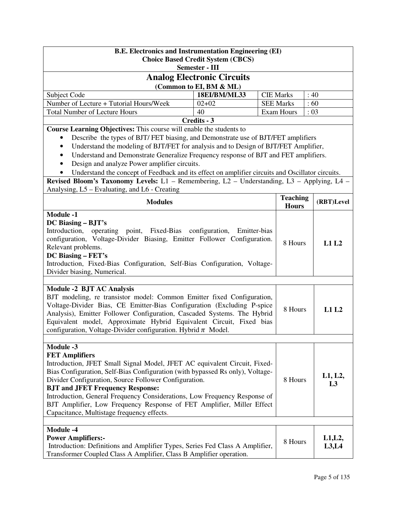| <b>B.E. Electronics and Instrumentation Engineering (EI)</b><br><b>Choice Based Credit System (CBCS)</b><br>Semester - III                                                                                                                                                                                                                                                                                                                                                                                                                              |                                                                                                                                                                                                                                                                                                                                                                                                                                                                                           |      |                  |                |  |  |
|---------------------------------------------------------------------------------------------------------------------------------------------------------------------------------------------------------------------------------------------------------------------------------------------------------------------------------------------------------------------------------------------------------------------------------------------------------------------------------------------------------------------------------------------------------|-------------------------------------------------------------------------------------------------------------------------------------------------------------------------------------------------------------------------------------------------------------------------------------------------------------------------------------------------------------------------------------------------------------------------------------------------------------------------------------------|------|------------------|----------------|--|--|
|                                                                                                                                                                                                                                                                                                                                                                                                                                                                                                                                                         | <b>Analog Electronic Circuits</b>                                                                                                                                                                                                                                                                                                                                                                                                                                                         |      |                  |                |  |  |
| (Common to EI, BM & ML)                                                                                                                                                                                                                                                                                                                                                                                                                                                                                                                                 |                                                                                                                                                                                                                                                                                                                                                                                                                                                                                           |      |                  |                |  |  |
| Subject Code                                                                                                                                                                                                                                                                                                                                                                                                                                                                                                                                            | <b>CIE Marks</b>                                                                                                                                                                                                                                                                                                                                                                                                                                                                          | : 40 |                  |                |  |  |
| Number of Lecture + Tutorial Hours/Week                                                                                                                                                                                                                                                                                                                                                                                                                                                                                                                 | $02+02$                                                                                                                                                                                                                                                                                                                                                                                                                                                                                   |      | <b>SEE Marks</b> | :60            |  |  |
| <b>Total Number of Lecture Hours</b>                                                                                                                                                                                                                                                                                                                                                                                                                                                                                                                    | 40                                                                                                                                                                                                                                                                                                                                                                                                                                                                                        |      | Exam Hours       | : 03           |  |  |
|                                                                                                                                                                                                                                                                                                                                                                                                                                                                                                                                                         | Credits - 3                                                                                                                                                                                                                                                                                                                                                                                                                                                                               |      |                  |                |  |  |
| Revised Bloom's Taxonomy Levels: L1 - Remembering, L2 - Understanding, L3 - Applying, L4 -                                                                                                                                                                                                                                                                                                                                                                                                                                                              | Course Learning Objectives: This course will enable the students to<br>Describe the types of BJT/FET biasing, and Demonstrate use of BJT/FET amplifiers<br>Understand the modeling of BJT/FET for analysis and to Design of BJT/FET Amplifier,<br>Understand and Demonstrate Generalize Frequency response of BJT and FET amplifiers.<br>Design and analyze Power amplifier circuits.<br>Understand the concept of Feedback and its effect on amplifier circuits and Oscillator circuits. |      |                  |                |  |  |
| Analysing, L5 – Evaluating, and L6 - Creating<br><b>Modules</b>                                                                                                                                                                                                                                                                                                                                                                                                                                                                                         |                                                                                                                                                                                                                                                                                                                                                                                                                                                                                           |      | <b>Teaching</b>  | (RBT)Level     |  |  |
|                                                                                                                                                                                                                                                                                                                                                                                                                                                                                                                                                         |                                                                                                                                                                                                                                                                                                                                                                                                                                                                                           |      | <b>Hours</b>     |                |  |  |
| <b>Module -1</b><br>DC Biasing - BJT's<br>operating point, Fixed-Bias configuration, Emitter-bias<br>Introduction,<br>configuration, Voltage-Divider Biasing, Emitter Follower Configuration.<br>8 Hours<br>Relevant problems.<br>DC Biasing – FET's<br>Introduction, Fixed-Bias Configuration, Self-Bias Configuration, Voltage-<br>Divider biasing, Numerical.                                                                                                                                                                                        |                                                                                                                                                                                                                                                                                                                                                                                                                                                                                           |      |                  | L1L2           |  |  |
| <b>Module -2 BJT AC Analysis</b><br>BJT modeling, re transistor model: Common Emitter fixed Configuration,<br>Voltage-Divider Bias, CE Emitter-Bias Configuration (Excluding P-spice<br>Analysis), Emitter Follower Configuration, Cascaded Systems. The Hybrid<br>Equivalent model, Approximate Hybrid Equivalent Circuit, Fixed bias<br>configuration, Voltage-Divider configuration. Hybrid $\pi$ Model.                                                                                                                                             |                                                                                                                                                                                                                                                                                                                                                                                                                                                                                           |      | 8 Hours          | L1L2           |  |  |
| <b>Module -3</b><br><b>FET Amplifiers</b><br>Introduction, JFET Small Signal Model, JFET AC equivalent Circuit, Fixed-<br>Bias Configuration, Self-Bias Configuration (with bypassed Rs only), Voltage-<br>L1, L2,<br>Divider Configuration, Source Follower Configuration.<br>8 Hours<br>L <sub>3</sub><br><b>BJT and JFET Frequency Response:</b><br>Introduction, General Frequency Considerations, Low Frequency Response of<br>BJT Amplifier, Low Frequency Response of FET Amplifier, Miller Effect<br>Capacitance, Multistage frequency effects. |                                                                                                                                                                                                                                                                                                                                                                                                                                                                                           |      |                  |                |  |  |
| <b>Module -4</b><br><b>Power Amplifiers:-</b><br>Introduction: Definitions and Amplifier Types, Series Fed Class A Amplifier,<br>Transformer Coupled Class A Amplifier, Class B Amplifier operation.                                                                                                                                                                                                                                                                                                                                                    |                                                                                                                                                                                                                                                                                                                                                                                                                                                                                           |      | 8 Hours          | L1,L2<br>L3,L4 |  |  |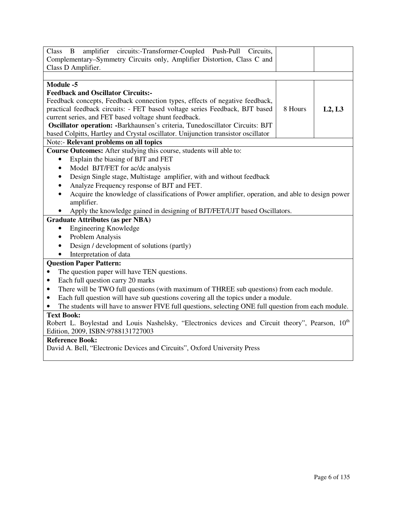| amplifier circuits:-Transformer-Coupled Push-Pull Circuits,<br>Class B<br>Complementary-Symmetry Circuits only, Amplifier Distortion, Class C and<br>Class D Amplifier. |         |        |  |  |
|-------------------------------------------------------------------------------------------------------------------------------------------------------------------------|---------|--------|--|--|
|                                                                                                                                                                         |         |        |  |  |
| <b>Module -5</b>                                                                                                                                                        |         |        |  |  |
| <b>Feedback and Oscillator Circuits:-</b>                                                                                                                               |         |        |  |  |
| Feedback concepts, Feedback connection types, effects of negative feedback,                                                                                             |         |        |  |  |
| practical feedback circuits: - FET based voltage series Feedback, BJT based                                                                                             | 8 Hours | L2, L3 |  |  |
| current series, and FET based voltage shunt feedback.                                                                                                                   |         |        |  |  |
| Oscillator operation: -Barkhaunsen's criteria, Tunedoscillator Circuits: BJT                                                                                            |         |        |  |  |
| based Colpitts, Hartley and Crystal oscillator. Unijunction transistor oscillator                                                                                       |         |        |  |  |
| Note:- Relevant problems on all topics                                                                                                                                  |         |        |  |  |
| Course Outcomes: After studying this course, students will able to:                                                                                                     |         |        |  |  |
| Explain the biasing of BJT and FET<br>$\bullet$                                                                                                                         |         |        |  |  |
| Model BJT/FET for ac/dc analysis<br>$\bullet$                                                                                                                           |         |        |  |  |
| Design Single stage, Multistage amplifier, with and without feedback<br>$\bullet$                                                                                       |         |        |  |  |
| Analyze Frequency response of BJT and FET.<br>$\bullet$                                                                                                                 |         |        |  |  |
| Acquire the knowledge of classifications of Power amplifier, operation, and able to design power<br>$\bullet$                                                           |         |        |  |  |
| amplifier.                                                                                                                                                              |         |        |  |  |
| Apply the knowledge gained in designing of BJT/FET/UJT based Oscillators.                                                                                               |         |        |  |  |
| <b>Graduate Attributes (as per NBA)</b>                                                                                                                                 |         |        |  |  |
| <b>Engineering Knowledge</b><br>$\bullet$                                                                                                                               |         |        |  |  |
| Problem Analysis<br>$\bullet$                                                                                                                                           |         |        |  |  |
| Design / development of solutions (partly)<br>$\bullet$                                                                                                                 |         |        |  |  |
| Interpretation of data                                                                                                                                                  |         |        |  |  |
| <b>Question Paper Pattern:</b>                                                                                                                                          |         |        |  |  |
| The question paper will have TEN questions.                                                                                                                             |         |        |  |  |
| Each full question carry 20 marks<br>$\bullet$                                                                                                                          |         |        |  |  |
| There will be TWO full questions (with maximum of THREE sub questions) from each module.<br>$\bullet$                                                                   |         |        |  |  |
| Each full question will have sub questions covering all the topics under a module.<br>$\bullet$                                                                         |         |        |  |  |
| The students will have to answer FIVE full questions, selecting ONE full question from each module.                                                                     |         |        |  |  |
| <b>Text Book:</b>                                                                                                                                                       |         |        |  |  |
| Robert L. Boylestad and Louis Nashelsky, "Electronics devices and Circuit theory", Pearson, 10 <sup>th</sup>                                                            |         |        |  |  |
| Edition, 2009, ISBN:9788131727003                                                                                                                                       |         |        |  |  |
| <b>Reference Book:</b>                                                                                                                                                  |         |        |  |  |
| David A. Bell, "Electronic Devices and Circuits", Oxford University Press                                                                                               |         |        |  |  |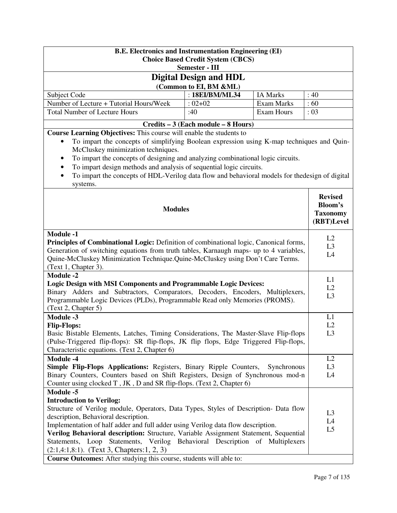| <b>B.E. Electronics and Instrumentation Engineering (EI)</b><br><b>Choice Based Credit System (CBCS)</b>                                                                                                                                                                                                                                                                                                                                     |                                     |             |                                                                   |  |  |  |
|----------------------------------------------------------------------------------------------------------------------------------------------------------------------------------------------------------------------------------------------------------------------------------------------------------------------------------------------------------------------------------------------------------------------------------------------|-------------------------------------|-------------|-------------------------------------------------------------------|--|--|--|
|                                                                                                                                                                                                                                                                                                                                                                                                                                              | Semester - III                      |             |                                                                   |  |  |  |
|                                                                                                                                                                                                                                                                                                                                                                                                                                              | <b>Digital Design and HDL</b>       |             |                                                                   |  |  |  |
| (Common to EI, BM &ML)                                                                                                                                                                                                                                                                                                                                                                                                                       |                                     |             |                                                                   |  |  |  |
| : 18EI/BM/ML34<br><b>IA Marks</b><br>Subject Code<br>: 40                                                                                                                                                                                                                                                                                                                                                                                    |                                     |             |                                                                   |  |  |  |
| Number of Lecture + Tutorial Hours/Week                                                                                                                                                                                                                                                                                                                                                                                                      | $:02+02$                            | Exam Marks  | :60                                                               |  |  |  |
| <b>Total Number of Lecture Hours</b>                                                                                                                                                                                                                                                                                                                                                                                                         | :40                                 | Exam Hours  | : 03                                                              |  |  |  |
|                                                                                                                                                                                                                                                                                                                                                                                                                                              |                                     |             |                                                                   |  |  |  |
| Course Learning Objectives: This course will enable the students to                                                                                                                                                                                                                                                                                                                                                                          | Credits – 3 (Each module – 8 Hours) |             |                                                                   |  |  |  |
| To impart the concepts of simplifying Boolean expression using K-map techniques and Quin-<br>$\bullet$<br>McCluskey minimization techniques.<br>To impart the concepts of designing and analyzing combinational logic circuits.<br>٠<br>To impart design methods and analysis of sequential logic circuits.<br>٠<br>To impart the concepts of HDL-Verilog data flow and behavioral models for the design of digital<br>$\bullet$<br>systems. |                                     |             |                                                                   |  |  |  |
| <b>Modules</b>                                                                                                                                                                                                                                                                                                                                                                                                                               |                                     |             | <b>Revised</b><br><b>Bloom's</b><br><b>Taxonomy</b><br>(RBT)Level |  |  |  |
| <b>Module -1</b>                                                                                                                                                                                                                                                                                                                                                                                                                             |                                     |             |                                                                   |  |  |  |
| Principles of Combinational Logic: Definition of combinational logic, Canonical forms,                                                                                                                                                                                                                                                                                                                                                       |                                     |             | L2<br>L <sub>3</sub>                                              |  |  |  |
| Generation of switching equations from truth tables, Karnaugh maps- up to 4 variables,                                                                                                                                                                                                                                                                                                                                                       |                                     |             | L4                                                                |  |  |  |
| Quine-McCluskey Minimization Technique. Quine-McCluskey using Don't Care Terms.                                                                                                                                                                                                                                                                                                                                                              |                                     |             |                                                                   |  |  |  |
| (Text 1, Chapter 3).                                                                                                                                                                                                                                                                                                                                                                                                                         |                                     |             |                                                                   |  |  |  |
| <b>Module -2</b>                                                                                                                                                                                                                                                                                                                                                                                                                             |                                     |             | L1                                                                |  |  |  |
| <b>Logic Design with MSI Components and Programmable Logic Devices:</b>                                                                                                                                                                                                                                                                                                                                                                      |                                     |             | L2                                                                |  |  |  |
| Binary Adders and Subtractors, Comparators, Decoders, Encoders, Multiplexers,                                                                                                                                                                                                                                                                                                                                                                |                                     |             | L <sub>3</sub>                                                    |  |  |  |
| Programmable Logic Devices (PLDs), Programmable Read only Memories (PROMS).                                                                                                                                                                                                                                                                                                                                                                  |                                     |             |                                                                   |  |  |  |
| (Text 2, Chapter 5)                                                                                                                                                                                                                                                                                                                                                                                                                          |                                     |             |                                                                   |  |  |  |
| <b>Module -3</b>                                                                                                                                                                                                                                                                                                                                                                                                                             |                                     |             | L1                                                                |  |  |  |
| <b>Flip-Flops:</b>                                                                                                                                                                                                                                                                                                                                                                                                                           |                                     |             | L2                                                                |  |  |  |
| Basic Bistable Elements, Latches, Timing Considerations, The Master-Slave Flip-flops                                                                                                                                                                                                                                                                                                                                                         |                                     |             | L <sub>3</sub>                                                    |  |  |  |
| (Pulse-Triggered flip-flops): SR flip-flops, JK flip flops, Edge Triggered Flip-flops,                                                                                                                                                                                                                                                                                                                                                       |                                     |             |                                                                   |  |  |  |
| Characteristic equations. (Text 2, Chapter 6)                                                                                                                                                                                                                                                                                                                                                                                                |                                     |             |                                                                   |  |  |  |
| <b>Module -4</b>                                                                                                                                                                                                                                                                                                                                                                                                                             |                                     |             | L2                                                                |  |  |  |
| Simple Flip-Flops Applications: Registers, Binary Ripple Counters,                                                                                                                                                                                                                                                                                                                                                                           |                                     | Synchronous | L <sub>3</sub>                                                    |  |  |  |
| Binary Counters, Counters based on Shift Registers, Design of Synchronous mod-n<br>L4                                                                                                                                                                                                                                                                                                                                                        |                                     |             |                                                                   |  |  |  |
| Counter using clocked T, JK, D and SR flip-flops. (Text 2, Chapter 6)                                                                                                                                                                                                                                                                                                                                                                        |                                     |             |                                                                   |  |  |  |
| <b>Module -5</b>                                                                                                                                                                                                                                                                                                                                                                                                                             |                                     |             |                                                                   |  |  |  |
| <b>Introduction to Verilog:</b>                                                                                                                                                                                                                                                                                                                                                                                                              |                                     |             |                                                                   |  |  |  |
| Structure of Verilog module, Operators, Data Types, Styles of Description- Data flow                                                                                                                                                                                                                                                                                                                                                         |                                     |             | L <sub>3</sub>                                                    |  |  |  |
| description, Behavioral description.                                                                                                                                                                                                                                                                                                                                                                                                         |                                     |             | L4                                                                |  |  |  |
| Implementation of half adder and full adder using Verilog data flow description.                                                                                                                                                                                                                                                                                                                                                             |                                     |             | L <sub>5</sub>                                                    |  |  |  |
| Verilog Behavioral description: Structure, Variable Assignment Statement, Sequential                                                                                                                                                                                                                                                                                                                                                         |                                     |             |                                                                   |  |  |  |
| Statements, Loop Statements, Verilog Behavioral Description of Multiplexers                                                                                                                                                                                                                                                                                                                                                                  |                                     |             |                                                                   |  |  |  |
| $(2:1,4:1,8:1)$ . (Text 3, Chapters: 1, 2, 3)<br>Course Outcomes: After studying this course, students will able to:                                                                                                                                                                                                                                                                                                                         |                                     |             |                                                                   |  |  |  |
|                                                                                                                                                                                                                                                                                                                                                                                                                                              |                                     |             |                                                                   |  |  |  |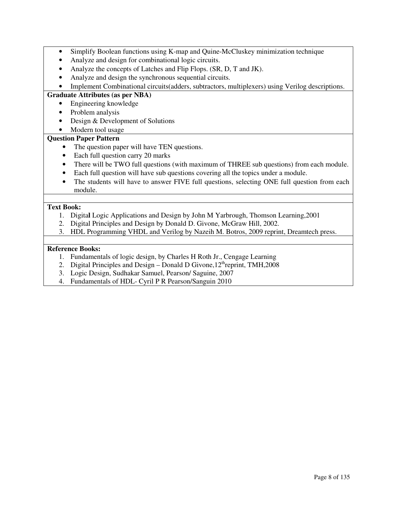- Simplify Boolean functions using K-map and Quine-McCluskey minimization technique
- Analyze and design for combinational logic circuits.
- Analyze the concepts of Latches and Flip Flops. (SR, D, T and JK).
- Analyze and design the synchronous sequential circuits.
- Implement Combinational circuits(adders, subtractors, multiplexers) using Verilog descriptions.

## **Graduate Attributes (as per NBA)**

- Engineering knowledge
- Problem analysis
- Design & Development of Solutions
- Modern tool usage

## **Question Paper Pattern**

- The question paper will have TEN questions.
- Each full question carry 20 marks
- There will be TWO full questions (with maximum of THREE sub questions) from each module.
- Each full question will have sub questions covering all the topics under a module.
- The students will have to answer FIVE full questions, selecting ONE full question from each module.

## **Text Book:**

- 1. Digita**l** Logic Applications and Design by John M Yarbrough, Thomson Learning,2001
- 2. Digital Principles and Design by Donald D. Givone, McGraw Hill, 2002.
- 3. HDL Programming VHDL and Verilog by Nazeih M. Botros, 2009 reprint, Dreamtech press.

## **Reference Books:**

- 1. Fundamentals of logic design, by Charles H Roth Jr., Cengage Learning
- 2. Digital Principles and Design Donald D Givone,  $12<sup>th</sup>$ reprint, TMH, 2008
- 3. Logic Design, Sudhakar Samuel, Pearson/ Saguine, 2007
- 4. Fundamentals of HDL- Cyril P R Pearson/Sanguin 2010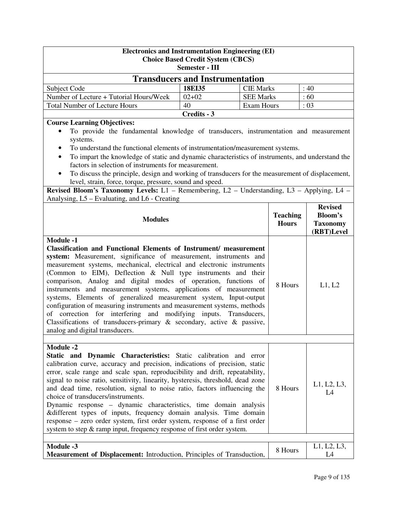| <b>Electronics and Instrumentation Engineering (EI)</b><br><b>Choice Based Credit System (CBCS)</b>                                                                                                                                                                                                                                                                                                                                                                                                                                                                                                                                                                                                                                                                                       |                            |                                      |                                                                   |                   |  |  |
|-------------------------------------------------------------------------------------------------------------------------------------------------------------------------------------------------------------------------------------------------------------------------------------------------------------------------------------------------------------------------------------------------------------------------------------------------------------------------------------------------------------------------------------------------------------------------------------------------------------------------------------------------------------------------------------------------------------------------------------------------------------------------------------------|----------------------------|--------------------------------------|-------------------------------------------------------------------|-------------------|--|--|
| <b>Semester - III</b>                                                                                                                                                                                                                                                                                                                                                                                                                                                                                                                                                                                                                                                                                                                                                                     |                            |                                      |                                                                   |                   |  |  |
| <b>Transducers and Instrumentation</b>                                                                                                                                                                                                                                                                                                                                                                                                                                                                                                                                                                                                                                                                                                                                                    |                            |                                      |                                                                   |                   |  |  |
| Subject Code<br>Number of Lecture + Tutorial Hours/Week                                                                                                                                                                                                                                                                                                                                                                                                                                                                                                                                                                                                                                                                                                                                   | <b>18EI35</b><br>$02 + 02$ | <b>CIE Marks</b><br><b>SEE Marks</b> |                                                                   | :40<br>:60        |  |  |
| <b>Total Number of Lecture Hours</b>                                                                                                                                                                                                                                                                                                                                                                                                                                                                                                                                                                                                                                                                                                                                                      | 40                         | Exam Hours                           |                                                                   | : 03              |  |  |
|                                                                                                                                                                                                                                                                                                                                                                                                                                                                                                                                                                                                                                                                                                                                                                                           | Credits - 3                |                                      |                                                                   |                   |  |  |
| <b>Course Learning Objectives:</b><br>To provide the fundamental knowledge of transducers, instrumentation and measurement<br>systems.<br>To understand the functional elements of instrumentation/measurement systems.<br>٠<br>To impart the knowledge of static and dynamic characteristics of instruments, and understand the<br>factors in selection of instruments for measurement.<br>To discuss the principle, design and working of transducers for the measurement of displacement,<br>level, strain, force, torque, pressure, sound and speed.                                                                                                                                                                                                                                  |                            |                                      |                                                                   |                   |  |  |
| Revised Bloom's Taxonomy Levels: $\overline{L1}$ - Remembering, $L2$ - Understanding, $L3$ - Applying, $L4$ -<br>Analysing, L5 – Evaluating, and L6 - Creating                                                                                                                                                                                                                                                                                                                                                                                                                                                                                                                                                                                                                            |                            |                                      |                                                                   |                   |  |  |
| <b>Teaching</b><br><b>Modules</b><br><b>Hours</b>                                                                                                                                                                                                                                                                                                                                                                                                                                                                                                                                                                                                                                                                                                                                         |                            |                                      | <b>Revised</b><br><b>Bloom's</b><br><b>Taxonomy</b><br>(RBT)Level |                   |  |  |
| <b>Module -1</b><br><b>Classification and Functional Elements of Instrument/ measurement</b><br>system: Measurement, significance of measurement, instruments and<br>measurement systems, mechanical, electrical and electronic instruments<br>(Common to EIM), Deflection & Null type instruments and their<br>comparison, Analog and digital modes of operation, functions of<br>instruments and measurement systems, applications of measurement<br>systems, Elements of generalized measurement system, Input-output<br>configuration of measuring instruments and measurement systems, methods<br>of correction for interfering and modifying inputs. Transducers,<br>Classifications of transducers-primary $\&$ secondary, active $\&$ passive,<br>analog and digital transducers. |                            | 8 Hours                              | L1, L2                                                            |                   |  |  |
|                                                                                                                                                                                                                                                                                                                                                                                                                                                                                                                                                                                                                                                                                                                                                                                           |                            |                                      |                                                                   |                   |  |  |
| <b>Module -2</b><br>Static and Dynamic Characteristics: Static calibration and error<br>calibration curve, accuracy and precision, indications of precision, static<br>error, scale range and scale span, reproducibility and drift, repeatability,<br>signal to noise ratio, sensitivity, linearity, hysteresis, threshold, dead zone<br>and dead time, resolution, signal to noise ratio, factors influencing the<br>choice of transducers/instruments.<br>Dynamic response – dynamic characteristics, time domain analysis<br>&different types of inputs, frequency domain analysis. Time domain<br>response - zero order system, first order system, response of a first order<br>system to step & ramp input, frequency response of first order system.                              |                            |                                      | 8 Hours                                                           | L1, L2, L3,<br>L4 |  |  |
| <b>Module -3</b><br>Measurement of Displacement: Introduction, Principles of Transduction,                                                                                                                                                                                                                                                                                                                                                                                                                                                                                                                                                                                                                                                                                                |                            |                                      | 8 Hours                                                           | L1, L2, L3,<br>L4 |  |  |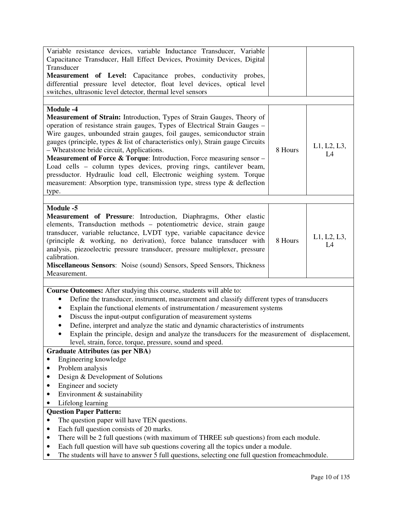| Variable resistance devices, variable Inductance Transducer, Variable<br>Capacitance Transducer, Hall Effect Devices, Proximity Devices, Digital                                      |         |             |
|---------------------------------------------------------------------------------------------------------------------------------------------------------------------------------------|---------|-------------|
| Transducer                                                                                                                                                                            |         |             |
| Measurement of Level: Capacitance probes, conductivity probes,                                                                                                                        |         |             |
| differential pressure level detector, float level devices, optical level                                                                                                              |         |             |
| switches, ultrasonic level detector, thermal level sensors                                                                                                                            |         |             |
| <b>Module -4</b>                                                                                                                                                                      |         |             |
| Measurement of Strain: Introduction, Types of Strain Gauges, Theory of                                                                                                                |         |             |
| operation of resistance strain gauges, Types of Electrical Strain Gauges -                                                                                                            |         |             |
| Wire gauges, unbounded strain gauges, foil gauges, semiconductor strain                                                                                                               |         |             |
| gauges (principle, types & list of characteristics only), Strain gauge Circuits<br>- Wheatstone bride circuit, Applications.                                                          | 8 Hours | L1, L2, L3, |
| <b>Measurement of Force &amp; Torque:</b> Introduction, Force measuring sensor $-$                                                                                                    |         | L4          |
| Load cells – column types devices, proving rings, cantilever beam,                                                                                                                    |         |             |
| pressductor. Hydraulic load cell, Electronic weighing system. Torque                                                                                                                  |         |             |
| measurement: Absorption type, transmission type, stress type & deflection                                                                                                             |         |             |
| type.                                                                                                                                                                                 |         |             |
| <b>Module -5</b>                                                                                                                                                                      |         |             |
| Measurement of Pressure: Introduction, Diaphragms, Other elastic                                                                                                                      |         |             |
| elements, Transduction methods - potentiometric device, strain gauge                                                                                                                  |         |             |
| transducer, variable reluctance, LVDT type, variable capacitance device                                                                                                               |         | L1, L2, L3, |
| (principle & working, no derivation), force balance transducer with                                                                                                                   | 8 Hours | L4          |
| analysis, piezoelectric pressure transducer, pressure multiplexer, pressure<br>calibration.                                                                                           |         |             |
| <b>Miscellaneous Sensors:</b> Noise (sound) Sensors, Speed Sensors, Thickness                                                                                                         |         |             |
| Measurement.                                                                                                                                                                          |         |             |
|                                                                                                                                                                                       |         |             |
|                                                                                                                                                                                       |         |             |
| <b>Course Outcomes:</b> After studying this course, students will able to:                                                                                                            |         |             |
| Define the transducer, instrument, measurement and classify different types of transducers<br>٠                                                                                       |         |             |
| Explain the functional elements of instrumentation / measurement systems<br>$\bullet$                                                                                                 |         |             |
| Discuss the input-output configuration of measurement systems<br>$\bullet$                                                                                                            |         |             |
| Define, interpret and analyze the static and dynamic characteristics of instruments<br>$\bullet$                                                                                      |         |             |
| Explain the principle, design and analyze the transducers for the measurement of displacement,                                                                                        |         |             |
| level, strain, force, torque, pressure, sound and speed.<br><b>Graduate Attributes (as per NBA)</b>                                                                                   |         |             |
| Engineering knowledge                                                                                                                                                                 |         |             |
| Problem analysis                                                                                                                                                                      |         |             |
| Design & Development of Solutions                                                                                                                                                     |         |             |
| Engineer and society                                                                                                                                                                  |         |             |
| Environment & sustainability<br>٠                                                                                                                                                     |         |             |
| Lifelong learning                                                                                                                                                                     |         |             |
| <b>Question Paper Pattern:</b>                                                                                                                                                        |         |             |
| The question paper will have TEN questions.<br>$\bullet$                                                                                                                              |         |             |
| Each full question consists of 20 marks.<br>٠                                                                                                                                         |         |             |
| There will be 2 full questions (with maximum of THREE sub questions) from each module.<br>٠                                                                                           |         |             |
| Each full question will have sub questions covering all the topics under a module.<br>The students will have to answer 5 full questions, selecting one full question fromeach module. |         |             |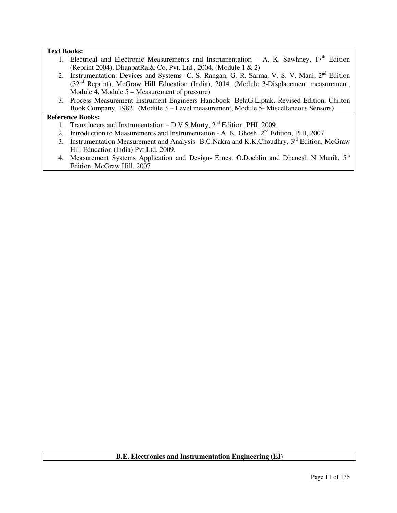## **Text Books:**

- 1. Electrical and Electronic Measurements and Instrumentation A. K. Sawhney,  $17<sup>th</sup>$  Edition (Reprint 2004), DhanpatRai& Co. Pvt. Ltd., 2004. (Module 1 & 2)
- 2. Instrumentation: Devices and Systems- C. S. Rangan, G. R. Sarma, V. S. V. Mani, 2<sup>nd</sup> Edition (32nd Reprint), McGraw Hill Education (India), 2014. (Module 3-Displacement measurement, Module  $\overline{4}$ , Module  $5 -$ Measurement of pressure)
- 3. Process Measurement Instrument Engineers Handbook- BelaG.Liptak, Revised Edition, Chilton Book Company, 1982. (Module 3 – Level measurement, Module 5- Miscellaneous Sensors**)**

## **Reference Books:**

- 1. Transducers and Instrumentation D.V.S.Murty,  $2<sup>nd</sup>$  Edition, PHI, 2009.
- 2. Introduction to Measurements and Instrumentation A. K. Ghosh,  $2<sup>nd</sup>$  Edition, PHI, 2007.
- 3. Instrumentation Measurement and Analysis- B.C.Nakra and K.K.Choudhry, 3<sup>rd</sup> Edition, McGraw Hill Education (India) Pvt.Ltd. 2009.
- 4. Measurement Systems Application and Design- Ernest O.Doeblin and Dhanesh N Manik, 5<sup>th</sup> Edition, McGraw Hill, 2007

## **B.E. Electronics and Instrumentation Engineering (EI)**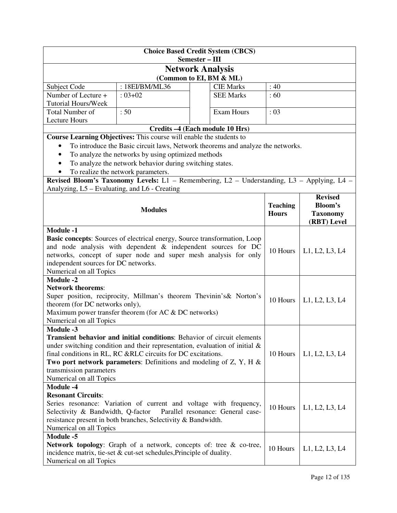| <b>Choice Based Credit System (CBCS)</b><br>Semester - III                                                                                                                                                                                                                                                                                                                         |                                                                                                                                               |  |                   |                 |                 |  |
|------------------------------------------------------------------------------------------------------------------------------------------------------------------------------------------------------------------------------------------------------------------------------------------------------------------------------------------------------------------------------------|-----------------------------------------------------------------------------------------------------------------------------------------------|--|-------------------|-----------------|-----------------|--|
|                                                                                                                                                                                                                                                                                                                                                                                    |                                                                                                                                               |  |                   |                 |                 |  |
| <b>Network Analysis</b><br>(Common to EI, BM & ML)                                                                                                                                                                                                                                                                                                                                 |                                                                                                                                               |  |                   |                 |                 |  |
| Subject Code                                                                                                                                                                                                                                                                                                                                                                       | : 18EI/BM/ML36                                                                                                                                |  | <b>CIE Marks</b>  | :40             |                 |  |
| Number of Lecture +                                                                                                                                                                                                                                                                                                                                                                | $: 03 + 02$                                                                                                                                   |  | <b>SEE Marks</b>  | :60             |                 |  |
| <b>Tutorial Hours/Week</b>                                                                                                                                                                                                                                                                                                                                                         |                                                                                                                                               |  |                   |                 |                 |  |
| Total Number of                                                                                                                                                                                                                                                                                                                                                                    | :50                                                                                                                                           |  | <b>Exam Hours</b> | : 03            |                 |  |
| <b>Lecture Hours</b>                                                                                                                                                                                                                                                                                                                                                               |                                                                                                                                               |  |                   |                 |                 |  |
|                                                                                                                                                                                                                                                                                                                                                                                    | Credits -4 (Each module 10 Hrs)                                                                                                               |  |                   |                 |                 |  |
|                                                                                                                                                                                                                                                                                                                                                                                    | Course Learning Objectives: This course will enable the students to                                                                           |  |                   |                 |                 |  |
|                                                                                                                                                                                                                                                                                                                                                                                    | To introduce the Basic circuit laws, Network theorems and analyze the networks.                                                               |  |                   |                 |                 |  |
| $\bullet$                                                                                                                                                                                                                                                                                                                                                                          | To analyze the networks by using optimized methods                                                                                            |  |                   |                 |                 |  |
|                                                                                                                                                                                                                                                                                                                                                                                    | To analyze the network behavior during switching states.                                                                                      |  |                   |                 |                 |  |
|                                                                                                                                                                                                                                                                                                                                                                                    | To realize the network parameters.                                                                                                            |  |                   |                 |                 |  |
|                                                                                                                                                                                                                                                                                                                                                                                    | Revised Bloom's Taxonomy Levels: L1 - Remembering, L2 - Understanding, L3 - Applying, L4 -                                                    |  |                   |                 |                 |  |
| Analyzing, L5 – Evaluating, and L6 - Creating                                                                                                                                                                                                                                                                                                                                      |                                                                                                                                               |  |                   |                 |                 |  |
|                                                                                                                                                                                                                                                                                                                                                                                    |                                                                                                                                               |  |                   |                 | <b>Revised</b>  |  |
|                                                                                                                                                                                                                                                                                                                                                                                    |                                                                                                                                               |  |                   | <b>Teaching</b> | <b>Bloom's</b>  |  |
|                                                                                                                                                                                                                                                                                                                                                                                    | <b>Modules</b>                                                                                                                                |  |                   | <b>Hours</b>    | <b>Taxonomy</b> |  |
|                                                                                                                                                                                                                                                                                                                                                                                    |                                                                                                                                               |  |                   |                 | (RBT) Level     |  |
| <b>Module -1</b><br>Basic concepts: Sources of electrical energy, Source transformation, Loop<br>and node analysis with dependent & independent sources for DC<br>networks, concept of super node and super mesh analysis for only<br>independent sources for DC networks.<br>Numerical on all Topics                                                                              |                                                                                                                                               |  | 10 Hours          | L1, L2, L3, L4  |                 |  |
| <b>Module -2</b><br><b>Network theorems:</b><br>Super position, reciprocity, Millman's theorem Thevinin's & Norton's<br>theorem (for DC networks only),                                                                                                                                                                                                                            |                                                                                                                                               |  | 10 Hours          | L1, L2, L3, L4  |                 |  |
|                                                                                                                                                                                                                                                                                                                                                                                    | Maximum power transfer theorem (for AC & DC networks)                                                                                         |  |                   |                 |                 |  |
| Numerical on all Topics                                                                                                                                                                                                                                                                                                                                                            |                                                                                                                                               |  |                   |                 |                 |  |
| <b>Module -3</b><br>Transient behavior and initial conditions: Behavior of circuit elements<br>under switching condition and their representation, evaluation of initial $\&$<br>final conditions in RL, RC &RLC circuits for DC excitations.<br>Two port network parameters: Definitions and modeling of $Z$ , $Y$ , $H \&$<br>transmission parameters<br>Numerical on all Topics |                                                                                                                                               |  | 10 Hours          | L1, L2, L3, L4  |                 |  |
| <b>Module -4</b>                                                                                                                                                                                                                                                                                                                                                                   |                                                                                                                                               |  |                   |                 |                 |  |
| <b>Resonant Circuits:</b>                                                                                                                                                                                                                                                                                                                                                          |                                                                                                                                               |  |                   |                 |                 |  |
| Series resonance: Variation of current and voltage with frequency,<br>10 Hours<br>Selectivity & Bandwidth, Q-factor<br>Parallel resonance: General case-<br>resistance present in both branches, Selectivity & Bandwidth.<br>Numerical on all Topics                                                                                                                               |                                                                                                                                               |  |                   |                 | L1, L2, L3, L4  |  |
| <b>Module -5</b>                                                                                                                                                                                                                                                                                                                                                                   |                                                                                                                                               |  |                   |                 |                 |  |
| Numerical on all Topics                                                                                                                                                                                                                                                                                                                                                            | Network topology: Graph of a network, concepts of: tree & co-tree,<br>incidence matrix, tie-set $\&$ cut-set schedules, Principle of duality. |  |                   | 10 Hours        | L1, L2, L3, L4  |  |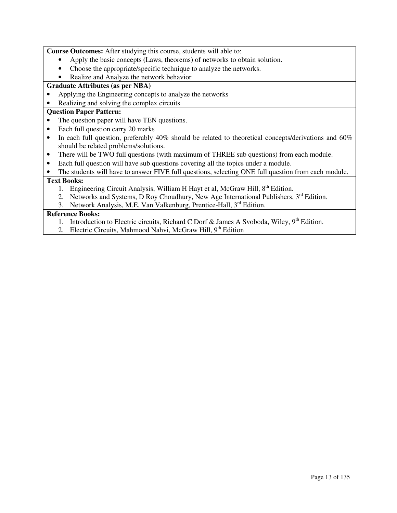**Course Outcomes:** After studying this course, students will able to:

- Apply the basic concepts (Laws, theorems) of networks to obtain solution.
- Choose the appropriate/specific technique to analyze the networks.
- Realize and Analyze the network behavior

## **Graduate Attributes (as per NBA)**

- Applying the Engineering concepts to analyze the networks
- Realizing and solving the complex circuits

## **Question Paper Pattern:**

- The question paper will have TEN questions.
- Each full question carry 20 marks
- In each full question, preferably 40% should be related to theoretical concepts/derivations and 60% should be related problems/solutions.
- There will be TWO full questions (with maximum of THREE sub questions) from each module.
- Each full question will have sub questions covering all the topics under a module.

• The students will have to answer FIVE full questions, selecting ONE full question from each module.

## **Text Books:**

- 1. Engineering Circuit Analysis, William H Hayt et al, McGraw Hill,  $8<sup>th</sup>$  Edition.
- 2. Networks and Systems, D Roy Choudhury, New Age International Publishers,  $3<sup>rd</sup>$  Edition.
- 3. Network Analysis, M.E. Van Valkenburg, Prentice-Hall, 3<sup>rd</sup> Edition.

## **Reference Books:**

- 1. Introduction to Electric circuits, Richard C Dorf & James A Svoboda, Wiley,  $9^{th}$  Edition.
- 2. Electric Circuits, Mahmood Nahvi, McGraw Hill, 9<sup>th</sup> Edition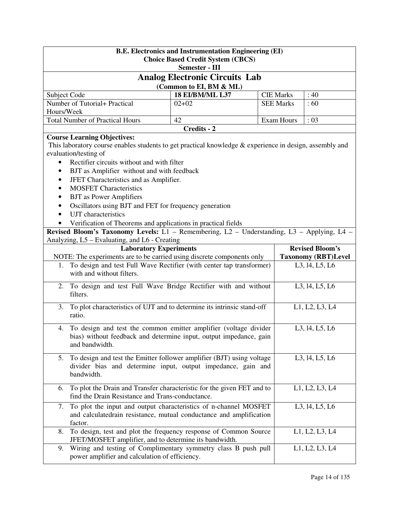| <b>B.E. Electronics and Instrumentation Engineering (EI)</b><br><b>Choice Based Credit System (CBCS)</b><br><b>Semester - III</b>                                                                                                                                                            |             |  |  |                            |  |  |  |
|----------------------------------------------------------------------------------------------------------------------------------------------------------------------------------------------------------------------------------------------------------------------------------------------|-------------|--|--|----------------------------|--|--|--|
| <b>Analog Electronic Circuits Lab</b><br>(Common to EI, BM & ML)                                                                                                                                                                                                                             |             |  |  |                            |  |  |  |
| <b>18 EI/BM/ML L37</b><br>Subject Code<br><b>CIE Marks</b><br>:40                                                                                                                                                                                                                            |             |  |  |                            |  |  |  |
| Number of Tutorial+ Practical<br><b>SEE Marks</b><br>:60<br>$02+02$                                                                                                                                                                                                                          |             |  |  |                            |  |  |  |
| Hours/Week                                                                                                                                                                                                                                                                                   |             |  |  |                            |  |  |  |
| <b>Total Number of Practical Hours</b><br><b>Exam Hours</b><br>42<br>: 03                                                                                                                                                                                                                    |             |  |  |                            |  |  |  |
|                                                                                                                                                                                                                                                                                              | Credits - 2 |  |  |                            |  |  |  |
| <b>Course Learning Objectives:</b><br>This laboratory course enables students to get practical knowledge & experience in design, assembly and<br>evaluation/testing of<br>Rectifier circuits without and with filter<br>$\bullet$<br>BJT as Amplifier without and with feedback<br>$\bullet$ |             |  |  |                            |  |  |  |
| JFET Characteristics and as Amplifier.<br>٠                                                                                                                                                                                                                                                  |             |  |  |                            |  |  |  |
| <b>MOSFET Characteristics</b><br>٠                                                                                                                                                                                                                                                           |             |  |  |                            |  |  |  |
| <b>BJT</b> as Power Amplifiers<br>٠                                                                                                                                                                                                                                                          |             |  |  |                            |  |  |  |
| Oscillators using BJT and FET for frequency generation<br>٠                                                                                                                                                                                                                                  |             |  |  |                            |  |  |  |
| UJT characteristics<br>$\bullet$                                                                                                                                                                                                                                                             |             |  |  |                            |  |  |  |
| Verification of Theorems and applications in practical fields                                                                                                                                                                                                                                |             |  |  |                            |  |  |  |
| Revised Bloom's Taxonomy Levels: L1 - Remembering, L2 - Understanding, L3 - Applying, L4 -                                                                                                                                                                                                   |             |  |  |                            |  |  |  |
| Analyzing, L5 – Evaluating, and L6 - Creating                                                                                                                                                                                                                                                |             |  |  |                            |  |  |  |
| <b>Laboratory Experiments</b>                                                                                                                                                                                                                                                                |             |  |  | <b>Revised Bloom's</b>     |  |  |  |
| NOTE: The experiments are to be carried using discrete components only                                                                                                                                                                                                                       |             |  |  | <b>Taxonomy (RBT)Level</b> |  |  |  |
| To design and test Full Wave Rectifier (with center tap transformer)<br>1.<br>with and without filters.                                                                                                                                                                                      |             |  |  | L3, 14, L5, L6             |  |  |  |
| To design and test Full Wave Bridge Rectifier with and without<br>2.<br>filters.                                                                                                                                                                                                             |             |  |  | L3, 14, L5, L6             |  |  |  |
| To plot characteristics of UJT and to determine its intrinsic stand-off<br>3.<br>ratio.                                                                                                                                                                                                      |             |  |  | L1, L2, L3, L4             |  |  |  |
| To design and test the common emitter amplifier (voltage divider<br>4.<br>bias) without feedback and determine input, output impedance, gain<br>and bandwidth.                                                                                                                               |             |  |  | L3, 14, L5, L6             |  |  |  |
| To design and test the Emitter follower amplifier (BJT) using voltage<br>L3, 14, L5, L6<br>5.<br>divider bias and determine input, output impedance, gain and<br>bandwidth.                                                                                                                  |             |  |  |                            |  |  |  |
| To plot the Drain and Transfer characteristic for the given FET and to<br>6.<br>find the Drain Resistance and Trans-conductance.                                                                                                                                                             |             |  |  | L1, L2, L3, L4             |  |  |  |
| To plot the input and output characteristics of n-channel MOSFET<br>L3, 14, L5, L6<br>7.<br>and calculatedrain resistance, mutual conductance and amplification<br>factor.                                                                                                                   |             |  |  |                            |  |  |  |
| To design, test and plot the frequency response of Common Source<br>8.<br>JFET/MOSFET amplifier, and to determine its bandwidth.                                                                                                                                                             |             |  |  | L1, L2, L3, L4             |  |  |  |
| Wiring and testing of Complimentary symmetry class B push pull<br>9.<br>power amplifier and calculation of efficiency.                                                                                                                                                                       |             |  |  | L1, L2, L3, L4             |  |  |  |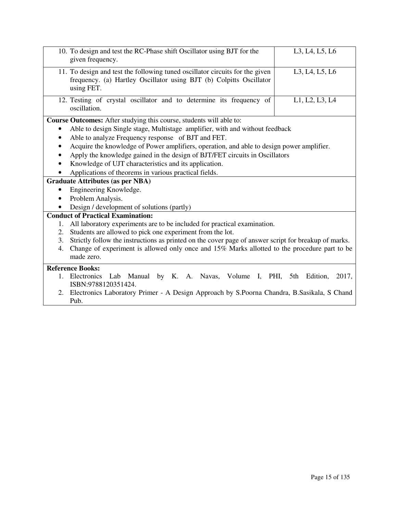|    | 10. To design and test the RC-Phase shift Oscillator using BJT for the<br>given frequency.                                                                                                                                                                                                                                                                                                                                                                                                              | L3, L4, L5, L6 |
|----|---------------------------------------------------------------------------------------------------------------------------------------------------------------------------------------------------------------------------------------------------------------------------------------------------------------------------------------------------------------------------------------------------------------------------------------------------------------------------------------------------------|----------------|
|    | 11. To design and test the following tuned oscillator circuits for the given<br>frequency. (a) Hartley Oscillator using BJT (b) Colpitts Oscillator<br>using FET.                                                                                                                                                                                                                                                                                                                                       | L3, L4, L5, L6 |
|    | 12. Testing of crystal oscillator and to determine its frequency of<br>oscillation.                                                                                                                                                                                                                                                                                                                                                                                                                     | L1, L2, L3, L4 |
| ٠  | Course Outcomes: After studying this course, students will able to:<br>Able to design Single stage, Multistage amplifier, with and without feedback<br>Able to analyze Frequency response of BJT and FET.<br>Acquire the knowledge of Power amplifiers, operation, and able to design power amplifier.<br>Apply the knowledge gained in the design of BJT/FET circuits in Oscillators<br>Knowledge of UJT characteristics and its application.<br>Applications of theorems in various practical fields. |                |
|    | <b>Graduate Attributes (as per NBA)</b>                                                                                                                                                                                                                                                                                                                                                                                                                                                                 |                |
|    | Engineering Knowledge.                                                                                                                                                                                                                                                                                                                                                                                                                                                                                  |                |
|    | Problem Analysis.                                                                                                                                                                                                                                                                                                                                                                                                                                                                                       |                |
|    | Design / development of solutions (partly)                                                                                                                                                                                                                                                                                                                                                                                                                                                              |                |
|    | <b>Conduct of Practical Examination:</b>                                                                                                                                                                                                                                                                                                                                                                                                                                                                |                |
| 1. | All laboratory experiments are to be included for practical examination.                                                                                                                                                                                                                                                                                                                                                                                                                                |                |
| 2. | Students are allowed to pick one experiment from the lot.                                                                                                                                                                                                                                                                                                                                                                                                                                               |                |
| 3. | Strictly follow the instructions as printed on the cover page of answer script for breakup of marks.                                                                                                                                                                                                                                                                                                                                                                                                    |                |
| 4. | Change of experiment is allowed only once and 15% Marks allotted to the procedure part to be<br>made zero.                                                                                                                                                                                                                                                                                                                                                                                              |                |
|    | <b>Reference Books:</b>                                                                                                                                                                                                                                                                                                                                                                                                                                                                                 |                |
|    | 1. Electronics Lab Manual by K. A. Navas, Volume I, PHI, 5th Edition,<br>ISBN:9788120351424.                                                                                                                                                                                                                                                                                                                                                                                                            | 2017,          |
| 2. | Electronics Laboratory Primer - A Design Approach by S.Poorna Chandra, B.Sasikala, S Chand<br>Pub.                                                                                                                                                                                                                                                                                                                                                                                                      |                |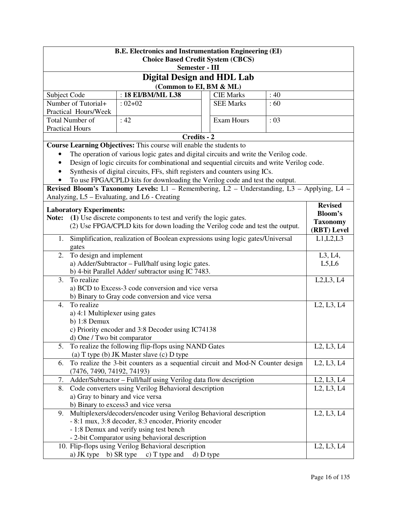| <b>B.E. Electronics and Instrumentation Engineering (EI)</b><br><b>Choice Based Credit System (CBCS)</b>                       |                                  |                                                                                            |  |                   |                                                  |                                                  |
|--------------------------------------------------------------------------------------------------------------------------------|----------------------------------|--------------------------------------------------------------------------------------------|--|-------------------|--------------------------------------------------|--------------------------------------------------|
|                                                                                                                                | Semester - III                   |                                                                                            |  |                   |                                                  |                                                  |
|                                                                                                                                |                                  | <b>Digital Design and HDL Lab</b>                                                          |  |                   |                                                  |                                                  |
|                                                                                                                                |                                  | (Common to EI, BM & ML)                                                                    |  |                   |                                                  |                                                  |
| Subject Code                                                                                                                   |                                  | : 18 EI/BM/ML L38                                                                          |  | <b>CIE Marks</b>  | :40                                              |                                                  |
|                                                                                                                                | Number of Tutorial+              | $: 02 + 02$                                                                                |  | <b>SEE Marks</b>  | :60                                              |                                                  |
|                                                                                                                                | Practical Hours/Week             |                                                                                            |  |                   |                                                  |                                                  |
|                                                                                                                                | Total Number of                  | :42                                                                                        |  | <b>Exam Hours</b> | : 03                                             |                                                  |
|                                                                                                                                | <b>Practical Hours</b>           |                                                                                            |  |                   |                                                  |                                                  |
|                                                                                                                                |                                  | Credits - 2                                                                                |  |                   |                                                  |                                                  |
|                                                                                                                                |                                  | Course Learning Objectives: This course will enable the students to                        |  |                   |                                                  |                                                  |
| ٠                                                                                                                              |                                  | The operation of various logic gates and digital circuits and write the Verilog code.      |  |                   |                                                  |                                                  |
|                                                                                                                                |                                  | Design of logic circuits for combinational and sequential circuits and write Verilog code. |  |                   |                                                  |                                                  |
|                                                                                                                                |                                  | Synthesis of digital circuits, FFs, shift registers and counters using ICs.                |  |                   |                                                  |                                                  |
|                                                                                                                                |                                  | To use FPGA/CPLD kits for downloading the Verilog code and test the output.                |  |                   |                                                  |                                                  |
|                                                                                                                                |                                  | Revised Bloom's Taxonomy Levels: L1 - Remembering, L2 - Understanding, L3 - Applying, L4 - |  |                   |                                                  |                                                  |
|                                                                                                                                |                                  | Analyzing, L5 - Evaluating, and L6 - Creating                                              |  |                   |                                                  |                                                  |
|                                                                                                                                | <b>Laboratory Experiments:</b>   |                                                                                            |  |                   |                                                  | <b>Revised</b>                                   |
| Note:                                                                                                                          |                                  | (1) Use discrete components to test and verify the logic gates.                            |  |                   |                                                  | <b>Bloom's</b>                                   |
|                                                                                                                                |                                  | (2) Use FPGA/CPLD kits for down loading the Verilog code and test the output.              |  |                   |                                                  | <b>Taxonomy</b>                                  |
|                                                                                                                                |                                  |                                                                                            |  |                   |                                                  | (RBT) Level                                      |
| 1.                                                                                                                             | gates                            | Simplification, realization of Boolean expressions using logic gates/Universal             |  |                   |                                                  | L1,L2,L3                                         |
| 2.                                                                                                                             | To design and implement          |                                                                                            |  |                   |                                                  | L3, L4,                                          |
| a) Adder/Subtractor - Full/half using logic gates.                                                                             |                                  |                                                                                            |  |                   | L5,L6                                            |                                                  |
|                                                                                                                                |                                  | b) 4-bit Parallel Adder/ subtractor using IC 7483.                                         |  |                   |                                                  |                                                  |
| 3.                                                                                                                             | To realize                       |                                                                                            |  |                   |                                                  | L2, L3, L4                                       |
|                                                                                                                                |                                  | a) BCD to Excess-3 code conversion and vice versa                                          |  |                   |                                                  |                                                  |
|                                                                                                                                |                                  | b) Binary to Gray code conversion and vice versa                                           |  |                   |                                                  |                                                  |
| 4.                                                                                                                             | To realize                       |                                                                                            |  |                   |                                                  | L <sub>2</sub> , L <sub>3</sub> , L <sub>4</sub> |
|                                                                                                                                | a) 4:1 Multiplexer using gates   |                                                                                            |  |                   |                                                  |                                                  |
|                                                                                                                                | $b)$ 1:8 Demux                   |                                                                                            |  |                   |                                                  |                                                  |
|                                                                                                                                |                                  | c) Priority encoder and 3:8 Decoder using IC74138                                          |  |                   |                                                  |                                                  |
|                                                                                                                                | d) One / Two bit comparator      | 5. To realize the following flip-flops using NAND Gates                                    |  |                   |                                                  | L2, L3, L4                                       |
|                                                                                                                                |                                  | (a) T type (b) JK Master slave (c) D type                                                  |  |                   |                                                  |                                                  |
| 6.                                                                                                                             |                                  | To realize the 3-bit counters as a sequential circuit and Mod-N Counter design             |  |                   |                                                  | L2, L3, L4                                       |
|                                                                                                                                | (7476, 7490, 74192, 74193)       |                                                                                            |  |                   |                                                  |                                                  |
| 7.                                                                                                                             |                                  |                                                                                            |  |                   |                                                  | L <sub>2</sub> , L <sub>3</sub> , L <sub>4</sub> |
| Adder/Subtractor - Full/half using Verilog data flow description<br>8.<br>Code converters using Verilog Behavioral description |                                  |                                                                                            |  |                   | L <sub>2</sub> , L <sub>3</sub> , L <sub>4</sub> |                                                  |
|                                                                                                                                | a) Gray to binary and vice versa |                                                                                            |  |                   |                                                  |                                                  |
|                                                                                                                                |                                  | b) Binary to excess3 and vice versa                                                        |  |                   |                                                  |                                                  |
| 9.                                                                                                                             |                                  | Multiplexers/decoders/encoder using Verilog Behavioral description                         |  |                   |                                                  | L2, L3, L4                                       |
|                                                                                                                                |                                  | - 8:1 mux, 3:8 decoder, 8:3 encoder, Priority encoder                                      |  |                   |                                                  |                                                  |
|                                                                                                                                |                                  | - 1:8 Demux and verify using test bench                                                    |  |                   |                                                  |                                                  |
|                                                                                                                                |                                  | - 2-bit Comparator using behavioral description                                            |  |                   |                                                  |                                                  |
|                                                                                                                                |                                  | 10. Flip-flops using Verilog Behavioral description                                        |  |                   |                                                  | L <sub>2</sub> , L <sub>3</sub> , L <sub>4</sub> |
|                                                                                                                                |                                  | a) JK type b) SR type c) T type and d) D type                                              |  |                   |                                                  |                                                  |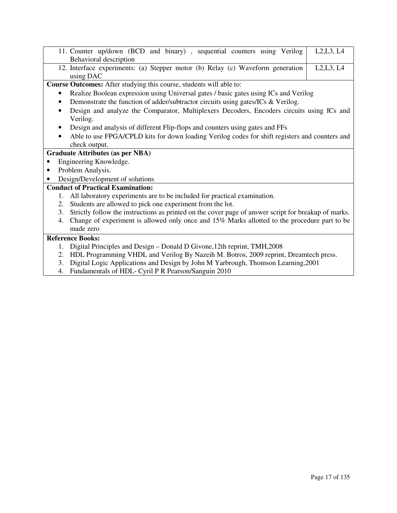| L2,L3, L4<br>11. Counter up/down (BCD and binary), sequential counters using Verilog                       |  |
|------------------------------------------------------------------------------------------------------------|--|
| Behavioral description                                                                                     |  |
| 12. Interface experiments: (a) Stepper motor (b) Relay (c) Waveform generation<br>L2,L3, L4                |  |
| using DAC                                                                                                  |  |
| Course Outcomes: After studying this course, students will able to:                                        |  |
| Realize Boolean expression using Universal gates / basic gates using ICs and Verilog                       |  |
| Demonstrate the function of adder/subtractor circuits using gates/ICs & Verilog.                           |  |
| Design and analyze the Comparator, Multiplexers Decoders, Encoders circuits using ICs and<br>٠             |  |
| Verilog.                                                                                                   |  |
| Design and analysis of different Flip-flops and counters using gates and FFs<br>٠                          |  |
| Able to use FPGA/CPLD kits for down loading Verilog codes for shift registers and counters and<br>٠        |  |
| check output.                                                                                              |  |
| <b>Graduate Attributes (as per NBA)</b>                                                                    |  |
| Engineering Knowledge.                                                                                     |  |
| Problem Analysis.                                                                                          |  |
| Design/Development of solutions                                                                            |  |
| <b>Conduct of Practical Examination:</b>                                                                   |  |
| All laboratory experiments are to be included for practical examination.<br>1.                             |  |
| Students are allowed to pick one experiment from the lot.<br>2.                                            |  |
| Strictly follow the instructions as printed on the cover page of answer script for breakup of marks.<br>3. |  |
| Change of experiment is allowed only once and 15% Marks allotted to the procedure part to be<br>4.         |  |
| made zero                                                                                                  |  |
| <b>Reference Books:</b>                                                                                    |  |
| Digital Principles and Design – Donald D Givone, 12th reprint, TMH, 2008<br>1.                             |  |
| HDL Programming VHDL and Verilog By Nazeih M. Botros, 2009 reprint, Dreamtech press.<br>2.                 |  |
| Digital Logic Applications and Design by John M Yarbrough, Thomson Learning, 2001<br>3.                    |  |

4. Fundamentals of HDL- Cyril P R Pearson/Sanguin 2010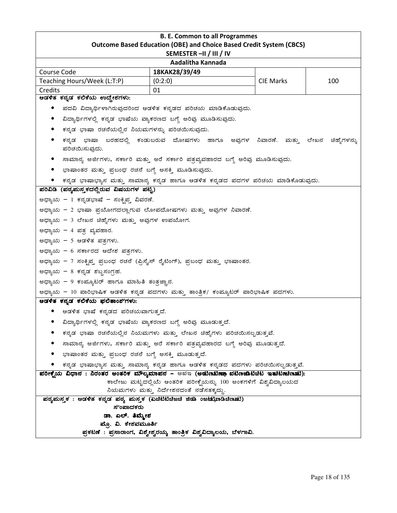| <b>B. E. Common to all Programmes</b><br><b>Outcome Based Education (OBE) and Choice Based Credit System (CBCS)</b> |                                                                                  |                  |     |  |  |
|---------------------------------------------------------------------------------------------------------------------|----------------------------------------------------------------------------------|------------------|-----|--|--|
| SEMESTER-II / III / IV                                                                                              |                                                                                  |                  |     |  |  |
|                                                                                                                     | Aadalitha Kannada                                                                |                  |     |  |  |
| Course Code                                                                                                         | 18KAK28/39/49                                                                    |                  |     |  |  |
| Teaching Hours/Week (L:T:P)                                                                                         | (0:2:0)                                                                          | <b>CIE Marks</b> | 100 |  |  |
| Credits<br>ಆಡಳಿತ ಕನ್ನಡ ಕಲಿಕೆಯ ಉದ್ದೇಶಗಳು:                                                                            | 01                                                                               |                  |     |  |  |
|                                                                                                                     | ಪದವಿ ವಿದ್ಯಾರ್ಥಿಳಾಗಿರುವುದರಿಂದ ಆಡಳಿತ ಕನ್ನಡದ ಪರಿಚಯ ಮಾಡಿಕೊಡುವುದು.                    |                  |     |  |  |
|                                                                                                                     |                                                                                  |                  |     |  |  |
| ವಿದ್ಯಾರ್ಥಿಗಳಲ್ಲಿ ಕನ್ನಡ ಭಾಷೆಯ ವ್ಯಾಕರಣದ ಬಗ್ಗೆ ಅರಿವು ಮೂಡಿಸುವುದು.                                                       |                                                                                  |                  |     |  |  |
| ಕನ್ನಡ ಭಾಷಾ ರಚನೆಯಲ್ಲಿನ ನಿಯಮಗಳನ್ನು ಪರಿಚಯಿಸುವುದು.                                                                      |                                                                                  |                  |     |  |  |
| ಪರಿಚಯಿಸುವುದು.                                                                                                       | ಕನ್ನಡ ಭಾಷಾ ಬರಹದಲ್ಲಿ ಕಂಡುಬರುವ ದೋಷಗಳು ಹಾಗೂ ಅವುಗಳ ನಿವಾರಣೆ. ಮತ್ತು ಲೇಖನ ಚಿಹ್ನೆಗಳನ್ನು  |                  |     |  |  |
|                                                                                                                     | ಸಾಮಾನ್ಯ ಅರ್ಜಿಗಳು, ಸರ್ಕಾರಿ ಮತ್ತು ಅರೆ ಸರ್ಕಾರಿ ಪತ್ರವ್ಯವಹಾರದ ಬಗ್ಗೆ ಅರಿವು ಮೂಡಿಸುವುದು. |                  |     |  |  |
| ಭಾಷಾಂತರ ಮತ್ತು ಪ್ರಬಂಧ ರಚನೆ ಬಗ್ಗೆ ಅಸಕ್ತಿ ಮೂಡಿಸುವುದು.                                                                  |                                                                                  |                  |     |  |  |
|                                                                                                                     | ಕನ್ನಡ ಭಾಷಾಭ್ಯಾಸ ಮತ್ತು ಸಾಮಾನ್ಯ ಕನ್ನಡ ಹಾಗೂ ಆಡಳಿತ ಕನ್ನಡದ ಪದಗಳ ಪರಿಚಯ ಮಾಡಿಕೊಡುವುದು.   |                  |     |  |  |
| ಪರಿವಿಡಿ (ಪಠ್ಯಮಸ್ತ್ರಕದಲ್ಲಿರುವ ವಿಷಯಗಳ ಪಟ್ಟಿ)                                                                          |                                                                                  |                  |     |  |  |
| ಅಧ್ಯಾಯ – 1 ಕನ್ನಡಭಾಷೆ – ಸಂಕ್ನಿಪ್ತ ವಿವರಣೆ.                                                                            |                                                                                  |                  |     |  |  |
| ಅಧ್ಯಾಯ – 2 ಭಾಷಾ ಪ್ರಯೋಗದಲ್ಲಾಗುವ ಲೋಪದೋಷಗಳು ಮತ್ತು ಅವುಗಳ ನಿವಾರಣೆ.                                                       |                                                                                  |                  |     |  |  |
| ಅಧ್ಯಾಯ – 3 ಲೇಖನ ಚಿಹ್ನೆಗಳು ಮತ್ತು ಅವುಗಳ ಉಪಯೋಗ.                                                                        |                                                                                  |                  |     |  |  |
| ಅಧ್ಯಾಯ – 4 ಪತ್ರ ವ್ಯವಹಾರ.                                                                                            |                                                                                  |                  |     |  |  |
| ಅಧ್ಯಾಯ – 5 ಆಡಳಿತ ಪತ್ರಗಳು.                                                                                           |                                                                                  |                  |     |  |  |
| ಅಧ್ಯಾಯ – 6 ಸರ್ಕಾರದ ಆದೇಶ ಪತ್ರಗಳು.                                                                                    |                                                                                  |                  |     |  |  |
| ಅಧ್ಯಾಯ – 7 ಸಂಕ್ಷಿಪ್ತ ಪ್ರಬಂಧ ರಚನೆ (ಪ್ರಿಸೈಸ್ ರೈಟಿಂಗ್), ಪ್ರಬಂಧ ಮತ್ತು ಭಾಷಾಂತರ.                                          |                                                                                  |                  |     |  |  |
| ಅಧ್ಯಾಯ - 8 ಕನ್ನಡ ಶಬ್ದಸಂಗ್ರಹ.                                                                                        |                                                                                  |                  |     |  |  |
| ಅಧ್ಯಾಯ – 9 ಕಂಪ್ಯೂಟರ್ ಹಾಗೂ ಮಾಹಿತಿ ತಂತ್ರಜ್ಞಾನ.                                                                        |                                                                                  |                  |     |  |  |
| ಅಧ್ಯಾಯ - 10 ಪಾರಿಭಾಷಿಕ ಆಡಳಿತ ಕನ್ನಡ ಪದಗಳು ಮತ್ತು ತಾಂತ್ರಿಕ/ ಕಂಪ್ಯೂಟರ್ ಪಾರಿಭಾಷಿಕ ಪದಗಳು.                                  |                                                                                  |                  |     |  |  |
| ಆಡಳಿತ ಕನ್ನಡ ಕಲಿಕೆಯ ಫಲಿತಾಂಶ`ಗಳು:                                                                                     |                                                                                  |                  |     |  |  |
| ಆಡಳಿತ ಭಾಷೆ ಕನ್ನಡದ ಪರಿಚಯವಾಗುತ್ತದೆ.                                                                                   |                                                                                  |                  |     |  |  |
| ವಿದ್ಯಾರ್ಥಿಗಳಲ್ಲಿ ಕನ್ನಡ ಭಾಷೆಯ ವ್ಯಾಕರಣದ ಬಗ್ಗೆ ಅರಿವು ಮೂಡುತ್ತದೆ.                                                        |                                                                                  |                  |     |  |  |
|                                                                                                                     | ಕನ್ನಡ ಭಾಷಾ ರಚನೆಯಲ್ಲಿನ ನಿಯಮಗಳು ಮತ್ತು ಲೇಖನ ಚಿಹ್ನೆಗಳು ಪರಿಚಯಿಸಲ್ಪಡುತ್ತವೆ.            |                  |     |  |  |
|                                                                                                                     | ಸಾಮಾನ್ಯ ಅರ್ಜಿಗಳು, ಸರ್ಕಾರಿ ಮತ್ತು ಅರೆ ಸರ್ಕಾರಿ ಪತ್ರವ್ಯವಹಾರದ ಬಗ್ಗೆ ಅರಿವು ಮೂಡುತ್ತದೆ.  |                  |     |  |  |
| ಭಾಷಾಂತರ ಮತ್ತು ಪ್ರಬಂಧ ರಚನೆ ಬಗ್ಗೆ ಅಸಕ್ತಿ ಮೂಡುತ್ತದೆ.                                                                   |                                                                                  |                  |     |  |  |
| ಕನ್ನಡ ಭಾಷಾಭ್ಯಾಸ ಮತ್ತು ಸಾಮಾನ್ಯ ಕನ್ನಡ ಹಾಗೂ ಆಡಳಿತ ಕನ್ನಡದ ಪದಗಳು ಪರಿಚಯಿಸಲ್ಪಡುತ್ತವೆ.                                      |                                                                                  |                  |     |  |  |
| ಪರೀಕ್ಷೆಯ ವಿಧಾನ : ನಿರಂತರ ಆಂತರಿಕ ಮೌಲ್ಯಮಾಪನ – ಅಖಇ (ಅಡುಣಬೆಣಾ ಖೆಟಿಣಜಾಟಿಚಿಟ ಇತುಟಣಚಿಣಾಟಿ):                                 |                                                                                  |                  |     |  |  |
|                                                                                                                     | ಕಾಲೇಜು ಮಟ್ಟದಲ್ಲಿಯೆ ಆಂತರಿಕ ಪರೀಕ್ನೆಯನ್ನು 100 ಅಂಕಗಳಿಗೆ ವಿಶ್ವವಿದ್ಯಾಲಯದ               |                  |     |  |  |
| ನಿಯಮಗಳು ಮತ್ತು ನಿರ್ದೇಶನದಂತೆ ನಡೆಸತಕ್ಕದ್ದು.                                                                            |                                                                                  |                  |     |  |  |
| ಪಠ್ಯಮಸ್ತಕ : ಆಡಳಿತ ಕನ್ನಡ ಪಠ್ಯ ಮಸ್ತಕ (ಏಚಿಟಿಟಿಚಿಜಚಿ ಜಿಡಿ ಂಜಟುಭಿಾಡಿಚೆಣ<br>ಸೆಂಪಾದಕರು                                     |                                                                                  |                  |     |  |  |
| ಡಾ. ಎಲ್. <mark>ತಿಮ</mark> ್ಮೇಶ                                                                                      |                                                                                  |                  |     |  |  |
| ಪ್ರೊ. ವಿ. ಕೇಶವಮೂರ್ತಿ                                                                                                |                                                                                  |                  |     |  |  |
|                                                                                                                     | ಪ್ರಕಟಣೆ : ಪ್ರಸಾರಾಂಗ, ವಿಶ್ವೇಶ್ವರಯ್ಯ ತಾಂತ್ರಿಕ ವಿಶ್ವವಿದ್ಯಾಲಯ, ಬೆಳಗಾವಿ.              |                  |     |  |  |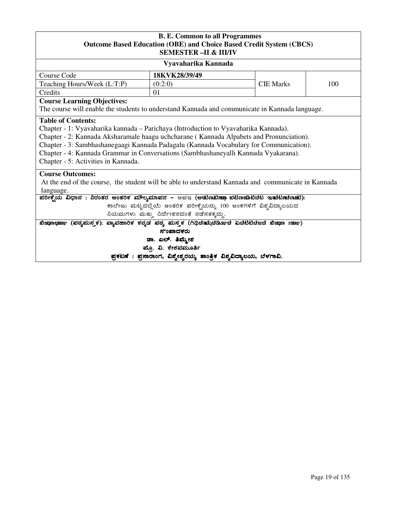## **B. E. Common to all Programmes Outcome Based Education (OBE) and Choice Based Credit System (CBCS) SEMESTER –II & III/IV**

| SEMESTER –II & HI/IV                                                                                                                                                                                                                                                                                                                                                                                                                |                  |                  |     |  |  |
|-------------------------------------------------------------------------------------------------------------------------------------------------------------------------------------------------------------------------------------------------------------------------------------------------------------------------------------------------------------------------------------------------------------------------------------|------------------|------------------|-----|--|--|
| Vyavaharika Kannada                                                                                                                                                                                                                                                                                                                                                                                                                 |                  |                  |     |  |  |
| Course Code                                                                                                                                                                                                                                                                                                                                                                                                                         | 18KVK28/39/49    |                  |     |  |  |
| Teaching Hours/Week (L:T:P)                                                                                                                                                                                                                                                                                                                                                                                                         | (0:2:0)          | <b>CIE Marks</b> | 100 |  |  |
| Credits                                                                                                                                                                                                                                                                                                                                                                                                                             | 01               |                  |     |  |  |
| <b>Course Learning Objectives:</b><br>The course will enable the students to understand Kannada and communicate in Kannada language.                                                                                                                                                                                                                                                                                                |                  |                  |     |  |  |
| <b>Table of Contents:</b><br>Chapter - 1: Vyavaharika kannada – Parichaya (Introduction to Vyavaharika Kannada).<br>Chapter - 2: Kannada Aksharamale haagu uchcharane (Kannada Alpabets and Pronunciation).<br>Chapter - 3: Sambhashanegaagi Kannada Padagalu (Kannada Vocabulary for Communication).<br>Chapter - 4: Kannada Grammar in Conversations (Sambhashaneyalli Kannada Vyakarana).<br>Chapter - 5: Activities in Kannada. |                  |                  |     |  |  |
| <b>Course Outcomes:</b><br>At the end of the course, the student will be able to understand Kannada and communicate in Kannada<br>language.                                                                                                                                                                                                                                                                                         |                  |                  |     |  |  |
| ಪರೀಕ್ಷೆಯ ವಿಧಾನ : ನಿರಂತರ ಆಂತರಿಕ ಮೌಲ್ಯಮಾಪನ – ಅಖಇ (ಅಚುಣಟಿಣಷಾ ಖಟಿಣಜಾಟಿಚಿಟ ಇತುಟಣಚೀನಾಟಿ):                                                                                                                                                                                                                                                                                                                                                 |                  |                  |     |  |  |
| ಕಾಲೇಜು ಮಟ್ಟದಲ್ಲಿಯೆ ಆಂತರಿಕ ಪರೀಕ್ಷೆಯನ್ನು 100 ಅಂಕಗಳಿಗೆ ವಿಶ್ವವಿದ್ಯಾಲಯದ                                                                                                                                                                                                                                                                                                                                                                  |                  |                  |     |  |  |
| ನಿಯಮಗಳು ಮತ್ತು ನಿರ್ದೇಶನದಂತೆ ನಡೆಸತಕ್ಕದ್ದು.                                                                                                                                                                                                                                                                                                                                                                                            |                  |                  |     |  |  |
| (ಪಠ್ಯಮಸ್ತಕ): ವ್ಯಾವಹಾರಿಕ ಕನ್ನಡ ಪಠ್ಯ ಮಸ್ತಕ (ಗಿಥಿಚಿತಪ್ಪಿಚಿಡಿಸ್ತಾಚಿ ಏಚಿಟಿಟಿಚಿಜಚಿ ಖಿಜ್ಞಾಾ :ಹಣ್ಣು)<br>ಖಿಜಾಣಛಾಣ್                                                                                                                                                                                                                                                                                                                           |                  |                  |     |  |  |
| ಸುಂಪಾದಕರು                                                                                                                                                                                                                                                                                                                                                                                                                           |                  |                  |     |  |  |
|                                                                                                                                                                                                                                                                                                                                                                                                                                     | ಡಾ. ಎಲ್. ತಿಮ್ಮೇಶ |                  |     |  |  |
| ಪ್ರೊ. ವಿ. ಕೇಶವಮೂರ್ತಿ                                                                                                                                                                                                                                                                                                                                                                                                                |                  |                  |     |  |  |

ಪ್ರಕಟಣೆ : ಪ್ರಸಾರಾಂಗ, ವಿಶ್ವೇಶ್ವರಯ್ಯ ತಾಂತ್ರಿಕ ವಿಶ್ವವಿದ್ಯಾಲಯ, ಬೆಳಗಾವಿ.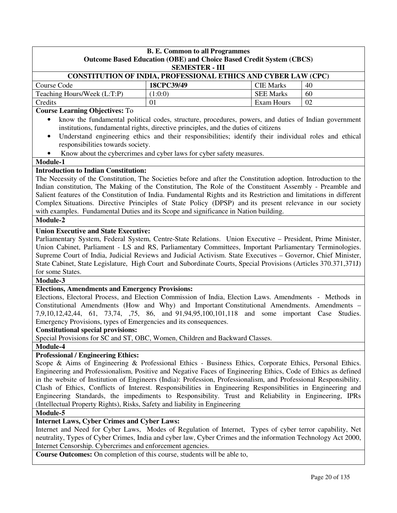| <b>B. E. Common to all Programmes</b>                            |                                                                       |                                                                     |    |  |  |
|------------------------------------------------------------------|-----------------------------------------------------------------------|---------------------------------------------------------------------|----|--|--|
|                                                                  |                                                                       | Outcome Based Education (OBE) and Choice Based Credit System (CBCS) |    |  |  |
|                                                                  | <b>SEMESTER - III</b>                                                 |                                                                     |    |  |  |
|                                                                  | <b>CONSTITUTION OF INDIA, PROFESSIONAL ETHICS AND CYBER LAW (CPC)</b> |                                                                     |    |  |  |
| Course Code                                                      | 18CPC39/49                                                            | <b>CIE Marks</b>                                                    | 40 |  |  |
| Teaching Hours/Week (L:T:P)<br><b>SEE Marks</b><br>(1:0:0)<br>60 |                                                                       |                                                                     |    |  |  |
| Credits                                                          | 01                                                                    | Exam Hours                                                          | 02 |  |  |

**Course Learning Objectives:** To

- know the fundamental political codes, structure, procedures, powers, and duties of Indian government institutions, fundamental rights, directive principles, and the duties of citizens
- Understand engineering ethics and their responsibilities; identify their individual roles and ethical responsibilities towards society.
- Know about the cybercrimes and cyber laws for cyber safety measures.

## **Module-1**

## **Introduction to Indian Constitution:**

The Necessity of the Constitution, The Societies before and after the Constitution adoption. Introduction to the Indian constitution, The Making of the Constitution, The Role of the Constituent Assembly - Preamble and Salient features of the Constitution of India. Fundamental Rights and its Restriction and limitations in different Complex Situations. Directive Principles of State Policy (DPSP) and its present relevance in our society with examples. Fundamental Duties and its Scope and significance in Nation building.

## **Module-2**

## **Union Executive and State Executive:**

Parliamentary System, Federal System, Centre-State Relations. Union Executive – President, Prime Minister, Union Cabinet, Parliament - LS and RS, Parliamentary Committees, Important Parliamentary Terminologies. Supreme Court of India, Judicial Reviews and Judicial Activism. State Executives – Governor, Chief Minister, State Cabinet, State Legislature, High Court and Subordinate Courts, Special Provisions (Articles 370.371,371J) for some States.

## **Module-3**

## **Elections, Amendments and Emergency Provisions:**

Elections, Electoral Process, and Election Commission of India, Election Laws. Amendments - Methods in Constitutional Amendments (How and Why) and Important Constitutional Amendments. Amendments – 7,9,10,12,42,44, 61, 73,74, ,75, 86, and 91,94,95,100,101,118 and some important Case Studies. Emergency Provisions, types of Emergencies and its consequences.

## **Constitutional special provisions:**

Special Provisions for SC and ST, OBC, Women, Children and Backward Classes.

**Module-4** 

## **Professional / Engineering Ethics:**

Scope & Aims of Engineering & Professional Ethics - Business Ethics, Corporate Ethics, Personal Ethics. Engineering and Professionalism, Positive and Negative Faces of Engineering Ethics, Code of Ethics as defined in the website of Institution of Engineers (India): Profession, Professionalism, and Professional Responsibility. Clash of Ethics, Conflicts of Interest. Responsibilities in Engineering Responsibilities in Engineering and Engineering Standards, the impediments to Responsibility. Trust and Reliability in Engineering, IPRs (Intellectual Property Rights), Risks, Safety and liability in Engineering

## **Module-5**

## **Internet Laws, Cyber Crimes and Cyber Laws:**

Internet and Need for Cyber Laws, Modes of Regulation of Internet, Types of cyber terror capability, Net neutrality, Types of Cyber Crimes, India and cyber law, Cyber Crimes and the information Technology Act 2000, Internet Censorship. Cybercrimes and enforcement agencies.

**Course Outcomes:** On completion of this course, students will be able to,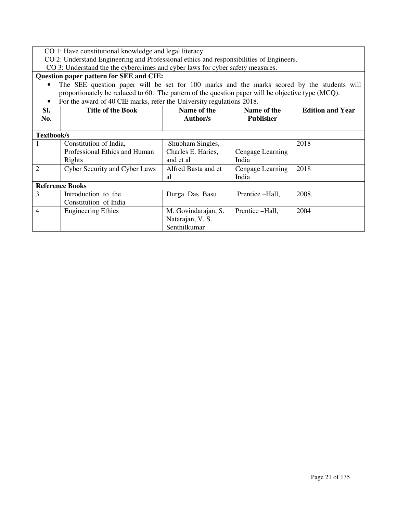CO 1: Have constitutional knowledge and legal literacy.

CO 2: Understand Engineering and Professional ethics and responsibilities of Engineers.

CO 3: Understand the the cybercrimes and cyber laws for cyber safety measures.

## **Question paper pattern for SEE and CIE:**

• The SEE question paper will be set for 100 marks and the marks scored by the students will proportionately be reduced to 60. The pattern of the question paper will be objective type (MCQ). • For the award of 40 CIE marks, refer the University regulations 2018.

|                | For the award of 40 CIE marks, refer the University regulations 2016. |                     |                  |                         |  |  |  |
|----------------|-----------------------------------------------------------------------|---------------------|------------------|-------------------------|--|--|--|
| SI.            | <b>Title of the Book</b>                                              | Name of the         | Name of the      | <b>Edition and Year</b> |  |  |  |
| No.            |                                                                       | Author/s            | <b>Publisher</b> |                         |  |  |  |
|                |                                                                       |                     |                  |                         |  |  |  |
|                |                                                                       |                     |                  |                         |  |  |  |
| Textbook/s     |                                                                       |                     |                  |                         |  |  |  |
|                | Constitution of India,                                                | Shubham Singles,    |                  | 2018                    |  |  |  |
|                | Professional Ethics and Human                                         | Charles E. Haries,  | Cengage Learning |                         |  |  |  |
|                | Rights                                                                | and et al           | India            |                         |  |  |  |
| $\overline{2}$ | <b>Cyber Security and Cyber Laws</b>                                  | Alfred Basta and et | Cengage Learning | 2018                    |  |  |  |
|                |                                                                       | al                  | India            |                         |  |  |  |
|                | <b>Reference Books</b>                                                |                     |                  |                         |  |  |  |
| 3              | Introduction to the                                                   | Durga Das Basu      | Prentice -Hall,  | 2008.                   |  |  |  |
|                | Constitution of India                                                 |                     |                  |                         |  |  |  |
| $\overline{4}$ | <b>Engineering Ethics</b>                                             | M. Govindarajan, S. | Prentice -Hall,  | 2004                    |  |  |  |
|                |                                                                       | Natarajan, V. S.    |                  |                         |  |  |  |
|                |                                                                       | Senthilkumar        |                  |                         |  |  |  |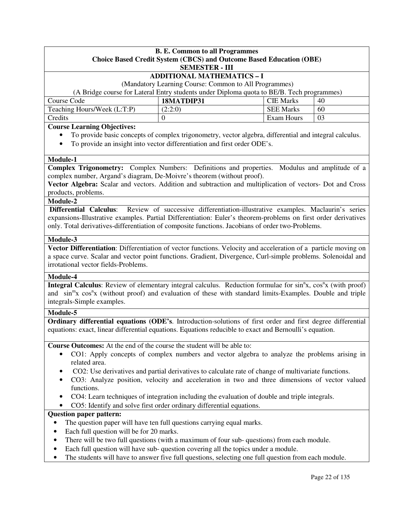| <b>B. E. Common to all Programmes</b>                                                                                                                                                                     |                                                                                                        |                  |    |  |  |
|-----------------------------------------------------------------------------------------------------------------------------------------------------------------------------------------------------------|--------------------------------------------------------------------------------------------------------|------------------|----|--|--|
| <b>Choice Based Credit System (CBCS) and Outcome Based Education (OBE)</b>                                                                                                                                |                                                                                                        |                  |    |  |  |
|                                                                                                                                                                                                           | <b>SEMESTER - III</b><br><b>ADDITIONAL MATHEMATICS - I</b>                                             |                  |    |  |  |
|                                                                                                                                                                                                           | (Mandatory Learning Course: Common to All Programmes)                                                  |                  |    |  |  |
|                                                                                                                                                                                                           | (A Bridge course for Lateral Entry students under Diploma quota to BE/B. Tech programmes)              |                  |    |  |  |
| Course Code                                                                                                                                                                                               | 18MATDIP31                                                                                             | <b>CIE Marks</b> | 40 |  |  |
| Teaching Hours/Week (L:T:P)                                                                                                                                                                               | (2:2:0)                                                                                                | <b>SEE Marks</b> | 60 |  |  |
| Credits                                                                                                                                                                                                   | $\overline{0}$                                                                                         | Exam Hours       | 03 |  |  |
| <b>Course Learning Objectives:</b>                                                                                                                                                                        |                                                                                                        |                  |    |  |  |
|                                                                                                                                                                                                           | To provide basic concepts of complex trigonometry, vector algebra, differential and integral calculus. |                  |    |  |  |
|                                                                                                                                                                                                           | To provide an insight into vector differentiation and first order ODE's.                               |                  |    |  |  |
|                                                                                                                                                                                                           |                                                                                                        |                  |    |  |  |
| Module-1                                                                                                                                                                                                  |                                                                                                        |                  |    |  |  |
| <b>Complex Trigonometry:</b> Complex Numbers: Definitions and properties. Modulus and amplitude of a                                                                                                      |                                                                                                        |                  |    |  |  |
| complex number, Argand's diagram, De-Moivre's theorem (without proof).                                                                                                                                    |                                                                                                        |                  |    |  |  |
| Vector Algebra: Scalar and vectors. Addition and subtraction and multiplication of vectors- Dot and Cross<br>products, problems.                                                                          |                                                                                                        |                  |    |  |  |
| Module-2                                                                                                                                                                                                  |                                                                                                        |                  |    |  |  |
| <b>Differential Calculus:</b>                                                                                                                                                                             | Review of successive differentiation-illustrative examples. Maclaurin's series                         |                  |    |  |  |
| expansions-Illustrative examples. Partial Differentiation: Euler's theorem-problems on first order derivatives                                                                                            |                                                                                                        |                  |    |  |  |
| only. Total derivatives-differentiation of composite functions. Jacobians of order two-Problems.                                                                                                          |                                                                                                        |                  |    |  |  |
|                                                                                                                                                                                                           |                                                                                                        |                  |    |  |  |
| Module-3                                                                                                                                                                                                  |                                                                                                        |                  |    |  |  |
| Vector Differentiation: Differentiation of vector functions. Velocity and acceleration of a particle moving on                                                                                            |                                                                                                        |                  |    |  |  |
| a space curve. Scalar and vector point functions. Gradient, Divergence, Curl-simple problems. Solenoidal and                                                                                              |                                                                                                        |                  |    |  |  |
| irrotational vector fields-Problems.                                                                                                                                                                      |                                                                                                        |                  |    |  |  |
| Module-4                                                                                                                                                                                                  |                                                                                                        |                  |    |  |  |
| Integral Calculus: Review of elementary integral calculus. Reduction formulae for sin <sup>n</sup> x, cos <sup>n</sup> x (with proof)                                                                     |                                                                                                        |                  |    |  |  |
| and sin <sup>m</sup> x cos <sup>n</sup> x (without proof) and evaluation of these with standard limits-Examples. Double and triple                                                                        |                                                                                                        |                  |    |  |  |
| integrals-Simple examples.                                                                                                                                                                                |                                                                                                        |                  |    |  |  |
| Module-5                                                                                                                                                                                                  |                                                                                                        |                  |    |  |  |
| Ordinary differential equations (ODE's. Introduction-solutions of first order and first degree differential                                                                                               |                                                                                                        |                  |    |  |  |
| equations: exact, linear differential equations. Equations reducible to exact and Bernoulli's equation.                                                                                                   |                                                                                                        |                  |    |  |  |
| Course Outcomes: At the end of the course the student will be able to:                                                                                                                                    |                                                                                                        |                  |    |  |  |
|                                                                                                                                                                                                           | CO1: Apply concepts of complex numbers and vector algebra to analyze the problems arising in           |                  |    |  |  |
| related area.                                                                                                                                                                                             |                                                                                                        |                  |    |  |  |
|                                                                                                                                                                                                           |                                                                                                        |                  |    |  |  |
| CO2: Use derivatives and partial derivatives to calculate rate of change of multivariate functions.<br>CO3: Analyze position, velocity and acceleration in two and three dimensions of vector valued<br>٠ |                                                                                                        |                  |    |  |  |
| functions.                                                                                                                                                                                                |                                                                                                        |                  |    |  |  |
| CO4: Learn techniques of integration including the evaluation of double and triple integrals.                                                                                                             |                                                                                                        |                  |    |  |  |
| CO5: Identify and solve first order ordinary differential equations.                                                                                                                                      |                                                                                                        |                  |    |  |  |
| <b>Question paper pattern:</b>                                                                                                                                                                            |                                                                                                        |                  |    |  |  |
|                                                                                                                                                                                                           | The question paper will have ten full questions carrying equal marks.                                  |                  |    |  |  |
| Each full question will be for 20 marks.<br>٠                                                                                                                                                             |                                                                                                        |                  |    |  |  |
| ٠                                                                                                                                                                                                         | There will be two full questions (with a maximum of four sub-questions) from each module.              |                  |    |  |  |
| ٠                                                                                                                                                                                                         | Each full question will have sub- question covering all the topics under a module.                     |                  |    |  |  |
| ٠                                                                                                                                                                                                         | The students will have to answer five full questions, selecting one full question from each module.    |                  |    |  |  |
|                                                                                                                                                                                                           |                                                                                                        |                  |    |  |  |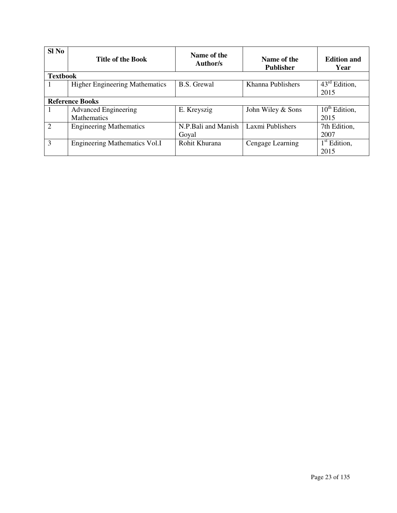| Sl No                       | <b>Title of the Book</b>              | Name of the<br>Author/s | Name of the<br><b>Publisher</b> | <b>Edition and</b><br>Year |
|-----------------------------|---------------------------------------|-------------------------|---------------------------------|----------------------------|
| <b>Textbook</b>             |                                       |                         |                                 |                            |
|                             | <b>Higher Engineering Mathematics</b> | <b>B.S.</b> Grewal      | Khanna Publishers               | $43^{\text{rd}}$ Edition,  |
|                             |                                       |                         |                                 | 2015                       |
|                             | <b>Reference Books</b>                |                         |                                 |                            |
|                             | <b>Advanced Engineering</b>           | E. Kreyszig             | John Wiley & Sons               | $10^{th}$ Edition,         |
|                             | <b>Mathematics</b>                    |                         |                                 | 2015                       |
| $\mathcal{D}_{\mathcal{L}}$ | <b>Engineering Mathematics</b>        | N.P.Bali and Manish     | Laxmi Publishers                | 7th Edition,               |
|                             |                                       | Goyal                   |                                 | 2007                       |
| 3                           | <b>Engineering Mathematics Vol.I</b>  | Rohit Khurana           | Cengage Learning                | $1st$ Edition,             |
|                             |                                       |                         |                                 | 2015                       |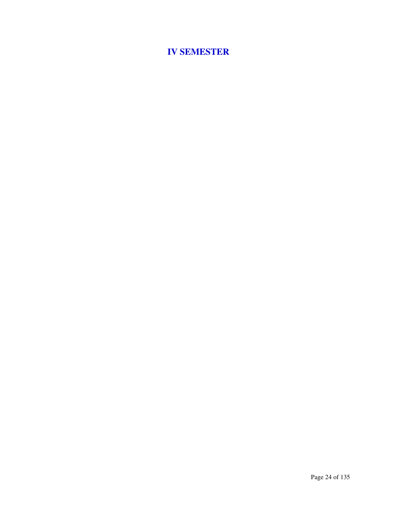# **IV SEMESTER**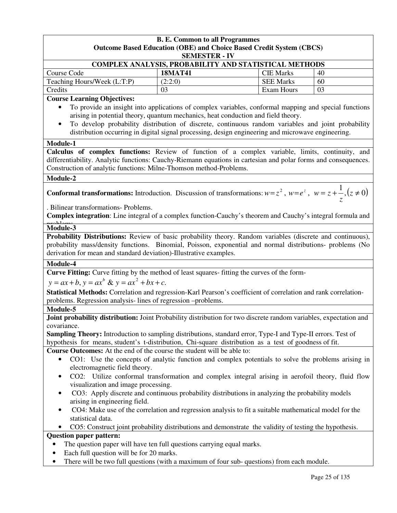| <b>SEMESTER - IV</b><br>COMPLEX ANALYSIS, PROBABILITY AND STATISTICAL METHODS<br>Course Code<br><b>18MAT41</b><br><b>CIE Marks</b><br>40<br>Teaching Hours/Week (L:T:P)<br>(2:2:0)<br><b>SEE Marks</b><br>60<br>Credits<br><b>Exam Hours</b><br>03<br>03<br><b>Course Learning Objectives:</b><br>To provide an insight into applications of complex variables, conformal mapping and special functions<br>arising in potential theory, quantum mechanics, heat conduction and field theory.<br>To develop probability distribution of discrete, continuous random variables and joint probability<br>$\bullet$<br>distribution occurring in digital signal processing, design engineering and microwave engineering.<br>Module-1<br>Calculus of complex functions: Review of function of a complex variable, limits, continuity, and<br>differentiability. Analytic functions: Cauchy-Riemann equations in cartesian and polar forms and consequences.<br>Construction of analytic functions: Milne-Thomson method-Problems.<br>Module-2<br><b>Conformal transformations:</b> Introduction. Discussion of transformations: $w = z^2$ , $w = e^z$ , $w = z + \frac{1}{z}$ , $(z \neq 0)$<br>. Bilinear transformations- Problems.<br>Complex integration: Line integral of a complex function-Cauchy's theorem and Cauchy's integral formula and<br>Module-3<br>Probability Distributions: Review of basic probability theory. Random variables (discrete and continuous),<br>probability mass/density functions. Binomial, Poisson, exponential and normal distributions- problems (No<br>derivation for mean and standard deviation)-Illustrative examples.<br>Module-4<br>Curve Fitting: Curve fitting by the method of least squares- fitting the curves of the form-<br>$y = ax + b$ , $y = ax^b$ & $y = ax^2 + bx + c$ .<br>Statistical Methods: Correlation and regression-Karl Pearson's coefficient of correlation and rank correlation-<br>problems. Regression analysis-lines of regression -problems.<br>Module-5<br>Joint probability distribution: Joint Probability distribution for two discrete random variables, expectation and<br>covariance.<br><b>Sampling Theory:</b> Introduction to sampling distributions, standard error, Type-I and Type-II errors. Test of<br>hypothesis for means, student's t-distribution, Chi-square distribution as a test of goodness of fit.<br><b>Course Outcomes:</b> At the end of the course the student will be able to:<br>CO1: Use the concepts of analytic function and complex potentials to solve the problems arising in<br>$\bullet$<br>electromagnetic field theory.<br>CO2: Utilize conformal transformation and complex integral arising in aerofoil theory, fluid flow<br>visualization and image processing.<br>CO3: Apply discrete and continuous probability distributions in analyzing the probability models<br>٠<br>arising in engineering field.<br>CO4: Make use of the correlation and regression analysis to fit a suitable mathematical model for the<br>statistical data.<br>CO5: Construct joint probability distributions and demonstrate the validity of testing the hypothesis.<br><b>Question paper pattern:</b> |  | <b>B. E. Common to all Programmes</b>                                      |  |  |  |  |  |
|-------------------------------------------------------------------------------------------------------------------------------------------------------------------------------------------------------------------------------------------------------------------------------------------------------------------------------------------------------------------------------------------------------------------------------------------------------------------------------------------------------------------------------------------------------------------------------------------------------------------------------------------------------------------------------------------------------------------------------------------------------------------------------------------------------------------------------------------------------------------------------------------------------------------------------------------------------------------------------------------------------------------------------------------------------------------------------------------------------------------------------------------------------------------------------------------------------------------------------------------------------------------------------------------------------------------------------------------------------------------------------------------------------------------------------------------------------------------------------------------------------------------------------------------------------------------------------------------------------------------------------------------------------------------------------------------------------------------------------------------------------------------------------------------------------------------------------------------------------------------------------------------------------------------------------------------------------------------------------------------------------------------------------------------------------------------------------------------------------------------------------------------------------------------------------------------------------------------------------------------------------------------------------------------------------------------------------------------------------------------------------------------------------------------------------------------------------------------------------------------------------------------------------------------------------------------------------------------------------------------------------------------------------------------------------------------------------------------------------------------------------------------------------------------------------------------------------------------------------------------------------------------------------------------------------------------------------------------------------------------------------------------------------------------------------------------------------------------------------------------------------------------------------------------------------------------------------|--|----------------------------------------------------------------------------|--|--|--|--|--|
|                                                                                                                                                                                                                                                                                                                                                                                                                                                                                                                                                                                                                                                                                                                                                                                                                                                                                                                                                                                                                                                                                                                                                                                                                                                                                                                                                                                                                                                                                                                                                                                                                                                                                                                                                                                                                                                                                                                                                                                                                                                                                                                                                                                                                                                                                                                                                                                                                                                                                                                                                                                                                                                                                                                                                                                                                                                                                                                                                                                                                                                                                                                                                                                                       |  | <b>Outcome Based Education (OBE) and Choice Based Credit System (CBCS)</b> |  |  |  |  |  |
|                                                                                                                                                                                                                                                                                                                                                                                                                                                                                                                                                                                                                                                                                                                                                                                                                                                                                                                                                                                                                                                                                                                                                                                                                                                                                                                                                                                                                                                                                                                                                                                                                                                                                                                                                                                                                                                                                                                                                                                                                                                                                                                                                                                                                                                                                                                                                                                                                                                                                                                                                                                                                                                                                                                                                                                                                                                                                                                                                                                                                                                                                                                                                                                                       |  |                                                                            |  |  |  |  |  |
|                                                                                                                                                                                                                                                                                                                                                                                                                                                                                                                                                                                                                                                                                                                                                                                                                                                                                                                                                                                                                                                                                                                                                                                                                                                                                                                                                                                                                                                                                                                                                                                                                                                                                                                                                                                                                                                                                                                                                                                                                                                                                                                                                                                                                                                                                                                                                                                                                                                                                                                                                                                                                                                                                                                                                                                                                                                                                                                                                                                                                                                                                                                                                                                                       |  |                                                                            |  |  |  |  |  |
|                                                                                                                                                                                                                                                                                                                                                                                                                                                                                                                                                                                                                                                                                                                                                                                                                                                                                                                                                                                                                                                                                                                                                                                                                                                                                                                                                                                                                                                                                                                                                                                                                                                                                                                                                                                                                                                                                                                                                                                                                                                                                                                                                                                                                                                                                                                                                                                                                                                                                                                                                                                                                                                                                                                                                                                                                                                                                                                                                                                                                                                                                                                                                                                                       |  |                                                                            |  |  |  |  |  |
|                                                                                                                                                                                                                                                                                                                                                                                                                                                                                                                                                                                                                                                                                                                                                                                                                                                                                                                                                                                                                                                                                                                                                                                                                                                                                                                                                                                                                                                                                                                                                                                                                                                                                                                                                                                                                                                                                                                                                                                                                                                                                                                                                                                                                                                                                                                                                                                                                                                                                                                                                                                                                                                                                                                                                                                                                                                                                                                                                                                                                                                                                                                                                                                                       |  |                                                                            |  |  |  |  |  |
|                                                                                                                                                                                                                                                                                                                                                                                                                                                                                                                                                                                                                                                                                                                                                                                                                                                                                                                                                                                                                                                                                                                                                                                                                                                                                                                                                                                                                                                                                                                                                                                                                                                                                                                                                                                                                                                                                                                                                                                                                                                                                                                                                                                                                                                                                                                                                                                                                                                                                                                                                                                                                                                                                                                                                                                                                                                                                                                                                                                                                                                                                                                                                                                                       |  |                                                                            |  |  |  |  |  |
|                                                                                                                                                                                                                                                                                                                                                                                                                                                                                                                                                                                                                                                                                                                                                                                                                                                                                                                                                                                                                                                                                                                                                                                                                                                                                                                                                                                                                                                                                                                                                                                                                                                                                                                                                                                                                                                                                                                                                                                                                                                                                                                                                                                                                                                                                                                                                                                                                                                                                                                                                                                                                                                                                                                                                                                                                                                                                                                                                                                                                                                                                                                                                                                                       |  |                                                                            |  |  |  |  |  |
|                                                                                                                                                                                                                                                                                                                                                                                                                                                                                                                                                                                                                                                                                                                                                                                                                                                                                                                                                                                                                                                                                                                                                                                                                                                                                                                                                                                                                                                                                                                                                                                                                                                                                                                                                                                                                                                                                                                                                                                                                                                                                                                                                                                                                                                                                                                                                                                                                                                                                                                                                                                                                                                                                                                                                                                                                                                                                                                                                                                                                                                                                                                                                                                                       |  |                                                                            |  |  |  |  |  |
|                                                                                                                                                                                                                                                                                                                                                                                                                                                                                                                                                                                                                                                                                                                                                                                                                                                                                                                                                                                                                                                                                                                                                                                                                                                                                                                                                                                                                                                                                                                                                                                                                                                                                                                                                                                                                                                                                                                                                                                                                                                                                                                                                                                                                                                                                                                                                                                                                                                                                                                                                                                                                                                                                                                                                                                                                                                                                                                                                                                                                                                                                                                                                                                                       |  |                                                                            |  |  |  |  |  |
|                                                                                                                                                                                                                                                                                                                                                                                                                                                                                                                                                                                                                                                                                                                                                                                                                                                                                                                                                                                                                                                                                                                                                                                                                                                                                                                                                                                                                                                                                                                                                                                                                                                                                                                                                                                                                                                                                                                                                                                                                                                                                                                                                                                                                                                                                                                                                                                                                                                                                                                                                                                                                                                                                                                                                                                                                                                                                                                                                                                                                                                                                                                                                                                                       |  |                                                                            |  |  |  |  |  |
|                                                                                                                                                                                                                                                                                                                                                                                                                                                                                                                                                                                                                                                                                                                                                                                                                                                                                                                                                                                                                                                                                                                                                                                                                                                                                                                                                                                                                                                                                                                                                                                                                                                                                                                                                                                                                                                                                                                                                                                                                                                                                                                                                                                                                                                                                                                                                                                                                                                                                                                                                                                                                                                                                                                                                                                                                                                                                                                                                                                                                                                                                                                                                                                                       |  |                                                                            |  |  |  |  |  |
|                                                                                                                                                                                                                                                                                                                                                                                                                                                                                                                                                                                                                                                                                                                                                                                                                                                                                                                                                                                                                                                                                                                                                                                                                                                                                                                                                                                                                                                                                                                                                                                                                                                                                                                                                                                                                                                                                                                                                                                                                                                                                                                                                                                                                                                                                                                                                                                                                                                                                                                                                                                                                                                                                                                                                                                                                                                                                                                                                                                                                                                                                                                                                                                                       |  |                                                                            |  |  |  |  |  |
|                                                                                                                                                                                                                                                                                                                                                                                                                                                                                                                                                                                                                                                                                                                                                                                                                                                                                                                                                                                                                                                                                                                                                                                                                                                                                                                                                                                                                                                                                                                                                                                                                                                                                                                                                                                                                                                                                                                                                                                                                                                                                                                                                                                                                                                                                                                                                                                                                                                                                                                                                                                                                                                                                                                                                                                                                                                                                                                                                                                                                                                                                                                                                                                                       |  |                                                                            |  |  |  |  |  |
|                                                                                                                                                                                                                                                                                                                                                                                                                                                                                                                                                                                                                                                                                                                                                                                                                                                                                                                                                                                                                                                                                                                                                                                                                                                                                                                                                                                                                                                                                                                                                                                                                                                                                                                                                                                                                                                                                                                                                                                                                                                                                                                                                                                                                                                                                                                                                                                                                                                                                                                                                                                                                                                                                                                                                                                                                                                                                                                                                                                                                                                                                                                                                                                                       |  |                                                                            |  |  |  |  |  |
|                                                                                                                                                                                                                                                                                                                                                                                                                                                                                                                                                                                                                                                                                                                                                                                                                                                                                                                                                                                                                                                                                                                                                                                                                                                                                                                                                                                                                                                                                                                                                                                                                                                                                                                                                                                                                                                                                                                                                                                                                                                                                                                                                                                                                                                                                                                                                                                                                                                                                                                                                                                                                                                                                                                                                                                                                                                                                                                                                                                                                                                                                                                                                                                                       |  |                                                                            |  |  |  |  |  |
|                                                                                                                                                                                                                                                                                                                                                                                                                                                                                                                                                                                                                                                                                                                                                                                                                                                                                                                                                                                                                                                                                                                                                                                                                                                                                                                                                                                                                                                                                                                                                                                                                                                                                                                                                                                                                                                                                                                                                                                                                                                                                                                                                                                                                                                                                                                                                                                                                                                                                                                                                                                                                                                                                                                                                                                                                                                                                                                                                                                                                                                                                                                                                                                                       |  |                                                                            |  |  |  |  |  |
|                                                                                                                                                                                                                                                                                                                                                                                                                                                                                                                                                                                                                                                                                                                                                                                                                                                                                                                                                                                                                                                                                                                                                                                                                                                                                                                                                                                                                                                                                                                                                                                                                                                                                                                                                                                                                                                                                                                                                                                                                                                                                                                                                                                                                                                                                                                                                                                                                                                                                                                                                                                                                                                                                                                                                                                                                                                                                                                                                                                                                                                                                                                                                                                                       |  |                                                                            |  |  |  |  |  |
|                                                                                                                                                                                                                                                                                                                                                                                                                                                                                                                                                                                                                                                                                                                                                                                                                                                                                                                                                                                                                                                                                                                                                                                                                                                                                                                                                                                                                                                                                                                                                                                                                                                                                                                                                                                                                                                                                                                                                                                                                                                                                                                                                                                                                                                                                                                                                                                                                                                                                                                                                                                                                                                                                                                                                                                                                                                                                                                                                                                                                                                                                                                                                                                                       |  |                                                                            |  |  |  |  |  |
|                                                                                                                                                                                                                                                                                                                                                                                                                                                                                                                                                                                                                                                                                                                                                                                                                                                                                                                                                                                                                                                                                                                                                                                                                                                                                                                                                                                                                                                                                                                                                                                                                                                                                                                                                                                                                                                                                                                                                                                                                                                                                                                                                                                                                                                                                                                                                                                                                                                                                                                                                                                                                                                                                                                                                                                                                                                                                                                                                                                                                                                                                                                                                                                                       |  |                                                                            |  |  |  |  |  |
|                                                                                                                                                                                                                                                                                                                                                                                                                                                                                                                                                                                                                                                                                                                                                                                                                                                                                                                                                                                                                                                                                                                                                                                                                                                                                                                                                                                                                                                                                                                                                                                                                                                                                                                                                                                                                                                                                                                                                                                                                                                                                                                                                                                                                                                                                                                                                                                                                                                                                                                                                                                                                                                                                                                                                                                                                                                                                                                                                                                                                                                                                                                                                                                                       |  |                                                                            |  |  |  |  |  |
|                                                                                                                                                                                                                                                                                                                                                                                                                                                                                                                                                                                                                                                                                                                                                                                                                                                                                                                                                                                                                                                                                                                                                                                                                                                                                                                                                                                                                                                                                                                                                                                                                                                                                                                                                                                                                                                                                                                                                                                                                                                                                                                                                                                                                                                                                                                                                                                                                                                                                                                                                                                                                                                                                                                                                                                                                                                                                                                                                                                                                                                                                                                                                                                                       |  |                                                                            |  |  |  |  |  |
|                                                                                                                                                                                                                                                                                                                                                                                                                                                                                                                                                                                                                                                                                                                                                                                                                                                                                                                                                                                                                                                                                                                                                                                                                                                                                                                                                                                                                                                                                                                                                                                                                                                                                                                                                                                                                                                                                                                                                                                                                                                                                                                                                                                                                                                                                                                                                                                                                                                                                                                                                                                                                                                                                                                                                                                                                                                                                                                                                                                                                                                                                                                                                                                                       |  |                                                                            |  |  |  |  |  |
|                                                                                                                                                                                                                                                                                                                                                                                                                                                                                                                                                                                                                                                                                                                                                                                                                                                                                                                                                                                                                                                                                                                                                                                                                                                                                                                                                                                                                                                                                                                                                                                                                                                                                                                                                                                                                                                                                                                                                                                                                                                                                                                                                                                                                                                                                                                                                                                                                                                                                                                                                                                                                                                                                                                                                                                                                                                                                                                                                                                                                                                                                                                                                                                                       |  |                                                                            |  |  |  |  |  |
|                                                                                                                                                                                                                                                                                                                                                                                                                                                                                                                                                                                                                                                                                                                                                                                                                                                                                                                                                                                                                                                                                                                                                                                                                                                                                                                                                                                                                                                                                                                                                                                                                                                                                                                                                                                                                                                                                                                                                                                                                                                                                                                                                                                                                                                                                                                                                                                                                                                                                                                                                                                                                                                                                                                                                                                                                                                                                                                                                                                                                                                                                                                                                                                                       |  |                                                                            |  |  |  |  |  |
|                                                                                                                                                                                                                                                                                                                                                                                                                                                                                                                                                                                                                                                                                                                                                                                                                                                                                                                                                                                                                                                                                                                                                                                                                                                                                                                                                                                                                                                                                                                                                                                                                                                                                                                                                                                                                                                                                                                                                                                                                                                                                                                                                                                                                                                                                                                                                                                                                                                                                                                                                                                                                                                                                                                                                                                                                                                                                                                                                                                                                                                                                                                                                                                                       |  |                                                                            |  |  |  |  |  |
|                                                                                                                                                                                                                                                                                                                                                                                                                                                                                                                                                                                                                                                                                                                                                                                                                                                                                                                                                                                                                                                                                                                                                                                                                                                                                                                                                                                                                                                                                                                                                                                                                                                                                                                                                                                                                                                                                                                                                                                                                                                                                                                                                                                                                                                                                                                                                                                                                                                                                                                                                                                                                                                                                                                                                                                                                                                                                                                                                                                                                                                                                                                                                                                                       |  |                                                                            |  |  |  |  |  |
|                                                                                                                                                                                                                                                                                                                                                                                                                                                                                                                                                                                                                                                                                                                                                                                                                                                                                                                                                                                                                                                                                                                                                                                                                                                                                                                                                                                                                                                                                                                                                                                                                                                                                                                                                                                                                                                                                                                                                                                                                                                                                                                                                                                                                                                                                                                                                                                                                                                                                                                                                                                                                                                                                                                                                                                                                                                                                                                                                                                                                                                                                                                                                                                                       |  |                                                                            |  |  |  |  |  |
|                                                                                                                                                                                                                                                                                                                                                                                                                                                                                                                                                                                                                                                                                                                                                                                                                                                                                                                                                                                                                                                                                                                                                                                                                                                                                                                                                                                                                                                                                                                                                                                                                                                                                                                                                                                                                                                                                                                                                                                                                                                                                                                                                                                                                                                                                                                                                                                                                                                                                                                                                                                                                                                                                                                                                                                                                                                                                                                                                                                                                                                                                                                                                                                                       |  |                                                                            |  |  |  |  |  |
|                                                                                                                                                                                                                                                                                                                                                                                                                                                                                                                                                                                                                                                                                                                                                                                                                                                                                                                                                                                                                                                                                                                                                                                                                                                                                                                                                                                                                                                                                                                                                                                                                                                                                                                                                                                                                                                                                                                                                                                                                                                                                                                                                                                                                                                                                                                                                                                                                                                                                                                                                                                                                                                                                                                                                                                                                                                                                                                                                                                                                                                                                                                                                                                                       |  |                                                                            |  |  |  |  |  |
| The question paper will have ten full questions carrying equal marks.                                                                                                                                                                                                                                                                                                                                                                                                                                                                                                                                                                                                                                                                                                                                                                                                                                                                                                                                                                                                                                                                                                                                                                                                                                                                                                                                                                                                                                                                                                                                                                                                                                                                                                                                                                                                                                                                                                                                                                                                                                                                                                                                                                                                                                                                                                                                                                                                                                                                                                                                                                                                                                                                                                                                                                                                                                                                                                                                                                                                                                                                                                                                 |  |                                                                            |  |  |  |  |  |
| Each full question will be for 20 marks.<br>٠<br>There will be two full questions (with a maximum of four sub- questions) from each module.<br>$\bullet$                                                                                                                                                                                                                                                                                                                                                                                                                                                                                                                                                                                                                                                                                                                                                                                                                                                                                                                                                                                                                                                                                                                                                                                                                                                                                                                                                                                                                                                                                                                                                                                                                                                                                                                                                                                                                                                                                                                                                                                                                                                                                                                                                                                                                                                                                                                                                                                                                                                                                                                                                                                                                                                                                                                                                                                                                                                                                                                                                                                                                                              |  |                                                                            |  |  |  |  |  |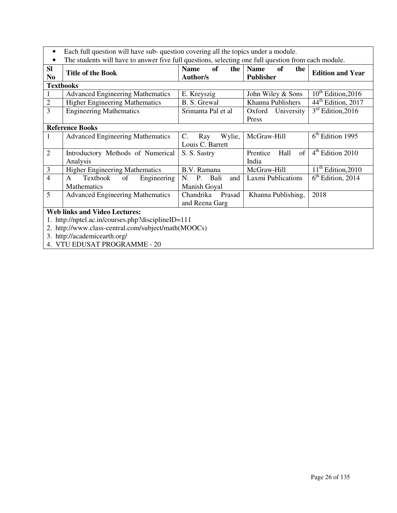- Each full question will have sub- question covering all the topics under a module.
- The students will have to answer five full questions, selecting one full question from each module.

|                                                    | The students will have to allower five full questions, selecting one full question from each module. |                                             |                                              |                                |  |  |
|----------------------------------------------------|------------------------------------------------------------------------------------------------------|---------------------------------------------|----------------------------------------------|--------------------------------|--|--|
| <b>SI</b><br>N <sub>0</sub>                        | <b>Title of the Book</b>                                                                             | <b>Name</b><br>of<br>the<br><b>Author/s</b> | <b>Name</b><br>of<br>the<br><b>Publisher</b> | <b>Edition and Year</b>        |  |  |
|                                                    | <b>Textbooks</b>                                                                                     |                                             |                                              |                                |  |  |
|                                                    | <b>Advanced Engineering Mathematics</b>                                                              | E. Kreyszig                                 | John Wiley & Sons                            | $10^{th}$ Edition, 2016        |  |  |
| $\overline{2}$                                     | <b>Higher Engineering Mathematics</b>                                                                | B. S. Grewal                                | Khanna Publishers                            | 44 <sup>th</sup> Edition, 2017 |  |  |
| 3                                                  | <b>Engineering Mathematics</b>                                                                       | Srimanta Pal et al                          | Oxford University                            | $3rd$ Edition, 2016            |  |  |
|                                                    |                                                                                                      |                                             | Press                                        |                                |  |  |
|                                                    | <b>Reference Books</b>                                                                               |                                             |                                              |                                |  |  |
| 1                                                  | <b>Advanced Engineering Mathematics</b>                                                              | Wylie,<br>C.<br>Ray                         | McGraw-Hill                                  | $6th$ Edition 1995             |  |  |
|                                                    |                                                                                                      | Louis C. Barrett                            |                                              |                                |  |  |
| $\overline{2}$                                     | Introductory Methods of Numerical                                                                    | S. S. Sastry                                | of<br>Hall<br>Prentice                       | $4th$ Edition 2010             |  |  |
|                                                    | Analysis                                                                                             |                                             | India                                        |                                |  |  |
| 3                                                  | <b>Higher Engineering Mathematics</b>                                                                | B.V. Ramana                                 | McGraw-Hill                                  | $11th$ Edition, 2010           |  |  |
| $\overline{4}$                                     | Textbook<br>Engineering<br>of<br>$\mathsf{A}$                                                        | P.<br>Bali<br>$N_{\cdot}$<br>and            | Laxmi Publications                           | $6th$ Edition, 2014            |  |  |
|                                                    | <b>Mathematics</b>                                                                                   | Manish Goyal                                |                                              |                                |  |  |
| 5                                                  | <b>Advanced Engineering Mathematics</b>                                                              | Chandrika<br>Prasad                         | Khanna Publishing,                           | 2018                           |  |  |
|                                                    |                                                                                                      | and Reena Garg                              |                                              |                                |  |  |
| <b>Web links and Video Lectures:</b>               |                                                                                                      |                                             |                                              |                                |  |  |
| 1. http://nptel.ac.in/courses.php?disciplineID=111 |                                                                                                      |                                             |                                              |                                |  |  |
|                                                    | 2. http://www.class-central.com/subject/math(MOOCs)                                                  |                                             |                                              |                                |  |  |
|                                                    | 3. http://academicearth.org/                                                                         |                                             |                                              |                                |  |  |

4. VTU EDUSAT PROGRAMME - 20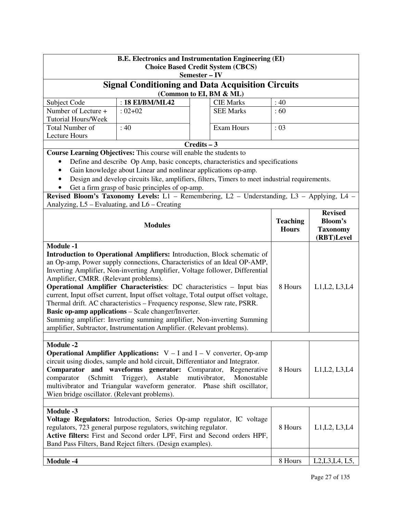| <b>B.E. Electronics and Instrumentation Engineering (EI)</b><br><b>Choice Based Credit System (CBCS)</b><br>Semester – IV                                                                                                                                                                                                                                                                                                                                                                                                                                                                                                                                                                                                                        |                 |  |                  |                                 |                                                                     |  |
|--------------------------------------------------------------------------------------------------------------------------------------------------------------------------------------------------------------------------------------------------------------------------------------------------------------------------------------------------------------------------------------------------------------------------------------------------------------------------------------------------------------------------------------------------------------------------------------------------------------------------------------------------------------------------------------------------------------------------------------------------|-----------------|--|------------------|---------------------------------|---------------------------------------------------------------------|--|
| <b>Signal Conditioning and Data Acquisition Circuits</b><br>(Common to EI, BM & ML)                                                                                                                                                                                                                                                                                                                                                                                                                                                                                                                                                                                                                                                              |                 |  |                  |                                 |                                                                     |  |
| Subject Code                                                                                                                                                                                                                                                                                                                                                                                                                                                                                                                                                                                                                                                                                                                                     | : 18 EI/BM/ML42 |  | <b>CIE Marks</b> | :40                             |                                                                     |  |
| Number of Lecture +                                                                                                                                                                                                                                                                                                                                                                                                                                                                                                                                                                                                                                                                                                                              | $: 02 + 02$     |  | <b>SEE Marks</b> | :60                             |                                                                     |  |
| <b>Tutorial Hours/Week</b>                                                                                                                                                                                                                                                                                                                                                                                                                                                                                                                                                                                                                                                                                                                       |                 |  |                  |                                 |                                                                     |  |
| <b>Total Number of</b><br><b>Exam Hours</b><br>: 40                                                                                                                                                                                                                                                                                                                                                                                                                                                                                                                                                                                                                                                                                              |                 |  | $\div 03$        |                                 |                                                                     |  |
| <b>Lecture Hours</b>                                                                                                                                                                                                                                                                                                                                                                                                                                                                                                                                                                                                                                                                                                                             |                 |  |                  |                                 |                                                                     |  |
| $Credits - 3$                                                                                                                                                                                                                                                                                                                                                                                                                                                                                                                                                                                                                                                                                                                                    |                 |  |                  |                                 |                                                                     |  |
| Course Learning Objectives: This course will enable the students to<br>Define and describe Op Amp, basic concepts, characteristics and specifications<br>٠<br>Gain knowledge about Linear and nonlinear applications op-amp.<br>$\bullet$<br>Design and develop circuits like, amplifiers, filters, Timers to meet industrial requirements.<br>$\bullet$<br>Get a firm grasp of basic principles of op-amp.                                                                                                                                                                                                                                                                                                                                      |                 |  |                  |                                 |                                                                     |  |
| Revised Bloom's Taxonomy Levels: L1 - Remembering, L2 - Understanding, L3 - Applying, L4 -                                                                                                                                                                                                                                                                                                                                                                                                                                                                                                                                                                                                                                                       |                 |  |                  |                                 |                                                                     |  |
| Analyzing, L5 - Evaluating, and L6 - Creating                                                                                                                                                                                                                                                                                                                                                                                                                                                                                                                                                                                                                                                                                                    |                 |  |                  |                                 |                                                                     |  |
| <b>Modules</b><br><b>Module -1</b>                                                                                                                                                                                                                                                                                                                                                                                                                                                                                                                                                                                                                                                                                                               |                 |  |                  | <b>Teaching</b><br><b>Hours</b> | <b>Revised</b><br><b>Bloom's</b><br><b>Taxonomy</b><br>(RBT)Level   |  |
| Introduction to Operational Amplifiers: Introduction, Block schematic of<br>an Op-amp, Power supply connections, Characteristics of an Ideal OP-AMP,<br>Inverting Amplifier, Non-inverting Amplifier, Voltage follower, Differential<br>Amplifier, CMRR. (Relevant problems).<br><b>Operational Amplifier Characteristics:</b> DC characteristics - Input bias<br>current, Input offset current, Input offset voltage, Total output offset voltage,<br>Thermal drift. AC characteristics - Frequency response, Slew rate, PSRR.<br><b>Basic op-amp applications – Scale changer/Inverter.</b><br>Summing amplifier: Inverting summing amplifier, Non-inverting Summing<br>amplifier, Subtractor, Instrumentation Amplifier. (Relevant problems). |                 |  |                  | 8 Hours                         | L1, L2, L3, L4                                                      |  |
| <b>Module -2</b><br><b>Operational Amplifier Applications:</b> $V - I$ and $I - V$ converter, Op-amp<br>circuit using diodes, sample and hold circuit, Differentiator and Integrator.<br>Comparator and waveforms generator: Comparator, Regenerative<br>(Schmitt)<br>Astable<br>mutivibrator,<br>Monostable<br>comparator<br>Trigger),<br>multivibrator and Triangular waveform generator. Phase shift oscillator,<br>Wien bridge oscillator. (Relevant problems).                                                                                                                                                                                                                                                                              |                 |  |                  | 8 Hours                         | L1, L2, L3, L4                                                      |  |
| Module -3<br>Voltage Regulators: Introduction, Series Op-amp regulator, IC voltage<br>regulators, 723 general purpose regulators, switching regulator.<br>Active filters: First and Second order LPF, First and Second orders HPF,<br>Band Pass Filters, Band Reject filters. (Design examples).                                                                                                                                                                                                                                                                                                                                                                                                                                                 |                 |  |                  | 8 Hours                         | L1, L2, L3, L4                                                      |  |
| <b>Module -4</b>                                                                                                                                                                                                                                                                                                                                                                                                                                                                                                                                                                                                                                                                                                                                 |                 |  |                  | 8 Hours                         | L <sub>2</sub> , L <sub>3</sub> , L <sub>4</sub> , L <sub>5</sub> , |  |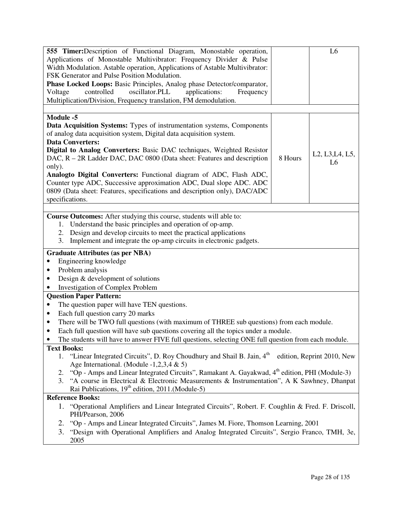| 555 Timer: Description of Functional Diagram, Monostable operation,                                              |         | L <sub>6</sub>                                                      |  |  |
|------------------------------------------------------------------------------------------------------------------|---------|---------------------------------------------------------------------|--|--|
| Applications of Monostable Multivibrator: Frequency Divider & Pulse                                              |         |                                                                     |  |  |
| Width Modulation. Astable operation, Applications of Astable Multivibrator:                                      |         |                                                                     |  |  |
| FSK Generator and Pulse Position Modulation.                                                                     |         |                                                                     |  |  |
| Phase Locked Loops: Basic Principles, Analog phase Detector/comparator,                                          |         |                                                                     |  |  |
| controlled<br>oscillator.PLL<br>Voltage<br>applications:<br>Frequency                                            |         |                                                                     |  |  |
| Multiplication/Division, Frequency translation, FM demodulation.                                                 |         |                                                                     |  |  |
|                                                                                                                  |         |                                                                     |  |  |
| Module -5                                                                                                        |         |                                                                     |  |  |
| Data Acquisition Systems: Types of instrumentation systems, Components                                           |         |                                                                     |  |  |
| of analog data acquisition system, Digital data acquisition system.                                              |         |                                                                     |  |  |
| <b>Data Converters:</b>                                                                                          |         |                                                                     |  |  |
| Digital to Analog Converters: Basic DAC techniques, Weighted Resistor                                            |         |                                                                     |  |  |
| DAC, R – 2R Ladder DAC, DAC 0800 (Data sheet: Features and description                                           | 8 Hours | L <sub>2</sub> , L <sub>3</sub> , L <sub>4</sub> , L <sub>5</sub> , |  |  |
| only).                                                                                                           |         | L <sub>6</sub>                                                      |  |  |
| Analogto Digital Converters: Functional diagram of ADC, Flash ADC,                                               |         |                                                                     |  |  |
| Counter type ADC, Successive approximation ADC, Dual slope ADC. ADC                                              |         |                                                                     |  |  |
| 0809 (Data sheet: Features, specifications and description only), DAC/ADC                                        |         |                                                                     |  |  |
| specifications.                                                                                                  |         |                                                                     |  |  |
|                                                                                                                  |         |                                                                     |  |  |
| Course Outcomes: After studying this course, students will able to:                                              |         |                                                                     |  |  |
| Understand the basic principles and operation of op-amp.<br>1.                                                   |         |                                                                     |  |  |
| Design and develop circuits to meet the practical applications<br>2.                                             |         |                                                                     |  |  |
| Implement and integrate the op-amp circuits in electronic gadgets.<br>3.                                         |         |                                                                     |  |  |
| <b>Graduate Attributes (as per NBA)</b>                                                                          |         |                                                                     |  |  |
| Engineering knowledge<br>٠                                                                                       |         |                                                                     |  |  |
| Problem analysis<br>٠                                                                                            |         |                                                                     |  |  |
| Design & development of solutions<br>٠                                                                           |         |                                                                     |  |  |
| <b>Investigation of Complex Problem</b><br>٠                                                                     |         |                                                                     |  |  |
| <b>Question Paper Pattern:</b>                                                                                   |         |                                                                     |  |  |
| The question paper will have TEN questions.<br>$\bullet$                                                         |         |                                                                     |  |  |
|                                                                                                                  |         |                                                                     |  |  |
| Each full question carry 20 marks<br>٠                                                                           |         |                                                                     |  |  |
| There will be TWO full questions (with maximum of THREE sub questions) from each module.<br>٠                    |         |                                                                     |  |  |
| Each full question will have sub questions covering all the topics under a module.<br>$\bullet$                  |         |                                                                     |  |  |
| The students will have to answer FIVE full questions, selecting ONE full question from each module.<br>$\bullet$ |         |                                                                     |  |  |
| <b>Text Books:</b>                                                                                               |         |                                                                     |  |  |
| "Linear Integrated Circuits", D. Roy Choudhury and Shail B. Jain, 4 <sup>th</sup><br>1.                          |         | edition, Reprint 2010, New                                          |  |  |
| Age International. (Module $-1,2,3,4 \& 5$ )                                                                     |         |                                                                     |  |  |
| "Op - Amps and Linear Integrated Circuits", Ramakant A. Gayakwad, 4 <sup>th</sup> edition, PHI (Module-3)<br>2.  |         |                                                                     |  |  |
| "A course in Electrical & Electronic Measurements & Instrumentation", A K Sawhney, Dhanpat<br>3.                 |         |                                                                     |  |  |
| Rai Publications, $19th$ edition, 2011.(Module-5)                                                                |         |                                                                     |  |  |
| <b>Reference Books:</b>                                                                                          |         |                                                                     |  |  |
| 1. "Operational Amplifiers and Linear Integrated Circuits", Robert. F. Coughlin & Fred. F. Driscoll,             |         |                                                                     |  |  |
| PHI/Pearson, 2006                                                                                                |         |                                                                     |  |  |
| "Op - Amps and Linear Integrated Circuits", James M. Fiore, Thomson Learning, 2001<br>2.                         |         |                                                                     |  |  |
| 3.<br>"Design with Operational Amplifiers and Analog Integrated Circuits", Sergio Franco, TMH, 3e,               |         |                                                                     |  |  |
| 2005                                                                                                             |         |                                                                     |  |  |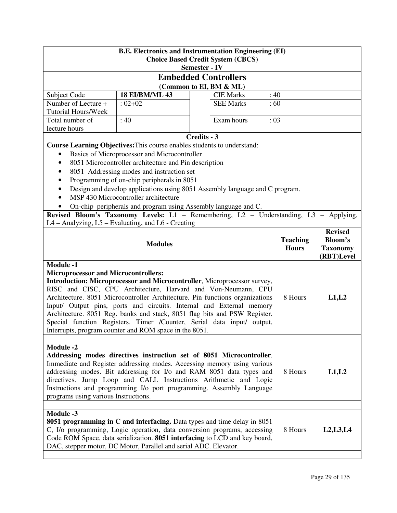| <b>B.E. Electronics and Instrumentation Engineering (EI)</b><br><b>Choice Based Credit System (CBCS)</b><br><b>Semester - IV</b>                                                                                                                                                                                                                                                                                                                                                                                                                                                      |                                                                                                                                                                                                                                                                                                                                                                                                                                                                                                                                                               |             |                             |       |                                 |                                                                   |
|---------------------------------------------------------------------------------------------------------------------------------------------------------------------------------------------------------------------------------------------------------------------------------------------------------------------------------------------------------------------------------------------------------------------------------------------------------------------------------------------------------------------------------------------------------------------------------------|---------------------------------------------------------------------------------------------------------------------------------------------------------------------------------------------------------------------------------------------------------------------------------------------------------------------------------------------------------------------------------------------------------------------------------------------------------------------------------------------------------------------------------------------------------------|-------------|-----------------------------|-------|---------------------------------|-------------------------------------------------------------------|
|                                                                                                                                                                                                                                                                                                                                                                                                                                                                                                                                                                                       |                                                                                                                                                                                                                                                                                                                                                                                                                                                                                                                                                               |             | <b>Embedded Controllers</b> |       |                                 |                                                                   |
|                                                                                                                                                                                                                                                                                                                                                                                                                                                                                                                                                                                       |                                                                                                                                                                                                                                                                                                                                                                                                                                                                                                                                                               |             | (Common to EI, BM & ML)     |       |                                 |                                                                   |
| Subject Code                                                                                                                                                                                                                                                                                                                                                                                                                                                                                                                                                                          | <b>18 EI/BM/ML 43</b>                                                                                                                                                                                                                                                                                                                                                                                                                                                                                                                                         |             | <b>CIE Marks</b>            | :40   |                                 |                                                                   |
| Number of Lecture +<br><b>Tutorial Hours/Week</b>                                                                                                                                                                                                                                                                                                                                                                                                                                                                                                                                     | $:02+02$                                                                                                                                                                                                                                                                                                                                                                                                                                                                                                                                                      |             | <b>SEE Marks</b>            | :60   |                                 |                                                                   |
| Total number of<br>lecture hours                                                                                                                                                                                                                                                                                                                                                                                                                                                                                                                                                      | :40                                                                                                                                                                                                                                                                                                                                                                                                                                                                                                                                                           |             | Exam hours                  | : 03  |                                 |                                                                   |
|                                                                                                                                                                                                                                                                                                                                                                                                                                                                                                                                                                                       |                                                                                                                                                                                                                                                                                                                                                                                                                                                                                                                                                               | Credits - 3 |                             |       |                                 |                                                                   |
| ٠<br>$\bullet$<br>٠<br>$\bullet$<br>$\bullet$                                                                                                                                                                                                                                                                                                                                                                                                                                                                                                                                         | Course Learning Objectives: This course enables students to understand:<br>Basics of Microprocessor and Microcontroller<br>8051 Microcontroller architecture and Pin description<br>8051 Addressing modes and instruction set<br>Programming of on-chip peripherals in 8051<br>Design and develop applications using 8051 Assembly language and C program.<br>MSP 430 Microcontroller architecture<br>On-chip peripherals and program using Assembly language and C.<br>Revised Bloom's Taxonomy Levels: L1 - Remembering, L2 - Understanding, L3 - Applying, |             |                             |       |                                 |                                                                   |
|                                                                                                                                                                                                                                                                                                                                                                                                                                                                                                                                                                                       | L4 – Analyzing, L5 – Evaluating, and L6 - Creating                                                                                                                                                                                                                                                                                                                                                                                                                                                                                                            |             |                             |       |                                 |                                                                   |
|                                                                                                                                                                                                                                                                                                                                                                                                                                                                                                                                                                                       | <b>Modules</b>                                                                                                                                                                                                                                                                                                                                                                                                                                                                                                                                                |             |                             |       | <b>Teaching</b><br><b>Hours</b> | <b>Revised</b><br><b>Bloom's</b><br><b>Taxonomy</b><br>(RBT)Level |
| <b>Module -1</b><br><b>Microprocessor and Microcontrollers:</b><br>Introduction: Microprocessor and Microcontroller, Microprocessor survey,<br>RISC and CISC, CPU Architecture, Harvard and Von-Neumann, CPU<br>Architecture. 8051 Microcontroller Architecture. Pin functions organizations<br>Input/ Output pins, ports and circuits. Internal and External memory<br>Architecture. 8051 Reg. banks and stack, 8051 flag bits and PSW Register.<br>Special function Registers. Timer /Counter, Serial data input/ output,<br>Interrupts, program counter and ROM space in the 8051. |                                                                                                                                                                                                                                                                                                                                                                                                                                                                                                                                                               |             | 8 Hours                     | L1,L2 |                                 |                                                                   |
|                                                                                                                                                                                                                                                                                                                                                                                                                                                                                                                                                                                       |                                                                                                                                                                                                                                                                                                                                                                                                                                                                                                                                                               |             |                             |       |                                 |                                                                   |
| <b>Module -2</b><br>Addressing modes directives instruction set of 8051 Microcontroller.<br>Immediate and Register addressing modes. Accessing memory using various<br>addressing modes. Bit addressing for I/o and RAM 8051 data types and<br>8 Hours<br>directives. Jump Loop and CALL Instructions Arithmetic and Logic<br>Instructions and programming I/o port programming. Assembly Language<br>programs using various Instructions.                                                                                                                                            |                                                                                                                                                                                                                                                                                                                                                                                                                                                                                                                                                               |             |                             |       | L1,L2                           |                                                                   |
|                                                                                                                                                                                                                                                                                                                                                                                                                                                                                                                                                                                       |                                                                                                                                                                                                                                                                                                                                                                                                                                                                                                                                                               |             |                             |       |                                 |                                                                   |
| <b>Module -3</b>                                                                                                                                                                                                                                                                                                                                                                                                                                                                                                                                                                      | 8051 programming in C and interfacing. Data types and time delay in 8051<br>C, I/o programming, Logic operation, data conversion programs, accessing<br>Code ROM Space, data serialization. 8051 interfacing to LCD and key board,<br>DAC, stepper motor, DC Motor, Parallel and serial ADC. Elevator.                                                                                                                                                                                                                                                        |             |                             |       | 8 Hours                         | L2,L3,L4                                                          |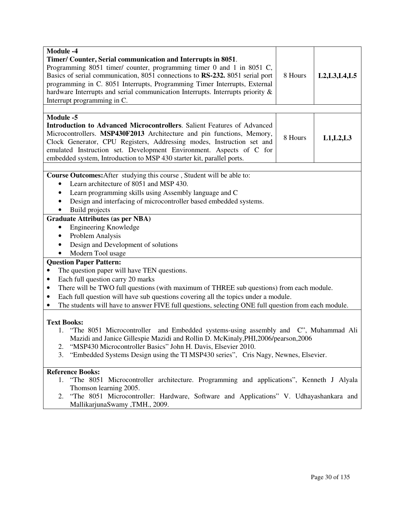| <b>Module -4</b><br>Timer/ Counter, Serial communication and Interrupts in 8051.<br>Programming 8051 timer/ counter, programming timer 0 and 1 in 8051 C,<br>Basics of serial communication, 8051 connections to RS-232. 8051 serial port<br>programming in C. 8051 Interrupts, Programming Timer Interrupts, External<br>hardware Interrupts and serial communication Interrupts. Interrupts priority &<br>Interrupt programming in C. | 8 Hours | L2, L3, L4, L5 |  |  |
|-----------------------------------------------------------------------------------------------------------------------------------------------------------------------------------------------------------------------------------------------------------------------------------------------------------------------------------------------------------------------------------------------------------------------------------------|---------|----------------|--|--|
|                                                                                                                                                                                                                                                                                                                                                                                                                                         |         |                |  |  |
| <b>Module -5</b><br><b>Introduction to Advanced Microcontrollers.</b> Salient Features of Advanced<br>Microcontrollers. MSP430F2013 Architecture and pin functions, Memory,<br>Clock Generator, CPU Registers, Addressing modes, Instruction set and<br>emulated Instruction set. Development Environment. Aspects of C for<br>embedded system, Introduction to MSP 430 starter kit, parallel ports.                                    | 8 Hours | L1, L2, L3     |  |  |
|                                                                                                                                                                                                                                                                                                                                                                                                                                         |         |                |  |  |
| Course Outcomes: After studying this course, Student will be able to:                                                                                                                                                                                                                                                                                                                                                                   |         |                |  |  |
| Learn architecture of 8051 and MSP 430.                                                                                                                                                                                                                                                                                                                                                                                                 |         |                |  |  |
| Learn programming skills using Assembly language and C<br>٠                                                                                                                                                                                                                                                                                                                                                                             |         |                |  |  |
| Design and interfacing of microcontroller based embedded systems.                                                                                                                                                                                                                                                                                                                                                                       |         |                |  |  |
| Build projects                                                                                                                                                                                                                                                                                                                                                                                                                          |         |                |  |  |
| <b>Graduate Attributes (as per NBA)</b>                                                                                                                                                                                                                                                                                                                                                                                                 |         |                |  |  |
| Engineering Knowledge                                                                                                                                                                                                                                                                                                                                                                                                                   |         |                |  |  |
| Problem Analysis                                                                                                                                                                                                                                                                                                                                                                                                                        |         |                |  |  |
| Design and Development of solutions                                                                                                                                                                                                                                                                                                                                                                                                     |         |                |  |  |
| Modern Tool usage                                                                                                                                                                                                                                                                                                                                                                                                                       |         |                |  |  |
| <b>Question Paper Pattern:</b>                                                                                                                                                                                                                                                                                                                                                                                                          |         |                |  |  |
| The question paper will have TEN questions.                                                                                                                                                                                                                                                                                                                                                                                             |         |                |  |  |
| Each full question carry 20 marks<br>$\bullet$                                                                                                                                                                                                                                                                                                                                                                                          |         |                |  |  |
| There will be TWO full questions (with maximum of THREE sub questions) from each module.<br>$\bullet$                                                                                                                                                                                                                                                                                                                                   |         |                |  |  |
| Each full question will have sub questions covering all the topics under a module.<br>$\bullet$                                                                                                                                                                                                                                                                                                                                         |         |                |  |  |
| The students will have to answer FIVE full questions, selecting ONE full question from each module.<br>٠                                                                                                                                                                                                                                                                                                                                |         |                |  |  |
|                                                                                                                                                                                                                                                                                                                                                                                                                                         |         |                |  |  |
| <b>Text Books:</b>                                                                                                                                                                                                                                                                                                                                                                                                                      |         |                |  |  |
| 1. "The 8051 Microcontroller<br>and Embedded systems-using assembly and C", Muhammad Ali                                                                                                                                                                                                                                                                                                                                                |         |                |  |  |
| Mazidi and Janice Gillespie Mazidi and Rollin D. McKinaly, PHI, 2006/pearson, 2006                                                                                                                                                                                                                                                                                                                                                      |         |                |  |  |
| "MSP430 Microcontroller Basics" John H. Davis, Elsevier 2010.<br>2.                                                                                                                                                                                                                                                                                                                                                                     |         |                |  |  |
| "Embedded Systems Design using the TI MSP430 series", Cris Nagy, Newnes, Elsevier.<br>3.                                                                                                                                                                                                                                                                                                                                                |         |                |  |  |
| <b>Reference Books:</b>                                                                                                                                                                                                                                                                                                                                                                                                                 |         |                |  |  |
| "The 8051 Microcontroller architecture. Programming and applications", Kenneth J Alyala<br>1.                                                                                                                                                                                                                                                                                                                                           |         |                |  |  |
| Thomson learning 2005.                                                                                                                                                                                                                                                                                                                                                                                                                  |         |                |  |  |
| "The 8051 Microcontroller: Hardware, Software and Applications" V. Udhayashankara and<br>2.                                                                                                                                                                                                                                                                                                                                             |         |                |  |  |
| MallikarjunaSwamy ,TMH., 2009.                                                                                                                                                                                                                                                                                                                                                                                                          |         |                |  |  |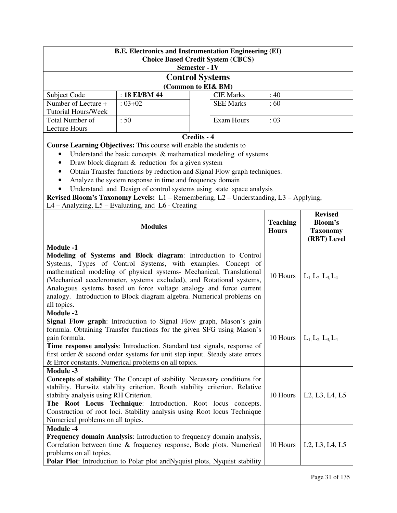| <b>B.E. Electronics and Instrumentation Engineering (EI)</b><br><b>Choice Based Credit System (CBCS)</b><br><b>Semester - IV</b>                                                                                                                                                                                                                                                                                                                                  |                                                                                       |             |                  |                 |                                                                   |  |
|-------------------------------------------------------------------------------------------------------------------------------------------------------------------------------------------------------------------------------------------------------------------------------------------------------------------------------------------------------------------------------------------------------------------------------------------------------------------|---------------------------------------------------------------------------------------|-------------|------------------|-----------------|-------------------------------------------------------------------|--|
|                                                                                                                                                                                                                                                                                                                                                                                                                                                                   | <b>Control Systems</b>                                                                |             |                  |                 |                                                                   |  |
|                                                                                                                                                                                                                                                                                                                                                                                                                                                                   | (Common to EI& BM)                                                                    |             |                  |                 |                                                                   |  |
| Subject Code                                                                                                                                                                                                                                                                                                                                                                                                                                                      | : 18 EI/BM 44                                                                         |             | <b>CIE Marks</b> | :40             |                                                                   |  |
| Number of Lecture +                                                                                                                                                                                                                                                                                                                                                                                                                                               | $: 03 + 02$                                                                           |             | <b>SEE Marks</b> | :60             |                                                                   |  |
| <b>Tutorial Hours/Week</b>                                                                                                                                                                                                                                                                                                                                                                                                                                        |                                                                                       |             |                  |                 |                                                                   |  |
| <b>Total Number of</b>                                                                                                                                                                                                                                                                                                                                                                                                                                            | :50                                                                                   |             | Exam Hours       | : 03            |                                                                   |  |
| <b>Lecture Hours</b>                                                                                                                                                                                                                                                                                                                                                                                                                                              |                                                                                       |             |                  |                 |                                                                   |  |
|                                                                                                                                                                                                                                                                                                                                                                                                                                                                   |                                                                                       | Credits - 4 |                  |                 |                                                                   |  |
|                                                                                                                                                                                                                                                                                                                                                                                                                                                                   | Course Learning Objectives: This course will enable the students to                   |             |                  |                 |                                                                   |  |
|                                                                                                                                                                                                                                                                                                                                                                                                                                                                   | Understand the basic concepts $\&$ mathematical modeling of systems                   |             |                  |                 |                                                                   |  |
| $\bullet$                                                                                                                                                                                                                                                                                                                                                                                                                                                         | Draw block diagram $&$ reduction for a given system                                   |             |                  |                 |                                                                   |  |
| $\bullet$                                                                                                                                                                                                                                                                                                                                                                                                                                                         | Obtain Transfer functions by reduction and Signal Flow graph techniques.              |             |                  |                 |                                                                   |  |
|                                                                                                                                                                                                                                                                                                                                                                                                                                                                   | Analyze the system response in time and frequency domain                              |             |                  |                 |                                                                   |  |
|                                                                                                                                                                                                                                                                                                                                                                                                                                                                   | Understand and Design of control systems using state space analysis                   |             |                  |                 |                                                                   |  |
|                                                                                                                                                                                                                                                                                                                                                                                                                                                                   | Revised Bloom's Taxonomy Levels: L1 - Remembering, L2 - Understanding, L3 - Applying, |             |                  |                 |                                                                   |  |
|                                                                                                                                                                                                                                                                                                                                                                                                                                                                   | L4 – Analyzing, L5 – Evaluating, and L6 - Creating                                    |             |                  |                 |                                                                   |  |
|                                                                                                                                                                                                                                                                                                                                                                                                                                                                   |                                                                                       |             |                  |                 | <b>Revised</b>                                                    |  |
|                                                                                                                                                                                                                                                                                                                                                                                                                                                                   | <b>Modules</b>                                                                        |             |                  | <b>Teaching</b> | <b>Bloom's</b>                                                    |  |
|                                                                                                                                                                                                                                                                                                                                                                                                                                                                   |                                                                                       |             |                  | <b>Hours</b>    | <b>Taxonomy</b>                                                   |  |
|                                                                                                                                                                                                                                                                                                                                                                                                                                                                   |                                                                                       |             |                  |                 | (RBT) Level                                                       |  |
| <b>Module -1</b><br>Modeling of Systems and Block diagram: Introduction to Control<br>Systems, Types of Control Systems, with examples. Concept of<br>mathematical modeling of physical systems- Mechanical, Translational<br>(Mechanical accelerometer, systems excluded), and Rotational systems,<br>Analogous systems based on force voltage analogy and force current<br>analogy. Introduction to Block diagram algebra. Numerical problems on<br>all topics. |                                                                                       |             |                  | 10 Hours        | $L_1, L_2, L_3, L_4$                                              |  |
| <b>Module -2</b><br>Signal Flow graph: Introduction to Signal Flow graph, Mason's gain<br>formula. Obtaining Transfer functions for the given SFG using Mason's<br>gain formula.<br>Time response analysis: Introduction. Standard test signals, response of<br>first order & second order systems for unit step input. Steady state errors<br>& Error constants. Numerical problems on all topics.                                                               |                                                                                       |             |                  | 10 Hours        | $L_1, L_2, L_3, L_4$                                              |  |
| <b>Module -3</b><br>Concepts of stability: The Concept of stability. Necessary conditions for<br>stability. Hurwitz stability criterion. Routh stability criterion. Relative<br>stability analysis using RH Criterion.<br>10 Hours<br>The Root Locus Technique: Introduction. Root locus concepts.<br>Construction of root loci. Stability analysis using Root locus Technique<br>Numerical problems on all topics.                                               |                                                                                       |             |                  |                 | L <sub>2</sub> , L <sub>3</sub> , L <sub>4</sub> , L <sub>5</sub> |  |
| <b>Module -4</b><br>Frequency domain Analysis: Introduction to frequency domain analysis,<br>Correlation between time & frequency response, Bode plots. Numerical<br>10 Hours<br>L <sub>2</sub> , L <sub>3</sub> , L <sub>4</sub> , L <sub>5</sub><br>problems on all topics.<br><b>Polar Plot:</b> Introduction to Polar plot and Nyquist plots, Nyquist stability                                                                                               |                                                                                       |             |                  |                 |                                                                   |  |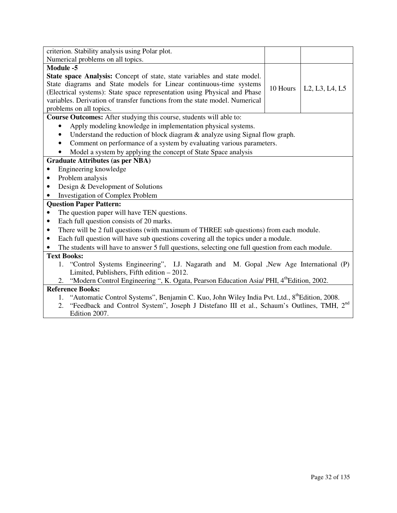| criterion. Stability analysis using Polar plot.                                                             |          |                                                                   |  |  |
|-------------------------------------------------------------------------------------------------------------|----------|-------------------------------------------------------------------|--|--|
| Numerical problems on all topics.                                                                           |          |                                                                   |  |  |
| Module -5                                                                                                   |          |                                                                   |  |  |
| State space Analysis: Concept of state, state variables and state model.                                    |          |                                                                   |  |  |
| State diagrams and State models for Linear continuous-time systems                                          | 10 Hours |                                                                   |  |  |
| (Electrical systems): State space representation using Physical and Phase                                   |          | L <sub>2</sub> , L <sub>3</sub> , L <sub>4</sub> , L <sub>5</sub> |  |  |
| variables. Derivation of transfer functions from the state model. Numerical                                 |          |                                                                   |  |  |
| problems on all topics.                                                                                     |          |                                                                   |  |  |
| Course Outcomes: After studying this course, students will able to:                                         |          |                                                                   |  |  |
| Apply modeling knowledge in implementation physical systems.                                                |          |                                                                   |  |  |
| Understand the reduction of block diagram & analyze using Signal flow graph.<br>$\bullet$                   |          |                                                                   |  |  |
| Comment on performance of a system by evaluating various parameters.<br>$\bullet$                           |          |                                                                   |  |  |
| Model a system by applying the concept of State Space analysis                                              |          |                                                                   |  |  |
| <b>Graduate Attributes (as per NBA)</b>                                                                     |          |                                                                   |  |  |
| Engineering knowledge                                                                                       |          |                                                                   |  |  |
| Problem analysis<br>٠                                                                                       |          |                                                                   |  |  |
| Design & Development of Solutions                                                                           |          |                                                                   |  |  |
| <b>Investigation of Complex Problem</b>                                                                     |          |                                                                   |  |  |
| <b>Question Paper Pattern:</b>                                                                              |          |                                                                   |  |  |
| The question paper will have TEN questions.<br>$\bullet$                                                    |          |                                                                   |  |  |
| Each full question consists of 20 marks.<br>٠                                                               |          |                                                                   |  |  |
| There will be 2 full questions (with maximum of THREE sub questions) from each module.<br>٠                 |          |                                                                   |  |  |
| Each full question will have sub questions covering all the topics under a module.                          |          |                                                                   |  |  |
| The students will have to answer 5 full questions, selecting one full question from each module.            |          |                                                                   |  |  |
| <b>Text Books:</b>                                                                                          |          |                                                                   |  |  |
| 1. "Control Systems Engineering", I.J. Nagarath and M. Gopal ,New Age International (P)                     |          |                                                                   |  |  |
| Limited, Publishers, Fifth edition - 2012.                                                                  |          |                                                                   |  |  |
| "Modern Control Engineering ", K. Ogata, Pearson Education Asia/ PHI, 4 <sup>th</sup> Edition, 2002.<br>2.  |          |                                                                   |  |  |
| <b>Reference Books:</b>                                                                                     |          |                                                                   |  |  |
| 1. "Automatic Control Systems", Benjamin C. Kuo, John Wiley India Pvt. Ltd., 8 <sup>th</sup> Edition, 2008. |          |                                                                   |  |  |

2. "Feedback and Control System", Joseph J Distefano III et al., Schaum's Outlines, TMH, 2<sup>nd</sup> Edition 2007.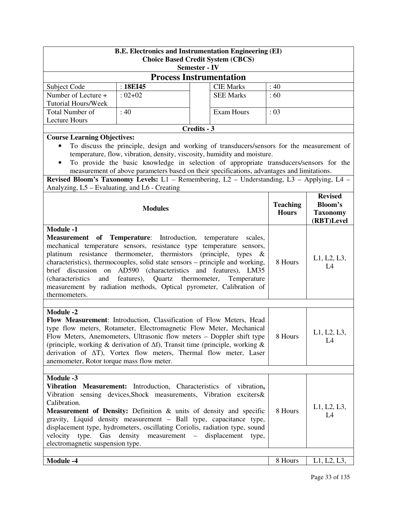| <b>B.E. Electronics and Instrumentation Engineering (EI)</b><br><b>Choice Based Credit System (CBCS)</b><br><b>Semester - IV</b>                                                                                                                                                                                                                                                                                                                                                                                                                                       |                            |                                                                                                                                                                                                                                                                                                                                                                                                                                                              |                                 |                                                            |
|------------------------------------------------------------------------------------------------------------------------------------------------------------------------------------------------------------------------------------------------------------------------------------------------------------------------------------------------------------------------------------------------------------------------------------------------------------------------------------------------------------------------------------------------------------------------|----------------------------|--------------------------------------------------------------------------------------------------------------------------------------------------------------------------------------------------------------------------------------------------------------------------------------------------------------------------------------------------------------------------------------------------------------------------------------------------------------|---------------------------------|------------------------------------------------------------|
|                                                                                                                                                                                                                                                                                                                                                                                                                                                                                                                                                                        |                            | <b>Process Instrumentation</b>                                                                                                                                                                                                                                                                                                                                                                                                                               |                                 |                                                            |
| Subject Code                                                                                                                                                                                                                                                                                                                                                                                                                                                                                                                                                           | : 18EI45                   | <b>CIE Marks</b>                                                                                                                                                                                                                                                                                                                                                                                                                                             | :40                             |                                                            |
| Number of Lecture +<br><b>Tutorial Hours/Week</b>                                                                                                                                                                                                                                                                                                                                                                                                                                                                                                                      | $:02+02$                   | <b>SEE Marks</b>                                                                                                                                                                                                                                                                                                                                                                                                                                             | :60                             |                                                            |
| Total Number of<br><b>Lecture Hours</b>                                                                                                                                                                                                                                                                                                                                                                                                                                                                                                                                | :40                        | Exam Hours                                                                                                                                                                                                                                                                                                                                                                                                                                                   | : 03                            |                                                            |
|                                                                                                                                                                                                                                                                                                                                                                                                                                                                                                                                                                        |                            | Credits - 3                                                                                                                                                                                                                                                                                                                                                                                                                                                  |                                 |                                                            |
| <b>Course Learning Objectives:</b><br>$\bullet$<br>Analyzing, L5 – Evaluating, and L6 - Creating                                                                                                                                                                                                                                                                                                                                                                                                                                                                       |                            | To discuss the principle, design and working of transducers/sensors for the measurement of<br>temperature, flow, vibration, density, viscosity, humidity and moisture.<br>To provide the basic knowledge in selection of appropriate transducers/sensors for the<br>measurement of above parameters based on their specifications, advantages and limitations.<br>Revised Bloom's Taxonomy Levels: L1 - Remembering, L2 - Understanding, L3 - Applying, L4 - |                                 |                                                            |
|                                                                                                                                                                                                                                                                                                                                                                                                                                                                                                                                                                        | <b>Modules</b>             |                                                                                                                                                                                                                                                                                                                                                                                                                                                              | <b>Teaching</b><br><b>Hours</b> | <b>Revised</b><br>Bloom's<br><b>Taxonomy</b><br>(RBT)Level |
| <b>Module -1</b><br>Measurement of Temperature: Introduction, temperature scales,<br>mechanical temperature sensors, resistance type temperature sensors,<br>platinum resistance thermometer, thermistors<br>(principle, types<br>$-\&$<br>characteristics), thermocouples, solid state sensors – principle and working,<br>brief discussion on AD590 (characteristics and features), LM35<br>features), Quartz thermometer,<br><i>(characteristics)</i><br>and<br>Temperature<br>measurement by radiation methods, Optical pyrometer, Calibration of<br>thermometers. |                            |                                                                                                                                                                                                                                                                                                                                                                                                                                                              | 8 Hours                         | L1, L2, L3,<br>L4                                          |
| <b>Module -2</b><br>anemometer, Rotor torque mass flow meter.                                                                                                                                                                                                                                                                                                                                                                                                                                                                                                          |                            | Flow Measurement: Introduction, Classification of Flow Meters, Head<br>type flow meters, Rotameter, Electromagnetic Flow Meter, Mechanical<br>Flow Meters, Anemometers, Ultrasonic flow meters - Doppler shift type<br>(principle, working & derivation of $\Delta f$ ), Transit time (principle, working &<br>derivation of $\Delta T$ ), Vortex flow meters, Thermal flow meter, Laser                                                                     | 8 Hours                         | L1, L2, L3,<br>L4                                          |
| Module -3<br>Calibration.<br>type.<br>velocity<br>electromagnetic suspension type.                                                                                                                                                                                                                                                                                                                                                                                                                                                                                     | Gas density<br>measurement | Vibration Measurement: Introduction, Characteristics of vibration,<br>Vibration sensing devices, Shock measurements, Vibration exciters &<br>Measurement of Density: Definition & units of density and specific<br>gravity, Liquid density measurement - Ball type, capacitance type,<br>displacement type, hydrometers, oscillating Coriolis, radiation type, sound<br>displacement<br>$\hspace{0.1mm}-\hspace{0.1mm}$<br>type,                             | 8 Hours                         | L1, L2, L3,<br>L4                                          |
| <b>Module -4</b>                                                                                                                                                                                                                                                                                                                                                                                                                                                                                                                                                       |                            |                                                                                                                                                                                                                                                                                                                                                                                                                                                              | 8 Hours                         | L1, L2, L3,                                                |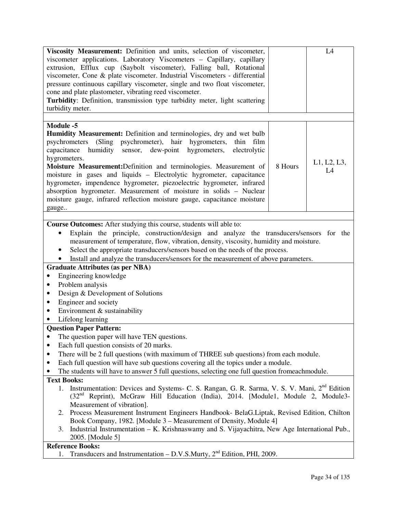| Viscosity Measurement: Definition and units, selection of viscometer,                                         |                                                                                           | L4          |  |  |
|---------------------------------------------------------------------------------------------------------------|-------------------------------------------------------------------------------------------|-------------|--|--|
| viscometer applications. Laboratory Viscometers - Capillary, capillary                                        |                                                                                           |             |  |  |
| extrusion, Efflux cup (Saybolt viscometer), Falling ball, Rotational                                          |                                                                                           |             |  |  |
| viscometer, Cone & plate viscometer. Industrial Viscometers - differential                                    |                                                                                           |             |  |  |
| pressure continuous capillary viscometer, single and two float viscometer,                                    |                                                                                           |             |  |  |
| cone and plate plastometer, vibrating reed viscometer.                                                        |                                                                                           |             |  |  |
| Turbidity: Definition, transmission type turbidity meter, light scattering                                    |                                                                                           |             |  |  |
|                                                                                                               |                                                                                           |             |  |  |
| turbidity meter.                                                                                              |                                                                                           |             |  |  |
|                                                                                                               |                                                                                           |             |  |  |
| Module -5                                                                                                     |                                                                                           |             |  |  |
| Humidity Measurement: Definition and terminologies, dry and wet bulb                                          |                                                                                           |             |  |  |
| psychrometers (Sling psychrometer), hair hygrometers,<br>thin film                                            |                                                                                           |             |  |  |
| humidity<br>sensor, dew-point hygrometers,<br>capacitance<br>electrolytic                                     |                                                                                           |             |  |  |
| hygrometers.                                                                                                  |                                                                                           |             |  |  |
| Moisture Measurement: Definition and terminologies. Measurement of                                            | 8 Hours                                                                                   | L1, L2, L3, |  |  |
| moisture in gases and liquids – Electrolytic hygrometer, capacitance                                          |                                                                                           | L4          |  |  |
| hygrometer, impendence hygrometer, piezoelectric hygrometer, infrared                                         |                                                                                           |             |  |  |
|                                                                                                               |                                                                                           |             |  |  |
| absorption hygrometer. Measurement of moisture in solids - Nuclear                                            |                                                                                           |             |  |  |
| moisture gauge, infrared reflection moisture gauge, capacitance moisture                                      |                                                                                           |             |  |  |
| gauge                                                                                                         |                                                                                           |             |  |  |
|                                                                                                               |                                                                                           |             |  |  |
| Course Outcomes: After studying this course, students will able to:                                           |                                                                                           |             |  |  |
| Explain the principle, construction/design and analyze the transducers/sensors for the<br>٠                   |                                                                                           |             |  |  |
| measurement of temperature, flow, vibration, density, viscosity, humidity and moisture.                       |                                                                                           |             |  |  |
| Select the appropriate transducers/sensors based on the needs of the process.                                 |                                                                                           |             |  |  |
| Install and analyze the transducers/sensors for the measurement of above parameters.                          |                                                                                           |             |  |  |
|                                                                                                               |                                                                                           |             |  |  |
| <b>Graduate Attributes (as per NBA)</b>                                                                       |                                                                                           |             |  |  |
| Engineering knowledge                                                                                         |                                                                                           |             |  |  |
| Problem analysis<br>٠                                                                                         |                                                                                           |             |  |  |
| Design & Development of Solutions<br>٠                                                                        |                                                                                           |             |  |  |
| Engineer and society<br>٠                                                                                     |                                                                                           |             |  |  |
| Environment & sustainability<br>٠                                                                             |                                                                                           |             |  |  |
| Lifelong learning                                                                                             |                                                                                           |             |  |  |
| <b>Question Paper Pattern:</b>                                                                                |                                                                                           |             |  |  |
| The question paper will have TEN questions.                                                                   |                                                                                           |             |  |  |
|                                                                                                               |                                                                                           |             |  |  |
| Each full question consists of 20 marks.                                                                      |                                                                                           |             |  |  |
| There will be 2 full questions (with maximum of THREE sub questions) from each module.<br>٠                   |                                                                                           |             |  |  |
| Each full question will have sub questions covering all the topics under a module.<br>٠                       |                                                                                           |             |  |  |
| The students will have to answer 5 full questions, selecting one full question from each module.              |                                                                                           |             |  |  |
| <b>Text Books:</b>                                                                                            |                                                                                           |             |  |  |
| Instrumentation: Devices and Systems- C. S. Rangan, G. R. Sarma, V. S. V. Mani, 2 <sup>nd</sup> Edition<br>1. |                                                                                           |             |  |  |
| (32 <sup>nd</sup> Reprint), McGraw Hill Education (India), 2014. [Module1, Module 2, Module3-                 |                                                                                           |             |  |  |
| Measurement of vibration].                                                                                    |                                                                                           |             |  |  |
| 2.                                                                                                            |                                                                                           |             |  |  |
| Book Company, 1982. [Module 3 – Measurement of Density, Module 4]                                             | Process Measurement Instrument Engineers Handbook- BelaG.Liptak, Revised Edition, Chilton |             |  |  |
|                                                                                                               |                                                                                           |             |  |  |
| Industrial Instrumentation – K. Krishnaswamy and S. Vijayachitra, New Age International Pub.,<br>3.           |                                                                                           |             |  |  |
| 2005. [Module 5]                                                                                              |                                                                                           |             |  |  |
| <b>Reference Books:</b>                                                                                       |                                                                                           |             |  |  |
| Transducers and Instrumentation - D.V.S.Murty, 2 <sup>nd</sup> Edition, PHI, 2009.<br>1.                      |                                                                                           |             |  |  |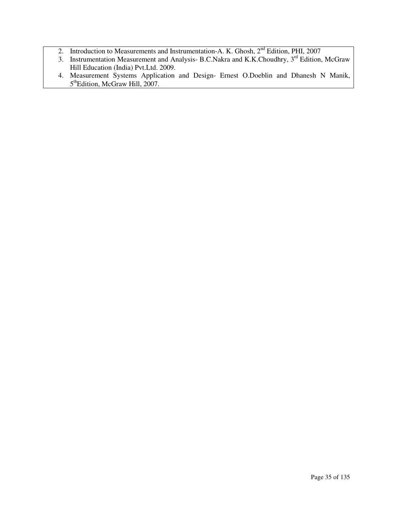- 2. Introduction to Measurements and Instrumentation-A. K. Ghosh,  $2<sup>nd</sup>$  Edition, PHI, 2007
- 3. Instrumentation Measurement and Analysis- B.C.Nakra and K.K.Choudhry, 3<sup>rd</sup> Edition, McGraw Hill Education (India) Pvt.Ltd. 2009.
- 4. Measurement Systems Application and Design- Ernest O.Doeblin and Dhanesh N Manik, 5<sup>th</sup>Edition, McGraw Hill, 2007.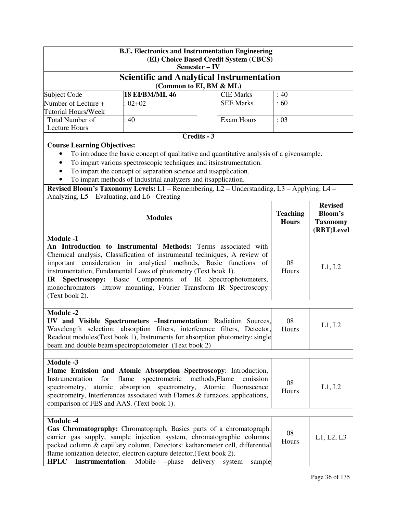|                                                                                                                                                                                                                                                                                                                                                                                                                                                                             | <b>B.E. Electronics and Instrumentation Engineering</b><br>Semester - IV                                                                                                                                                                                                                             |             | (EI) Choice Based Credit System (CBCS) |                                 |                                                                   |
|-----------------------------------------------------------------------------------------------------------------------------------------------------------------------------------------------------------------------------------------------------------------------------------------------------------------------------------------------------------------------------------------------------------------------------------------------------------------------------|------------------------------------------------------------------------------------------------------------------------------------------------------------------------------------------------------------------------------------------------------------------------------------------------------|-------------|----------------------------------------|---------------------------------|-------------------------------------------------------------------|
|                                                                                                                                                                                                                                                                                                                                                                                                                                                                             | <b>Scientific and Analytical Instrumentation</b>                                                                                                                                                                                                                                                     |             |                                        |                                 |                                                                   |
|                                                                                                                                                                                                                                                                                                                                                                                                                                                                             | (Common to EI, BM & ML)                                                                                                                                                                                                                                                                              |             |                                        |                                 |                                                                   |
| Subject Code                                                                                                                                                                                                                                                                                                                                                                                                                                                                | <b>18 EI/BM/ML 46</b>                                                                                                                                                                                                                                                                                |             | <b>CIE Marks</b>                       | :40                             |                                                                   |
| Number of Lecture +<br><b>Tutorial Hours/Week</b>                                                                                                                                                                                                                                                                                                                                                                                                                           | $02 + 02$                                                                                                                                                                                                                                                                                            |             | <b>SEE Marks</b>                       | :60                             |                                                                   |
| Total Number of                                                                                                                                                                                                                                                                                                                                                                                                                                                             | 40                                                                                                                                                                                                                                                                                                   |             | Exam Hours                             | : 03                            |                                                                   |
| <b>Lecture Hours</b>                                                                                                                                                                                                                                                                                                                                                                                                                                                        |                                                                                                                                                                                                                                                                                                      |             |                                        |                                 |                                                                   |
|                                                                                                                                                                                                                                                                                                                                                                                                                                                                             |                                                                                                                                                                                                                                                                                                      | Credits - 3 |                                        |                                 |                                                                   |
| <b>Course Learning Objectives:</b><br>$\bullet$<br>$\bullet$<br>Revised Bloom's Taxonomy Levels: L1 - Remembering, L2 - Understanding, L3 - Applying, L4 -                                                                                                                                                                                                                                                                                                                  | To introduce the basic concept of qualitative and quantitative analysis of a given sample.<br>To impart various spectroscopic techniques and itsinstrumentation.<br>To impart the concept of separation science and itsapplication.<br>To impart methods of Industrial analyzers and itsapplication. |             |                                        |                                 |                                                                   |
| Analyzing, L5 – Evaluating, and L6 - Creating                                                                                                                                                                                                                                                                                                                                                                                                                               | <b>Modules</b>                                                                                                                                                                                                                                                                                       |             |                                        | <b>Teaching</b><br><b>Hours</b> | <b>Revised</b><br><b>Bloom's</b><br><b>Taxonomy</b><br>(RBT)Level |
| <b>Module -1</b><br>An Introduction to Instrumental Methods: Terms associated with<br>Chemical analysis, Classification of instrumental techniques, A review of<br>important consideration in analytical methods, Basic functions of<br>instrumentation, Fundamental Laws of photometry (Text book 1).<br>Components of IR Spectrophotometers,<br><b>Spectroscopy:</b> Basic<br>IR<br>monochromators- littrow mounting, Fourier Transform IR Spectroscopy<br>(Text book 2). |                                                                                                                                                                                                                                                                                                      |             | 08<br>Hours                            | L1, L2                          |                                                                   |
| <b>Module -2</b><br>UV and Visible Spectrometers - Instrumentation: Radiation Sources,<br>Wavelength selection: absorption filters, interference filters, Detector,<br>Readout modules(Text book 1), Instruments for absorption photometry: single<br>beam and double beam spectrophotometer. (Text book 2)                                                                                                                                                                 |                                                                                                                                                                                                                                                                                                      |             |                                        | 08<br>Hours                     | L1, L2                                                            |
| Module -3                                                                                                                                                                                                                                                                                                                                                                                                                                                                   |                                                                                                                                                                                                                                                                                                      |             |                                        |                                 |                                                                   |
| Flame Emission and Atomic Absorption Spectroscopy: Introduction,<br>spectrometric<br>Instrumentation<br>for<br>flame<br>methods, Flame<br>emission<br>08<br>absorption spectrometry, Atomic fluorescence<br>atomic<br>L1, L2<br>spectrometry,<br>Hours<br>spectrometry, Interferences associated with Flames & furnaces, applications,<br>comparison of FES and AAS. (Text book 1).                                                                                         |                                                                                                                                                                                                                                                                                                      |             |                                        |                                 |                                                                   |
| Module -4<br>Gas Chromatography: Chromatograph, Basics parts of a chromatograph:<br>carrier gas supply, sample injection system, chromatographic columns:<br>packed column & capillary column, Detectors: katharometer cell, differential<br>flame ionization detector, electron capture detector.(Text book 2).<br><b>HPLC</b><br><b>Instrumentation:</b>                                                                                                                  | Mobile -phase                                                                                                                                                                                                                                                                                        | delivery    | system<br>sample                       | 08<br>Hours                     | L1, L2, L3                                                        |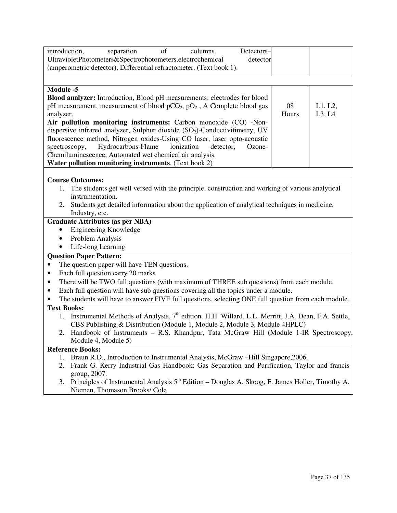| of<br>introduction,<br>separation<br>columns,<br>Detectors-<br>UltravioletPhotometers&Spectrophotometers,electrochemical<br>detector<br>(amperometric detector), Differential refractometer. (Text book 1).                                                                                                                                                                                                                                                                                                                                                                                                                                            |             |                   |
|--------------------------------------------------------------------------------------------------------------------------------------------------------------------------------------------------------------------------------------------------------------------------------------------------------------------------------------------------------------------------------------------------------------------------------------------------------------------------------------------------------------------------------------------------------------------------------------------------------------------------------------------------------|-------------|-------------------|
| <b>Module -5</b><br>Blood analyzer: Introduction, Blood pH measurements: electrodes for blood<br>pH measurement, measurement of blood pCO <sub>2</sub> , pO <sub>2</sub> , A Complete blood gas<br>analyzer.<br>Air pollution monitoring instruments: Carbon monoxide (CO) -Non-<br>dispersive infrared analyzer, Sulphur dioxide (SO <sub>2</sub> )-Conductivitimetry, UV<br>fluorescence method, Nitrogen oxides-Using CO laser, laser opto-acoustic<br>Hydrocarbons-Flame<br>ionization<br>detector,<br>Ozone-<br>spectroscopy,<br>Chemiluminescence, Automated wet chemical air analysis,<br>Water pollution monitoring instruments. (Text book 2) | 08<br>Hours | L1, L2,<br>L3, L4 |
| <b>Course Outcomes:</b><br>The students get well versed with the principle, construction and working of various analytical<br>1.<br>instrumentation.<br>Students get detailed information about the application of analytical techniques in medicine,<br>2.<br>Industry, etc.<br><b>Graduate Attributes (as per NBA)</b><br><b>Engineering Knowledge</b><br>$\bullet$<br>Problem Analysis<br>$\bullet$                                                                                                                                                                                                                                                 |             |                   |
| Life-long Learning<br><b>Question Paper Pattern:</b><br>The question paper will have TEN questions.<br>٠<br>Each full question carry 20 marks<br>$\bullet$<br>There will be TWO full questions (with maximum of THREE sub questions) from each module.<br>٠                                                                                                                                                                                                                                                                                                                                                                                            |             |                   |
| Each full question will have sub questions covering all the topics under a module.<br>$\bullet$<br>The students will have to answer FIVE full questions, selecting ONE full question from each module.<br><b>Text Books:</b><br>Instrumental Methods of Analysis, 7 <sup>th</sup> edition. H.H. Willard, L.L. Merritt, J.A. Dean, F.A. Settle,<br>1.<br>CBS Publishing & Distribution (Module 1, Module 2, Module 3, Module 4HPLC)<br>2. Handbook of Instruments - R.S. Khandpur, Tata McGraw Hill (Module 1-IR Spectroscopy,<br>Module 4, Module 5)                                                                                                   |             |                   |
| <b>Reference Books:</b><br>Braun R.D., Introduction to Instrumental Analysis, McGraw -Hill Singapore, 2006.<br>1.<br>Frank G. Kerry Industrial Gas Handbook: Gas Separation and Purification, Taylor and francis<br>2.<br>group, 2007.<br>Principles of Instrumental Analysis $5th$ Edition – Douglas A. Skoog, F. James Holler, Timothy A.<br>3.<br>Niemen, Thomason Brooks/ Cole                                                                                                                                                                                                                                                                     |             |                   |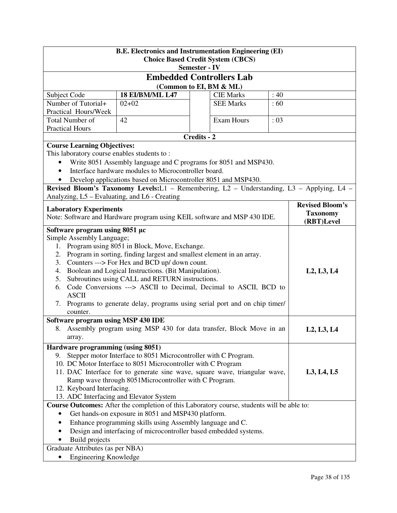| <b>B.E. Electronics and Instrumentation Engineering (EI)</b><br><b>Choice Based Credit System (CBCS)</b><br><b>Semester - IV</b>                                                            |                                                                                                                                                                                                                                                                                          |             |                                 |                        |            |
|---------------------------------------------------------------------------------------------------------------------------------------------------------------------------------------------|------------------------------------------------------------------------------------------------------------------------------------------------------------------------------------------------------------------------------------------------------------------------------------------|-------------|---------------------------------|------------------------|------------|
|                                                                                                                                                                                             |                                                                                                                                                                                                                                                                                          |             | <b>Embedded Controllers Lab</b> |                        |            |
|                                                                                                                                                                                             |                                                                                                                                                                                                                                                                                          |             | (Common to EI, BM & ML)         |                        |            |
| Subject Code                                                                                                                                                                                | <b>18 EI/BM/ML L47</b>                                                                                                                                                                                                                                                                   |             | <b>CIE Marks</b>                | :40                    |            |
| Number of Tutorial+                                                                                                                                                                         | $02 + 02$                                                                                                                                                                                                                                                                                |             | <b>SEE Marks</b>                | :60                    |            |
| Practical Hours/Week                                                                                                                                                                        |                                                                                                                                                                                                                                                                                          |             |                                 |                        |            |
| Total Number of                                                                                                                                                                             | 42                                                                                                                                                                                                                                                                                       |             | Exam Hours                      | $\div 03$              |            |
| <b>Practical Hours</b>                                                                                                                                                                      |                                                                                                                                                                                                                                                                                          |             |                                 |                        |            |
|                                                                                                                                                                                             |                                                                                                                                                                                                                                                                                          | Credits - 2 |                                 |                        |            |
| <b>Course Learning Objectives:</b><br>This laboratory course enables students to:<br>$\bullet$                                                                                              | Write 8051 Assembly language and C programs for 8051 and MSP430.<br>Interface hardware modules to Microcontroller board.<br>Develop applications based on Microcontroller 8051 and MSP430.<br>Revised Bloom's Taxonomy Levels: L1 - Remembering, L2 - Understanding, L3 - Applying, L4 - |             |                                 |                        |            |
| Analyzing, L5 – Evaluating, and L6 - Creating<br><b>Laboratory Experiments</b><br><b>Taxonomy</b><br>Note: Software and Hardware program using KEIL software and MSP 430 IDE.<br>(RBT)Level |                                                                                                                                                                                                                                                                                          |             |                                 | <b>Revised Bloom's</b> |            |
| Software program using 8051 μc                                                                                                                                                              |                                                                                                                                                                                                                                                                                          |             |                                 |                        |            |
| Simple Assembly Language;                                                                                                                                                                   |                                                                                                                                                                                                                                                                                          |             |                                 |                        |            |
|                                                                                                                                                                                             | 1. Program using 8051 in Block, Move, Exchange.                                                                                                                                                                                                                                          |             |                                 |                        |            |
| 2.                                                                                                                                                                                          | Program in sorting, finding largest and smallest element in an array.                                                                                                                                                                                                                    |             |                                 |                        |            |
| 3.                                                                                                                                                                                          | Counters ---> For Hex and BCD up/ down count.                                                                                                                                                                                                                                            |             |                                 |                        |            |
| 4.                                                                                                                                                                                          | Boolean and Logical Instructions. (Bit Manipulation).                                                                                                                                                                                                                                    |             |                                 |                        | L2, L3, L4 |
| 5.                                                                                                                                                                                          | Subroutines using CALL and RETURN instructions.                                                                                                                                                                                                                                          |             |                                 |                        |            |
| 6.<br><b>ASCII</b>                                                                                                                                                                          | Code Conversions ---> ASCII to Decimal, Decimal to ASCII, BCD to                                                                                                                                                                                                                         |             |                                 |                        |            |
| 7.<br>counter.                                                                                                                                                                              | Programs to generate delay, programs using serial port and on chip timer/                                                                                                                                                                                                                |             |                                 |                        |            |
| Software program using MSP 430 IDE                                                                                                                                                          |                                                                                                                                                                                                                                                                                          |             |                                 |                        |            |
| array.                                                                                                                                                                                      | 8. Assembly program using MSP 430 for data transfer, Block Move in an                                                                                                                                                                                                                    |             |                                 |                        | L2, L3, L4 |
| Hardware programming (using 8051)                                                                                                                                                           |                                                                                                                                                                                                                                                                                          |             |                                 |                        |            |
| 9.                                                                                                                                                                                          | Stepper motor Interface to 8051 Microcontroller with C Program.                                                                                                                                                                                                                          |             |                                 |                        |            |
|                                                                                                                                                                                             | 10. DC Motor Interface to 8051 Microcontroller with C Program                                                                                                                                                                                                                            |             |                                 |                        |            |
|                                                                                                                                                                                             |                                                                                                                                                                                                                                                                                          |             |                                 |                        | L3, L4, L5 |
|                                                                                                                                                                                             | 11. DAC Interface for to generate sine wave, square wave, triangular wave,<br>Ramp wave through 8051Microcontroller with C Program.                                                                                                                                                      |             |                                 |                        |            |
| 12. Keyboard Interfacing.                                                                                                                                                                   |                                                                                                                                                                                                                                                                                          |             |                                 |                        |            |
| 13. ADC Interfacing and Elevator System                                                                                                                                                     |                                                                                                                                                                                                                                                                                          |             |                                 |                        |            |
| Course Outcomes: After the completion of this Laboratory course, students will be able to:                                                                                                  |                                                                                                                                                                                                                                                                                          |             |                                 |                        |            |
|                                                                                                                                                                                             | Get hands-on exposure in 8051 and MSP430 platform.                                                                                                                                                                                                                                       |             |                                 |                        |            |
| Enhance programming skills using Assembly language and C.                                                                                                                                   |                                                                                                                                                                                                                                                                                          |             |                                 |                        |            |
| Design and interfacing of microcontroller based embedded systems.                                                                                                                           |                                                                                                                                                                                                                                                                                          |             |                                 |                        |            |
| <b>Build</b> projects                                                                                                                                                                       |                                                                                                                                                                                                                                                                                          |             |                                 |                        |            |
| Graduate Attributes (as per NBA)                                                                                                                                                            |                                                                                                                                                                                                                                                                                          |             |                                 |                        |            |
| <b>Engineering Knowledge</b>                                                                                                                                                                |                                                                                                                                                                                                                                                                                          |             |                                 |                        |            |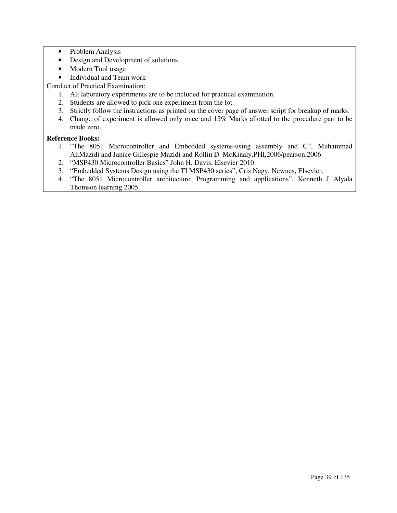- Problem Analysis
- Design and Development of solutions
- Modern Tool usage
- Individual and Team work

Conduct of Practical Examination:

- 1. All laboratory experiments are to be included for practical examination.
- 2. Students are allowed to pick one experiment from the lot.
- 3. Strictly follow the instructions as printed on the cover page of answer script for breakup of marks.
- 4. Change of experiment is allowed only once and 15% Marks allotted to the procedure part to be made zero.

- 1. "The 8051 Microcontroller and Embedded systems-using assembly and C", Muhammad AliMazidi and Janice Gillespie Mazidi and Rollin D. McKinaly,PHI,2006/pearson,2006
- 2. "MSP430 Microcontroller Basics" John H. Davis, Elsevier 2010.
- 3. "Embedded Systems Design using the TI MSP430 series", Cris Nagy, Newnes, Elsevier.
- 4. "The 8051 Microcontroller architecture. Programming and applications", Kenneth J Alyala Thomson learning 2005.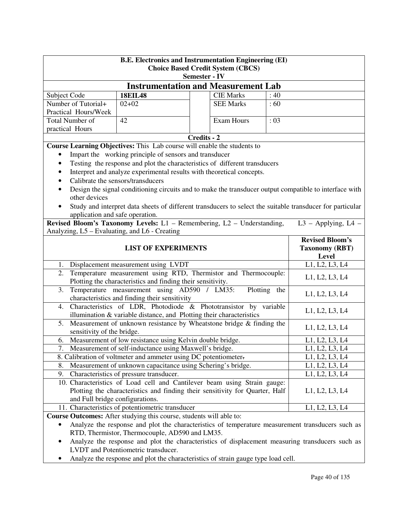| <b>B.E. Electronics and Instrumentation Engineering (EI)</b><br><b>Choice Based Credit System (CBCS)</b><br><b>Semester - IV</b>          |                                                                                                                                              |             |                   |              |                                                                                                        |
|-------------------------------------------------------------------------------------------------------------------------------------------|----------------------------------------------------------------------------------------------------------------------------------------------|-------------|-------------------|--------------|--------------------------------------------------------------------------------------------------------|
|                                                                                                                                           | <b>Instrumentation and Measurement Lab</b>                                                                                                   |             |                   |              |                                                                                                        |
| Subject Code                                                                                                                              | <b>18EIL48</b>                                                                                                                               |             | <b>CIE Marks</b>  | :40          |                                                                                                        |
| Number of Tutorial+                                                                                                                       | $02 + 02$                                                                                                                                    |             | <b>SEE Marks</b>  | :60          |                                                                                                        |
| Practical Hours/Week                                                                                                                      |                                                                                                                                              |             |                   |              |                                                                                                        |
| Total Number of                                                                                                                           | 42                                                                                                                                           |             | <b>Exam Hours</b> | : 03         |                                                                                                        |
| practical Hours                                                                                                                           |                                                                                                                                              |             |                   |              |                                                                                                        |
|                                                                                                                                           |                                                                                                                                              | Credits - 2 |                   |              |                                                                                                        |
|                                                                                                                                           | Course Learning Objectives: This Lab course will enable the students to                                                                      |             |                   |              |                                                                                                        |
|                                                                                                                                           | Impart the working principle of sensors and transducer                                                                                       |             |                   |              |                                                                                                        |
|                                                                                                                                           | Testing the response and plot the characteristics of different transducers                                                                   |             |                   |              |                                                                                                        |
| $\bullet$                                                                                                                                 | Interpret and analyze experimental results with theoretical concepts.                                                                        |             |                   |              |                                                                                                        |
|                                                                                                                                           | Calibrate the sensors/transducers                                                                                                            |             |                   |              |                                                                                                        |
|                                                                                                                                           |                                                                                                                                              |             |                   |              | Design the signal conditioning circuits and to make the transducer output compatible to interface with |
| other devices                                                                                                                             |                                                                                                                                              |             |                   |              |                                                                                                        |
|                                                                                                                                           | Study and interpret data sheets of different transducers to select the suitable transducer for particular                                    |             |                   |              |                                                                                                        |
| application and safe operation.                                                                                                           |                                                                                                                                              |             |                   |              |                                                                                                        |
|                                                                                                                                           | Revised Bloom's Taxonomy Levels: L1 - Remembering, L2 - Understanding,                                                                       |             |                   |              | $L3$ – Applying, $L4$ –                                                                                |
| Analyzing, L5 – Evaluating, and L6 - Creating                                                                                             |                                                                                                                                              |             |                   |              |                                                                                                        |
|                                                                                                                                           |                                                                                                                                              |             |                   |              | <b>Revised Bloom's</b>                                                                                 |
|                                                                                                                                           | <b>LIST OF EXPERIMENTS</b><br><b>Taxonomy (RBT)</b>                                                                                          |             |                   |              |                                                                                                        |
|                                                                                                                                           |                                                                                                                                              |             |                   | <b>Level</b> |                                                                                                        |
|                                                                                                                                           | 1. Displacement measurement using LVDT                                                                                                       |             |                   |              | L1, L2, L3, L4                                                                                         |
| 2.                                                                                                                                        | Temperature measurement using RTD, Thermistor and Thermocouple:                                                                              |             |                   |              | L1, L2, L3, L4                                                                                         |
|                                                                                                                                           | Plotting the characteristics and finding their sensitivity.                                                                                  |             |                   |              |                                                                                                        |
| 3.                                                                                                                                        | Temperature measurement using AD590 / LM35:                                                                                                  |             |                   | Plotting the | L1, L2, L3, L4                                                                                         |
|                                                                                                                                           | characteristics and finding their sensitivity                                                                                                |             |                   |              |                                                                                                        |
| 4.                                                                                                                                        | Characteristics of LDR, Photodiode & Phototransistor by variable                                                                             |             |                   |              | L1, L2, L3, L4                                                                                         |
| 5.                                                                                                                                        | illumination & variable distance, and Plotting their characteristics<br>Measurement of unknown resistance by Wheatstone bridge & finding the |             |                   |              |                                                                                                        |
| sensitivity of the bridge.                                                                                                                |                                                                                                                                              |             |                   |              | L1, L2, L3, L4                                                                                         |
| 6.                                                                                                                                        | Measurement of low resistance using Kelvin double bridge.                                                                                    |             |                   |              | L1, L2, L3, L4                                                                                         |
| 7.                                                                                                                                        | Measurement of self-inductance using Maxwell's bridge.                                                                                       |             |                   |              | L1, L2, L3, L4                                                                                         |
|                                                                                                                                           | 8. Calibration of voltmeter and ammeter using DC potentiometer.                                                                              |             |                   |              | L1, L2, L3, L4                                                                                         |
| 8.                                                                                                                                        | Measurement of unknown capacitance using Schering's bridge.                                                                                  |             |                   |              | L1, L2, L3, L4                                                                                         |
|                                                                                                                                           |                                                                                                                                              |             |                   |              |                                                                                                        |
|                                                                                                                                           | L1, L2, L3, L4<br>9. Characteristics of pressure transducer.<br>10. Characteristics of Load cell and Cantilever beam using Strain gauge:     |             |                   |              |                                                                                                        |
|                                                                                                                                           |                                                                                                                                              |             |                   |              |                                                                                                        |
| Plotting the characteristics and finding their sensitivity for Quarter, Half<br>L1, L2, L3, L4<br>and Full bridge configurations.         |                                                                                                                                              |             |                   |              |                                                                                                        |
|                                                                                                                                           |                                                                                                                                              |             |                   |              |                                                                                                        |
| 11. Characteristics of potentiometric transducer<br>L1, L2, L3, L4<br>Course Outcomes: After studying this course, students will able to: |                                                                                                                                              |             |                   |              |                                                                                                        |
| ٠                                                                                                                                         | Analyze the response and plot the characteristics of temperature measurement transducers such as                                             |             |                   |              |                                                                                                        |
|                                                                                                                                           | RTD, Thermistor, Thermocouple, AD590 and LM35.                                                                                               |             |                   |              |                                                                                                        |
|                                                                                                                                           |                                                                                                                                              |             |                   |              |                                                                                                        |
| Analyze the response and plot the characteristics of displacement measuring transducers such as<br>LVDT and Potentiometric transducer.    |                                                                                                                                              |             |                   |              |                                                                                                        |

• Analyze the response and plot the characteristics of strain gauge type load cell.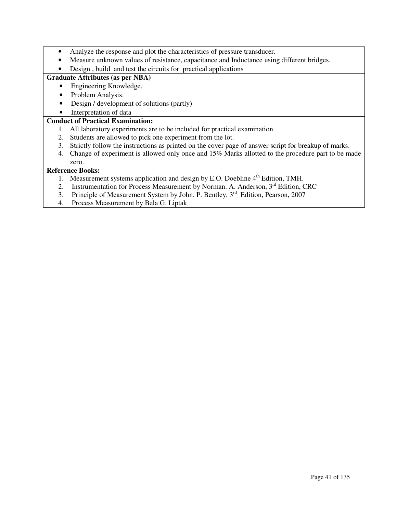- Analyze the response and plot the characteristics of pressure transducer.
- Measure unknown values of resistance, capacitance and Inductance using different bridges.
- Design , build and test the circuits for practical applications

### **Graduate Attributes (as per NBA)**

- Engineering Knowledge.
- Problem Analysis.
- Design / development of solutions (partly)
- Interpretation of data

### **Conduct of Practical Examination:**

- 1. All laboratory experiments are to be included for practical examination.
- 2. Students are allowed to pick one experiment from the lot.
- 3. Strictly follow the instructions as printed on the cover page of answer script for breakup of marks.
- 4. Change of experiment is allowed only once and 15% Marks allotted to the procedure part to be made zero.

- 1. Measurement systems application and design by E.O. Doebline  $4<sup>th</sup>$  Edition, TMH.
- 2. Instrumentation for Process Measurement by Norman. A. Anderson, 3<sup>rd</sup> Edition, CRC
- 3. Principle of Measurement System by John. P. Bentley, 3<sup>rd</sup> Edition, Pearson, 2007
- 4. Process Measurement by Bela G. Liptak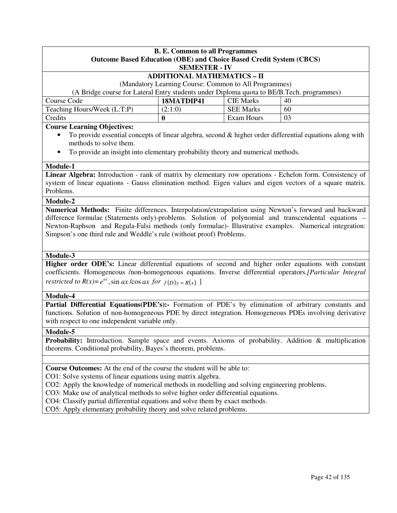| <b>B. E. Common to all Programmes</b>                                                     |                  |                  |    |  |  |  |  |
|-------------------------------------------------------------------------------------------|------------------|------------------|----|--|--|--|--|
| <b>Outcome Based Education (OBE) and Choice Based Credit System (CBCS)</b>                |                  |                  |    |  |  |  |  |
| <b>SEMESTER - IV</b>                                                                      |                  |                  |    |  |  |  |  |
| <b>ADDITIONAL MATHEMATICS - II</b>                                                        |                  |                  |    |  |  |  |  |
| (Mandatory Learning Course: Common to All Programmes)                                     |                  |                  |    |  |  |  |  |
| (A Bridge course for Lateral Entry students under Diploma quota to BE/B.Tech. programmes) |                  |                  |    |  |  |  |  |
| Course Code                                                                               | 18MATDIP41       | <b>CIE Marks</b> | 40 |  |  |  |  |
| <b>SEE Marks</b><br>Teaching Hours/Week (L:T:P)<br>(2:1:0)<br>60                          |                  |                  |    |  |  |  |  |
| Credits                                                                                   | Exam Hours<br>03 |                  |    |  |  |  |  |
| $\sim$<br>$\sim$ $\sim$                                                                   |                  |                  |    |  |  |  |  |

### **Course Learning Objectives:**

- To provide essential concepts of linear algebra, second  $\&$  higher order differential equations along with methods to solve them.
- To provide an insight into elementary probability theory and numerical methods.

#### **Module-1**

**Linear Algebra:** Introduction - rank of matrix by elementary row operations - Echelon form. Consistency of system of linear equations - Gauss elimination method. Eigen values and eigen vectors of a square matrix. Problems.

#### **Module-2**

**Numerical Methods:** Finite differences. Interpolation/extrapolation using Newton's forward and backward difference formulae (Statements only)-problems. Solution of polynomial and transcendental equations – Newton-Raphson and Regula-Falsi methods (only formulae)- Illustrative examples. Numerical integration: Simpson's one third rule and Weddle's rule (without proof) Problems.

### **Module-3**

**Higher order ODE's:** Linear differential equations of second and higher order equations with constant coefficients. Homogeneous /non-homogeneous equations. Inverse differential operators*.[Particular Integral restricted to*  $R(x) = e^{ax}$ ,  $\sin ax \cos ax$  *for*  $f(D)y = R(x)$ .

#### **Module-4**

**Partial Differential Equations(PDE's):** Formation of PDE's by elimination of arbitrary constants and functions. Solution of non-homogeneous PDE by direct integration. Homogeneous PDEs involving derivative with respect to one independent variable only.

#### **Module-5**

**Probability:** Introduction. Sample space and events. Axioms of probability. Addition & multiplication theorems. Conditional probability, Bayes's theorem, problems.

**Course Outcomes:** At the end of the course the student will be able to:

CO1: Solve systems of linear equations using matrix algebra.

CO2: Apply the knowledge of numerical methods in modelling and solving engineering problems.

CO3: Make use of analytical methods to solve higher order differential equations.

CO4: Classify partial differential equations and solve them by exact methods.

CO5: Apply elementary probability theory and solve related problems.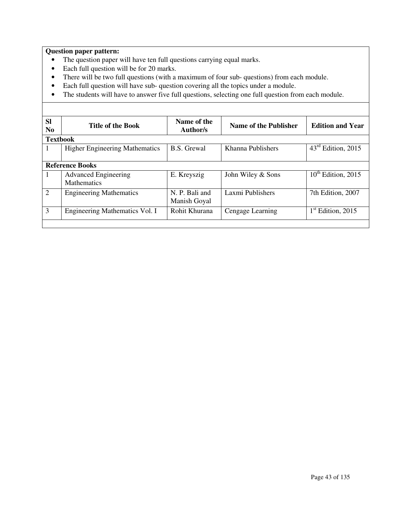### **Question paper pattern:**

- The question paper will have ten full questions carrying equal marks.
- Each full question will be for 20 marks.
- There will be two full questions (with a maximum of four sub- questions) from each module.
- Each full question will have sub- question covering all the topics under a module.

• The students will have to answer five full questions, selecting one full question from each module.

| <b>SI</b><br>N <sub>0</sub> | <b>Title of the Book</b>                          | Name of the<br>Author/s        | Name of the Publisher | <b>Edition and Year</b>                |  |  |
|-----------------------------|---------------------------------------------------|--------------------------------|-----------------------|----------------------------------------|--|--|
|                             | <b>Textbook</b>                                   |                                |                       |                                        |  |  |
|                             | <b>Higher Engineering Mathematics</b>             | <b>B.S.</b> Grewal             | Khanna Publishers     | $43^{\text{rd}}$<br>Edition, 2015      |  |  |
|                             | <b>Reference Books</b>                            |                                |                       |                                        |  |  |
|                             | <b>Advanced Engineering</b><br><b>Mathematics</b> | E. Kreyszig                    | John Wiley & Sons     | $10th$ Edition, 2015                   |  |  |
| 2                           | <b>Engineering Mathematics</b>                    | N. P. Bali and<br>Manish Goyal | Laxmi Publishers      | 7th Edition, 2007                      |  |  |
| 3                           | Engineering Mathematics Vol. I                    | Rohit Khurana                  | Cengage Learning      | $\mathbf{I}^{\text{st}}$ Edition, 2015 |  |  |
|                             |                                                   |                                |                       |                                        |  |  |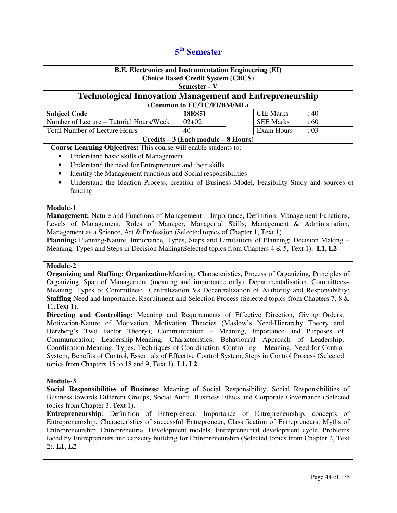# **5 th Semester**

| <b>B.E. Electronics and Instrumentation Engineering (EI)</b>                                                     |                                          |  |                   |      |
|------------------------------------------------------------------------------------------------------------------|------------------------------------------|--|-------------------|------|
|                                                                                                                  | <b>Choice Based Credit System (CBCS)</b> |  |                   |      |
|                                                                                                                  | Semester - V                             |  |                   |      |
| <b>Technological Innovation Management and Entrepreneurship</b>                                                  |                                          |  |                   |      |
| (Common to EC/TC/EI/BM/ML)                                                                                       |                                          |  |                   |      |
| <b>Subject Code</b>                                                                                              | <b>18ES51</b>                            |  | <b>CIE Marks</b>  | : 40 |
| Number of Lecture + Tutorial Hours/Week                                                                          | $02 + 02$                                |  | <b>SEE Marks</b>  | :60  |
| <b>Total Number of Lecture Hours</b>                                                                             | 40                                       |  | <b>Exam Hours</b> | : 03 |
|                                                                                                                  | Credits – 3 (Each module – 8 Hours)      |  |                   |      |
| Course Learning Objectives: This course will enable students to:                                                 |                                          |  |                   |      |
| Understand basic skills of Management                                                                            |                                          |  |                   |      |
| Understand the need for Entrepreneurs and their skills<br>$\bullet$                                              |                                          |  |                   |      |
| Identify the Management functions and Social responsibilities<br>٠                                               |                                          |  |                   |      |
| Understand the Ideation Process, creation of Business Model, Feasibility Study and sources of<br>$\bullet$       |                                          |  |                   |      |
| funding                                                                                                          |                                          |  |                   |      |
|                                                                                                                  |                                          |  |                   |      |
| Module-1                                                                                                         |                                          |  |                   |      |
| <b>Management:</b> Nature and Functions of Management – Importance, Definition, Management Functions,            |                                          |  |                   |      |
| Levels of Management, Roles of Manager, Managerial Skills, Management & Administration,                          |                                          |  |                   |      |
| Management as a Science, Art & Profession (Selected topics of Chapter 1, Text 1).                                |                                          |  |                   |      |
| Planning: Planning-Nature, Importance, Types, Steps and Limitations of Planning; Decision Making -               |                                          |  |                   |      |
| Meaning, Types and Steps in Decision Making(Selected topics from Chapters 4 & 5, Text 1). L1, L2                 |                                          |  |                   |      |
|                                                                                                                  |                                          |  |                   |      |
| Module-2                                                                                                         |                                          |  |                   |      |
| Organizing and Staffing: Organization-Meaning, Characteristics, Process of Organizing, Principles of             |                                          |  |                   |      |
| Organizing, Span of Management (meaning and importance only), Departmentalisation, Committees-                   |                                          |  |                   |      |
| Meaning, Types of Committees; Centralization Vs Decentralization of Authority and Responsibility;                |                                          |  |                   |      |
| <b>Staffing-Need and Importance, Recruitment and Selection Process (Selected topics from Chapters 7, 8 &amp;</b> |                                          |  |                   |      |
| 11, Text 1).                                                                                                     |                                          |  |                   |      |
| Directing and Controlling: Meaning and Requirements of Effective Direction, Giving Orders;                       |                                          |  |                   |      |

**Directing and Controlling:** Meaning and Requirements of Effective Direction, Giving Orders; Motivation-Nature of Motivation, Motivation Theories (Maslow's Need-Hierarchy Theory and Herzberg's Two Factor Theory); Communication – Meaning, Importance and Purposes of Communication; Leadership-Meaning, Characteristics, Behavioural Approach of Leadership; Coordination-Meaning, Types, Techniques of Coordination; Controlling – Meaning, Need for Control System, Benefits of Control, Essentials of Effective Control System, Steps in Control Process (Selected topics from Chapters 15 to 18 and 9, Text 1). **L1, L2** 

### **Module-3**

**Social Responsibilities of Business:** Meaning of Social Responsibility, Social Responsibilities of Business towards Different Groups, Social Audit, Business Ethics and Corporate Governance (Selected topics from Chapter 3, Text 1).

**Entrepreneurship**: Definition of Entrepreneur, Importance of Entrepreneurship, concepts of Entrepreneurship, Characteristics of successful Entrepreneur, Classification of Entrepreneurs, Myths of Entrepreneurship, Entrepreneurial Development models, Entrepreneurial development cycle, Problems faced by Entrepreneurs and capacity building for Entrepreneurship (Selected topics from Chapter 2, Text 2). **L1, L2**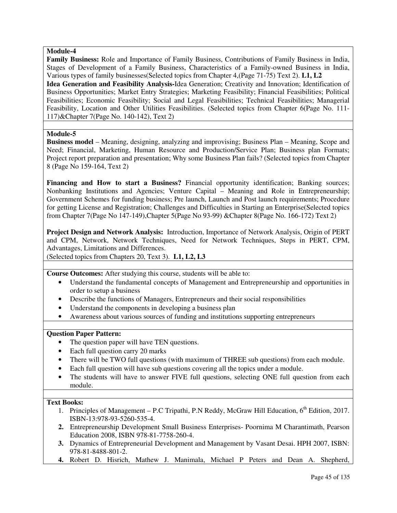#### **Module-4**

**Family Business:** Role and Importance of Family Business, Contributions of Family Business in India, Stages of Development of a Family Business, Characteristics of a Family-owned Business in India, Various types of family businesses(Selected topics from Chapter 4,(Page 71-75) Text 2). **L1, L2 Idea Generation and Feasibility Analysis-**Idea Generation; Creativity and Innovation; Identification of Business Opportunities; Market Entry Strategies; Marketing Feasibility; Financial Feasibilities; Political Feasibilities; Economic Feasibility; Social and Legal Feasibilities; Technical Feasibilities; Managerial Feasibility, Location and Other Utilities Feasibilities. (Selected topics from Chapter 6(Page No. 111- 117)&Chapter 7(Page No. 140-142), Text 2)

### **Module-5**

**Business model** – Meaning, designing, analyzing and improvising; Business Plan – Meaning, Scope and Need; Financial, Marketing, Human Resource and Production/Service Plan; Business plan Formats; Project report preparation and presentation; Why some Business Plan fails? (Selected topics from Chapter 8 (Page No 159-164, Text 2)

**Financing and How to start a Business?** Financial opportunity identification; Banking sources; Nonbanking Institutions and Agencies; Venture Capital – Meaning and Role in Entrepreneurship; Government Schemes for funding business; Pre launch, Launch and Post launch requirements; Procedure for getting License and Registration; Challenges and Difficulties in Starting an Enterprise(Selected topics from Chapter 7(Page No 147-149),Chapter 5(Page No 93-99) &Chapter 8(Page No. 166-172) Text 2)

**Project Design and Network Analysis:** Introduction, Importance of Network Analysis, Origin of PERT and CPM, Network, Network Techniques, Need for Network Techniques, Steps in PERT, CPM, Advantages, Limitations and Differences.

(Selected topics from Chapters 20, Text 3). **L1, L2, L3** 

**Course Outcomes:** After studying this course, students will be able to:

- Understand the fundamental concepts of Management and Entrepreneurship and opportunities in order to setup a business
- Describe the functions of Managers, Entrepreneurs and their social responsibilities
- Understand the components in developing a business plan
- Awareness about various sources of funding and institutions supporting entrepreneurs

#### **Question Paper Pattern:**

- The question paper will have TEN questions.
- Each full question carry 20 marks
- There will be TWO full questions (with maximum of THREE sub questions) from each module.
- Each full question will have sub questions covering all the topics under a module.
- The students will have to answer FIVE full questions, selecting ONE full question from each module.

### **Text Books:**

- 1. Principles of Management P.C Tripathi, P.N Reddy, McGraw Hill Education,  $6<sup>th</sup>$  Edition, 2017. ISBN-13:978-93-5260-535-4.
- **2.** Entrepreneurship Development Small Business Enterprises- Poornima M Charantimath, Pearson Education 2008, ISBN 978-81-7758-260-4.
- **3.** Dynamics of Entrepreneurial Development and Management by Vasant Desai. HPH 2007, ISBN: 978-81-8488-801-2.
- **4.** Robert D. Hisrich, Mathew J. Manimala, Michael P Peters and Dean A. Shepherd,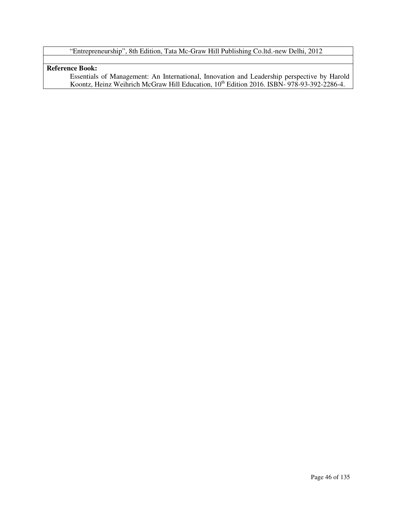# "Entrepreneurship", 8th Edition, Tata Mc-Graw Hill Publishing Co.ltd.-new Delhi, 2012

## **Reference Book:**

Essentials of Management: An International, Innovation and Leadership perspective by Harold Koontz, Heinz Weihrich McGraw Hill Education, 10<sup>th</sup> Edition 2016. ISBN-978-93-392-2286-4.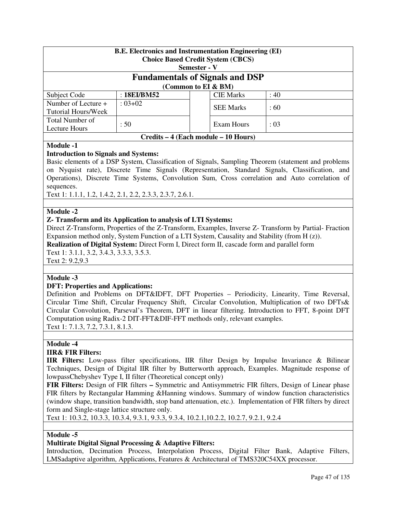| <b>B.E. Electronics and Instrumentation Engineering (EI)</b><br><b>Choice Based Credit System (CBCS)</b> |                                        |              |                  |      |  |  |
|----------------------------------------------------------------------------------------------------------|----------------------------------------|--------------|------------------|------|--|--|
|                                                                                                          |                                        | Semester - V |                  |      |  |  |
|                                                                                                          | <b>Fundamentals of Signals and DSP</b> |              |                  |      |  |  |
|                                                                                                          | (Common to EI & BM)                    |              |                  |      |  |  |
| Subject Code                                                                                             | : 18EI/BM52                            |              | <b>CIE</b> Marks | : 40 |  |  |
| Number of Lecture +                                                                                      | $: 03 + 02$                            |              | <b>SEE Marks</b> | :60  |  |  |
| Tutorial Hours/Week                                                                                      |                                        |              |                  |      |  |  |
| Total Number of                                                                                          |                                        |              |                  |      |  |  |
| Lecture Hours                                                                                            | :50<br>Exam Hours<br>: 03              |              |                  |      |  |  |
| Credits – 4 (Each module – 10 Hours)                                                                     |                                        |              |                  |      |  |  |

### **Module -1**

### **Introduction to Signals and Systems:**

Basic elements of a DSP System, Classification of Signals, Sampling Theorem (statement and problems on Nyquist rate), Discrete Time Signals (Representation, Standard Signals, Classification, and Operations), Discrete Time Systems, Convolution Sum, Cross correlation and Auto correlation of sequences.

Text 1: 1.1.1, 1.2, 1.4.2, 2.1, 2.2, 2.3.3, 2.3.7, 2.6.1.

### **Module -2**

### **Z- Transform and its Application to analysis of LTI Systems:**

Direct Z-Transform, Properties of the Z-Transform, Examples, Inverse Z- Transform by Partial- Fraction Expansion method only, System Function of a LTI System, Causality and Stability (from H (z)).

**Realization of Digital System:** Direct Form I, Direct form II, cascade form and parallel form

Text 1: 3.1.1, 3.2, 3.4.3, 3.3.3, 3.5.3.

Text 2: 9.2,9.3

### **Module -3**

### **DFT: Properties and Applications:**

Definition and Problems on DFT&IDFT, DFT Properties – Periodicity, Linearity, Time Reversal, Circular Time Shift, Circular Frequency Shift, Circular Convolution, Multiplication of two DFTs& Circular Convolution, Parseval's Theorem, DFT in linear filtering. Introduction to FFT, 8-point DFT Computation using Radix-2 DIT-FFT&DIF-FFT methods only, relevant examples.

Text 1: 7.1.3, 7.2, 7.3.1, 8.1.3.

### **Module -4**

### **IIR& FIR Filters:**

**IIR Filters:** Low-pass filter specifications, IIR filter Design by Impulse Invariance & Bilinear Techniques, Design of Digital IIR filter by Butterworth approach, Examples. Magnitude response of lowpassChebyshev Type I, II filter (Theoretical concept only)

**FIR Filters:** Design of FIR filters **–** Symmetric and Antisymmetric FIR filters, Design of Linear phase FIR filters by Rectangular Hamming &Hanning windows. Summary of window function characteristics (window shape, transition bandwidth, stop band attenuation, etc.). Implementation of FIR filters by direct form and Single-stage lattice structure only.

Text 1: 10.3.2, 10.3.3, 10.3.4, 9.3.1, 9.3.3, 9.3.4, 10.2.1,10.2.2, 10.2.7, 9.2.1, 9.2.4

### **Module -5**

### **Multirate Digital Signal Processing & Adaptive Filters:**

Introduction, Decimation Process, Interpolation Process, Digital Filter Bank, Adaptive Filters, LMSadaptive algorithm, Applications, Features & Architectural of TMS320C54XX processor.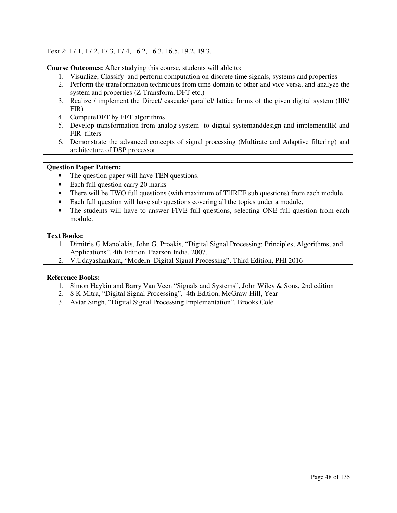### Text 2: 17.1, 17.2, 17.3, 17.4, 16.2, 16.3, 16.5, 19.2, 19.3.

**Course Outcomes:** After studying this course, students will able to:

- 1. Visualize, Classify and perform computation on discrete time signals, systems and properties
- 2. Perform the transformation techniques from time domain to other and vice versa, and analyze the system and properties (Z-Transform, DFT etc.)
- 3. Realize / implement the Direct/ cascade/ parallel/ lattice forms of the given digital system (IIR/ FIR)
- 4. ComputeDFT by FFT algorithms
- 5. Develop transformation from analog system to digital systemanddesign and implementIIR and FIR filters
- 6. Demonstrate the advanced concepts of signal processing (Multirate and Adaptive filtering) and architecture of DSP processor

### **Question Paper Pattern:**

- The question paper will have TEN questions.
- Each full question carry 20 marks
- There will be TWO full questions (with maximum of THREE sub questions) from each module.
- Each full question will have sub questions covering all the topics under a module.
- The students will have to answer FIVE full questions, selecting ONE full question from each module.

#### **Text Books:**

- 1. Dimitris G Manolakis, John G. Proakis, "Digital Signal Processing: Principles, Algorithms, and Applications", 4th Edition, Pearson India, 2007.
- 2. V.Udayashankara, "Modern Digital Signal Processing", Third Edition, PHI 2016

- 1. Simon Haykin and Barry Van Veen "Signals and Systems", John Wiley & Sons, 2nd edition
- 2. S K Mitra, "Digital Signal Processing", 4th Edition, McGraw-Hill, Year
- 3. Avtar Singh, "Digital Signal Processing Implementation", Brooks Cole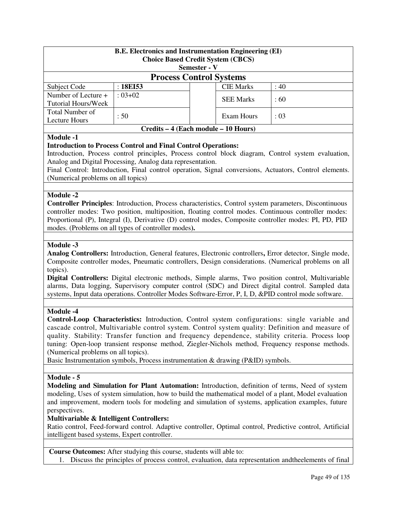| <b>B.E.</b> Electronics and Instrumentation Engineering (EI)<br><b>Choice Based Credit System (CBCS)</b><br><b>Semester - V</b> |                                |  |                   |           |  |
|---------------------------------------------------------------------------------------------------------------------------------|--------------------------------|--|-------------------|-----------|--|
|                                                                                                                                 | <b>Process Control Systems</b> |  |                   |           |  |
| Subject Code                                                                                                                    | :18E153                        |  | <b>CIE Marks</b>  | $\div 40$ |  |
| Number of Lecture +<br>Tutorial Hours/Week                                                                                      | $: 03 + 02$                    |  | <b>SEE Marks</b>  | :60       |  |
| Total Number of<br>Lecture Hours                                                                                                | : 50                           |  | <b>Exam Hours</b> | : 03      |  |
| Credits – 4 (Each module – 10 Hours)                                                                                            |                                |  |                   |           |  |

#### **Module -1**

#### **Introduction to Process Control and Final Control Operations:**

Introduction, Process control principles, Process control block diagram, Control system evaluation, Analog and Digital Processing, Analog data representation.

Final Control: Introduction, Final control operation, Signal conversions, Actuators, Control elements. (Numerical problems on all topics)

#### **Module -2**

**Controller Principles**: Introduction, Process characteristics, Control system parameters, Discontinuous controller modes: Two position, multiposition, floating control modes. Continuous controller modes: Proportional (P), Integral (I), Derivative (D) control modes, Composite controller modes: PI, PD, PID modes. (Problems on all types of controller modes**).** 

#### **Module -3**

**Analog Controllers:** Introduction, General features, Electronic controllers**,** Error detector, Single mode, Composite controller modes, Pneumatic controllers, Design considerations. (Numerical problems on all topics).

**Digital Controllers:** Digital electronic methods, Simple alarms, Two position control, Multivariable alarms, Data logging, Supervisory computer control (SDC) and Direct digital control. Sampled data systems, Input data operations. Controller Modes Software-Error, P, I, D, &PID control mode software.

#### **Module -4**

**Control-Loop Characteristics:** Introduction, Control system configurations: single variable and cascade control, Multivariable control system. Control system quality: Definition and measure of quality. Stability: Transfer function and frequency dependence, stability criteria. Process loop tuning: Open-loop transient response method, Ziegler-Nichols method, Frequency response methods. (Numerical problems on all topics).

Basic Instrumentation symbols, Process instrumentation & drawing (P&ID) symbols.

#### **Module - 5**

**Modeling and Simulation for Plant Automation:** Introduction, definition of terms, Need of system modeling, Uses of system simulation, how to build the mathematical model of a plant, Model evaluation and improvement, modern tools for modeling and simulation of systems, application examples, future perspectives.

### **Multivariable & Intelligent Controllers:**

Ratio control, Feed-forward control. Adaptive controller, Optimal control, Predictive control, Artificial intelligent based systems, Expert controller.

**Course Outcomes:** After studying this course, students will able to:

1. Discuss the principles of process control, evaluation, data representation andtheelements of final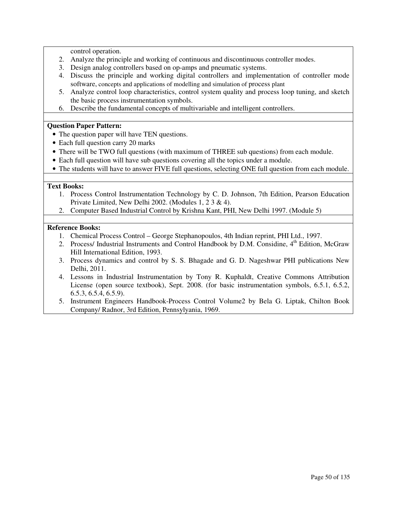control operation.

- 2. Analyze the principle and working of continuous and discontinuous controller modes.
- 3. Design analog controllers based on op-amps and pneumatic systems.
- 4. Discuss the principle and working digital controllers and implementation of controller mode software, concepts and applications of modelling and simulation of process plant
- 5. Analyze control loop characteristics, control system quality and process loop tuning, and sketch the basic process instrumentation symbols.
- 6. Describe the fundamental concepts of multivariable and intelligent controllers.

### **Question Paper Pattern:**

- The question paper will have TEN questions.
- Each full question carry 20 marks
- There will be TWO full questions (with maximum of THREE sub questions) from each module.
- Each full question will have sub questions covering all the topics under a module.
- The students will have to answer FIVE full questions, selecting ONE full question from each module.

### **Text Books:**

- 1. Process Control Instrumentation Technology by C. D. Johnson, 7th Edition, Pearson Education Private Limited, New Delhi 2002. (Modules 1, 2 3 & 4).
- 2. Computer Based Industrial Control by Krishna Kant, PHI, New Delhi 1997. (Module 5)

- 1. Chemical Process Control George Stephanopoulos, 4th Indian reprint, PHI Ltd., 1997.
- 2. Process/ Industrial Instruments and Control Handbook by D.M. Considine, 4<sup>th</sup> Edition, McGraw Hill International Edition, 1993.
- 3. Process dynamics and control by S. S. Bhagade and G. D. Nageshwar PHI publications New Delhi, 2011.
- 4. Lessons in Industrial Instrumentation by Tony R. Kuphaldt, Creative Commons Attribution License (open source textbook), Sept. 2008. (for basic instrumentation symbols, 6.5.1, 6.5.2, 6.5.3, 6.5.4, 6.5.9).
- 5. Instrument Engineers Handbook-Process Control Volume2 by Bela G. Liptak, Chilton Book Company/ Radnor, 3rd Edition, Pennsylyania, 1969.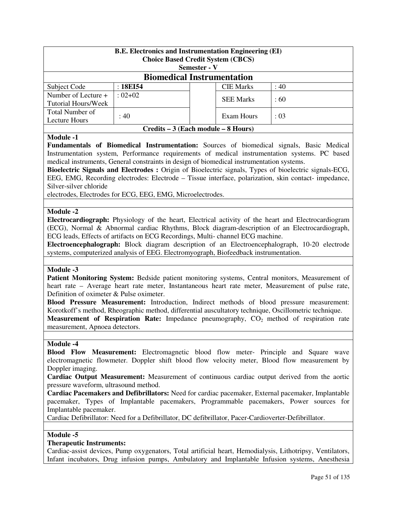| <b>B.E. Electronics and Instrumentation Engineering (EI)</b><br><b>Choice Based Credit System (CBCS)</b><br>Semester - V |                                   |  |                  |           |  |
|--------------------------------------------------------------------------------------------------------------------------|-----------------------------------|--|------------------|-----------|--|
|                                                                                                                          | <b>Biomedical Instrumentation</b> |  |                  |           |  |
| Subject Code                                                                                                             | :18E154                           |  | <b>CIE Marks</b> | $\div 40$ |  |
| Number of Lecture +<br>Tutorial Hours/Week                                                                               | $: 02 + 02$                       |  | <b>SEE Marks</b> | :60       |  |
| Total Number of<br>Lecture Hours                                                                                         | : 40                              |  | Exam Hours       | : 03      |  |
| Credits – 3 (Each module – 8 Hours)                                                                                      |                                   |  |                  |           |  |

#### **Module -1**

**Fundamentals of Biomedical Instrumentation:** Sources of biomedical signals, Basic Medical Instrumentation system, Performance requirements of medical instrumentation systems. PC based medical instruments, General constraints in design of biomedical instrumentation systems.

**Bioelectric Signals and Electrodes :** Origin of Bioelectric signals, Types of bioelectric signals-ECG, EEG, EMG, Recording electrodes: Electrode – Tissue interface, polarization, skin contact- impedance, Silver-silver chloride

electrodes, Electrodes for ECG, EEG, EMG, Microelectrodes.

#### **Module -2**

**Electrocardiograph:** Physiology of the heart, Electrical activity of the heart and Electrocardiogram (ECG), Normal & Abnormal cardiac Rhythms, Block diagram-description of an Electrocardiograph, ECG leads, Effects of artifacts on ECG Recordings, Multi- channel ECG machine.

**Electroencephalograph:** Block diagram description of an Electroencephalograph, 10-20 electrode systems, computerized analysis of EEG. Electromyograph, Biofeedback instrumentation.

#### **Module -3**

Patient Monitoring System: Bedside patient monitoring systems, Central monitors, Measurement of heart rate – Average heart rate meter, Instantaneous heart rate meter, Measurement of pulse rate, Definition of oximeter & Pulse oximeter.

**Blood Pressure Measurement:** Introduction, Indirect methods of blood pressure measurement: Korotkoff's method, Rheographic method, differential auscultatory technique, Oscillometric technique.

**Measurement of Respiration Rate:** Impedance pneumography, CO<sub>2</sub> method of respiration rate measurement, Apnoea detectors.

#### **Module -4**

**Blood Flow Measurement:** Electromagnetic blood flow meter- Principle and Square wave electromagnetic flowmeter. Doppler shift blood flow velocity meter, Blood flow measurement by Doppler imaging.

**Cardiac Output Measurement:** Measurement of continuous cardiac output derived from the aortic pressure waveform, ultrasound method.

**Cardiac Pacemakers and Defibrillators:** Need for cardiac pacemaker, External pacemaker, Implantable pacemaker, Types of Implantable pacemakers, Programmable pacemakers, Power sources for Implantable pacemaker.

Cardiac Defibrillator: Need for a Defibrillator, DC defibrillator, Pacer-Cardioverter-Defibrillator.

#### **Module -5**

#### **Therapeutic Instruments:**

Cardiac-assist devices, Pump oxygenators, Total artificial heart, Hemodialysis, Lithotripsy, Ventilators, Infant incubators, Drug infusion pumps, Ambulatory and Implantable Infusion systems, Anesthesia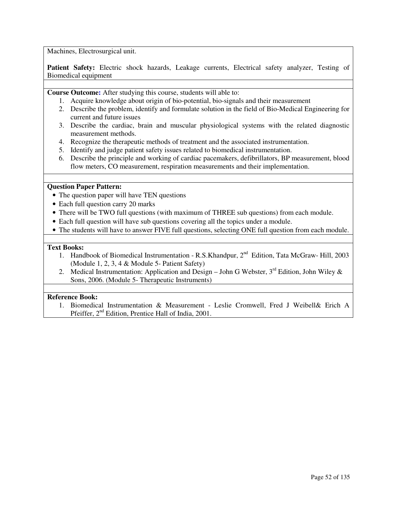Machines, Electrosurgical unit.

Patient Safety: Electric shock hazards, Leakage currents, Electrical safety analyzer, Testing of Biomedical equipment

**Course Outcome:** After studying this course, students will able to:

- 1. Acquire knowledge about origin of bio-potential, bio-signals and their measurement
- 2. Describe the problem, identify and formulate solution in the field of Bio-Medical Engineering for current and future issues
- 3. Describe the cardiac, brain and muscular physiological systems with the related diagnostic measurement methods.
- 4. Recognize the therapeutic methods of treatment and the associated instrumentation.
- 5. Identify and judge patient safety issues related to biomedical instrumentation.
- 6. Describe the principle and working of cardiac pacemakers, defibrillators, BP measurement, blood flow meters, CO measurement, respiration measurements and their implementation.

#### **Question Paper Pattern:**

- The question paper will have TEN questions
- Each full question carry 20 marks
- There will be TWO full questions (with maximum of THREE sub questions) from each module.
- Each full question will have sub questions covering all the topics under a module.
- The students will have to answer FIVE full questions, selecting ONE full question from each module.

#### **Text Books:**

- 1. Handbook of Biomedical Instrumentation R.S. Khandpur,  $2^{nd}$  Edition, Tata McGraw- Hill, 2003 (Module 1, 2, 3, 4 & Module 5- Patient Safety)
- 2. Medical Instrumentation: Application and Design John G Webster,  $3<sup>rd</sup>$  Edition, John Wiley & Sons, 2006. (Module 5- Therapeutic Instruments)

### **Reference Book:**

1. Biomedical Instrumentation & Measurement - Leslie Cromwell, Fred J Weibell& Erich A Pfeiffer, 2<sup>nd</sup> Edition, Prentice Hall of India, 2001.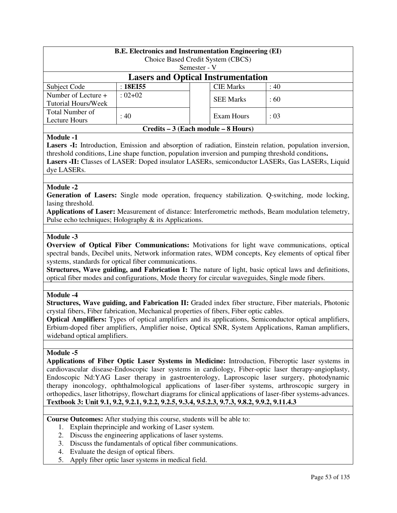| <b>B.E. Electronics and Instrumentation Engineering (EI)</b>                                            |                                           |                                   |      |  |  |  |
|---------------------------------------------------------------------------------------------------------|-------------------------------------------|-----------------------------------|------|--|--|--|
|                                                                                                         |                                           | Choice Based Credit System (CBCS) |      |  |  |  |
|                                                                                                         |                                           | Semester - V                      |      |  |  |  |
|                                                                                                         | <b>Lasers and Optical Instrumentation</b> |                                   |      |  |  |  |
| Subject Code                                                                                            | :18E155                                   | <b>CIE Marks</b>                  | :40  |  |  |  |
| Number of Lecture +                                                                                     | $:02+02$                                  |                                   |      |  |  |  |
| Tutorial Hours/Week                                                                                     |                                           | <b>SEE Marks</b>                  | :60  |  |  |  |
| Total Number of                                                                                         |                                           |                                   |      |  |  |  |
| Lecture Hours                                                                                           | : 40                                      | Exam Hours                        | : 03 |  |  |  |
| Credits – 3 (Each module – 8 Hours)                                                                     |                                           |                                   |      |  |  |  |
| <b>Module -1</b>                                                                                        |                                           |                                   |      |  |  |  |
| Lasers -I: Introduction, Emission and absorption of radiation, Einstein relation, population inversion, |                                           |                                   |      |  |  |  |
|                                                                                                         |                                           |                                   |      |  |  |  |

threshold conditions, Line shape function, population inversion and pumping threshold conditions**. Lasers -II:** Classes of LASER: Doped insulator LASERs, semiconductor LASERs, Gas LASERs, Liquid dye LASERs.

### **Module -2**

**Generation of Lasers:** Single mode operation, frequency stabilization. Q-switching, mode locking, lasing threshold.

**Applications of Laser:** Measurement of distance: Interferometric methods, Beam modulation telemetry, Pulse echo techniques; Holography & its Applications.

#### **Module -3**

**Overview of Optical Fiber Communications:** Motivations for light wave communications, optical spectral bands, Decibel units, Network information rates, WDM concepts, Key elements of optical fiber systems, standards for optical fiber communications.

**Structures, Wave guiding, and Fabrication I:** The nature of light, basic optical laws and definitions, optical fiber modes and configurations, Mode theory for circular waveguides, Single mode fibers.

#### **Module -4**

**Structures, Wave guiding, and Fabrication II:** Graded index fiber structure, Fiber materials, Photonic crystal fibers, Fiber fabrication, Mechanical properties of fibers, Fiber optic cables.

**Optical Amplifiers:** Types of optical amplifiers and its applications, Semiconductor optical amplifiers, Erbium-doped fiber amplifiers, Amplifier noise, Optical SNR, System Applications, Raman amplifiers, wideband optical amplifiers.

### **Module -5**

**Applications of Fiber Optic Laser Systems in Medicine:** Introduction, Fiberoptic laser systems in cardiovascular disease-Endoscopic laser systems in cardiology, Fiber-optic laser therapy-angioplasty, Endoscopic Nd:YAG Laser therapy in gastroenterology, Laproscopic laser surgery, photodynamic therapy inoncology, ophthalmological applications of laser-fiber systems, arthroscopic surgery in orthopedics, laser lithotripsy, flowchart diagrams for clinical applications of laser-fiber systems-advances. **Textbook 3: Unit 9.1, 9.2, 9.2.1, 9.2.2, 9.2.5, 9.3.4, 9.5.2.3, 9.7.3, 9.8.2, 9.9.2, 9.11.4.3** 

**Course Outcomes:** After studying this course, students will be able to:

- 1. Explain theprinciple and working of Laser system.
- 2. Discuss the engineering applications of laser systems.
- 3. Discuss the fundamentals of optical fiber communications.
- 4. Evaluate the design of optical fibers.
- 5. Apply fiber optic laser systems in medical field.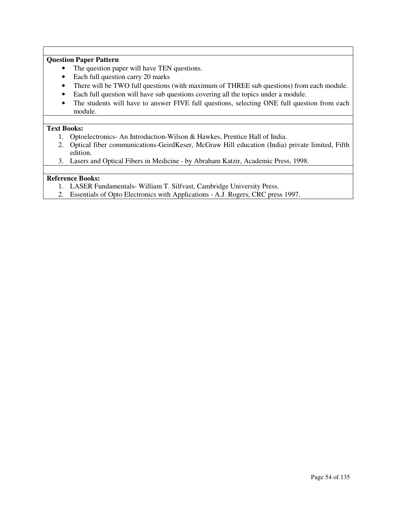### **Question Paper Pattern**

- The question paper will have TEN questions.
- Each full question carry 20 marks
- There will be TWO full questions (with maximum of THREE sub questions) from each module.
- Each full question will have sub questions covering all the topics under a module.
- The students will have to answer FIVE full questions, selecting ONE full question from each module.

### **Text Books:**

- 1. Optoelectronics- An Introduction-Wilson & Hawkes, Prentice Hall of India.
- 2. Optical fiber communications-GeirdKeser, McGraw Hill education (India) private limited, Fifth edition.
- 3. Lasers and Optical Fibers in Medicine by Abraham Katzir, Academic Press, 1998.

- 1. LASER Fundamentals- William T. Silfvast, Cambridge University Press.
- 2. Essentials of Opto Electronics with Applications A.J. Rogers, CRC press 1997.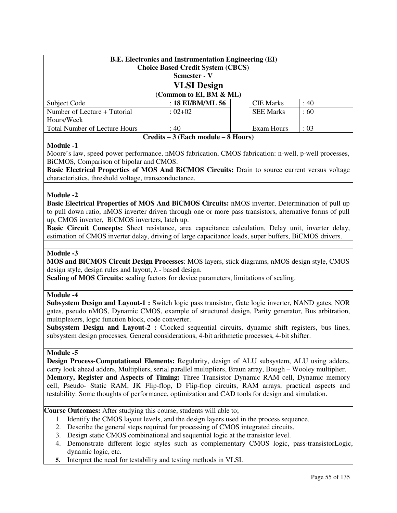| <b>B.E. Electronics and Instrumentation Engineering (EI)</b><br><b>Choice Based Credit System (CBCS)</b><br>Semester - V |                         |  |                  |      |  |
|--------------------------------------------------------------------------------------------------------------------------|-------------------------|--|------------------|------|--|
|                                                                                                                          | <b>VLSI</b> Design      |  |                  |      |  |
|                                                                                                                          | (Common to EI, BM & ML) |  |                  |      |  |
| Subject Code                                                                                                             | : 18 EI/BM/ML 56        |  | <b>CIE Marks</b> | : 40 |  |
| Number of Lecture + Tutorial                                                                                             | $: 02 + 02$             |  | <b>SEE Marks</b> | :60  |  |
| Hours/Week                                                                                                               |                         |  |                  |      |  |
| <b>Total Number of Lecture Hours</b><br>Exam Hours<br>: 03<br>: 40                                                       |                         |  |                  |      |  |
| Credits – 3 (Each module – 8 Hours)                                                                                      |                         |  |                  |      |  |

### **Module -1**

Moore's law, speed power performance, nMOS fabrication, CMOS fabrication: n-well, p-well processes, BiCMOS, Comparison of bipolar and CMOS.

**Basic Electrical Properties of MOS And BiCMOS Circuits:** Drain to source current versus voltage characteristics, threshold voltage, transconductance.

#### **Module -2**

**Basic Electrical Properties of MOS And BiCMOS Circuits:** nMOS inverter, Determination of pull up to pull down ratio, nMOS inverter driven through one or more pass transistors, alternative forms of pull up, CMOS inverter, BiCMOS inverters, latch up.

**Basic Circuit Concepts:** Sheet resistance, area capacitance calculation, Delay unit, inverter delay, estimation of CMOS inverter delay, driving of large capacitance loads, super buffers, BiCMOS drivers.

#### **Module -3**

**MOS and BiCMOS Circuit Design Processes**: MOS layers, stick diagrams, nMOS design style, CMOS design style, design rules and layout,  $\lambda$  - based design.

**Scaling of MOS Circuits:** scaling factors for device parameters, limitations of scaling.

#### **Module -4**

**Subsystem Design and Layout-1 :** Switch logic pass transistor, Gate logic inverter, NAND gates, NOR gates, pseudo nMOS, Dynamic CMOS, example of structured design, Parity generator, Bus arbitration, multiplexers, logic function block, code converter.

Subsystem Design and Layout-2 : Clocked sequential circuits, dynamic shift registers, bus lines, subsystem design processes, General considerations, 4-bit arithmetic processes, 4-bit shifter.

### **Module -5**

**Design Process-Computational Elements:** Regularity, design of ALU subsystem, ALU using adders, carry look ahead adders, Multipliers, serial parallel multipliers, Braun array, Bough – Wooley multiplier. **Memory, Register and Aspects of Timing:** Three Transistor Dynamic RAM cell, Dynamic memory cell, Pseudo- Static RAM, JK Flip-flop, D Flip-flop circuits, RAM arrays, practical aspects and testability: Some thoughts of performance, optimization and CAD tools for design and simulation.

**Course Outcomes:** After studying this course, students will able to;

- 1. Identify the CMOS layout levels, and the design layers used in the process sequence.
- 2. Describe the general steps required for processing of CMOS integrated circuits.
- 3. Design static CMOS combinational and sequential logic at the transistor level.
- 4. Demonstrate different logic styles such as complementary CMOS logic, pass-transistorLogic, dynamic logic, etc.
- **5.** Interpret the need for testability and testing methods in VLSI.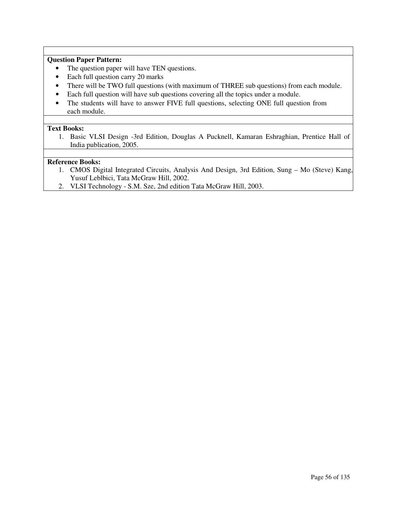### **Question Paper Pattern:**

- The question paper will have TEN questions.
- Each full question carry 20 marks
- There will be TWO full questions (with maximum of THREE sub questions) from each module.
- Each full question will have sub questions covering all the topics under a module.
- The students will have to answer FIVE full questions, selecting ONE full question from each module.

#### **Text Books:**

1. Basic VLSI Design -3rd Edition, Douglas A Pucknell, Kamaran Eshraghian, Prentice Hall of India publication, 2005.

- 1. CMOS Digital Integrated Circuits, Analysis And Design, 3rd Edition, Sung Mo (Steve) Kang, Yusuf Leblbici, Tata McGraw Hill, 2002.
- 2. VLSI Technology S.M. Sze, 2nd edition Tata McGraw Hill, 2003.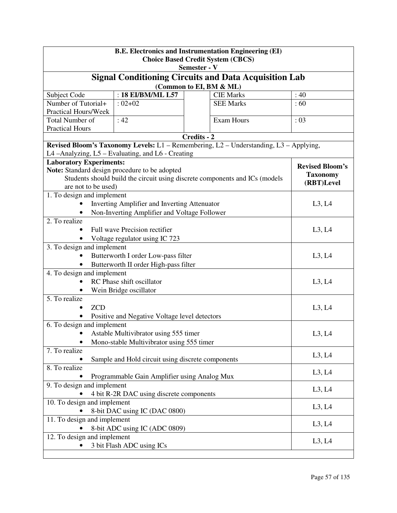| <b>B.E. Electronics and Instrumentation Engineering (EI)</b><br><b>Choice Based Credit System (CBCS)</b> |                                                                                       |                         |  |                        |  |
|----------------------------------------------------------------------------------------------------------|---------------------------------------------------------------------------------------|-------------------------|--|------------------------|--|
|                                                                                                          |                                                                                       | Semester - V            |  |                        |  |
| <b>Signal Conditioning Circuits and Data Acquisition Lab</b>                                             |                                                                                       |                         |  |                        |  |
|                                                                                                          | : 18 EI/BM/ML L57                                                                     | (Common to EI, BM & ML) |  | :40                    |  |
| Subject Code<br>Number of Tutorial+                                                                      | $: 02 + 02$                                                                           | <b>CIE Marks</b>        |  | :60                    |  |
| <b>Practical Hours/Week</b>                                                                              | <b>SEE Marks</b>                                                                      |                         |  |                        |  |
| Total Number of                                                                                          | :42                                                                                   | <b>Exam Hours</b>       |  | $\div 03$              |  |
| <b>Practical Hours</b>                                                                                   |                                                                                       |                         |  |                        |  |
|                                                                                                          |                                                                                       | Credits - 2             |  |                        |  |
|                                                                                                          | Revised Bloom's Taxonomy Levels: L1 - Remembering, L2 - Understanding, L3 - Applying, |                         |  |                        |  |
|                                                                                                          | L4-Analyzing, L5-Evaluating, and L6-Creating                                          |                         |  |                        |  |
| <b>Laboratory Experiments:</b>                                                                           |                                                                                       |                         |  | <b>Revised Bloom's</b> |  |
|                                                                                                          | Note: Standard design procedure to be adopted                                         |                         |  | <b>Taxonomy</b>        |  |
|                                                                                                          | Students should build the circuit using discrete components and ICs (models           |                         |  | (RBT)Level             |  |
| are not to be used)                                                                                      |                                                                                       |                         |  |                        |  |
| 1. To design and implement                                                                               |                                                                                       |                         |  |                        |  |
|                                                                                                          | Inverting Amplifier and Inverting Attenuator                                          |                         |  | L3, L4                 |  |
|                                                                                                          | Non-Inverting Amplifier and Voltage Follower                                          |                         |  |                        |  |
| 2. To realize                                                                                            | Full wave Precision rectifier                                                         |                         |  |                        |  |
|                                                                                                          | L3, L4                                                                                |                         |  |                        |  |
|                                                                                                          | Voltage regulator using IC 723                                                        |                         |  |                        |  |
| 3. To design and implement<br>Butterworth I order Low-pass filter                                        | L3, L4                                                                                |                         |  |                        |  |
|                                                                                                          |                                                                                       |                         |  |                        |  |
| 4. To design and implement                                                                               | Butterworth II order High-pass filter                                                 |                         |  |                        |  |
|                                                                                                          | RC Phase shift oscillator                                                             |                         |  | L3, L4                 |  |
|                                                                                                          | Wein Bridge oscillator                                                                |                         |  |                        |  |
| 5. To realize                                                                                            |                                                                                       |                         |  |                        |  |
| <b>ZCD</b>                                                                                               |                                                                                       |                         |  | L3, L4                 |  |
|                                                                                                          | Positive and Negative Voltage level detectors                                         |                         |  |                        |  |
| 6. To design and implement                                                                               |                                                                                       |                         |  |                        |  |
|                                                                                                          | Astable Multivibrator using 555 timer                                                 |                         |  | L3, L4                 |  |
|                                                                                                          | Mono-stable Multivibrator using 555 timer                                             |                         |  |                        |  |
| 7. To realize                                                                                            |                                                                                       |                         |  |                        |  |
|                                                                                                          | Sample and Hold circuit using discrete components                                     |                         |  | L3, L4                 |  |
| 8. To realize                                                                                            |                                                                                       |                         |  | L3, L4                 |  |
|                                                                                                          | Programmable Gain Amplifier using Analog Mux                                          |                         |  |                        |  |
| 9. To design and implement                                                                               | L3, L4                                                                                |                         |  |                        |  |
| 4 bit R-2R DAC using discrete components                                                                 |                                                                                       |                         |  |                        |  |
| 10. To design and implement                                                                              | L3, L4                                                                                |                         |  |                        |  |
| 8-bit DAC using IC (DAC 0800)                                                                            |                                                                                       |                         |  |                        |  |
| 11. To design and implement                                                                              | L3, L4                                                                                |                         |  |                        |  |
|                                                                                                          | 8-bit ADC using IC (ADC 0809)                                                         |                         |  |                        |  |
| 12. To design and implement                                                                              |                                                                                       |                         |  | L3, L4                 |  |
|                                                                                                          | 3 bit Flash ADC using ICs                                                             |                         |  |                        |  |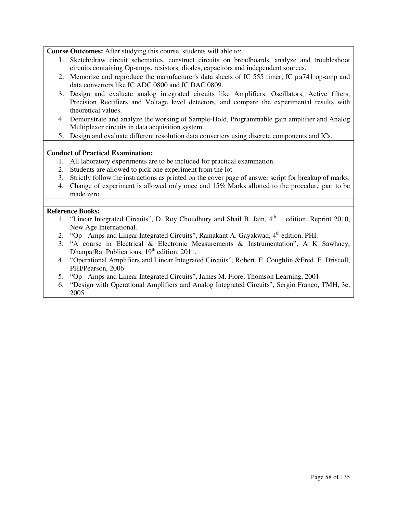**Course Outcomes:** After studying this course, students will able to;

- 1. Sketch/draw circuit schematics, construct circuits on breadboards, analyze and troubleshoot circuits containing Op-amps, resistors, diodes, capacitors and independent sources.
- 2. Memorize and reproduce the manufacturer's data sheets of IC 555 timer, IC ua741 op-amp and data converters like IC ADC 0800 and IC DAC 0809.
- 3. Design and evaluate analog integrated circuits like Amplifiers, Oscillators, Active filters, Precision Rectifiers and Voltage level detectors, and compare the experimental results with theoretical values.
- 4. Demonstrate and analyze the working of Sample-Hold, Programmable gain amplifier and Analog Multiplexer circuits in data acquisition system.
- 5. Design and evaluate different resolution data converters using discrete components and ICs.

### **Conduct of Practical Examination:**

- 1. All laboratory experiments are to be included for practical examination.
- 2. Students are allowed to pick one experiment from the lot.
- 3. Strictly follow the instructions as printed on the cover page of answer script for breakup of marks.
- 4. Change of experiment is allowed only once and 15% Marks allotted to the procedure part to be made zero.

- 1. "Linear Integrated Circuits", D. Roy Choudhury and Shail B. Jain,  $4<sup>th</sup>$  edition, Reprint 2010, New Age International.
- 2. "Op Amps and Linear Integrated Circuits", Ramakant A. Gayakwad,  $4<sup>th</sup>$  edition, PHI.
- 3. "A course in Electrical & Electronic Measurements & Instrumentation", A K Sawhney, DhanpatRai Publications, 19<sup>th</sup> edition, 2011.
- 4. "Operational Amplifiers and Linear Integrated Circuits", Robert. F. Coughlin &Fred. F. Driscoll, PHI/Pearson, 2006
- 5. "Op Amps and Linear Integrated Circuits", James M. Fiore, Thomson Learning, 2001
- 6. "Design with Operational Amplifiers and Analog Integrated Circuits", Sergio Franco, TMH, 3e, 2005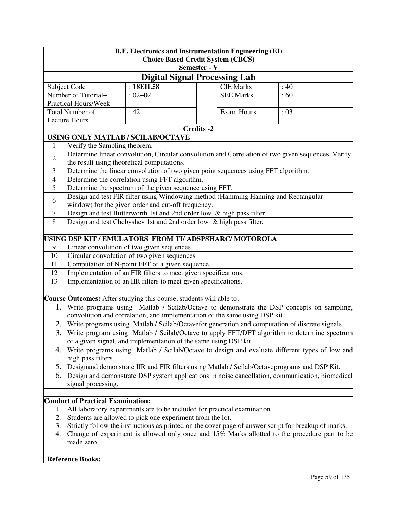|                | <b>B.E. Electronics and Instrumentation Engineering (EI)</b><br><b>Choice Based Credit System (CBCS)</b> |                                                                                                   |                   |                   |                                                                                                      |  |  |
|----------------|----------------------------------------------------------------------------------------------------------|---------------------------------------------------------------------------------------------------|-------------------|-------------------|------------------------------------------------------------------------------------------------------|--|--|
|                | Semester - V                                                                                             |                                                                                                   |                   |                   |                                                                                                      |  |  |
|                | <b>Digital Signal Processing Lab</b>                                                                     |                                                                                                   |                   |                   |                                                                                                      |  |  |
|                | Subject Code                                                                                             | : 18EIL58                                                                                         |                   | <b>CIE Marks</b>  | :40                                                                                                  |  |  |
|                | Number of Tutorial+                                                                                      | $:02+02$                                                                                          |                   | <b>SEE Marks</b>  | :60                                                                                                  |  |  |
|                | Practical Hours/Week                                                                                     |                                                                                                   |                   |                   |                                                                                                      |  |  |
|                | <b>Total Number of</b>                                                                                   | :42                                                                                               |                   | <b>Exam Hours</b> | : 03                                                                                                 |  |  |
|                | <b>Lecture Hours</b>                                                                                     |                                                                                                   |                   |                   |                                                                                                      |  |  |
|                |                                                                                                          |                                                                                                   | <b>Credits -2</b> |                   |                                                                                                      |  |  |
|                |                                                                                                          | USING ONLY MATLAB / SCILAB/OCTAVE                                                                 |                   |                   |                                                                                                      |  |  |
| 1              | Verify the Sampling theorem.                                                                             |                                                                                                   |                   |                   |                                                                                                      |  |  |
| $\overline{2}$ |                                                                                                          |                                                                                                   |                   |                   | Determine linear convolution, Circular convolution and Correlation of two given sequences. Verify    |  |  |
|                |                                                                                                          | the result using theoretical computations.                                                        |                   |                   |                                                                                                      |  |  |
| 3              |                                                                                                          | Determine the linear convolution of two given point sequences using FFT algorithm.                |                   |                   |                                                                                                      |  |  |
| $\overline{4}$ |                                                                                                          | Determine the correlation using FFT algorithm.                                                    |                   |                   |                                                                                                      |  |  |
| $\overline{5}$ |                                                                                                          | Determine the spectrum of the given sequence using FFT.                                           |                   |                   |                                                                                                      |  |  |
| 6              |                                                                                                          | Design and test FIR filter using Windowing method (Hamming Hanning and Rectangular                |                   |                   |                                                                                                      |  |  |
|                |                                                                                                          | window) for the given order and cut-off frequency.                                                |                   |                   |                                                                                                      |  |  |
| $\tau$         |                                                                                                          | Design and test Butterworth 1st and 2nd order low & high pass filter.                             |                   |                   |                                                                                                      |  |  |
| 8              |                                                                                                          | Design and test Chebyshev 1st and 2nd order low & high pass filter.                               |                   |                   |                                                                                                      |  |  |
|                |                                                                                                          |                                                                                                   |                   |                   |                                                                                                      |  |  |
|                |                                                                                                          | USING DSP KIT / EMULATORS FROM TI/ ADSPSHARC/ MOTOROLA                                            |                   |                   |                                                                                                      |  |  |
| 9              |                                                                                                          | Linear convolution of two given sequences.                                                        |                   |                   |                                                                                                      |  |  |
| 10             |                                                                                                          | Circular convolution of two given sequences                                                       |                   |                   |                                                                                                      |  |  |
| 11             |                                                                                                          | Computation of N-point FFT of a given sequence.                                                   |                   |                   |                                                                                                      |  |  |
| 12             |                                                                                                          | Implementation of an FIR filters to meet given specifications.                                    |                   |                   |                                                                                                      |  |  |
| 13             |                                                                                                          | Implementation of an IIR filters to meet given specifications.                                    |                   |                   |                                                                                                      |  |  |
|                |                                                                                                          |                                                                                                   |                   |                   |                                                                                                      |  |  |
|                |                                                                                                          | Course Outcomes: After studying this course, students will able to;                               |                   |                   |                                                                                                      |  |  |
|                |                                                                                                          |                                                                                                   |                   |                   | 1. Write programs using Matlab / Scilab/Octave to demonstrate the DSP concepts on sampling,          |  |  |
|                |                                                                                                          | convolution and correlation, and implementation of the same using DSP kit.                        |                   |                   |                                                                                                      |  |  |
|                |                                                                                                          | 2. Write programs using Matlab / Scilab/Octavefor generation and computation of discrete signals. |                   |                   |                                                                                                      |  |  |
| 3.             |                                                                                                          |                                                                                                   |                   |                   | Write program using Matlab / Scilab/Octave to apply FFT/DFT algorithm to determine spectrum          |  |  |
|                |                                                                                                          | of a given signal, and implementation of the same using DSP kit.                                  |                   |                   |                                                                                                      |  |  |
| 4.             |                                                                                                          |                                                                                                   |                   |                   | Write programs using Matlab / Scilab/Octave to design and evaluate different types of low and        |  |  |
|                | high pass filters.                                                                                       |                                                                                                   |                   |                   |                                                                                                      |  |  |
| 5.             |                                                                                                          | Designand demonstrate IIR and FIR filters using Matlab / Scilab/Octaveprograms and DSP Kit.       |                   |                   |                                                                                                      |  |  |
| 6.             |                                                                                                          |                                                                                                   |                   |                   | Design and demonstrate DSP system applications in noise cancellation, communication, biomedical      |  |  |
|                | signal processing.                                                                                       |                                                                                                   |                   |                   |                                                                                                      |  |  |
|                |                                                                                                          |                                                                                                   |                   |                   |                                                                                                      |  |  |
|                | <b>Conduct of Practical Examination:</b>                                                                 |                                                                                                   |                   |                   |                                                                                                      |  |  |
| 1.             |                                                                                                          | All laboratory experiments are to be included for practical examination.                          |                   |                   |                                                                                                      |  |  |
| 2.             |                                                                                                          | Students are allowed to pick one experiment from the lot.                                         |                   |                   |                                                                                                      |  |  |
| 3.             |                                                                                                          |                                                                                                   |                   |                   | Strictly follow the instructions as printed on the cover page of answer script for breakup of marks. |  |  |
| 4.             | made zero.                                                                                               |                                                                                                   |                   |                   | Change of experiment is allowed only once and 15% Marks allotted to the procedure part to be         |  |  |
|                |                                                                                                          |                                                                                                   |                   |                   |                                                                                                      |  |  |
|                | <b>Reference Books:</b>                                                                                  |                                                                                                   |                   |                   |                                                                                                      |  |  |
|                |                                                                                                          |                                                                                                   |                   |                   |                                                                                                      |  |  |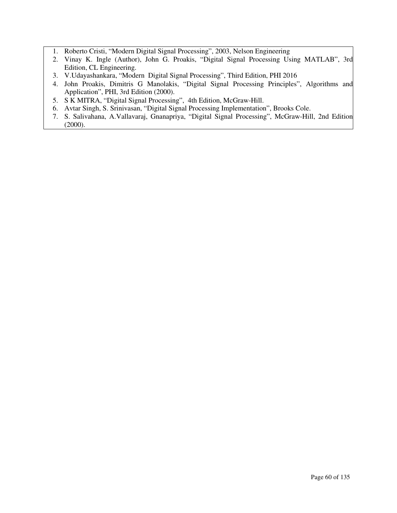- 1. Roberto Cristi, "Modern Digital Signal Processing", 2003, Nelson Engineering
- 2. Vinay K. Ingle (Author), John G. Proakis, "Digital Signal Processing Using MATLAB", 3rd Edition, CL Engineering.
- 3. V.Udayashankara, "Modern Digital Signal Processing", Third Edition, PHI 2016
- 4. John Proakis, Dimitris G Manolakis, "Digital Signal Processing Principles", Algorithms and Application", PHI, 3rd Edition (2000).
- 5. S K MITRA, "Digital Signal Processing", 4th Edition, McGraw-Hill.
- 6. Avtar Singh, S. Srinivasan, "Digital Signal Processing Implementation", Brooks Cole.
- 7. S. Salivahana, A.Vallavaraj, Gnanapriya, "Digital Signal Processing", McGraw-Hill, 2nd Edition (2000).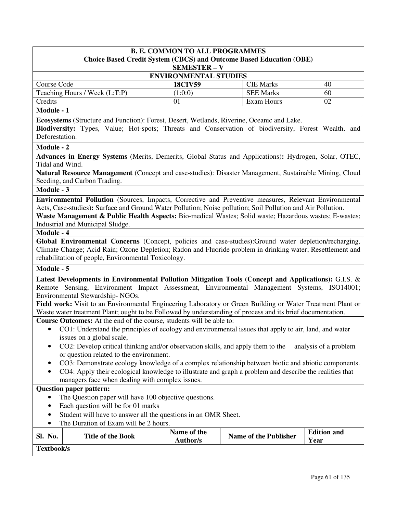# **B. E. COMMON TO ALL PROGRAMMES Choice Based Credit System (CBCS) and Outcome Based Education (OBE)**

| <b>SEMESTER – V</b>           |                |                  |    |  |
|-------------------------------|----------------|------------------|----|--|
| <b>ENVIRONMENTAL STUDIES</b>  |                |                  |    |  |
| Course Code                   | <b>18CIV59</b> | <b>CIE Marks</b> | 40 |  |
| Teaching Hours / Week (L:T:P) | (1:0:0)        | <b>SEE Marks</b> | 60 |  |
| Credits                       | $\Omega$       | Exam Hours       | 02 |  |
| $Modulo 1$                    |                |                  |    |  |

#### **Module - 1**

**Ecosystems** (Structure and Function): Forest, Desert, Wetlands, Riverine, Oceanic and Lake.

**Biodiversity:** Types, Value; Hot-spots; Threats and Conservation of biodiversity, Forest Wealth, and Deforestation.

#### **Module - 2**

**Advances in Energy Systems** (Merits, Demerits, Global Status and Applications)**:** Hydrogen, Solar, OTEC, Tidal and Wind.

**Natural Resource Management** (Concept and case-studies): Disaster Management, Sustainable Mining, Cloud Seeding, and Carbon Trading.

#### **Module - 3**

**Environmental Pollution** (Sources, Impacts, Corrective and Preventive measures, Relevant Environmental Acts, Case-studies)**:** Surface and Ground Water Pollution; Noise pollution; Soil Pollution and Air Pollution. **Waste Management & Public Health Aspects:** Bio-medical Wastes; Solid waste; Hazardous wastes; E-wastes; Industrial and Municipal Sludge.

#### **Module - 4**

**Global Environmental Concerns** (Concept, policies and case-studies):Ground water depletion/recharging, Climate Change; Acid Rain; Ozone Depletion; Radon and Fluoride problem in drinking water; Resettlement and rehabilitation of people, Environmental Toxicology.

#### **Module - 5**

**Latest Developments in Environmental Pollution Mitigation Tools (Concept and Applications):** G.I.S. & Remote Sensing, Environment Impact Assessment, Environmental Management Systems, ISO14001; Environmental Stewardship- NGOs.

**Field work:** Visit to an Environmental Engineering Laboratory or Green Building or Water Treatment Plant or Waste water treatment Plant; ought to be Followed by understanding of process and its brief documentation.

**Course Outcomes:** At the end of the course, students will be able to:

- CO1: Understand the principles of ecology and environmental issues that apply to air, land, and water issues on a global scale,
- CO2: Develop critical thinking and/or observation skills, and apply them to the analysis of a problem or question related to the environment.
- CO3: Demonstrate ecology knowledge of a complex relationship between biotic and abiotic components.
- CO4: Apply their ecological knowledge to illustrate and graph a problem and describe the realities that managers face when dealing with complex issues.

### **Question paper pattern:**

- The Question paper will have 100 objective questions.
- Each question will be for 01 marks
- Student will have to answer all the questions in an OMR Sheet.
- The Duration of Exam will be 2 hours.

| No.<br>Sl. | <b>Title of the Book</b> | Name of the<br>Author/s | <b>Name of the Publisher</b> | <b>Edition and</b><br><b>Vear</b> |
|------------|--------------------------|-------------------------|------------------------------|-----------------------------------|
| Textbook/s |                          |                         |                              |                                   |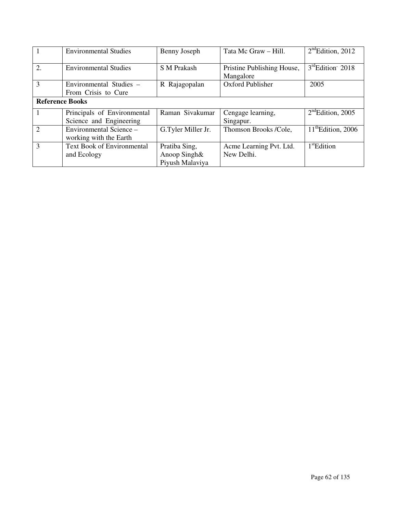|                        | <b>Environmental Studies</b>                           | Benny Joseph                                     | Tata Mc Graw - Hill.                    | $2nd$ Edition, 2012           |
|------------------------|--------------------------------------------------------|--------------------------------------------------|-----------------------------------------|-------------------------------|
| 2.                     | <b>Environmental Studies</b>                           | S M Prakash                                      | Pristine Publishing House,<br>Mangalore | $3^{\text{rd}}$ Edition' 2018 |
| 3                      | Environmental Studies -<br>From Crisis to Cure         | R Rajagopalan                                    | Oxford Publisher                        | 2005                          |
| <b>Reference Books</b> |                                                        |                                                  |                                         |                               |
|                        | Principals of Environmental<br>Science and Engineering | Raman Sivakumar                                  | Cengage learning,<br>Singapur.          | $2nd$ Edition, 2005           |
| $\overline{2}$         | Environmental Science –<br>working with the Earth      | G.Tyler Miller Jr.                               | Thomson Brooks /Cole,                   | $11th$ Edition, 2006          |
| 3                      | <b>Text Book of Environmental</b><br>and Ecology       | Pratiba Sing,<br>Anoop Singh&<br>Piyush Malaviya | Acme Learning Pvt. Ltd.<br>New Delhi.   | $1st$ Edition                 |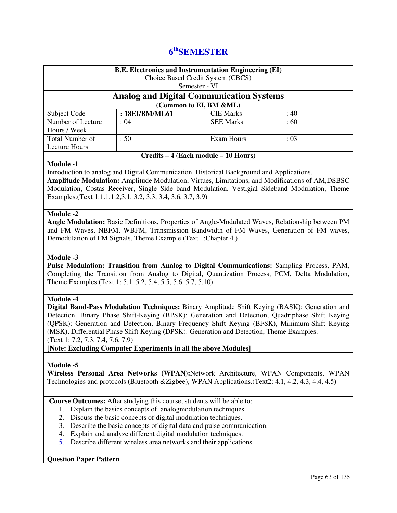# **6 thSEMESTER**

| Subject Code<br>Number of Lecture<br>Hours / Week<br>Total Number of<br><b>Lecture Hours</b><br><b>Module -1</b><br>Introduction to analog and Digital Communication, Historical Background and Applications.<br>Amplitude Modulation: Amplitude Modulation, Virtues, Limitations, and Modifications of AM,DSBSC<br>Modulation, Costas Receiver, Single Side band Modulation, Vestigial Sideband Modulation, Theme<br>Examples. (Text 1:1.1, 1.2, 3.1, 3.2, 3.3, 3.4, 3.6, 3.7, 3.9)                                     | <b>Analog and Digital Communication Systems</b><br>: 18EI/BM/ML61<br>: 04<br>:50                                                                                                                                                                                                                                                         | Semester - VI | (Common to EI, BM &ML)<br><b>CIE Marks</b><br><b>SEE Marks</b><br><b>Exam Hours</b><br>Credits - 4 (Each module - 10 Hours) | :40<br>:60<br>: 03 |  |
|--------------------------------------------------------------------------------------------------------------------------------------------------------------------------------------------------------------------------------------------------------------------------------------------------------------------------------------------------------------------------------------------------------------------------------------------------------------------------------------------------------------------------|------------------------------------------------------------------------------------------------------------------------------------------------------------------------------------------------------------------------------------------------------------------------------------------------------------------------------------------|---------------|-----------------------------------------------------------------------------------------------------------------------------|--------------------|--|
|                                                                                                                                                                                                                                                                                                                                                                                                                                                                                                                          |                                                                                                                                                                                                                                                                                                                                          |               |                                                                                                                             |                    |  |
|                                                                                                                                                                                                                                                                                                                                                                                                                                                                                                                          |                                                                                                                                                                                                                                                                                                                                          |               |                                                                                                                             |                    |  |
|                                                                                                                                                                                                                                                                                                                                                                                                                                                                                                                          |                                                                                                                                                                                                                                                                                                                                          |               |                                                                                                                             |                    |  |
|                                                                                                                                                                                                                                                                                                                                                                                                                                                                                                                          |                                                                                                                                                                                                                                                                                                                                          |               |                                                                                                                             |                    |  |
|                                                                                                                                                                                                                                                                                                                                                                                                                                                                                                                          |                                                                                                                                                                                                                                                                                                                                          |               |                                                                                                                             |                    |  |
|                                                                                                                                                                                                                                                                                                                                                                                                                                                                                                                          |                                                                                                                                                                                                                                                                                                                                          |               |                                                                                                                             |                    |  |
|                                                                                                                                                                                                                                                                                                                                                                                                                                                                                                                          |                                                                                                                                                                                                                                                                                                                                          |               |                                                                                                                             |                    |  |
| <b>Module -2</b><br>Angle Modulation: Basic Definitions, Properties of Angle-Modulated Waves, Relationship between PM<br>and FM Waves, NBFM, WBFM, Transmission Bandwidth of FM Waves, Generation of FM waves,<br>Demodulation of FM Signals, Theme Example. (Text 1: Chapter 4)                                                                                                                                                                                                                                         |                                                                                                                                                                                                                                                                                                                                          |               |                                                                                                                             |                    |  |
| Module -3<br>Pulse Modulation: Transition from Analog to Digital Communications: Sampling Process, PAM,<br>Completing the Transition from Analog to Digital, Quantization Process, PCM, Delta Modulation,<br>Theme Examples. (Text 1: 5.1, 5.2, 5.4, 5.5, 5.6, 5.7, 5.10)                                                                                                                                                                                                                                                |                                                                                                                                                                                                                                                                                                                                          |               |                                                                                                                             |                    |  |
| <b>Module -4</b><br>Digital Band-Pass Modulation Techniques: Binary Amplitude Shift Keying (BASK): Generation and<br>Detection, Binary Phase Shift-Keying (BPSK): Generation and Detection, Quadriphase Shift Keying<br>(QPSK): Generation and Detection, Binary Frequency Shift Keying (BFSK), Minimum-Shift Keying<br>(MSK), Differential Phase Shift Keying (DPSK): Generation and Detection, Theme Examples.<br>(Text 1: 7.2, 7.3, 7.4, 7.6, 7.9)<br>[Note: Excluding Computer Experiments in all the above Modules] |                                                                                                                                                                                                                                                                                                                                          |               |                                                                                                                             |                    |  |
| <b>Module -5</b><br>Wireless Personal Area Networks (WPAN): Network Architecture, WPAN Components, WPAN<br>Technologies and protocols (Bluetooth &Zigbee), WPAN Applications.(Text2: 4.1, 4.2, 4.3, 4.4, 4.5)                                                                                                                                                                                                                                                                                                            |                                                                                                                                                                                                                                                                                                                                          |               |                                                                                                                             |                    |  |
| Course Outcomes: After studying this course, students will be able to:<br>1.<br>2.<br>3.<br>4.<br>5.<br><b>Question Paper Pattern</b>                                                                                                                                                                                                                                                                                                                                                                                    | Explain the basics concepts of analogmodulation techniques.<br>Discuss the basic concepts of digital modulation techniques.<br>Describe the basic concepts of digital data and pulse communication.<br>Explain and analyze different digital modulation techniques.<br>Describe different wireless area networks and their applications. |               |                                                                                                                             |                    |  |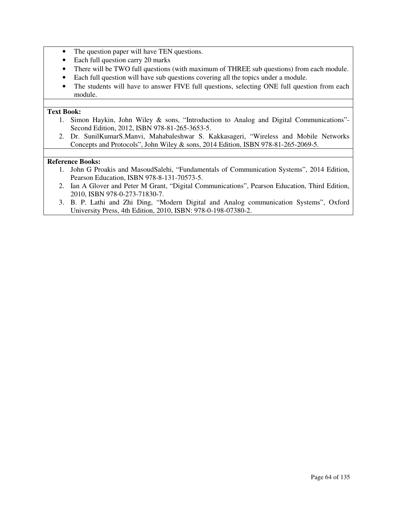- The question paper will have TEN questions.
- Each full question carry 20 marks
- There will be TWO full questions (with maximum of THREE sub questions) from each module.
- Each full question will have sub questions covering all the topics under a module.
- The students will have to answer FIVE full questions, selecting ONE full question from each module.

### **Text Book:**

- 1. Simon Haykin, John Wiley & sons, "Introduction to Analog and Digital Communications"- Second Edition, 2012, ISBN 978-81-265-3653-5.
- 2. Dr. SunilKumarS.Manvi, Mahabaleshwar S. Kakkasageri, "Wireless and Mobile Networks Concepts and Protocols", John Wiley & sons, 2014 Edition, ISBN 978-81-265-2069-5.

- 1. John G Proakis and MasoudSalehi, "Fundamentals of Communication Systems", 2014 Edition, Pearson Education, ISBN 978-8-131-70573-5.
- 2. Ian A Glover and Peter M Grant, "Digital Communications", Pearson Education, Third Edition, 2010, ISBN 978-0-273-71830-7.
- 3. B. P. Lathi and Zhi Ding, "Modern Digital and Analog communication Systems", Oxford University Press, 4th Edition, 2010, ISBN: 978-0-198-07380-2.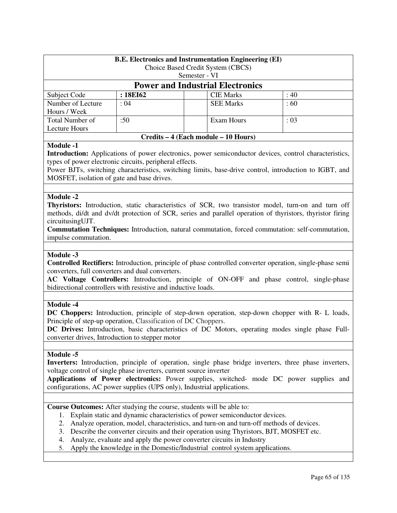| <b>B.E.</b> Electronics and Instrumentation Engineering (EI)<br>Choice Based Credit System (CBCS) |               |               |                  |      |  |
|---------------------------------------------------------------------------------------------------|---------------|---------------|------------------|------|--|
|                                                                                                   |               |               |                  |      |  |
|                                                                                                   |               | Semester - VI |                  |      |  |
| <b>Power and Industrial Electronics</b>                                                           |               |               |                  |      |  |
| Subject Code                                                                                      | : 18EI62      |               | <b>CIE Marks</b> | :40  |  |
| Number of Lecture                                                                                 | : 04          |               | <b>SEE Marks</b> | :60  |  |
| Hours / Week                                                                                      |               |               |                  |      |  |
| Total Number of                                                                                   | $:50^{\circ}$ |               | Exam Hours       | : 03 |  |
| Lecture Hours                                                                                     |               |               |                  |      |  |
| Credits – 4 (Each module – 10 Hours)                                                              |               |               |                  |      |  |

**Introduction:** Applications of power electronics, power semiconductor devices, control characteristics, types of power electronic circuits, peripheral effects.

Power BJTs, switching characteristics, switching limits, base-drive control, introduction to IGBT, and MOSFET, isolation of gate and base drives.

### **Module -2**

**Thyristors:** Introduction, static characteristics of SCR, two transistor model, turn-on and turn off methods, di/dt and dv/dt protection of SCR, series and parallel operation of thyristors, thyristor firing circuitusingUJT.

**Commutation Techniques:** Introduction, natural commutation, forced commutation: self-commutation, impulse commutation.

#### **Module -3**

**Controlled Rectifiers:** Introduction, principle of phase controlled converter operation, single-phase semi converters, full converters and dual converters.

**AC Voltage Controllers:** Introduction, principle of ON-OFF and phase control, single-phase bidirectional controllers with resistive and inductive loads.

#### **Module -4**

**DC Choppers:** Introduction, principle of step-down operation, step-down chopper with R- L loads, Principle of step-up operation, Classification of DC Choppers.

**DC Drives:** Introduction, basic characteristics of DC Motors, operating modes single phase Fullconverter drives, Introduction to stepper motor

#### **Module -5**

**Inverters:** Introduction, principle of operation, single phase bridge inverters, three phase inverters, voltage control of single phase inverters, current source inverter

**Applications of Power electronics:** Power supplies, switched- mode DC power supplies and configurations, AC power supplies (UPS only), Industrial applications.

**Course Outcomes:** After studying the course, students will be able to:

- 1. Explain static and dynamic characteristics of power semiconductor devices.
- 2. Analyze operation, model, characteristics, and turn-on and turn-off methods of devices.
- 3. Describe the converter circuits and their operation using Thyristors, BJT, MOSFET etc.
- 4. Analyze, evaluate and apply the power converter circuits in Industry
- 5. Apply the knowledge in the Domestic/Industrial control system applications.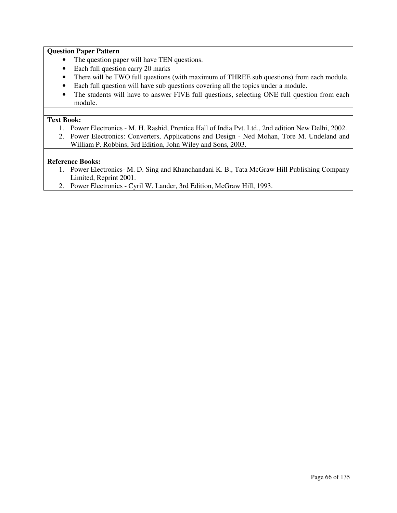### **Question Paper Pattern**

- The question paper will have TEN questions.
- Each full question carry 20 marks
- There will be TWO full questions (with maximum of THREE sub questions) from each module.
- Each full question will have sub questions covering all the topics under a module.
- The students will have to answer FIVE full questions, selecting ONE full question from each module.

### **Text Book:**

- 1. Power Electronics M. H. Rashid, Prentice Hall of India Pvt. Ltd., 2nd edition New Delhi, 2002.
- 2. Power Electronics: Converters, Applications and Design Ned Mohan, Tore M. Undeland and William P. Robbins, 3rd Edition, John Wiley and Sons, 2003.

- 1. Power Electronics- M. D. Sing and Khanchandani K. B., Tata McGraw Hill Publishing Company Limited, Reprint 2001.
- 2. Power Electronics Cyril W. Lander, 3rd Edition, McGraw Hill, 1993.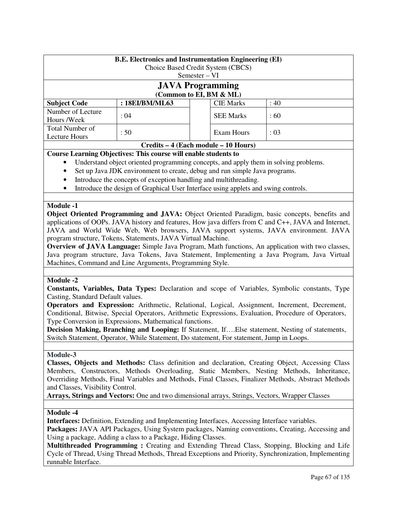|                                                                                                  | <b>B.E. Electronics and Instrumentation Engineering (EI)</b> |               |                  |      |
|--------------------------------------------------------------------------------------------------|--------------------------------------------------------------|---------------|------------------|------|
|                                                                                                  | Choice Based Credit System (CBCS)                            |               |                  |      |
|                                                                                                  |                                                              | Semester – VI |                  |      |
|                                                                                                  | <b>JAVA Programming</b>                                      |               |                  |      |
|                                                                                                  | (Common to EI, BM & ML)                                      |               |                  |      |
| <b>Subject Code</b>                                                                              | : 18EI/BM/ML63                                               |               | <b>CIE Marks</b> | :40  |
| Number of Lecture                                                                                | : 04                                                         |               | <b>SEE Marks</b> | :60  |
| Hours /Week                                                                                      |                                                              |               |                  |      |
| <b>Total Number of</b>                                                                           | :50                                                          |               | Exam Hours       | : 03 |
| Lecture Hours                                                                                    |                                                              |               |                  |      |
| Credits – 4 (Each module – 10 Hours)                                                             |                                                              |               |                  |      |
| Course Learning Objectives: This course will enable students to                                  |                                                              |               |                  |      |
| Understand object oriented programming concepts, and apply them in solving problems.<br>٠        |                                                              |               |                  |      |
| $\bullet$ . Cat us Lave IDV antiparament to apart a deliver and one aimed a Lave may approximate |                                                              |               |                  |      |

- Set up Java JDK environment to create, debug and run simple Java programs.
- Introduce the concepts of exception handling and multithreading.
- Introduce the design of Graphical User Interface using applets and swing controls.

**Object Oriented Programming and JAVA:** Object Oriented Paradigm, basic concepts, benefits and applications of OOPs. JAVA history and features, How java differs from C and C++, JAVA and Internet, JAVA and World Wide Web, Web browsers, JAVA support systems, JAVA environment. JAVA program structure, Tokens, Statements, JAVA Virtual Machine.

**Overview of JAVA Language:** Simple Java Program, Math functions, An application with two classes, Java program structure, Java Tokens, Java Statement, Implementing a Java Program, Java Virtual Machines, Command and Line Arguments, Programming Style.

#### **Module -2**

**Constants, Variables, Data Types:** Declaration and scope of Variables, Symbolic constants, Type Casting, Standard Default values.

**Operators and Expression:** Arithmetic, Relational, Logical, Assignment, Increment, Decrement, Conditional, Bitwise, Special Operators, Arithmetic Expressions, Evaluation, Procedure of Operators, Type Conversion in Expressions, Mathematical functions.

**Decision Making, Branching and Looping:** If Statement, If….Else statement, Nesting of statements, Switch Statement, Operator, While Statement, Do statement, For statement, Jump in Loops.

### **Module-3**

**Classes, Objects and Methods:** Class definition and declaration, Creating Object, Accessing Class Members, Constructors, Methods Overloading, Static Members, Nesting Methods, Inheritance, Overriding Methods, Final Variables and Methods, Final Classes, Finalizer Methods, Abstract Methods and Classes, Visibility Control.

**Arrays, Strings and Vectors:** One and two dimensional arrays, Strings, Vectors, Wrapper Classes

### **Module -4**

**Interfaces:** Definition, Extending and Implementing Interfaces, Accessing Interface variables.

**Packages:** JAVA API Packages, Using System packages, Naming conventions, Creating, Accessing and Using a package, Adding a class to a Package, Hiding Classes.

**Multithreaded Programming :** Creating and Extending Thread Class, Stopping, Blocking and Life Cycle of Thread, Using Thread Methods, Thread Exceptions and Priority, Synchronization, Implementing runnable Interface.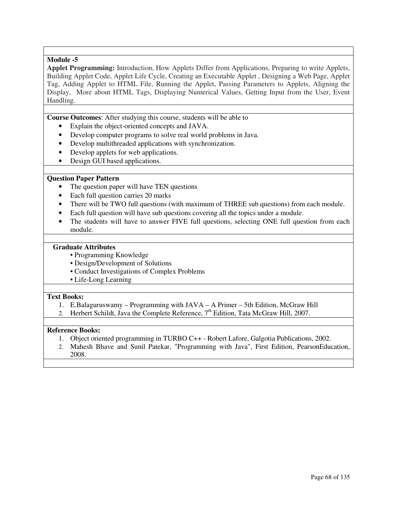**Applet Programming:** Introduction, How Applets Differ from Applications, Preparing to write Applets, Building Applet Code, Applet Life Cycle, Creating an Executable Applet , Designing a Web Page, Applet Tag, Adding Applet to HTML File, Running the Applet, Passing Parameters to Applets, Aligning the Display, More about HTML Tags, Displaying Numerical Values, Getting Input from the User, Event Handling.

**Course Outcomes**: After studying this course, students will be able to

- Explain the object-oriented concepts and JAVA.
- Develop computer programs to solve real world problems in Java.
- Develop multithreaded applications with synchronization.
- Develop applets for web applications.
- Design GUI based applications.

### **Question Paper Pattern**

- The question paper will have TEN questions
- Each full question carries 20 marks
- There will be TWO full questions (with maximum of THREE sub questions) from each module.
- Each full question will have sub questions covering all the topics under a module.
- The students will have to answer FIVE full questions, selecting ONE full question from each module.

#### **Graduate Attributes**

- Programming Knowledge
- Design/Development of Solutions
- Conduct Investigations of Complex Problems
- Life-Long Learning

#### **Text Books:**

- 1. E.Balaguruswamy Programming with JAVA A Primer 5th Edition, McGraw Hill
- 2. Herbert Schildt, Java the Complete Reference, 7<sup>th</sup> Edition, Tata McGraw Hill, 2007.

- 1. Object oriented programming in TURBO C++ Robert Lafore, Galgotia Publications, 2002.
- 2. Mahesh Bhave and Sunil Patekar, "Programming with Java", First Edition, PearsonEducation, 2008.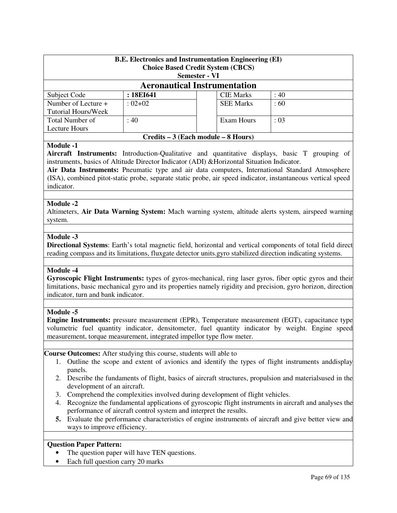| <b>B.E.</b> Electronics and Instrumentation Engineering (EI)<br><b>Choice Based Credit System (CBCS)</b><br><b>Semester - VI</b> |             |  |                  |                 |
|----------------------------------------------------------------------------------------------------------------------------------|-------------|--|------------------|-----------------|
| <b>Aeronautical Instrumentation</b>                                                                                              |             |  |                  |                 |
| Subject Code                                                                                                                     | : 18EI641   |  | <b>CIE Marks</b> | :40             |
| Number of Lecture +<br>Tutorial Hours/Week                                                                                       | $: 02 + 02$ |  | <b>SEE Marks</b> | $\therefore 60$ |
| Total Number of<br>: 03<br>: 40<br>Exam Hours<br>Lecture Hours                                                                   |             |  |                  |                 |
| Credits – 3 (Each module – 8 Hours)                                                                                              |             |  |                  |                 |

**Aircraft Instruments:** Introduction-Qualitative and quantitative displays, basic T grouping of instruments, basics of Altitude Director Indicator (ADI) &Horizontal Situation Indicator.

**Air Data Instruments:** Pneumatic type and air data computers, International Standard Atmosphere (ISA), combined pitot-static probe, separate static probe, air speed indicator, instantaneous vertical speed indicator.

### **Module -2**

Altimeters, **Air Data Warning System:** Mach warning system, altitude alerts system, airspeed warning system.

### **Module -3**

**Directional Systems**: Earth's total magnetic field, horizontal and vertical components of total field direct reading compass and its limitations, fluxgate detector units.gyro stabilized direction indicating systems.

#### **Module -4**

**Gyroscopic Flight Instruments:** types of gyros-mechanical, ring laser gyros, fiber optic gyros and their limitations, basic mechanical gyro and its properties namely rigidity and precision, gyro horizon, direction indicator, turn and bank indicator.

#### **Module -5**

**Engine Instruments:** pressure measurement (EPR), Temperature measurement (EGT), capacitance type volumetric fuel quantity indicator, densitometer, fuel quantity indicator by weight. Engine speed measurement, torque measurement, integrated impellor type flow meter.

#### **Course Outcomes:** After studying this course, students will able to

- 1. Outline the scope and extent of avionics and identify the types of flight instruments anddisplay panels.
- 2. Describe the fundaments of flight, basics of aircraft structures, propulsion and materialsused in the development of an aircraft.
- 3. Comprehend the complexities involved during development of flight vehicles.
- 4. Recognize the fundamental applications of gyroscopic flight instruments in aircraft and analyses the performance of aircraft control system and interpret the results.
- **5.** Evaluate the performance characteristics of engine instruments of aircraft and give better view and ways to improve efficiency.

### **Question Paper Pattern:**

- The question paper will have TEN questions.
- Each full question carry 20 marks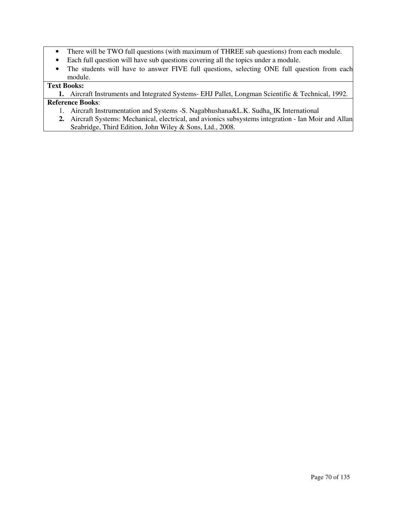- There will be TWO full questions (with maximum of THREE sub questions) from each module.
- Each full question will have sub questions covering all the topics under a module.
- The students will have to answer FIVE full questions, selecting ONE full question from each module.

# **Text Books:**

**1.** Aircraft Instruments and Integrated Systems- EHJ Pallet, Longman Scientific & Technical, 1992. **Reference Books**:

- 1. Aircraft Instrumentation and Systems -S. Nagabhushana&L.K. Sudha, IK International
- **2.** Aircraft Systems: Mechanical, electrical, and avionics subsystems integration Ian Moir and Allan Seabridge, Third Edition, John Wiley & Sons, Ltd., 2008.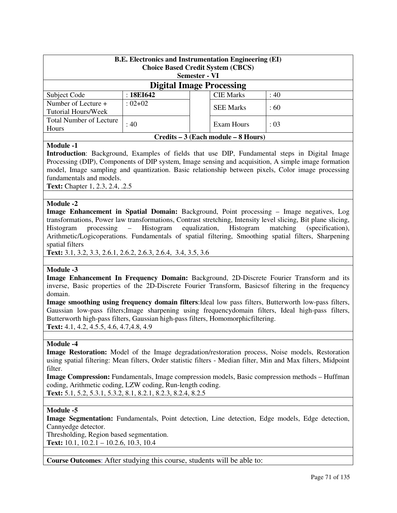| <b>B.E. Electronics and Instrumentation Engineering (EI)</b><br><b>Choice Based Credit System (CBCS)</b><br><b>Semester - VI</b> |                           |  |                  |      |  |
|----------------------------------------------------------------------------------------------------------------------------------|---------------------------|--|------------------|------|--|
| <b>Digital Image Processing</b>                                                                                                  |                           |  |                  |      |  |
| Subject Code                                                                                                                     | :18E1642                  |  | <b>CIE Marks</b> | : 40 |  |
| Number of Lecture +<br>Tutorial Hours/Week                                                                                       | $: 02 + 02$               |  | <b>SEE Marks</b> | :60  |  |
| <b>Total Number of Lecture</b><br>Hours                                                                                          | :40<br>Exam Hours<br>: 03 |  |                  |      |  |
| Credits – 3 (Each module – 8 Hours)                                                                                              |                           |  |                  |      |  |

**Introduction**: Background, Examples of fields that use DIP, Fundamental steps in Digital Image Processing (DIP), Components of DIP system, Image sensing and acquisition, A simple image formation model, Image sampling and quantization. Basic relationship between pixels, Color image processing fundamentals and models.

**Text:** Chapter 1, 2.3, 2.4, .2.5

### **Module -2**

**Image Enhancement in Spatial Domain:** Background, Point processing – Image negatives, Log transformations, Power law transformations, Contrast stretching, Intensity level slicing, Bit plane slicing, Histogram processing – Histogram equalization, Histogram matching (specification), Arithmetic/Logicoperations. Fundamentals of spatial filtering, Smoothing spatial filters, Sharpening spatial filters

**Text:** 3.1, 3.2, 3.3, 2.6.1, 2.6.2, 2.6.3, 2.6.4, 3.4, 3.5, 3.6

#### **Module -3**

**Image Enhancement In Frequency Domain:** Background, 2D-Discrete Fourier Transform and its inverse, Basic properties of the 2D-Discrete Fourier Transform, Basicsof filtering in the frequency domain.

**Image smoothing using frequency domain filters**:Ideal low pass filters, Butterworth low-pass filters, Gaussian low-pass filters;Image sharpening using frequencydomain filters, Ideal high-pass filters, Butterworth high-pass filters, Gaussian high-pass filters, Homomorphicfiltering. **Text:** 4.1, 4.2, 4.5.5, 4.6, 4.7,4.8, 4.9

#### **Module -4**

**Image Restoration:** Model of the Image degradation/restoration process, Noise models, Restoration using spatial filtering: Mean filters, Order statistic filters - Median filter, Min and Max filters, Midpoint filter.

**Image Compression:** Fundamentals, Image compression models, Basic compression methods – Huffman coding, Arithmetic coding, LZW coding, Run-length coding. **Text:** 5.1, 5.2, 5.3.1, 5.3.2, 8.1, 8.2.1, 8.2.3, 8.2.4, 8.2.5

#### **Module -5**

**Image Segmentation:** Fundamentals, Point detection, Line detection, Edge models, Edge detection, Cannyedge detector.

Thresholding, Region based segmentation. **Text:** 10.1, 10.2.1 – 10.2.6, 10.3, 10.4

**Course Outcomes**: After studying this course, students will be able to: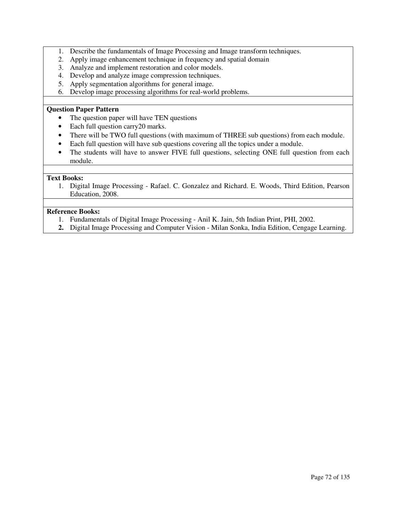- 1. Describe the fundamentals of Image Processing and Image transform techniques.
- 2. Apply image enhancement technique in frequency and spatial domain
- 3. Analyze and implement restoration and color models.
- 4. Develop and analyze image compression techniques.
- 5. Apply segmentation algorithms for general image.
- 6. Develop image processing algorithms for real-world problems.

#### **Question Paper Pattern**

- The question paper will have TEN questions
- Each full question carry 20 marks.
- There will be TWO full questions (with maximum of THREE sub questions) from each module.
- Each full question will have sub questions covering all the topics under a module.
- The students will have to answer FIVE full questions, selecting ONE full question from each module.

### **Text Books:**

1. Digital Image Processing - Rafael. C. Gonzalez and Richard. E. Woods, Third Edition, Pearson Education, 2008.

- 1. Fundamentals of Digital Image Processing Anil K. Jain, 5th Indian Print, PHI, 2002.
- **2.** Digital Image Processing and Computer Vision Milan Sonka, India Edition, Cengage Learning.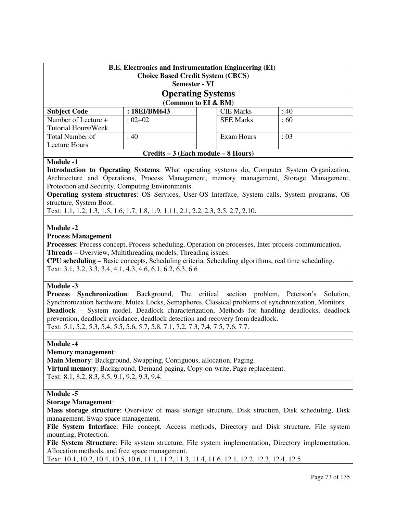| <b>B.E. Electronics and Instrumentation Engineering (EI)</b><br><b>Choice Based Credit System (CBCS)</b><br><b>Semester - VI</b> |              |  |                  |          |  |
|----------------------------------------------------------------------------------------------------------------------------------|--------------|--|------------------|----------|--|
| <b>Operating Systems</b><br>(Common to EI & BM)                                                                                  |              |  |                  |          |  |
| <b>Subject Code</b>                                                                                                              | : 18EI/BM643 |  | <b>CIE Marks</b> | :40      |  |
| Number of Lecture +<br>Tutorial Hours/Week                                                                                       | $:02+02$     |  | <b>SEE Marks</b> | $\pm 60$ |  |
| :40<br>Total Number of<br>Exam Hours<br>$\div 03$<br>Lecture Hours                                                               |              |  |                  |          |  |
| Credits – 3 (Each module – 8 Hours)                                                                                              |              |  |                  |          |  |

**Introduction to Operating Systems**: What operating systems do, Computer System Organization, Architecture and Operations, Process Management, memory management, Storage Management, Protection and Security, Computing Environments.

**Operating system structures**: OS Services, User-OS Interface, System calls, System programs, OS structure, System Boot.

Text: 1.1, 1.2, 1.3, 1.5, 1.6, 1.7, 1.8, 1.9, 1.11, 2.1, 2.2, 2.3, 2.5, 2.7, 2.10.

### **Module -2**

### **Process Management**

**Processes**: Process concept, Process scheduling, Operation on processes, Inter process communication. **Threads** – Overview, Multithreading models, Threading issues.

**CPU scheduling** – Basic concepts, Scheduling criteria, Scheduling algorithms, real time scheduling. Text: 3.1, 3.2, 3.3, 3.4, 4.1, 4.3, 4.6, 6.1, 6.2, 6.3, 6.6

#### **Module -3**

**Process Synchronization**: Background, The critical section problem, Peterson's Solution, Synchronization hardware, Mutex Locks, Semaphores, Classical problems of synchronization, Monitors. **Deadlock** – System model, Deadlock characterization, Methods for handling deadlocks, deadlock prevention, deadlock avoidance, deadlock detection and recovery from deadlock. Text: 5.1, 5.2, 5.3, 5.4, 5.5, 5.6, 5.7, 5.8, 7.1, 7.2, 7.3, 7.4, 7.5, 7.6, 7.7.

#### **Module -4**

#### **Memory management**:

**Main Memory**: Background, Swapping, Contiguous, allocation, Paging. **Virtual memory**: Background, Demand paging, Copy-on-write, Page replacement. Text: 8.1, 8.2, 8.3, 8.5, 9.1, 9.2, 9.3, 9.4.

#### **Module -5**

#### **Storage Management**:

**Mass storage structure**: Overview of mass storage structure, Disk structure, Disk scheduling, Disk management, Swap space management.

**File System Interface**: File concept, Access methods, Directory and Disk structure, File system mounting, Protection.

**File System Structure**: File system structure, File system implementation, Directory implementation, Allocation methods, and free space management.

Text: 10.1, 10.2, 10.4, 10.5, 10.6, 11.1, 11.2, 11.3, 11.4, 11.6, 12.1, 12.2, 12.3, 12.4, 12.5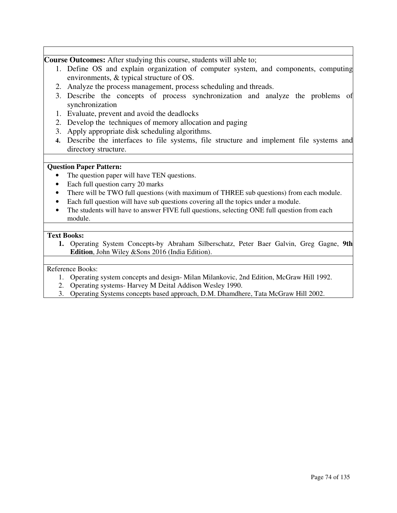**Course Outcomes:** After studying this course, students will able to;

- 1. Define OS and explain organization of computer system, and components, computing environments, & typical structure of OS.
- 2. Analyze the process management, process scheduling and threads.
- 3. Describe the concepts of process synchronization and analyze the problems of synchronization
- 1. Evaluate, prevent and avoid the deadlocks
- 2. Develop the techniques of memory allocation and paging
- 3. Apply appropriate disk scheduling algorithms.
- **4.** Describe the interfaces to file systems, file structure and implement file systems and directory structure.

### **Question Paper Pattern:**

- The question paper will have TEN questions.
- Each full question carry 20 marks
- There will be TWO full questions (with maximum of THREE sub questions) from each module.
- Each full question will have sub questions covering all the topics under a module.
- The students will have to answer FIVE full questions, selecting ONE full question from each module.

### **Text Books:**

**1.** Operating System Concepts-by Abraham Silberschatz, Peter Baer Galvin, Greg Gagne, **9th Edition**, John Wiley &Sons 2016 (India Edition).

- 1. Operating system concepts and design- Milan Milankovic, 2nd Edition, McGraw Hill 1992.
- 2. Operating systems- Harvey M Deital Addison Wesley 1990.
- 3. Operating Systems concepts based approach, D.M. Dhamdhere, Tata McGraw Hill 2002.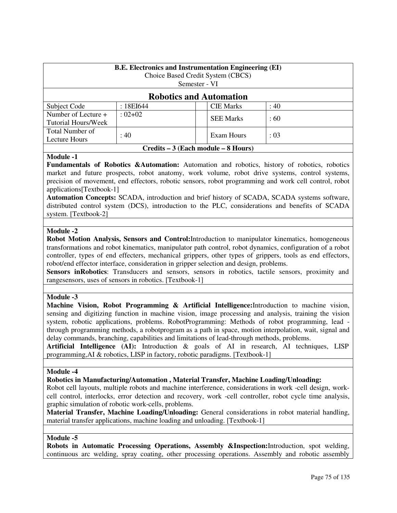| <b>B.E.</b> Electronics and Instrumentation Engineering (EI)<br>Choice Based Credit System (CBCS) |                            |                  |  |      |  |  |
|---------------------------------------------------------------------------------------------------|----------------------------|------------------|--|------|--|--|
|                                                                                                   |                            | Semester - VI    |  |      |  |  |
| <b>Robotics and Automation</b>                                                                    |                            |                  |  |      |  |  |
| Subject Code                                                                                      | : 18EI644                  | <b>CIE Marks</b> |  | : 40 |  |  |
| Number of Lecture +                                                                               | $: 02+02$                  |                  |  | :60  |  |  |
| Tutorial Hours/Week                                                                               |                            | <b>SEE Marks</b> |  |      |  |  |
| Total Number of                                                                                   |                            |                  |  |      |  |  |
| Lecture Hours                                                                                     | : 40<br>Exam Hours<br>: 03 |                  |  |      |  |  |
| Credits – 3 (Each module – 8 Hours)                                                               |                            |                  |  |      |  |  |

**Fundamentals of Robotics &Automation:** Automation and robotics, history of robotics, robotics market and future prospects, robot anatomy, work volume, robot drive systems, control systems, precision of movement, end effectors, robotic sensors, robot programming and work cell control, robot applications[Textbook-1]

**Automation Concepts:** SCADA, introduction and brief history of SCADA, SCADA systems software, distributed control system (DCS), introduction to the PLC, considerations and benefits of SCADA system. [Textbook-2]

### **Module -2**

**Robot Motion Analysis, Sensors and Control:**Introduction to manipulator kinematics, homogeneous transformations and robot kinematics, manipulator path control, robot dynamics, configuration of a robot controller, types of end effecters, mechanical grippers, other types of grippers, tools as end effectors, robot/end effector interface, consideration in gripper selection and design, problems.

Sensors inRobotics: Transducers and sensors, sensors in robotics, tactile sensors, proximity and rangesensors, uses of sensors in robotics. [Textbook-1]

### **Module -3**

**Machine Vision, Robot Programming & Artificial Intelligence:**Introduction to machine vision, sensing and digitizing function in machine vision, image processing and analysis, training the vision system, robotic applications, problems. RobotProgramming: Methods of robot programming, lead through programming methods, a robotprogram as a path in space, motion interpolation, wait, signal and delay commands, branching, capabilities and limitations of lead-through methods, problems.

**Artificial Intelligence (AI):** Introduction & goals of AI in research, AI techniques, LISP programming,AI & robotics, LISP in factory, robotic paradigms. [Textbook-1]

#### **Module -4**

### **Robotics in Manufacturing/Automation , Material Transfer, Machine Loading/Unloading:**

Robot cell layouts, multiple robots and machine interference, considerations in work -cell design, workcell control, interlocks, error detection and recovery, work -cell controller, robot cycle time analysis, graphic simulation of robotic work-cells, problems.

**Material Transfer, Machine Loading/Unloading:** General considerations in robot material handling, material transfer applications, machine loading and unloading. [Textbook-1]

### **Module -5**

**Robots in Automatic Processing Operations, Assembly &Inspection:**Introduction, spot welding, continuous arc welding, spray coating, other processing operations. Assembly and robotic assembly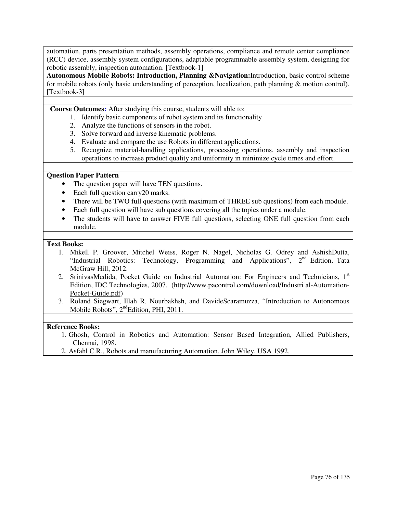automation, parts presentation methods, assembly operations, compliance and remote center compliance (RCC) device, assembly system configurations, adaptable programmable assembly system, designing for robotic assembly, inspection automation. [Textbook-1]

**Autonomous Mobile Robots: Introduction, Planning &Navigation:**Introduction, basic control scheme for mobile robots (only basic understanding of perception, localization, path planning & motion control). [Textbook-3]

**Course Outcomes:** After studying this course, students will able to:

- 1. Identify basic components of robot system and its functionality
- 2. Analyze the functions of sensors in the robot.
- 3. Solve forward and inverse kinematic problems.
- 4. Evaluate and compare the use Robots in different applications.
- 5. Recognize material-handling applications, processing operations, assembly and inspection operations to increase product quality and uniformity in minimize cycle times and effort.

### **Question Paper Pattern**

- The question paper will have TEN questions.
- Each full question carry 20 marks.
- There will be TWO full questions (with maximum of THREE sub questions) from each module.
- Each full question will have sub questions covering all the topics under a module.
- The students will have to answer FIVE full questions, selecting ONE full question from each module.

#### **Text Books:**

- 1. Mikell P. Groover, Mitchel Weiss, Roger N. Nagel, Nicholas G. Odrey and AshishDutta, "Industrial Robotics: Technology, Programming and Applications", 2nd Edition, Tata McGraw Hill, 2012.
- 2. SrinivasMedida, Pocket Guide on Industrial Automation: For Engineers and Technicians,  $1<sup>st</sup>$ Edition, IDC Technologies, 2007. (http://www.pacontrol.com/download/Industri al-Automation-Pocket-Guide.pdf)
- 3. Roland Siegwart, Illah R. Nourbakhsh, and DavideScaramuzza, "Introduction to Autonomous Mobile Robots", 2<sup>nd</sup>Edition, PHI, 2011.

- 1. Ghosh, Control in Robotics and Automation: Sensor Based Integration, Allied Publishers, Chennai, 1998.
- 2. Asfahl C.R., Robots and manufacturing Automation, John Wiley, USA 1992.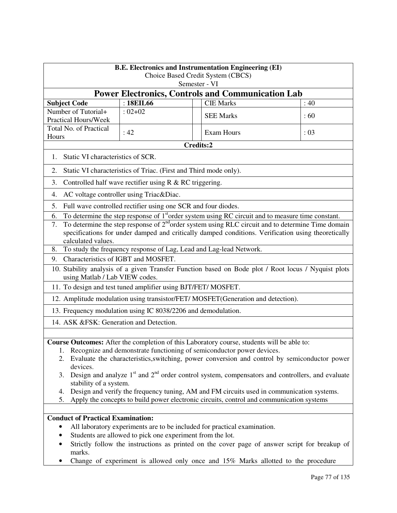| <b>B.E. Electronics and Instrumentation Engineering (EI)</b><br>Choice Based Credit System (CBCS)<br>Semester - VI                                                                                                                                                                                                                                                                                                                                                                                                                                                                                                                |                                                                                                                                                                                                                                                                                                                            |  |                                                                                                                                                                                                                                                                |      |  |
|-----------------------------------------------------------------------------------------------------------------------------------------------------------------------------------------------------------------------------------------------------------------------------------------------------------------------------------------------------------------------------------------------------------------------------------------------------------------------------------------------------------------------------------------------------------------------------------------------------------------------------------|----------------------------------------------------------------------------------------------------------------------------------------------------------------------------------------------------------------------------------------------------------------------------------------------------------------------------|--|----------------------------------------------------------------------------------------------------------------------------------------------------------------------------------------------------------------------------------------------------------------|------|--|
|                                                                                                                                                                                                                                                                                                                                                                                                                                                                                                                                                                                                                                   |                                                                                                                                                                                                                                                                                                                            |  | <b>Power Electronics, Controls and Communication Lab</b>                                                                                                                                                                                                       |      |  |
| <b>Subject Code</b>                                                                                                                                                                                                                                                                                                                                                                                                                                                                                                                                                                                                               | : 18EIL66                                                                                                                                                                                                                                                                                                                  |  | <b>CIE Marks</b>                                                                                                                                                                                                                                               | : 40 |  |
| Number of Tutorial+<br><b>Practical Hours/Week</b>                                                                                                                                                                                                                                                                                                                                                                                                                                                                                                                                                                                | $:02+02$                                                                                                                                                                                                                                                                                                                   |  | <b>SEE Marks</b>                                                                                                                                                                                                                                               | :60  |  |
| Total No. of Practical<br>Hours                                                                                                                                                                                                                                                                                                                                                                                                                                                                                                                                                                                                   | :42                                                                                                                                                                                                                                                                                                                        |  | <b>Exam Hours</b>                                                                                                                                                                                                                                              | : 03 |  |
|                                                                                                                                                                                                                                                                                                                                                                                                                                                                                                                                                                                                                                   |                                                                                                                                                                                                                                                                                                                            |  | Credits:2                                                                                                                                                                                                                                                      |      |  |
| Static VI characteristics of SCR.<br>1.                                                                                                                                                                                                                                                                                                                                                                                                                                                                                                                                                                                           |                                                                                                                                                                                                                                                                                                                            |  |                                                                                                                                                                                                                                                                |      |  |
| 2.                                                                                                                                                                                                                                                                                                                                                                                                                                                                                                                                                                                                                                | Static VI characteristics of Triac. (First and Third mode only).                                                                                                                                                                                                                                                           |  |                                                                                                                                                                                                                                                                |      |  |
| 3.                                                                                                                                                                                                                                                                                                                                                                                                                                                                                                                                                                                                                                | Controlled half wave rectifier using R & RC triggering.                                                                                                                                                                                                                                                                    |  |                                                                                                                                                                                                                                                                |      |  |
| 4.                                                                                                                                                                                                                                                                                                                                                                                                                                                                                                                                                                                                                                | AC voltage controller using Triac&Diac.                                                                                                                                                                                                                                                                                    |  |                                                                                                                                                                                                                                                                |      |  |
| 5.                                                                                                                                                                                                                                                                                                                                                                                                                                                                                                                                                                                                                                | Full wave controlled rectifier using one SCR and four diodes.                                                                                                                                                                                                                                                              |  |                                                                                                                                                                                                                                                                |      |  |
| 6.<br>7.<br>calculated values.                                                                                                                                                                                                                                                                                                                                                                                                                                                                                                                                                                                                    | To determine the step response of 1 <sup>st</sup> order system using RC circuit and to measure time constant.<br>To determine the step response of $2nd$ order system using RLC circuit and to determine Time domain<br>specifications for under damped and critically damped conditions. Verification using theoretically |  |                                                                                                                                                                                                                                                                |      |  |
| 8.                                                                                                                                                                                                                                                                                                                                                                                                                                                                                                                                                                                                                                | To study the frequency response of Lag, Lead and Lag-lead Network.                                                                                                                                                                                                                                                         |  |                                                                                                                                                                                                                                                                |      |  |
| Characteristics of IGBT and MOSFET.<br>9.                                                                                                                                                                                                                                                                                                                                                                                                                                                                                                                                                                                         |                                                                                                                                                                                                                                                                                                                            |  |                                                                                                                                                                                                                                                                |      |  |
| using Matlab / Lab VIEW codes.                                                                                                                                                                                                                                                                                                                                                                                                                                                                                                                                                                                                    |                                                                                                                                                                                                                                                                                                                            |  | 10. Stability analysis of a given Transfer Function based on Bode plot / Root locus / Nyquist plots                                                                                                                                                            |      |  |
|                                                                                                                                                                                                                                                                                                                                                                                                                                                                                                                                                                                                                                   | 11. To design and test tuned amplifier using BJT/FET/ MOSFET.                                                                                                                                                                                                                                                              |  |                                                                                                                                                                                                                                                                |      |  |
|                                                                                                                                                                                                                                                                                                                                                                                                                                                                                                                                                                                                                                   |                                                                                                                                                                                                                                                                                                                            |  | 12. Amplitude modulation using transistor/FET/MOSFET(Generation and detection).                                                                                                                                                                                |      |  |
|                                                                                                                                                                                                                                                                                                                                                                                                                                                                                                                                                                                                                                   | 13. Frequency modulation using IC 8038/2206 and demodulation.                                                                                                                                                                                                                                                              |  |                                                                                                                                                                                                                                                                |      |  |
| 14. ASK & FSK: Generation and Detection.                                                                                                                                                                                                                                                                                                                                                                                                                                                                                                                                                                                          |                                                                                                                                                                                                                                                                                                                            |  |                                                                                                                                                                                                                                                                |      |  |
| Course Outcomes: After the completion of this Laboratory course, students will be able to:<br>1. Recognize and demonstrate functioning of semiconductor power devices.<br>2. Evaluate the characteristics, switching, power conversion and control by semiconductor power<br>devices.<br>Design and analyze $1st$ and $2nd$ order control system, compensators and controllers, and evaluate<br>3.<br>stability of a system.<br>Design and verify the frequency tuning, AM and FM circuits used in communication systems.<br>4.<br>Apply the concepts to build power electronic circuits, control and communication systems<br>5. |                                                                                                                                                                                                                                                                                                                            |  |                                                                                                                                                                                                                                                                |      |  |
| <b>Conduct of Practical Examination:</b><br>٠<br>٠<br>marks.                                                                                                                                                                                                                                                                                                                                                                                                                                                                                                                                                                      | Students are allowed to pick one experiment from the lot.                                                                                                                                                                                                                                                                  |  | All laboratory experiments are to be included for practical examination.<br>Strictly follow the instructions as printed on the cover page of answer script for breakup of<br>Change of experiment is allowed only once and 15% Marks allotted to the procedure |      |  |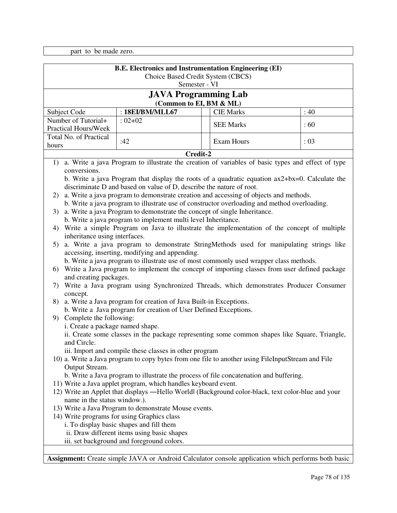part to be made zero.

| <b>B.E. Electronics and Instrumentation Engineering (EI)</b><br>Choice Based Credit System (CBCS)<br>Semester - VI                                                                                                                                                                                                                                                                                                                                                                                                                                                                                                                                                                                                                                                                                                                                                                                                                                                                                                                                                                                                                                                                                                                                                                                                                                                                                                                                                                                                                                                                                                                                                                                                                                                                                                                                                                                                                                                                                                                                                                                                                                                                                                                                                                                                                                                                     |                                                        |  |                  |      |
|----------------------------------------------------------------------------------------------------------------------------------------------------------------------------------------------------------------------------------------------------------------------------------------------------------------------------------------------------------------------------------------------------------------------------------------------------------------------------------------------------------------------------------------------------------------------------------------------------------------------------------------------------------------------------------------------------------------------------------------------------------------------------------------------------------------------------------------------------------------------------------------------------------------------------------------------------------------------------------------------------------------------------------------------------------------------------------------------------------------------------------------------------------------------------------------------------------------------------------------------------------------------------------------------------------------------------------------------------------------------------------------------------------------------------------------------------------------------------------------------------------------------------------------------------------------------------------------------------------------------------------------------------------------------------------------------------------------------------------------------------------------------------------------------------------------------------------------------------------------------------------------------------------------------------------------------------------------------------------------------------------------------------------------------------------------------------------------------------------------------------------------------------------------------------------------------------------------------------------------------------------------------------------------------------------------------------------------------------------------------------------------|--------------------------------------------------------|--|------------------|------|
|                                                                                                                                                                                                                                                                                                                                                                                                                                                                                                                                                                                                                                                                                                                                                                                                                                                                                                                                                                                                                                                                                                                                                                                                                                                                                                                                                                                                                                                                                                                                                                                                                                                                                                                                                                                                                                                                                                                                                                                                                                                                                                                                                                                                                                                                                                                                                                                        | <b>JAVA Programming Lab</b><br>(Common to EI, BM & ML) |  |                  |      |
| Subject Code                                                                                                                                                                                                                                                                                                                                                                                                                                                                                                                                                                                                                                                                                                                                                                                                                                                                                                                                                                                                                                                                                                                                                                                                                                                                                                                                                                                                                                                                                                                                                                                                                                                                                                                                                                                                                                                                                                                                                                                                                                                                                                                                                                                                                                                                                                                                                                           | : 18EI/BM/MLL67                                        |  | <b>CIE Marks</b> | : 40 |
| Number of Tutorial+                                                                                                                                                                                                                                                                                                                                                                                                                                                                                                                                                                                                                                                                                                                                                                                                                                                                                                                                                                                                                                                                                                                                                                                                                                                                                                                                                                                                                                                                                                                                                                                                                                                                                                                                                                                                                                                                                                                                                                                                                                                                                                                                                                                                                                                                                                                                                                    | $: 02 + 02$                                            |  |                  |      |
| <b>Practical Hours/Week</b>                                                                                                                                                                                                                                                                                                                                                                                                                                                                                                                                                                                                                                                                                                                                                                                                                                                                                                                                                                                                                                                                                                                                                                                                                                                                                                                                                                                                                                                                                                                                                                                                                                                                                                                                                                                                                                                                                                                                                                                                                                                                                                                                                                                                                                                                                                                                                            |                                                        |  |                  |      |
| Total No. of Practical                                                                                                                                                                                                                                                                                                                                                                                                                                                                                                                                                                                                                                                                                                                                                                                                                                                                                                                                                                                                                                                                                                                                                                                                                                                                                                                                                                                                                                                                                                                                                                                                                                                                                                                                                                                                                                                                                                                                                                                                                                                                                                                                                                                                                                                                                                                                                                 |                                                        |  |                  |      |
|                                                                                                                                                                                                                                                                                                                                                                                                                                                                                                                                                                                                                                                                                                                                                                                                                                                                                                                                                                                                                                                                                                                                                                                                                                                                                                                                                                                                                                                                                                                                                                                                                                                                                                                                                                                                                                                                                                                                                                                                                                                                                                                                                                                                                                                                                                                                                                                        |                                                        |  |                  |      |
|                                                                                                                                                                                                                                                                                                                                                                                                                                                                                                                                                                                                                                                                                                                                                                                                                                                                                                                                                                                                                                                                                                                                                                                                                                                                                                                                                                                                                                                                                                                                                                                                                                                                                                                                                                                                                                                                                                                                                                                                                                                                                                                                                                                                                                                                                                                                                                                        |                                                        |  |                  |      |
| <b>SEE Marks</b><br>:60<br>:42<br>Exam Hours<br>: 03<br>hours<br>Credit-2<br>a. Write a java Program to illustrate the creation of variables of basic types and effect of type<br>1)<br>conversions.<br>b. Write a java Program that display the roots of a quadratic equation $ax2+bx=0$ . Calculate the<br>discriminate D and based on value of D, describe the nature of root.<br>a. Write a java program to demonstrate creation and accessing of objects and methods.<br>2)<br>b. Write a java program to illustrate use of constructor overloading and method overloading.<br>a. Write a java Program to demonstrate the concept of single Inheritance.<br>3)<br>b. Write a java program to implement multi level Inheritance.<br>Write a simple Program on Java to illustrate the implementation of the concept of multiple<br>4)<br>inheritance using interfaces.<br>a. Write a java program to demonstrate StringMethods used for manipulating strings like<br>5)<br>accessing, inserting, modifying and appending.<br>b. Write a java program to illustrate use of most commonly used wrapper class methods.<br>Write a Java program to implement the concept of importing classes from user defined package<br>6)<br>and creating packages.<br>7) Write a Java program using Synchronized Threads, which demonstrates Producer Consumer<br>concept.<br>a. Write a Java program for creation of Java Built-in Exceptions.<br>8)<br>b. Write a Java program for creation of User Defined Exceptions.<br>Complete the following:<br>9<br>i. Create a package named shape.<br>ii. Create some classes in the package representing some common shapes like Square, Triangle,<br>and Circle.<br>iii. Import and compile these classes in other program<br>10) a. Write a Java program to copy bytes from one file to another using FileInputStream and File<br>Output Stream.<br>b. Write a Java program to illustrate the process of file concatenation and buffering.<br>11) Write a Java applet program, which handles keyboard event.<br>12) Write an Applet that displays -Hello Worldl (Background color-black, text color-blue and your<br>name in the status window.).<br>13) Write a Java Program to demonstrate Mouse events.<br>14) Write programs for using Graphics class<br>i. To display basic shapes and fill them<br>ii. Draw different items using basic shapes |                                                        |  |                  |      |
|                                                                                                                                                                                                                                                                                                                                                                                                                                                                                                                                                                                                                                                                                                                                                                                                                                                                                                                                                                                                                                                                                                                                                                                                                                                                                                                                                                                                                                                                                                                                                                                                                                                                                                                                                                                                                                                                                                                                                                                                                                                                                                                                                                                                                                                                                                                                                                                        | iii. set background and foreground colors.             |  |                  |      |
|                                                                                                                                                                                                                                                                                                                                                                                                                                                                                                                                                                                                                                                                                                                                                                                                                                                                                                                                                                                                                                                                                                                                                                                                                                                                                                                                                                                                                                                                                                                                                                                                                                                                                                                                                                                                                                                                                                                                                                                                                                                                                                                                                                                                                                                                                                                                                                                        |                                                        |  |                  |      |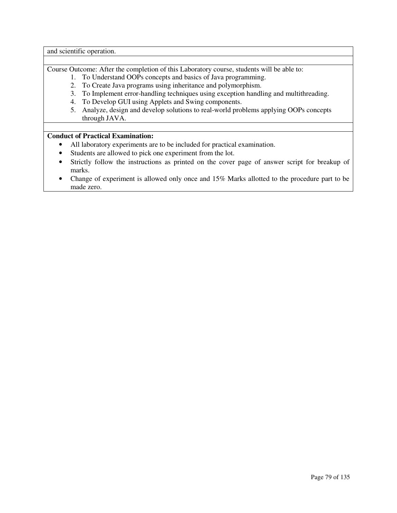and scientific operation.

Course Outcome: After the completion of this Laboratory course, students will be able to:

- 1. To Understand OOPs concepts and basics of Java programming.
- 2. To Create Java programs using inheritance and polymorphism.
- 3. To Implement error-handling techniques using exception handling and multithreading.
- 4. To Develop GUI using Applets and Swing components.
- 5. Analyze, design and develop solutions to real-world problems applying OOPs concepts through JAVA.

### **Conduct of Practical Examination:**

- All laboratory experiments are to be included for practical examination.
- Students are allowed to pick one experiment from the lot.
- Strictly follow the instructions as printed on the cover page of answer script for breakup of marks.
- Change of experiment is allowed only once and 15% Marks allotted to the procedure part to be made zero.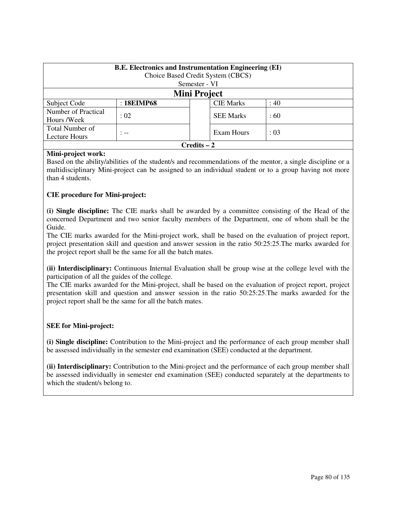| <b>B.E.</b> Electronics and Instrumentation Engineering (EI)<br>Choice Based Credit System (CBCS) |                     |               |                  |       |
|---------------------------------------------------------------------------------------------------|---------------------|---------------|------------------|-------|
|                                                                                                   |                     | Semester - VI |                  |       |
|                                                                                                   | <b>Mini Project</b> |               |                  |       |
| Subject Code                                                                                      | : 18EIMP68          |               | <b>CIE Marks</b> | : 40  |
| Number of Practical<br>Hours /Week                                                                | : 02                |               | <b>SEE Marks</b> | :60   |
| Total Number of<br>Lecture Hours                                                                  | $: - -$             |               | Exam Hours       | : 0.3 |
| $Credits - 2$                                                                                     |                     |               |                  |       |

### **Mini-project work:**

Based on the ability/abilities of the student/s and recommendations of the mentor, a single discipline or a multidisciplinary Mini-project can be assigned to an individual student or to a group having not more than 4 students.

### **CIE procedure for Mini-project:**

**(i) Single discipline:** The CIE marks shall be awarded by a committee consisting of the Head of the concerned Department and two senior faculty members of the Department, one of whom shall be the Guide.

The CIE marks awarded for the Mini-project work, shall be based on the evaluation of project report, project presentation skill and question and answer session in the ratio 50:25:25.The marks awarded for the project report shall be the same for all the batch mates.

**(ii) Interdisciplinary:** Continuous Internal Evaluation shall be group wise at the college level with the participation of all the guides of the college.

The CIE marks awarded for the Mini-project, shall be based on the evaluation of project report, project presentation skill and question and answer session in the ratio 50:25:25.The marks awarded for the project report shall be the same for all the batch mates.

### **SEE for Mini-project:**

**(i) Single discipline:** Contribution to the Mini-project and the performance of each group member shall be assessed individually in the semester end examination (SEE) conducted at the department.

**(ii) Interdisciplinary:** Contribution to the Mini-project and the performance of each group member shall be assessed individually in semester end examination (SEE) conducted separately at the departments to which the student/s belong to.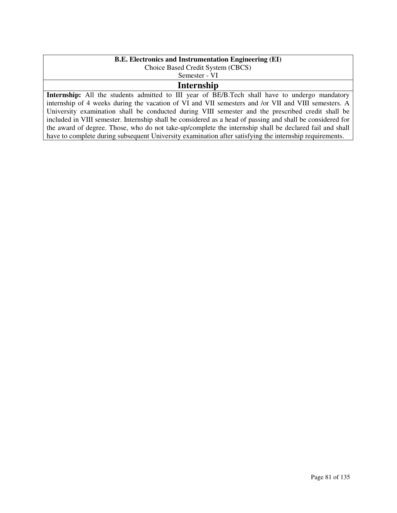# **B.E. Electronics and Instrumentation Engineering (EI)**

Choice Based Credit System (CBCS)

Semester - VI

# **Internship**

Internship: All the students admitted to III year of BE/B.Tech shall have to undergo mandatory internship of 4 weeks during the vacation of VI and VII semesters and /or VII and VIII semesters. A University examination shall be conducted during VIII semester and the prescribed credit shall be included in VIII semester. Internship shall be considered as a head of passing and shall be considered for the award of degree. Those, who do not take-up/complete the internship shall be declared fail and shall have to complete during subsequent University examination after satisfying the internship requirements.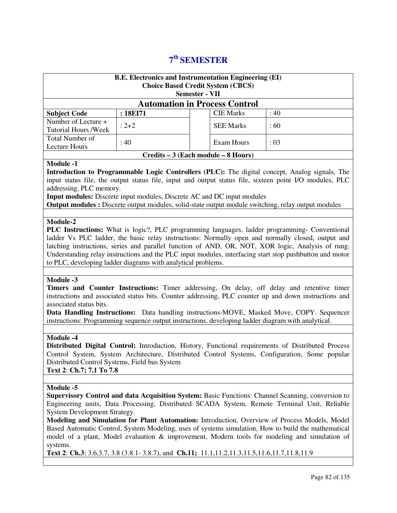# **7 th SEMESTER**

| <b>B.E. Electronics and Instrumentation Engineering (EI)</b><br><b>Choice Based Credit System (CBCS)</b><br><b>Semester - VII</b>                                                                                                                                                                                                                                                                                                                                                                                                                                                                                                                                                    |                                                                         |  |                  |                                                                                                                                                                                                                                                                                                                         |
|--------------------------------------------------------------------------------------------------------------------------------------------------------------------------------------------------------------------------------------------------------------------------------------------------------------------------------------------------------------------------------------------------------------------------------------------------------------------------------------------------------------------------------------------------------------------------------------------------------------------------------------------------------------------------------------|-------------------------------------------------------------------------|--|------------------|-------------------------------------------------------------------------------------------------------------------------------------------------------------------------------------------------------------------------------------------------------------------------------------------------------------------------|
|                                                                                                                                                                                                                                                                                                                                                                                                                                                                                                                                                                                                                                                                                      | <b>Automation in Process Control</b>                                    |  |                  |                                                                                                                                                                                                                                                                                                                         |
| <b>Subject Code</b>                                                                                                                                                                                                                                                                                                                                                                                                                                                                                                                                                                                                                                                                  | : 18EI71                                                                |  | <b>CIE Marks</b> | : 40                                                                                                                                                                                                                                                                                                                    |
| Number of Lecture +<br><b>Tutorial Hours /Week</b>                                                                                                                                                                                                                                                                                                                                                                                                                                                                                                                                                                                                                                   | $: 2 + 2$                                                               |  | <b>SEE Marks</b> | :60                                                                                                                                                                                                                                                                                                                     |
| Total Number of<br><b>Lecture Hours</b>                                                                                                                                                                                                                                                                                                                                                                                                                                                                                                                                                                                                                                              | :40                                                                     |  | Exam Hours       | : 03                                                                                                                                                                                                                                                                                                                    |
|                                                                                                                                                                                                                                                                                                                                                                                                                                                                                                                                                                                                                                                                                      | Credits – 3 (Each module – 8 Hours)                                     |  |                  |                                                                                                                                                                                                                                                                                                                         |
| <b>Module -1</b><br>addressing, PLC memory.                                                                                                                                                                                                                                                                                                                                                                                                                                                                                                                                                                                                                                          | Input modules: Discrete input modules, Discrete AC and DC input modules |  |                  | Introduction to Programmable Logic Controllers (PLC): The digital concept, Analog signals, The<br>input status file, the output status file, input and output status file, sixteen point I/O modules, PLC<br><b>Output modules :</b> Discrete output modules, solid-state output module switching, relay output modules |
| Module-2<br><b>PLC Instructions:</b> What is logic?, PLC programming languages, ladder programming- Conventional<br>ladder Vs PLC ladder, the basic relay instructions: Normally open and normally closed, output and<br>latching instructions, series and parallel function of AND, OR, NOT, XOR logic, Analysis of rung.<br>Understanding relay instructions and the PLC input modules, interfacing start stop pushbutton and motor<br>to PLC, developing ladder diagrams with analytical problems.                                                                                                                                                                                |                                                                         |  |                  |                                                                                                                                                                                                                                                                                                                         |
| Module -3<br>Timers and Counter Instructions: Timer addressing, On delay, off delay and retentive timer<br>instructions and associated status bits. Counter addressing, PLC counter up and down instructions and<br>associated status bits.<br>Data Handling Instructions: Data handling instructions-MOVE, Masked Move, COPY. Sequencer<br>instructions: Programming sequence output instructions, developing ladder diagram with analytical.<br>Module -4<br>Distributed Digital Control: Introduction, History, Functional requirements of Distributed Process                                                                                                                    |                                                                         |  |                  |                                                                                                                                                                                                                                                                                                                         |
| Control System, System Architecture, Distributed Control Systems, Configuration, Some popular<br>Distributed Control Systems, Field bus System<br>Text 2: Ch.7; 7.1 To 7.8                                                                                                                                                                                                                                                                                                                                                                                                                                                                                                           |                                                                         |  |                  |                                                                                                                                                                                                                                                                                                                         |
| Module -5<br><b>Supervisory Control and data Acquisition System: Basic Functions: Channel Scanning, conversion to</b><br>Engineering units, Data Processing, Distributed SCADA System, Remote Terminal Unit, Reliable<br>System Development Strategy.<br>Modeling and Simulation for Plant Automation: Introduction, Overview of Process Models, Model<br>Based Automatic Control, System Modeling, uses of systems simulation, How to build the mathematical<br>model of a plant, Model evaluation & improvement, Modern tools for modeling and simulation of<br>systems.<br>Text 2: Ch.3; 3.6, 3.7, 3.8 (3.8.1 - 3.8.7), and Ch.11; 11.1, 11.2, 11.3, 11.5, 11.6, 11.7, 11.8, 11.9 |                                                                         |  |                  |                                                                                                                                                                                                                                                                                                                         |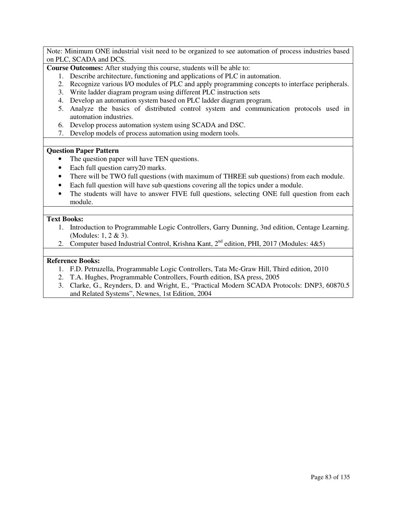Note: Minimum ONE industrial visit need to be organized to see automation of process industries based on PLC, SCADA and DCS.

**Course Outcomes:** After studying this course, students will be able to:

- 1. Describe architecture, functioning and applications of PLC in automation.
- 2. Recognize various I/O modules of PLC and apply programming concepts to interface peripherals.
- 3. Write ladder diagram program using different PLC instruction sets
- 4. Develop an automation system based on PLC ladder diagram program.
- 5. Analyze the basics of distributed control system and communication protocols used in automation industries.
- 6. Develop process automation system using SCADA and DSC.
- 7. Develop models of process automation using modern tools.

#### **Question Paper Pattern**

- The question paper will have TEN questions.
- Each full question carry20 marks.
- There will be TWO full questions (with maximum of THREE sub questions) from each module.
- Each full question will have sub questions covering all the topics under a module.
- The students will have to answer FIVE full questions, selecting ONE full question from each module.

#### **Text Books:**

- 1. Introduction to Programmable Logic Controllers, Garry Dunning, 3nd edition, Centage Learning. (Modules: 1, 2 & 3).
- 2. Computer based Industrial Control, Krishna Kant,  $2^{nd}$  edition, PHI, 2017 (Modules:  $4&5$ )

- 1. F.D. Petruzella, Programmable Logic Controllers, Tata Mc-Graw Hill, Third edition, 2010
- 2. T.A. Hughes, Programmable Controllers, Fourth edition, ISA press, 2005
- 3. Clarke, G., Reynders, D. and Wright, E., "Practical Modern SCADA Protocols: DNP3, 60870.5 and Related Systems", Newnes, 1st Edition, 2004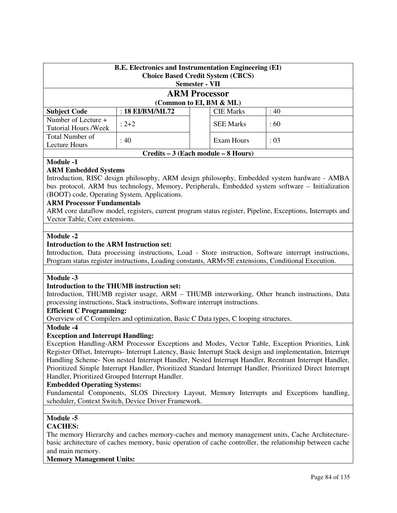| <b>B.E.</b> Electronics and Instrumentation Engineering (EI)<br><b>Choice Based Credit System (CBCS)</b><br><b>Semester - VII</b> |                   |            |                  |          |
|-----------------------------------------------------------------------------------------------------------------------------------|-------------------|------------|------------------|----------|
| <b>ARM Processor</b><br>(Common to EI, BM & ML)                                                                                   |                   |            |                  |          |
| <b>Subject Code</b>                                                                                                               | : $18$ EI/BM/ML72 |            | <b>CIE Marks</b> | :40      |
| Number of Lecture +<br><b>Tutorial Hours /Week</b>                                                                                | $: 2 + 2$         |            | <b>SEE Marks</b> | $\pm 60$ |
| Total Number of<br>Lecture Hours                                                                                                  | : 40              | Exam Hours | : 03             |          |
| Credits – 3 (Each module – 8 Hours)                                                                                               |                   |            |                  |          |

### **ARM Embedded Systems**

Introduction, RISC design philosophy, ARM design philosophy, Embedded system hardware - AMBA bus protocol, ARM bus technology, Memory, Peripherals, Embedded system software – Initialization (BOOT) code, Operating System, Applications.

### **ARM Processor Fundamentals**

ARM core dataflow model, registers, current program status register, Pipeline, Exceptions, Interrupts and Vector Table, Core extensions.

#### **Module -2**

### **Introduction to the ARM Instruction set:**

Introduction, Data processing instructions, Load - Store instruction, Software interrupt instructions, Program status register instructions, Loading constants, ARMv5E extensions, Conditional Execution.

### **Module -3**

#### **Introduction to the THUMB instruction set:**

Introduction, THUMB register usage, ARM – THUMB interworking, Other branch instructions, Data processing instructions, Stack instructions, Software interrupt instructions.

### **Efficient C Programming:**

Overview of C Compilers and optimization, Basic C Data types, C looping structures.

#### **Module -4**

### **Exception and Interrupt Handling:**

Exception Handling-ARM Processor Exceptions and Modes, Vector Table, Exception Priorities, Link Register Offset, Interrupts- Interrupt Latency, Basic Interrupt Stack design and implementation, Interrupt Handling Scheme- Non nested Interrupt Handler, Nested Interrupt Handler, Reentrant Interrupt Handler, Prioritized Simple Interrupt Handler, Prioritized Standard Interrupt Handler, Prioritized Direct Interrupt Handler, Prioritized Grouped Interrupt Handler.

#### **Embedded Operating Systems:**

Fundamental Components, SLOS Directory Layout, Memory Interrupts and Exceptions handling, scheduler, Context Switch, Device Driver Framework.

### **Module -5**

#### **CACHES:**

The memory Hierarchy and caches memory-caches and memory management units, Cache Architecturebasic architecture of caches memory, basic operation of cache controller, the relationship between cache and main memory.

### **Memory Management Units:**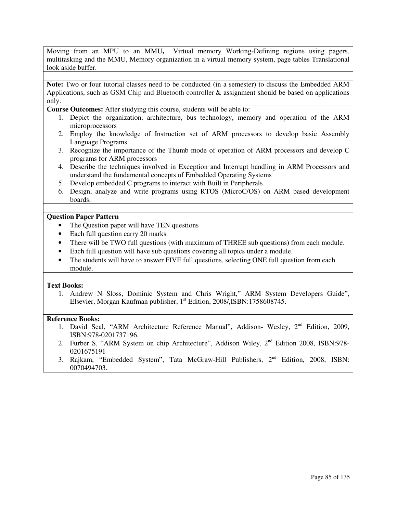Moving from an MPU to an MMU**,** Virtual memory Working-Defining regions using pagers, multitasking and the MMU, Memory organization in a virtual memory system, page tables Translational look aside buffer.

**Note:** Two or four tutorial classes need to be conducted (in a semester) to discuss the Embedded ARM Applications, such as GSM Chip and Bluetooth controller & assignment should be based on applications only.

**Course Outcomes:** After studying this course, students will be able to:

- 1. Depict the organization, architecture, bus technology, memory and operation of the ARM microprocessors
- 2. Employ the knowledge of Instruction set of ARM processors to develop basic Assembly Language Programs
- 3. Recognize the importance of the Thumb mode of operation of ARM processors and develop C programs for ARM processors
- 4. Describe the techniques involved in Exception and Interrupt handling in ARM Processors and understand the fundamental concepts of Embedded Operating Systems
- 5. Develop embedded C programs to interact with Built in Peripherals
- 6. Design, analyze and write programs using RTOS (MicroC/OS) on ARM based development boards.

### **Question Paper Pattern**

- The Question paper will have TEN questions
- Each full question carry 20 marks
- There will be TWO full questions (with maximum of THREE sub questions) from each module.
- Each full question will have sub questions covering all topics under a module.
- The students will have to answer FIVE full questions, selecting ONE full question from each module.

#### **Text Books:**

1. Andrew N Sloss, Dominic System and Chris Wright," ARM System Developers Guide", Elsevier, Morgan Kaufman publisher, 1<sup>st</sup> Edition, 2008/, ISBN: 1758608745.

- 1. David Seal, "ARM Architecture Reference Manual", Addison- Wesley, 2<sup>nd</sup> Edition, 2009, ISBN:978-0201737196.
- 2. Furber S, "ARM System on chip Architecture", Addison Wiley, 2nd Edition 2008, ISBN:978- 0201675191
- 3. Rajkam, "Embedded System", Tata McGraw-Hill Publishers, 2nd Edition, 2008, ISBN: 0070494703.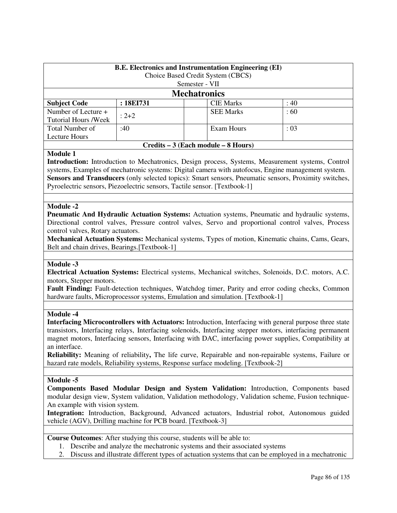| <b>B.E. Electronics and Instrumentation Engineering (EI)</b> |           |                     |                                     |          |  |  |
|--------------------------------------------------------------|-----------|---------------------|-------------------------------------|----------|--|--|
|                                                              |           |                     | Choice Based Credit System (CBCS)   |          |  |  |
|                                                              |           | Semester - VII      |                                     |          |  |  |
|                                                              |           | <b>Mechatronics</b> |                                     |          |  |  |
| <b>Subject Code</b>                                          | : 18EI731 |                     | <b>CIE Marks</b>                    | : 40     |  |  |
| Number of Lecture +                                          |           |                     | <b>SEE Marks</b>                    | $\pm 60$ |  |  |
| <b>Tutorial Hours /Week</b>                                  |           | $: 2 + 2$           |                                     |          |  |  |
| Total Number of                                              | :40       |                     | Exam Hours                          | : 03     |  |  |
| Lecture Hours                                                |           |                     |                                     |          |  |  |
|                                                              |           |                     | Credits – 3 (Each module – 8 Hours) |          |  |  |

### **Module 1**

**Introduction:** Introduction to Mechatronics, Design process, Systems, Measurement systems, Control systems, Examples of mechatronic systems: Digital camera with autofocus, Engine management system. Sensors and Transducers (only selected topics): Smart sensors, Pneumatic sensors, Proximity switches, Pyroelectric sensors, Piezoelectric sensors, Tactile sensor. [Textbook-1]

#### **Module -2**

**Pneumatic And Hydraulic Actuation Systems:** Actuation systems, Pneumatic and hydraulic systems, Directional control valves, Pressure control valves, Servo and proportional control valves, Process control valves, Rotary actuators.

**Mechanical Actuation Systems:** Mechanical systems, Types of motion, Kinematic chains, Cams, Gears, Belt and chain drives, Bearings.[Textbook-1]

#### **Module -3**

**Electrical Actuation Systems:** Electrical systems, Mechanical switches, Solenoids, D.C. motors, A.C. motors, Stepper motors.

Fault Finding: Fault-detection techniques, Watchdog timer, Parity and error coding checks, Common hardware faults, Microprocessor systems, Emulation and simulation. [Textbook-1]

#### **Module -4**

**Interfacing Microcontrollers with Actuators:** Introduction, Interfacing with general purpose three state transistors, Interfacing relays, Interfacing solenoids, Interfacing stepper motors, interfacing permanent magnet motors, Interfacing sensors, Interfacing with DAC, interfacing power supplies, Compatibility at an interface.

**Reliability:** Meaning of reliability**,** The life curve, Repairable and non-repairable systems, Failure or hazard rate models, Reliability systems, Response surface modeling. [Textbook-2]

#### **Module -5**

**Components Based Modular Design and System Validation:** Introduction, Components based modular design view, System validation, Validation methodology, Validation scheme, Fusion technique-An example with vision system.

**Integration:** Introduction, Background, Advanced actuators, Industrial robot, Autonomous guided vehicle (AGV), Drilling machine for PCB board. [Textbook-3]

**Course Outcomes**: After studying this course, students will be able to:

- 1. Describe and analyze the mechatronic systems and their associated systems
- 2. Discuss and illustrate different types of actuation systems that can be employed in a mechatronic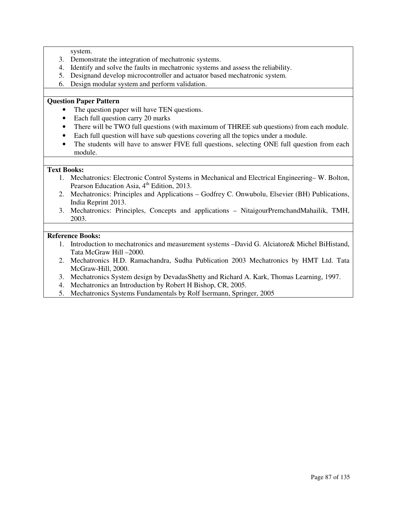system.

- 3. Demonstrate the integration of mechatronic systems.
- 4. Identify and solve the faults in mechatronic systems and assess the reliability.
- 5. Designand develop microcontroller and actuator based mechatronic system.
- 6. Design modular system and perform validation.

### **Question Paper Pattern**

- The question paper will have TEN questions.
- Each full question carry 20 marks
- There will be TWO full questions (with maximum of THREE sub questions) from each module.
- Each full question will have sub questions covering all the topics under a module.
- The students will have to answer FIVE full questions, selecting ONE full question from each module.

### **Text Books:**

- 1. Mechatronics: Electronic Control Systems in Mechanical and Electrical Engineering– W. Bolton, Pearson Education Asia, 4<sup>th</sup> Edition, 2013.
- 2. Mechatronics: Principles and Applications Godfrey C. Onwubolu, Elsevier (BH) Publications, India Reprint 2013.
- 3. Mechatronics: Principles, Concepts and applications NitaigourPremchandMahailik, TMH, 2003.

- 1. Introduction to mechatronics and measurement systems –David G. Alciatore& Michel BiHistand, Tata McGraw Hill –2000.
- 2. Mechatronics H.D. Ramachandra, Sudha Publication 2003 Mechatronics by HMT Ltd. Tata McGraw-Hill, 2000.
- 3. Mechatronics System design by DevadasShetty and Richard A. Kark, Thomas Learning, 1997.
- 4. Mechatronics an Introduction by Robert H Bishop, CR, 2005.
- 5. Mechatronics Systems Fundamentals by Rolf Isermann, Springer, 2005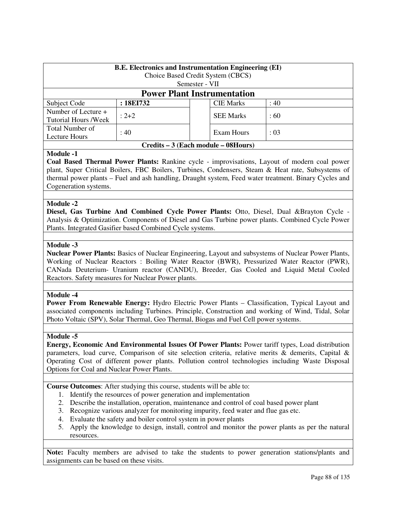| <b>B.E. Electronics and Instrumentation Engineering (EI)</b><br>Choice Based Credit System (CBCS) |           |            |                  |          |
|---------------------------------------------------------------------------------------------------|-----------|------------|------------------|----------|
|                                                                                                   |           |            |                  |          |
| Semester - VII                                                                                    |           |            |                  |          |
| <b>Power Plant Instrumentation</b>                                                                |           |            |                  |          |
| Subject Code                                                                                      | : 18EI732 |            | <b>CIE Marks</b> | : 40     |
| Number of Lecture +                                                                               | $: 2 + 2$ |            | <b>SEE Marks</b> | $\pm 60$ |
| <b>Tutorial Hours /Week</b>                                                                       |           |            |                  |          |
| Total Number of                                                                                   | : 40      | Exam Hours | : 03             |          |
| Lecture Hours                                                                                     |           |            |                  |          |
| Credits – 3 (Each module – 08Hours)                                                               |           |            |                  |          |

**Coal Based Thermal Power Plants:** Rankine cycle - improvisations, Layout of modern coal power plant, Super Critical Boilers, FBC Boilers, Turbines, Condensers, Steam & Heat rate, Subsystems of thermal power plants – Fuel and ash handling, Draught system, Feed water treatment. Binary Cycles and Cogeneration systems.

#### **Module -2**

**Diesel, Gas Turbine And Combined Cycle Power Plants:** Otto, Diesel, Dual &Brayton Cycle - Analysis & Optimization. Components of Diesel and Gas Turbine power plants. Combined Cycle Power Plants. Integrated Gasifier based Combined Cycle systems.

### **Module -3**

**Nuclear Power Plants:** Basics of Nuclear Engineering, Layout and subsystems of Nuclear Power Plants, Working of Nuclear Reactors : Boiling Water Reactor (BWR), Pressurized Water Reactor (PWR), CANada Deuterium- Uranium reactor (CANDU), Breeder, Gas Cooled and Liquid Metal Cooled Reactors. Safety measures for Nuclear Power plants.

#### **Module -4**

Power From Renewable Energy: Hydro Electric Power Plants – Classification, Typical Layout and associated components including Turbines. Principle, Construction and working of Wind, Tidal, Solar Photo Voltaic (SPV), Solar Thermal, Geo Thermal, Biogas and Fuel Cell power systems.

#### **Module -5**

**Energy, Economic And Environmental Issues Of Power Plants:** Power tariff types, Load distribution parameters, load curve, Comparison of site selection criteria, relative merits & demerits, Capital & Operating Cost of different power plants. Pollution control technologies including Waste Disposal Options for Coal and Nuclear Power Plants.

**Course Outcomes**: After studying this course, students will be able to:

- 1. Identify the resources of power generation and implementation
- 2. Describe the installation, operation, maintenance and control of coal based power plant
- 3. Recognize various analyzer for monitoring impurity, feed water and flue gas etc.
- 4. Evaluate the safety and boiler control system in power plants
- 5. Apply the knowledge to design, install, control and monitor the power plants as per the natural resources.

**Note:** Faculty members are advised to take the students to power generation stations/plants and assignments can be based on these visits.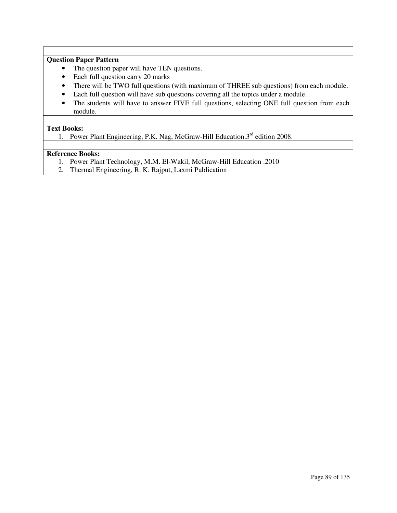### **Question Paper Pattern**

- The question paper will have TEN questions.
- Each full question carry 20 marks
- There will be TWO full questions (with maximum of THREE sub questions) from each module.
- Each full question will have sub questions covering all the topics under a module.
- The students will have to answer FIVE full questions, selecting ONE full question from each module.

#### **Text Books:**

1. Power Plant Engineering, P.K. Nag, McGraw-Hill Education.3<sup>rd</sup> edition 2008.

- 1. Power Plant Technology, M.M. El-Wakil, McGraw-Hill Education .2010
- 2. Thermal Engineering, R. K. Rajput, Laxmi Publication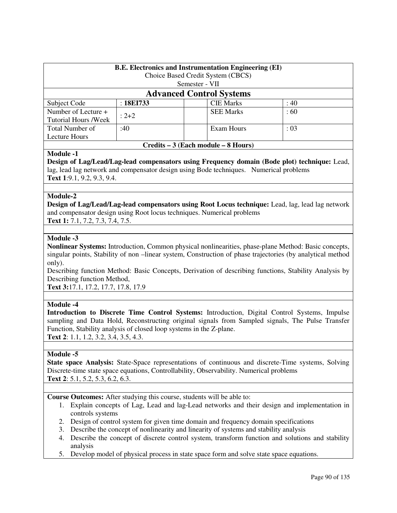| <b>B.E. Electronics and Instrumentation Engineering (EI)</b><br>Choice Based Credit System (CBCS)<br>Semester - VII |           |  |                  |           |
|---------------------------------------------------------------------------------------------------------------------|-----------|--|------------------|-----------|
| <b>Advanced Control Systems</b>                                                                                     |           |  |                  |           |
| Subject Code                                                                                                        | :18E1733  |  | <b>CIE Marks</b> | :40       |
| Number of Lecture +                                                                                                 | $: 2 + 2$ |  | <b>SEE Marks</b> | $\pm 60$  |
| <b>Tutorial Hours /Week</b>                                                                                         |           |  |                  |           |
| <b>Total Number of</b>                                                                                              | :40       |  | Exam Hours       | $\div 03$ |
| Lecture Hours                                                                                                       |           |  |                  |           |

**Design of Lag/Lead/Lag-lead compensators using Frequency domain (Bode plot) technique:** Lead, lag, lead lag network and compensator design using Bode techniques. Numerical problems **Text 1**:9.1, 9.2, 9.3, 9.4.

**Credits – 3 (Each module – 8 Hours)**

### **Module-2**

**Design of Lag/Lead/Lag-lead compensators using Root Locus technique:** Lead, lag, lead lag network and compensator design using Root locus techniques. Numerical problems

**Text 1:** 7.1, 7.2, 7.3, 7.4, 7.5.

### **Module -3**

**Nonlinear Systems:** Introduction, Common physical nonlinearities, phase-plane Method: Basic concepts, singular points, Stability of non –linear system, Construction of phase trajectories (by analytical method only).

Describing function Method: Basic Concepts, Derivation of describing functions, Stability Analysis by Describing function Method,

**Text 3:**17.1, 17.2, 17.7, 17.8, 17.9

### **Module -4**

**Introduction to Discrete Time Control Systems:** Introduction, Digital Control Systems, Impulse sampling and Data Hold, Reconstructing original signals from Sampled signals, The Pulse Transfer Function, Stability analysis of closed loop systems in the Z-plane.

**Text 2**: 1.1, 1.2, 3.2, 3.4, 3.5, 4.3.

#### **Module -5**

**State space Analysis:** State-Space representations of continuous and discrete-Time systems, Solving Discrete-time state space equations, Controllability, Observability. Numerical problems **Text 2**: 5.1, 5.2, 5.3, 6.2, 6.3.

**Course Outcomes:** After studying this course, students will be able to:

- 1. Explain concepts of Lag, Lead and lag-Lead networks and their design and implementation in controls systems
- 2. Design of control system for given time domain and frequency domain specifications
- 3. Describe the concept of nonlinearity and linearity of systems and stability analysis
- 4. Describe the concept of discrete control system, transform function and solutions and stability analysis
- 5. Develop model of physical process in state space form and solve state space equations.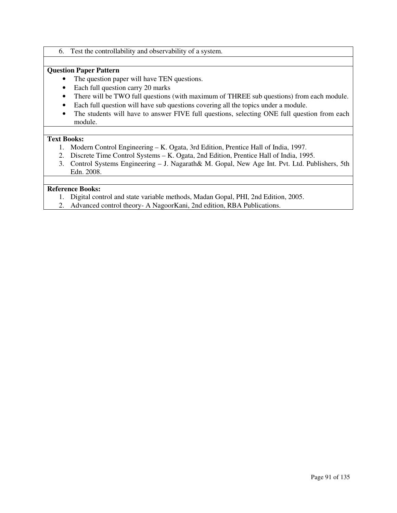6. Test the controllability and observability of a system.

### **Question Paper Pattern**

- The question paper will have TEN questions.
- Each full question carry 20 marks
- There will be TWO full questions (with maximum of THREE sub questions) from each module.
- Each full question will have sub questions covering all the topics under a module.
- The students will have to answer FIVE full questions, selecting ONE full question from each module.

### **Text Books:**

- 1. Modern Control Engineering K. Ogata, 3rd Edition, Prentice Hall of India, 1997.
- 2. Discrete Time Control Systems K. Ogata, 2nd Edition, Prentice Hall of India, 1995.
- 3. Control Systems Engineering J. Nagarath& M. Gopal, New Age Int. Pvt. Ltd. Publishers, 5th Edn. 2008.

- 1. Digital control and state variable methods, Madan Gopal, PHI, 2nd Edition, 2005.
- 2. Advanced control theory- A NagoorKani, 2nd edition, RBA Publications.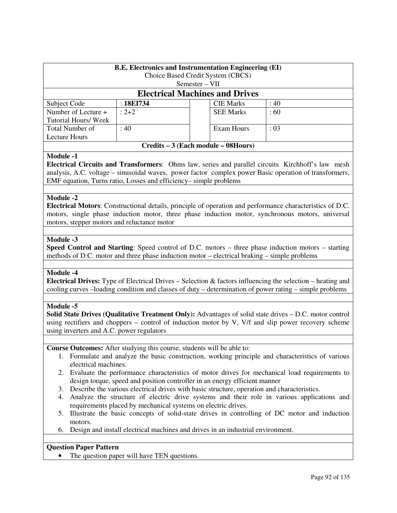| <b>B.E.</b> Electronics and Instrumentation Engineering (EI) |           |  |                  |      |
|--------------------------------------------------------------|-----------|--|------------------|------|
| Choice Based Credit System (CBCS)                            |           |  |                  |      |
| $Semester-VII$                                               |           |  |                  |      |
| <b>Electrical Machines and Drives</b>                        |           |  |                  |      |
| Subject Code                                                 | : 18EI734 |  | <b>CIE</b> Marks | : 40 |
| Number of Lecture +                                          | $: 2 + 2$ |  | <b>SEE Marks</b> | :60  |
| Tutorial Hours/Week                                          |           |  |                  |      |
| Total Number of                                              | : 40      |  | Exam Hours       | : 03 |
| Lecture Hours                                                |           |  |                  |      |
| Credits – 3 (Each module – 08Hours)                          |           |  |                  |      |

**Electrical Circuits and Transformers**: Ohms law, series and parallel circuits Kirchhoff's law mesh analysis, A.C. voltage – sinusoidal waves, power factor complex power Basic operation of transformers, EMF equation, Turns ratio, Losses and efficiency– simple problems

### **Module -2**

**Electrical Motors**: Constructional details, principle of operation and performance characteristics of D.C. motors, single phase induction motor, three phase induction motor, synchronous motors, universal motors, stepper motors and reluctance motor

### **Module -3**

**Speed Control and Starting**: Speed control of D.C. motors – three phase induction motors – starting methods of D.C. motor and three phase induction motor – electrical braking – simple problems

#### **Module -4**

**Electrical Drives:** Type of Electrical Drives – Selection & factors influencing the selection – heating and cooling curves –loading condition and classes of duty – determination of power rating – simple problems

### **Module -5**

**Solid State Drives (Qualitative Treatment Only):** Advantages of solid state drives – D.C. motor control using rectifiers and choppers – control of induction motor by V, V/f and slip power recovery scheme using inverters and A.C. power regulators

**Course Outcomes:** After studying this course, students will be able to:

- 1. Formulate and analyze the basic construction, working principle and characteristics of various electrical machines.
- 2. Evaluate the performance characteristics of motor drives for mechanical load requirements to design torque, speed and position controller in an energy efficient manner
- 3. Describe the various electrical drives with basic structure, operation and characteristics.
- 4. Analyze the structure of electric drive systems and their role in various applications and requirements placed by mechanical systems on electric drives.
- 5. Illustrate the basic concepts of solid-state drives in controlling of DC motor and induction motors.
- 6. Design and install electrical machines and drives in an industrial environment.

### **Question Paper Pattern**

• The question paper will have TEN questions.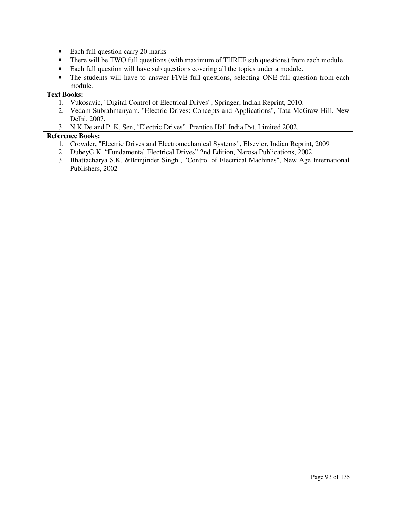- Each full question carry 20 marks
- There will be TWO full questions (with maximum of THREE sub questions) from each module.
- Each full question will have sub questions covering all the topics under a module.
- The students will have to answer FIVE full questions, selecting ONE full question from each module.

### **Text Books:**

- 1. Vukosavic, "Digital Control of Electrical Drives", Springer, Indian Reprint, 2010.
- 2. Vedam Subrahmanyam. "Electric Drives: Concepts and Applications", Tata McGraw Hill, New Delhi, 2007.
- 3. N.K.De and P. K. Sen, "Electric Drives", Prentice Hall India Pvt. Limited 2002.

- 1. Crowder, "Electric Drives and Electromechanical Systems", Elsevier, Indian Reprint, 2009
- 2. DubeyG.K. "Fundamental Electrical Drives" 2nd Edition, Narosa Publications, 2002
- 3. Bhattacharya S.K. &Brinjinder Singh , "Control of Electrical Machines", New Age International Publishers, 2002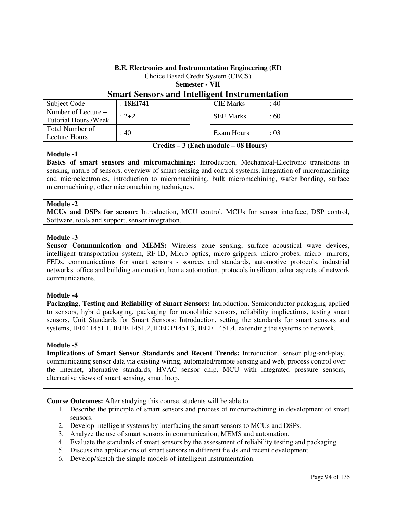| <b>B.E. Electronics and Instrumentation Engineering (EI)</b><br>Choice Based Credit System (CBCS)<br><b>Semester - VII</b> |           |  |                  |      |
|----------------------------------------------------------------------------------------------------------------------------|-----------|--|------------------|------|
| <b>Smart Sensors and Intelligent Instrumentation</b>                                                                       |           |  |                  |      |
| Subject Code                                                                                                               | :18E1741  |  | <b>CIE Marks</b> | :40  |
| Number of Lecture +<br><b>Tutorial Hours /Week</b>                                                                         | $: 2 + 2$ |  | <b>SEE Marks</b> | :60  |
| Total Number of<br>Lecture Hours                                                                                           | : 40      |  | Exam Hours       | : 03 |
| Credits – 3 (Each module – 08 Hours)                                                                                       |           |  |                  |      |

**Basics of smart sensors and micromachining:** Introduction, Mechanical-Electronic transitions in sensing, nature of sensors, overview of smart sensing and control systems, integration of micromachining and microelectronics, introduction to micromachining, bulk micromachining, wafer bonding, surface micromachining, other micromachining techniques.

#### **Module -2**

**MCUs and DSPs for sensor:** Introduction, MCU control, MCUs for sensor interface, DSP control, Software, tools and support, sensor integration.

#### **Module -3**

Sensor Communication and MEMS: Wireless zone sensing, surface acoustical wave devices, intelligent transportation system, RF-ID, Micro optics, micro-grippers, micro-probes, micro- mirrors, FEDs, communications for smart sensors - sources and standards, automotive protocols, industrial networks, office and building automation, home automation, protocols in silicon, other aspects of network communications.

#### **Module -4**

**Packaging, Testing and Reliability of Smart Sensors:** Introduction, Semiconductor packaging applied to sensors, hybrid packaging, packaging for monolithic sensors, reliability implications, testing smart sensors. Unit Standards for Smart Sensors: Introduction, setting the standards for smart sensors and systems, IEEE 1451.1, IEEE 1451.2, IEEE P1451.3, IEEE 1451.4, extending the systems to network.

#### **Module -5**

**Implications of Smart Sensor Standards and Recent Trends:** Introduction, sensor plug-and-play, communicating sensor data via existing wiring, automated/remote sensing and web, process control over the internet, alternative standards, HVAC sensor chip, MCU with integrated pressure sensors, alternative views of smart sensing, smart loop.

**Course Outcomes:** After studying this course, students will be able to:

- 1. Describe the principle of smart sensors and process of micromachining in development of smart sensors.
- 2. Develop intelligent systems by interfacing the smart sensors to MCUs and DSPs.
- 3. Analyze the use of smart sensors in communication, MEMS and automation.
- 4. Evaluate the standards of smart sensors by the assessment of reliability testing and packaging.
- 5. Discuss the applications of smart sensors in different fields and recent development.
- 6. Develop/sketch the simple models of intelligent instrumentation.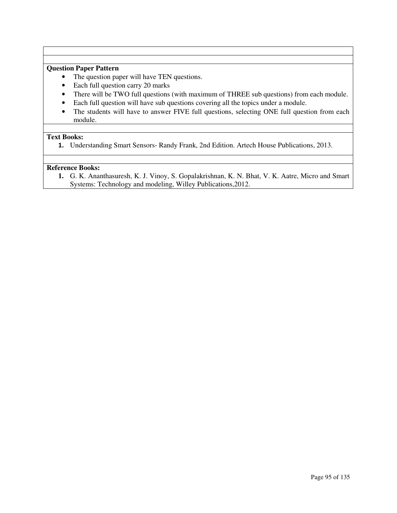# **Question Paper Pattern**

- The question paper will have TEN questions.
- Each full question carry 20 marks
- There will be TWO full questions (with maximum of THREE sub questions) from each module.
- Each full question will have sub questions covering all the topics under a module.
- The students will have to answer FIVE full questions, selecting ONE full question from each module.

### **Text Books:**

**1.** Understanding Smart Sensors- Randy Frank, 2nd Edition. Artech House Publications, 2013.

### **Reference Books:**

**1.** G. K. Ananthasuresh, K. J. Vinoy, S. Gopalakrishnan, K. N. Bhat, V. K. Aatre, Micro and Smart Systems: Technology and modeling, Willey Publications,2012.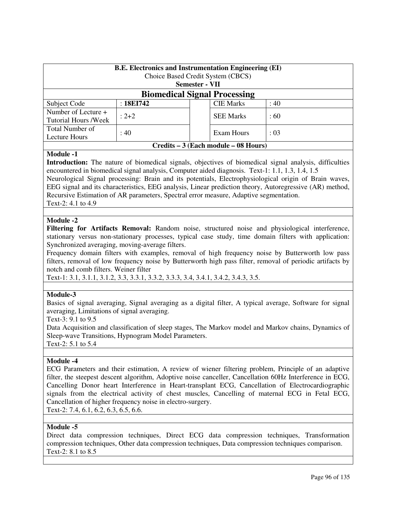| <b>B.E.</b> Electronics and Instrumentation Engineering (EI)<br>Choice Based Credit System (CBCS)<br>Semester - VII |           |  |                  |          |
|---------------------------------------------------------------------------------------------------------------------|-----------|--|------------------|----------|
| <b>Biomedical Signal Processing</b>                                                                                 |           |  |                  |          |
| Subject Code                                                                                                        | :18E1742  |  | <b>CIE Marks</b> | : 40     |
| Number of Lecture +<br>Tutorial Hours /Week                                                                         | $: 2 + 2$ |  | <b>SEE Marks</b> | $\pm 60$ |
| Total Number of<br>Lecture Hours                                                                                    | : 40      |  | Exam Hours       | : 03     |
| Credits – 3 (Each module – 08 Hours)                                                                                |           |  |                  |          |

**Introduction:** The nature of biomedical signals, objectives of biomedical signal analysis, difficulties encountered in biomedical signal analysis, Computer aided diagnosis. Text-1: 1.1, 1.3, 1.4, 1.5 Neurological Signal processing: Brain and its potentials, Electrophysiological origin of Brain waves, EEG signal and its characteristics, EEG analysis, Linear prediction theory, Autoregressive (AR) method, Recursive Estimation of AR parameters, Spectral error measure, Adaptive segmentation.

Text-2: 4.1 to 4.9

### **Module -2**

**Filtering for Artifacts Removal:** Random noise, structured noise and physiological interference, stationary versus non-stationary processes, typical case study, time domain filters with application: Synchronized averaging, moving-average filters.

Frequency domain filters with examples, removal of high frequency noise by Butterworth low pass filters, removal of low frequency noise by Butterworth high pass filter, removal of periodic artifacts by notch and comb filters. Weiner filter

Text-1: 3.1, 3.1.1, 3.1.2, 3.3, 3.3.1, 3.3.2, 3.3.3, 3.4, 3.4.1, 3.4.2, 3.4.3, 3.5.

### **Module-3**

Basics of signal averaging, Signal averaging as a digital filter, A typical average, Software for signal averaging, Limitations of signal averaging.

Text-3: 9.1 to 9.5

Data Acquisition and classification of sleep stages, The Markov model and Markov chains, Dynamics of Sleep-wave Transitions, Hypnogram Model Parameters.

Text-2: 5.1 to 5.4

### **Module -4**

ECG Parameters and their estimation, A review of wiener filtering problem, Principle of an adaptive filter, the steepest descent algorithm, Adoptive noise canceller, Cancellation 60Hz Interference in ECG, Cancelling Donor heart Interference in Heart-transplant ECG, Cancellation of Electrocardiographic signals from the electrical activity of chest muscles, Cancelling of maternal ECG in Fetal ECG, Cancellation of higher frequency noise in electro-surgery.

Text-2: 7.4, 6.1, 6.2, 6.3, 6.5, 6.6.

### **Module -5**

Direct data compression techniques, Direct ECG data compression techniques, Transformation compression techniques, Other data compression techniques, Data compression techniques comparison. Text-2: 8.1 to 8.5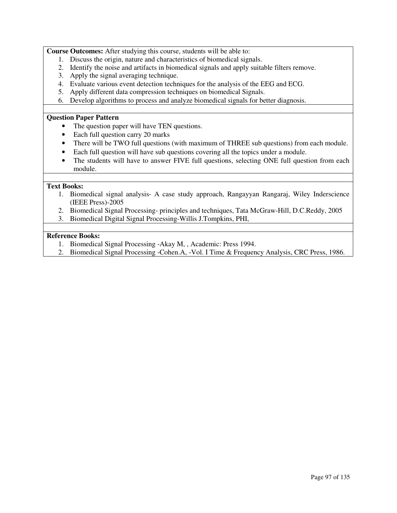**Course Outcomes:** After studying this course, students will be able to:

- 1. Discuss the origin, nature and characteristics of biomedical signals.
- 2. Identify the noise and artifacts in biomedical signals and apply suitable filters remove.
- 3. Apply the signal averaging technique.
- 4. Evaluate various event detection techniques for the analysis of the EEG and ECG.
- 5. Apply different data compression techniques on biomedical Signals.
- 6. Develop algorithms to process and analyze biomedical signals for better diagnosis.

### **Question Paper Pattern**

- The question paper will have TEN questions.
- Each full question carry 20 marks
- There will be TWO full questions (with maximum of THREE sub questions) from each module.
- Each full question will have sub questions covering all the topics under a module.
- The students will have to answer FIVE full questions, selecting ONE full question from each module.

### **Text Books:**

- 1. Biomedical signal analysis- A case study approach, Rangayyan Rangaraj, Wiley Inderscience (IEEE Press)-2005
- 2. Biomedical Signal Processing- principles and techniques, Tata McGraw-Hill, D.C.Reddy, 2005
- 3. Biomedical Digital Signal Processing-Willis J.Tompkins, PHI,

- 1. Biomedical Signal Processing -Akay M, , Academic: Press 1994.
- 2. Biomedical Signal Processing -Cohen.A, -Vol. I Time & Frequency Analysis, CRC Press, 1986.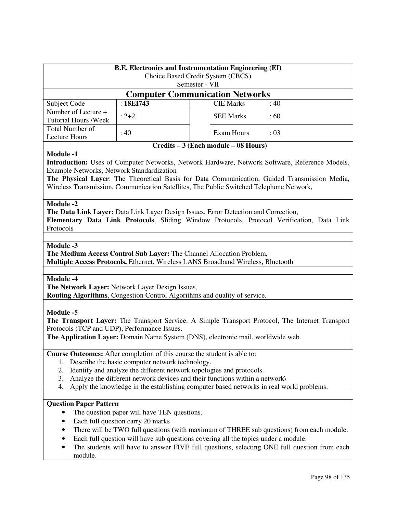| <b>B.E. Electronics and Instrumentation Engineering (EI)</b><br>Choice Based Credit System (CBCS)                                                                                                                                                                                                                                                                                                                       |                                                                                  |                                      |      |  |
|-------------------------------------------------------------------------------------------------------------------------------------------------------------------------------------------------------------------------------------------------------------------------------------------------------------------------------------------------------------------------------------------------------------------------|----------------------------------------------------------------------------------|--------------------------------------|------|--|
| Semester - VII                                                                                                                                                                                                                                                                                                                                                                                                          |                                                                                  |                                      |      |  |
| <b>Computer Communication Networks</b>                                                                                                                                                                                                                                                                                                                                                                                  |                                                                                  |                                      |      |  |
| Subject Code                                                                                                                                                                                                                                                                                                                                                                                                            | : 18EI743                                                                        | <b>CIE Marks</b>                     | :40  |  |
| Number of Lecture +                                                                                                                                                                                                                                                                                                                                                                                                     | $: 2 + 2$                                                                        | <b>SEE Marks</b>                     | :60  |  |
| <b>Tutorial Hours /Week</b><br><b>Total Number of</b>                                                                                                                                                                                                                                                                                                                                                                   |                                                                                  |                                      |      |  |
| <b>Lecture Hours</b>                                                                                                                                                                                                                                                                                                                                                                                                    | : 40                                                                             | <b>Exam Hours</b>                    | : 03 |  |
|                                                                                                                                                                                                                                                                                                                                                                                                                         |                                                                                  | Credits – 3 (Each module – 08 Hours) |      |  |
| <b>Module -1</b><br>Introduction: Uses of Computer Networks, Network Hardware, Network Software, Reference Models,<br>Example Networks, Network Standardization<br>The Physical Layer: The Theoretical Basis for Data Communication, Guided Transmission Media,<br>Wireless Transmission, Communication Satellites, The Public Switched Telephone Network,                                                              |                                                                                  |                                      |      |  |
| <b>Module -2</b><br>The Data Link Layer: Data Link Layer Design Issues, Error Detection and Correction,<br>Elementary Data Link Protocols, Sliding Window Protocols, Protocol Verification, Data Link<br>Protocols<br>Module -3<br>The Medium Access Control Sub Layer: The Channel Allocation Problem,                                                                                                                 |                                                                                  |                                      |      |  |
|                                                                                                                                                                                                                                                                                                                                                                                                                         | Multiple Access Protocols, Ethernet, Wireless LANS Broadband Wireless, Bluetooth |                                      |      |  |
| <b>Module -4</b><br>The Network Layer: Network Layer Design Issues,<br>Routing Algorithms, Congestion Control Algorithms and quality of service.                                                                                                                                                                                                                                                                        |                                                                                  |                                      |      |  |
| <b>Module -5</b><br>The Transport Layer: The Transport Service. A Simple Transport Protocol, The Internet Transport<br>Protocols (TCP and UDP), Performance Issues.<br>The Application Layer: Domain Name System (DNS), electronic mail, worldwide web.                                                                                                                                                                 |                                                                                  |                                      |      |  |
| Course Outcomes: After completion of this course the student is able to:<br>Describe the basic computer network technology.<br>1.<br>Identify and analyze the different network topologies and protocols.<br>2.<br>Analyze the different network devices and their functions within a network\<br>3.<br>Apply the knowledge in the establishing computer based networks in real world problems.<br>4.                   |                                                                                  |                                      |      |  |
| <b>Question Paper Pattern</b><br>The question paper will have TEN questions.<br>Each full question carry 20 marks<br>There will be TWO full questions (with maximum of THREE sub questions) from each module.<br>٠<br>Each full question will have sub questions covering all the topics under a module.<br>٠<br>The students will have to answer FIVE full questions, selecting ONE full question from each<br>module. |                                                                                  |                                      |      |  |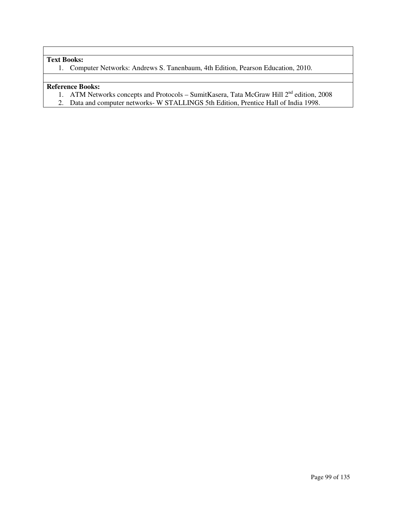### **Text Books:**

1. Computer Networks: Andrews S. Tanenbaum, 4th Edition, Pearson Education, 2010.

- 1. ATM Networks concepts and Protocols SumitKasera, Tata McGraw Hill 2<sup>nd</sup> edition, 2008
- 2. Data and computer networks- W STALLINGS 5th Edition, Prentice Hall of India 1998.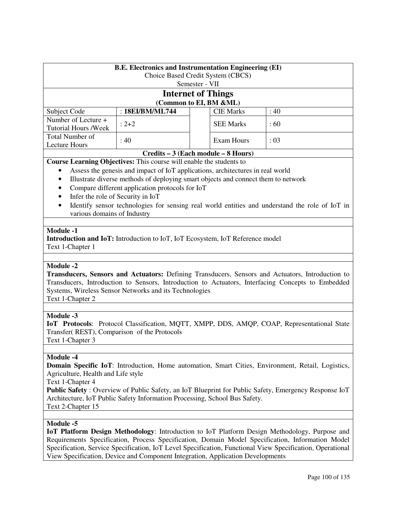| <b>B.E. Electronics and Instrumentation Engineering (EI)</b><br>Choice Based Credit System (CBCS)                                                                                                                                                                                                                                                                                                             |                                                                                                                                                                                                                                                                                                                                                                                                                                                                                                            |  |                   |      |  |  |
|---------------------------------------------------------------------------------------------------------------------------------------------------------------------------------------------------------------------------------------------------------------------------------------------------------------------------------------------------------------------------------------------------------------|------------------------------------------------------------------------------------------------------------------------------------------------------------------------------------------------------------------------------------------------------------------------------------------------------------------------------------------------------------------------------------------------------------------------------------------------------------------------------------------------------------|--|-------------------|------|--|--|
|                                                                                                                                                                                                                                                                                                                                                                                                               | Semester - VII<br><b>Internet of Things</b>                                                                                                                                                                                                                                                                                                                                                                                                                                                                |  |                   |      |  |  |
|                                                                                                                                                                                                                                                                                                                                                                                                               |                                                                                                                                                                                                                                                                                                                                                                                                                                                                                                            |  |                   |      |  |  |
|                                                                                                                                                                                                                                                                                                                                                                                                               | (Common to EI, BM &ML)                                                                                                                                                                                                                                                                                                                                                                                                                                                                                     |  |                   |      |  |  |
| Subject Code                                                                                                                                                                                                                                                                                                                                                                                                  | : 18EI/BM/ML744                                                                                                                                                                                                                                                                                                                                                                                                                                                                                            |  | <b>CIE Marks</b>  | :40  |  |  |
| Number of Lecture +<br><b>Tutorial Hours /Week</b>                                                                                                                                                                                                                                                                                                                                                            | $: 2 + 2$                                                                                                                                                                                                                                                                                                                                                                                                                                                                                                  |  | <b>SEE Marks</b>  | :60  |  |  |
| Total Number of<br><b>Lecture Hours</b>                                                                                                                                                                                                                                                                                                                                                                       | : 40                                                                                                                                                                                                                                                                                                                                                                                                                                                                                                       |  | <b>Exam Hours</b> | : 03 |  |  |
|                                                                                                                                                                                                                                                                                                                                                                                                               |                                                                                                                                                                                                                                                                                                                                                                                                                                                                                                            |  |                   |      |  |  |
| ٠<br>$\bullet$<br>$\bullet$<br>$\bullet$<br>$\bullet$<br><b>Module -1</b>                                                                                                                                                                                                                                                                                                                                     | Credits – 3 (Each module – 8 Hours)<br>Course Learning Objectives: This course will enable the students to<br>Assess the genesis and impact of IoT applications, architectures in real world<br>Illustrate diverse methods of deploying smart objects and connect them to network<br>Compare different application protocols for IoT<br>Infer the role of Security in IoT<br>Identify sensor technologies for sensing real world entities and understand the role of IoT in<br>various domains of Industry |  |                   |      |  |  |
| Text 1-Chapter 1                                                                                                                                                                                                                                                                                                                                                                                              | <b>Introduction and IoT:</b> Introduction to IoT, IoT Ecosystem, IoT Reference model                                                                                                                                                                                                                                                                                                                                                                                                                       |  |                   |      |  |  |
|                                                                                                                                                                                                                                                                                                                                                                                                               |                                                                                                                                                                                                                                                                                                                                                                                                                                                                                                            |  |                   |      |  |  |
| <b>Module -2</b><br>Transducers, Sensors and Actuators: Defining Transducers, Sensors and Actuators, Introduction to<br>Transducers, Introduction to Sensors, Introduction to Actuators, Interfacing Concepts to Embedded<br>Systems, Wireless Sensor Networks and its Technologies<br>Text 1-Chapter 2                                                                                                       |                                                                                                                                                                                                                                                                                                                                                                                                                                                                                                            |  |                   |      |  |  |
|                                                                                                                                                                                                                                                                                                                                                                                                               |                                                                                                                                                                                                                                                                                                                                                                                                                                                                                                            |  |                   |      |  |  |
| <b>Module -3</b><br>IoT Protocols: Protocol Classification, MQTT, XMPP, DDS, AMQP, COAP, Representational State<br>Transfer(REST), Comparison of the Protocols<br>Text 1-Chapter 3                                                                                                                                                                                                                            |                                                                                                                                                                                                                                                                                                                                                                                                                                                                                                            |  |                   |      |  |  |
|                                                                                                                                                                                                                                                                                                                                                                                                               |                                                                                                                                                                                                                                                                                                                                                                                                                                                                                                            |  |                   |      |  |  |
| <b>Module -4</b><br>Domain Specific IoT: Introduction, Home automation, Smart Cities, Environment, Retail, Logistics,<br>Agriculture, Health and Life style<br>Text 1-Chapter 4<br><b>Public Safety</b> : Overview of Public Safety, an IoT Blueprint for Public Safety, Emergency Response IoT<br>Architecture, IoT Public Safety Information Processing, School Bus Safety.<br>Text 2-Chapter 15            |                                                                                                                                                                                                                                                                                                                                                                                                                                                                                                            |  |                   |      |  |  |
|                                                                                                                                                                                                                                                                                                                                                                                                               |                                                                                                                                                                                                                                                                                                                                                                                                                                                                                                            |  |                   |      |  |  |
| Module -5<br>IoT Platform Design Methodology: Introduction to IoT Platform Design Methodology, Purpose and<br>Requirements Specification, Process Specification, Domain Model Specification, Information Model<br>Specification, Service Specification, IoT Level Specification, Functional View Specification, Operational<br>View Specification, Device and Component Integration, Application Developments |                                                                                                                                                                                                                                                                                                                                                                                                                                                                                                            |  |                   |      |  |  |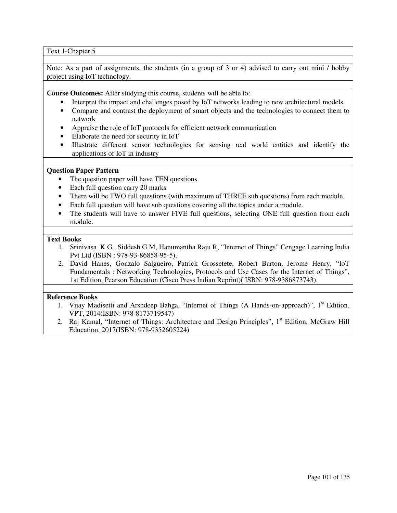Text 1-Chapter 5

Note: As a part of assignments, the students (in a group of 3 or 4) advised to carry out mini / hobby project using IoT technology.

**Course Outcomes:** After studying this course, students will be able to:

- Interpret the impact and challenges posed by IoT networks leading to new architectural models.
- Compare and contrast the deployment of smart objects and the technologies to connect them to network
- Appraise the role of IoT protocols for efficient network communication
- Elaborate the need for security in IoT
- Illustrate different sensor technologies for sensing real world entities and identify the applications of IoT in industry

# **Question Paper Pattern**

- The question paper will have TEN questions.
- Each full question carry 20 marks
- There will be TWO full questions (with maximum of THREE sub questions) from each module.
- Each full question will have sub questions covering all the topics under a module.
- The students will have to answer FIVE full questions, selecting ONE full question from each module.

# **Text Books**

- 1. Srinivasa K G , Siddesh G M, Hanumantha Raju R, "Internet of Things" Cengage Learning India Pvt Ltd (ISBN : 978-93-86858-95-5).
- 2. David Hanes, Gonzalo Salgueiro, Patrick Grossetete, Robert Barton, Jerome Henry, "IoT Fundamentals : Networking Technologies, Protocols and Use Cases for the Internet of Things", 1st Edition, Pearson Education (Cisco Press Indian Reprint)( ISBN: 978-9386873743).

# **Reference Books**

- 1. Vijay Madisetti and Arshdeep Bahga, "Internet of Things (A Hands-on-approach)", 1<sup>st</sup> Edition, VPT, 2014(ISBN: 978-8173719547)
- 2. Raj Kamal, "Internet of Things: Architecture and Design Principles", 1<sup>st</sup> Edition, McGraw Hill Education, 2017(ISBN: 978-9352605224)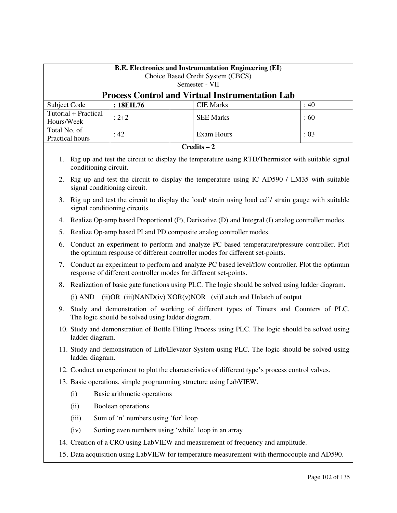|              | <b>B.E. Electronics and Instrumentation Engineering (EI)</b><br>Choice Based Credit System (CBCS)<br>Semester - VII                                                  |                                                  |  |                                                                                                                                                                             |  |      |  |  |
|--------------|----------------------------------------------------------------------------------------------------------------------------------------------------------------------|--------------------------------------------------|--|-----------------------------------------------------------------------------------------------------------------------------------------------------------------------------|--|------|--|--|
|              | <b>Process Control and Virtual Instrumentation Lab</b>                                                                                                               |                                                  |  |                                                                                                                                                                             |  |      |  |  |
| Subject Code |                                                                                                                                                                      | : 18EIL76                                        |  | <b>CIE Marks</b>                                                                                                                                                            |  | :40  |  |  |
| Hours/Week   | Tutorial + Practical                                                                                                                                                 | $: 2 + 2$                                        |  | <b>SEE Marks</b>                                                                                                                                                            |  | :60  |  |  |
| Total No. of | Practical hours                                                                                                                                                      | :42                                              |  | <b>Exam Hours</b>                                                                                                                                                           |  | : 03 |  |  |
|              |                                                                                                                                                                      |                                                  |  | $Credits - 2$                                                                                                                                                               |  |      |  |  |
| 1.           | conditioning circuit.                                                                                                                                                |                                                  |  | Rig up and test the circuit to display the temperature using RTD/Thermistor with suitable signal                                                                            |  |      |  |  |
|              | signal conditioning circuit.                                                                                                                                         |                                                  |  | 2. Rig up and test the circuit to display the temperature using IC AD590 / LM35 with suitable                                                                               |  |      |  |  |
| 3.           |                                                                                                                                                                      | signal conditioning circuits.                    |  | Rig up and test the circuit to display the load/ strain using load cell/ strain gauge with suitable                                                                         |  |      |  |  |
| 4.           |                                                                                                                                                                      |                                                  |  | Realize Op-amp based Proportional (P), Derivative (D) and Integral (I) analog controller modes.                                                                             |  |      |  |  |
| 5.           |                                                                                                                                                                      |                                                  |  | Realize Op-amp based PI and PD composite analog controller modes.                                                                                                           |  |      |  |  |
| 6.           |                                                                                                                                                                      |                                                  |  | Conduct an experiment to perform and analyze PC based temperature/pressure controller. Plot<br>the optimum response of different controller modes for different set-points. |  |      |  |  |
|              | 7. Conduct an experiment to perform and analyze PC based level/flow controller. Plot the optimum<br>response of different controller modes for different set-points. |                                                  |  |                                                                                                                                                                             |  |      |  |  |
|              |                                                                                                                                                                      |                                                  |  | 8. Realization of basic gate functions using PLC. The logic should be solved using ladder diagram.                                                                          |  |      |  |  |
|              | $(i)$ AND                                                                                                                                                            |                                                  |  | $(ii) OR$ $(iii) NAND(iv) XOR(v) NOR$ $(vi) Latch$ and Unlatch of output                                                                                                    |  |      |  |  |
| 9.           |                                                                                                                                                                      | The logic should be solved using ladder diagram. |  | Study and demonstration of working of different types of Timers and Counters of PLC.                                                                                        |  |      |  |  |
|              | ladder diagram.                                                                                                                                                      |                                                  |  | 10. Study and demonstration of Bottle Filling Process using PLC. The logic should be solved using                                                                           |  |      |  |  |
|              | ladder diagram.                                                                                                                                                      |                                                  |  | 11. Study and demonstration of Lift/Elevator System using PLC. The logic should be solved using                                                                             |  |      |  |  |
|              | 12. Conduct an experiment to plot the characteristics of different type's process control valves.                                                                    |                                                  |  |                                                                                                                                                                             |  |      |  |  |
|              |                                                                                                                                                                      |                                                  |  | 13. Basic operations, simple programming structure using LabVIEW.                                                                                                           |  |      |  |  |
|              | (i)<br>Basic arithmetic operations                                                                                                                                   |                                                  |  |                                                                                                                                                                             |  |      |  |  |
|              | Boolean operations<br>(ii)                                                                                                                                           |                                                  |  |                                                                                                                                                                             |  |      |  |  |
|              | Sum of 'n' numbers using 'for' loop<br>(iii)                                                                                                                         |                                                  |  |                                                                                                                                                                             |  |      |  |  |
|              | Sorting even numbers using 'while' loop in an array<br>(iv)                                                                                                          |                                                  |  |                                                                                                                                                                             |  |      |  |  |
|              |                                                                                                                                                                      |                                                  |  | 14. Creation of a CRO using LabVIEW and measurement of frequency and amplitude.                                                                                             |  |      |  |  |
|              |                                                                                                                                                                      |                                                  |  | 15. Data acquisition using LabVIEW for temperature measurement with thermocouple and AD590.                                                                                 |  |      |  |  |
|              |                                                                                                                                                                      |                                                  |  |                                                                                                                                                                             |  |      |  |  |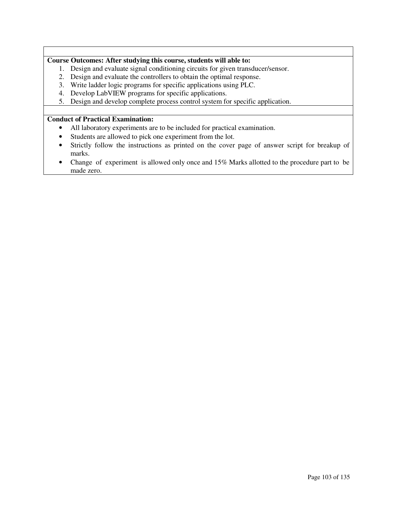# **Course Outcomes: After studying this course, students will able to:**

- 1. Design and evaluate signal conditioning circuits for given transducer/sensor.
- 2. Design and evaluate the controllers to obtain the optimal response.
- 3. Write ladder logic programs for specific applications using PLC.
- 4. Develop LabVIEW programs for specific applications.
- 5. Design and develop complete process control system for specific application.

# **Conduct of Practical Examination:**

- All laboratory experiments are to be included for practical examination.
- Students are allowed to pick one experiment from the lot.
- Strictly follow the instructions as printed on the cover page of answer script for breakup of marks.
- Change of experiment is allowed only once and 15% Marks allotted to the procedure part to be made zero.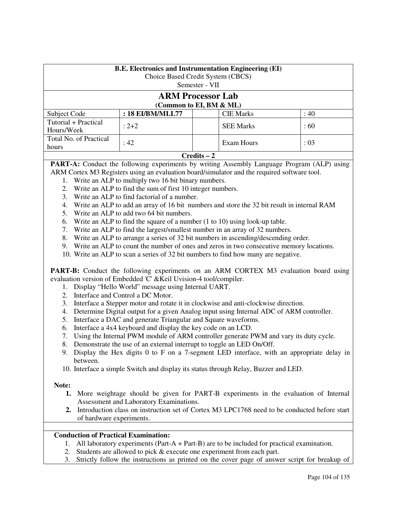| <b>B.E. Electronics and Instrumentation Engineering (EI)</b><br>Choice Based Credit System (CBCS)<br>Semester - VII |                  |  |                  |          |  |
|---------------------------------------------------------------------------------------------------------------------|------------------|--|------------------|----------|--|
| <b>ARM Processor Lab</b><br>(Common to EI, BM & ML)                                                                 |                  |  |                  |          |  |
| Subject Code                                                                                                        | : 18 EI/BM/MLL77 |  | <b>CIE Marks</b> | :40      |  |
| Tutorial + Practical<br>Hours/Week                                                                                  | $: 2 + 2$        |  | <b>SEE Marks</b> | $\pm 60$ |  |
| Total No. of Practical<br>: 42<br>: 03<br>Exam Hours<br>hours                                                       |                  |  |                  |          |  |
|                                                                                                                     | $C$ redits $-2$  |  |                  |          |  |

**PART-A:** Conduct the following experiments by writing Assembly Language Program (ALP) using ARM Cortex M3 Registers using an evaluation board/simulator and the required software tool.

- 1. Write an ALP to multiply two 16 bit binary numbers.
- 2. Write an ALP to find the sum of first 10 integer numbers.
- 3. Write an ALP to find factorial of a number.
- 4. Write an ALP to add an array of 16 bit numbers and store the 32 bit result in internal RAM
- 5. Write an ALP to add two 64 bit numbers.
- 6. Write an ALP to find the square of a number (1 to 10) using look-up table.
- 7. Write an ALP to find the largest/smallest number in an array of 32 numbers.
- 8. Write an ALP to arrange a series of 32 bit numbers in ascending/descending order.
- 9. Write an ALP to count the number of ones and zeros in two consecutive memory locations.
- 10. Write an ALP to scan a series of 32 bit numbers to find how many are negative.

**PART-B:** Conduct the following experiments on an ARM CORTEX M3 evaluation board using evaluation version of Embedded 'C' &Keil Uvision-4 tool/compiler.

- 1. Display "Hello World" message using Internal UART.
- 2. Interface and Control a DC Motor.
- 3. Interface a Stepper motor and rotate it in clockwise and anti-clockwise direction.
- 4. Determine Digital output for a given Analog input using Internal ADC of ARM controller.
- 5. Interface a DAC and generate Triangular and Square waveforms.
- 6. Interface a 4x4 keyboard and display the key code on an LCD.
- 7. Using the Internal PWM module of ARM controller generate PWM and vary its duty cycle.
- 8. Demonstrate the use of an external interrupt to toggle an LED On/Off.
- 9. Display the Hex digits 0 to F on a 7-segment LED interface, with an appropriate delay in between.
- 10. Interface a simple Switch and display its status through Relay, Buzzer and LED.

# **Note:**

- **1.** More weightage should be given for PART-B experiments in the evaluation of Internal Assessment and Laboratory Examinations.
- **2.** Introduction class on instruction set of Cortex M3 LPC1768 need to be conducted before start of hardware experiments.

# **Conduction of Practical Examination:**

- 1. All laboratory experiments (Part-A + Part-B) are to be included for practical examination.
- 2. Students are allowed to pick & execute one experiment from each part.
- 3. Strictly follow the instructions as printed on the cover page of answer script for breakup of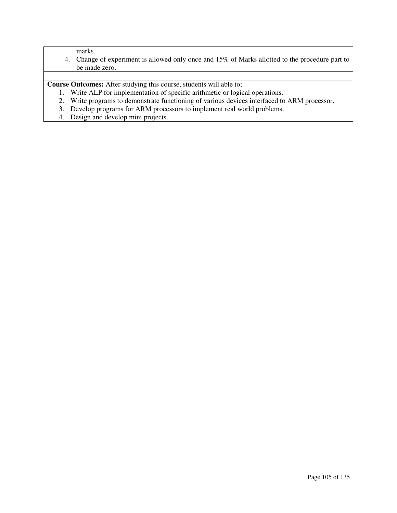# marks.

4. Change of experiment is allowed only once and 15% of Marks allotted to the procedure part to be made zero.

**Course Outcomes:** After studying this course, students will able to;

- 1. Write ALP for implementation of specific arithmetic or logical operations.
- 2. Write programs to demonstrate functioning of various devices interfaced to ARM processor.
- 3. Develop programs for ARM processors to implement real world problems.
- 4. Design and develop mini projects.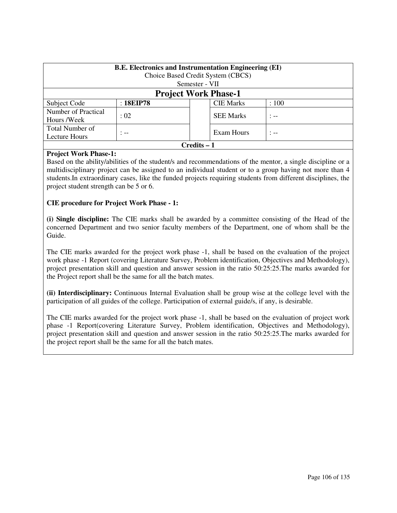| <b>B.E.</b> Electronics and Instrumentation Engineering (EI)<br>Choice Based Credit System (CBCS)<br>Semester - VII |           |  |                  |         |
|---------------------------------------------------------------------------------------------------------------------|-----------|--|------------------|---------|
| <b>Project Work Phase-1</b>                                                                                         |           |  |                  |         |
| Subject Code                                                                                                        | : 18EIP78 |  | <b>CIE Marks</b> | :100    |
| Number of Practical<br>Hours /Week                                                                                  | : 02      |  | <b>SEE Marks</b> | $: - -$ |
| <b>Total Number of</b><br>Exam Hours<br>$: - -$<br>$: - -$<br>Lecture Hours                                         |           |  |                  |         |
| Credits – 1                                                                                                         |           |  |                  |         |

# **Project Work Phase-1:**

Based on the ability/abilities of the student/s and recommendations of the mentor, a single discipline or a multidisciplinary project can be assigned to an individual student or to a group having not more than 4 students.In extraordinary cases, like the funded projects requiring students from different disciplines, the project student strength can be 5 or 6.

# **CIE procedure for Project Work Phase - 1:**

**(i) Single discipline:** The CIE marks shall be awarded by a committee consisting of the Head of the concerned Department and two senior faculty members of the Department, one of whom shall be the Guide.

The CIE marks awarded for the project work phase -1, shall be based on the evaluation of the project work phase -1 Report (covering Literature Survey, Problem identification, Objectives and Methodology), project presentation skill and question and answer session in the ratio 50:25:25.The marks awarded for the Project report shall be the same for all the batch mates.

**(ii) Interdisciplinary:** Continuous Internal Evaluation shall be group wise at the college level with the participation of all guides of the college. Participation of external guide/s, if any, is desirable.

The CIE marks awarded for the project work phase -1, shall be based on the evaluation of project work phase -1 Report(covering Literature Survey, Problem identification, Objectives and Methodology), project presentation skill and question and answer session in the ratio 50:25:25.The marks awarded for the project report shall be the same for all the batch mates.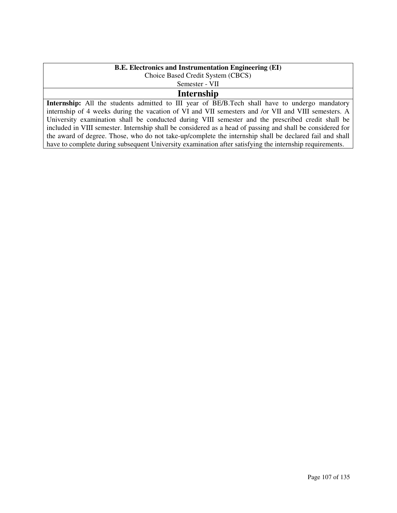# **B.E. Electronics and Instrumentation Engineering (EI)**

Choice Based Credit System (CBCS)

# Semester - VII

# **Internship**

**Internship:** All the students admitted to III year of BE/B.Tech shall have to undergo mandatory internship of 4 weeks during the vacation of VI and VII semesters and /or VII and VIII semesters. A University examination shall be conducted during VIII semester and the prescribed credit shall be included in VIII semester. Internship shall be considered as a head of passing and shall be considered for the award of degree. Those, who do not take-up/complete the internship shall be declared fail and shall have to complete during subsequent University examination after satisfying the internship requirements.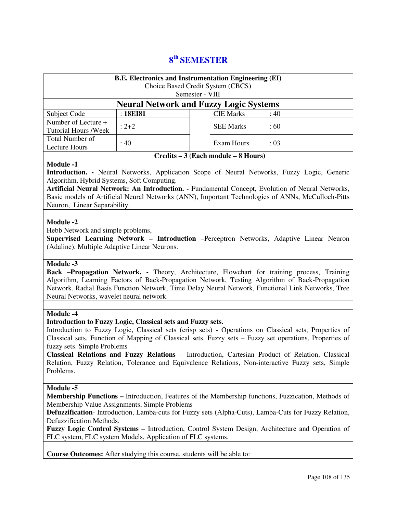# **8 th SEMESTER**

| <b>B.E. Electronics and Instrumentation Engineering (EI)</b><br>Choice Based Credit System (CBCS)<br>Semester - VIII |           |  |                  |      |
|----------------------------------------------------------------------------------------------------------------------|-----------|--|------------------|------|
| <b>Neural Network and Fuzzy Logic Systems</b>                                                                        |           |  |                  |      |
| Subject Code                                                                                                         | : 18EI81  |  | <b>CIE Marks</b> | :40  |
| Number of Lecture +<br><b>Tutorial Hours /Week</b>                                                                   | $: 2 + 2$ |  | <b>SEE Marks</b> | :60  |
| Total Number of<br>Lecture Hours                                                                                     | : 40      |  | Exam Hours       | : 03 |
| Credits – 3 (Each module – 8 Hours)                                                                                  |           |  |                  |      |

## **Module -1**

**Introduction. -** Neural Networks, Application Scope of Neural Networks, Fuzzy Logic, Generic Algorithm, Hybrid Systems, Soft Computing.

**Artificial Neural Network: An Introduction. -** Fundamental Concept, Evolution of Neural Networks, Basic models of Artificial Neural Networks (ANN), Important Technologies of ANNs, McCulloch-Pitts Neuron, Linear Separability.

## **Module -2**

Hebb Network and simple problems,

**Supervised Learning Network – Introduction** –Perceptron Networks, Adaptive Linear Neuron (Adaline), Multiple Adaptive Linear Neurons.

#### **Module -3**

**Back –Propagation Network. -** Theory, Architecture, Flowchart for training process, Training Algorithm, Learning Factors of Back-Propagation Network, Testing Algorithm of Back-Propagation Network. Radial Basis Function Network, Time Delay Neural Network, Functional Link Networks, Tree Neural Networks, wavelet neural network.

#### **Module -4**

#### **Introduction to Fuzzy Logic, Classical sets and Fuzzy sets.**

Introduction to Fuzzy Logic, Classical sets (crisp sets) - Operations on Classical sets, Properties of Classical sets, Function of Mapping of Classical sets. Fuzzy sets – Fuzzy set operations, Properties of fuzzy sets. Simple Problems

**Classical Relations and Fuzzy Relations** – Introduction, Cartesian Product of Relation, Classical Relation, Fuzzy Relation, Tolerance and Equivalence Relations, Non-interactive Fuzzy sets, Simple Problems.

#### **Module -5**

**Membership Functions –** Introduction, Features of the Membership functions, Fuzzication, Methods of Membership Value Assignments, Simple Problems

**Defuzzification**- Introduction, Lamba-cuts for Fuzzy sets (Alpha-Cuts), Lamba-Cuts for Fuzzy Relation, Defuzzification Methods.

**Fuzzy Logic Control Systems** – Introduction, Control System Design, Architecture and Operation of FLC system, FLC system Models, Application of FLC systems.

**Course Outcomes:** After studying this course, students will be able to: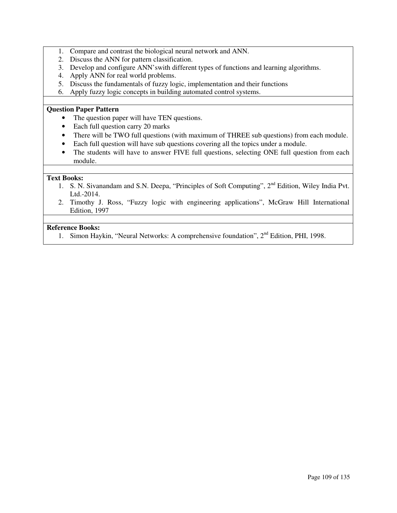- 1. Compare and contrast the biological neural network and ANN.
- 2. Discuss the ANN for pattern classification.
- 3. Develop and configure ANN'swith different types of functions and learning algorithms.
- 4. Apply ANN for real world problems.
- 5. Discuss the fundamentals of fuzzy logic, implementation and their functions
- 6. Apply fuzzy logic concepts in building automated control systems.

#### **Question Paper Pattern**

- The question paper will have TEN questions.
- Each full question carry 20 marks
- There will be TWO full questions (with maximum of THREE sub questions) from each module.
- Each full question will have sub questions covering all the topics under a module.
- The students will have to answer FIVE full questions, selecting ONE full question from each module.

# **Text Books:**

- 1. S. N. Sivanandam and S.N. Deepa, "Principles of Soft Computing", 2<sup>nd</sup> Edition, Wiley India Pvt. Ltd.-2014.
- 2. Timothy J. Ross, "Fuzzy logic with engineering applications", McGraw Hill International Edition, 1997

#### **Reference Books:**

1. Simon Haykin, "Neural Networks: A comprehensive foundation", 2<sup>nd</sup> Edition, PHI, 1998.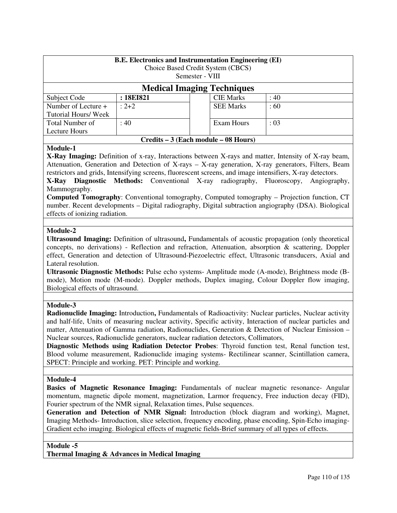| <b>B.E.</b> Electronics and Instrumentation Engineering (EI)<br>Choice Based Credit System (CBCS)<br>Semester - VIII |           |  |                  |     |  |
|----------------------------------------------------------------------------------------------------------------------|-----------|--|------------------|-----|--|
| <b>Medical Imaging Techniques</b>                                                                                    |           |  |                  |     |  |
| Subject Code                                                                                                         | : 18EI821 |  | <b>CIE Marks</b> | :40 |  |
| Number of Lecture +<br>Tutorial Hours/ Week                                                                          | $: 2 + 2$ |  | <b>SEE Marks</b> | :60 |  |
| Total Number of<br>Exam Hours<br>: 40<br>: 03<br>Lecture Hours                                                       |           |  |                  |     |  |
| Credits – 3 (Each module – 08 Hours)                                                                                 |           |  |                  |     |  |

# **Module-1**

**X-Ray Imaging:** Definition of x-ray, Interactions between X-rays and matter, Intensity of X-ray beam, Attenuation, Generation and Detection of X-rays – X-ray generation, X-ray generators, Filters, Beam restrictors and grids, Intensifying screens, fluorescent screens, and image intensifiers, X-ray detectors.

**X-Ray Diagnostic Methods:** Conventional X-ray radiography, Fluoroscopy, Angiography, Mammography.

**Computed Tomography**: Conventional tomography, Computed tomography – Projection function, CT number. Recent developments – Digital radiography, Digital subtraction angiography (DSA). Biological effects of ionizing radiation.

# **Module-2**

**Ultrasound Imaging:** Definition of ultrasound**,** Fundamentals of acoustic propagation (only theoretical concepts, no derivations) - Reflection and refraction, Attenuation, absorption & scattering, Doppler effect, Generation and detection of Ultrasound-Piezoelectric effect, Ultrasonic transducers, Axial and Lateral resolution.

**Ultrasonic Diagnostic Methods:** Pulse echo systems- Amplitude mode (A-mode), Brightness mode (Bmode), Motion mode (M-mode). Doppler methods, Duplex imaging, Colour Doppler flow imaging, Biological effects of ultrasound.

# **Module-3**

**Radionuclide Imaging:** Introduction**,** Fundamentals of Radioactivity: Nuclear particles, Nuclear activity and half-life, Units of measuring nuclear activity, Specific activity, Interaction of nuclear particles and matter, Attenuation of Gamma radiation, Radionuclides, Generation & Detection of Nuclear Emission – Nuclear sources, Radionuclide generators, nuclear radiation detectors, Collimators,

**Diagnostic Methods using Radiation Detector Probes**: Thyroid function test, Renal function test, Blood volume measurement, Radionuclide imaging systems- Rectilinear scanner, Scintillation camera, SPECT: Principle and working. PET: Principle and working.

# **Module-4**

**Basics of Magnetic Resonance Imaging:** Fundamentals of nuclear magnetic resonance- Angular momentum, magnetic dipole moment, magnetization, Larmor frequency, Free induction decay (FID), Fourier spectrum of the NMR signal, Relaxation times, Pulse sequences.

**Generation and Detection of NMR Signal:** Introduction (block diagram and working), Magnet, Imaging Methods- Introduction, slice selection, frequency encoding, phase encoding, Spin-Echo imaging-Gradient echo imaging. Biological effects of magnetic fields-Brief summary of all types of effects.

**Module -5** 

**Thermal Imaging & Advances in Medical Imaging**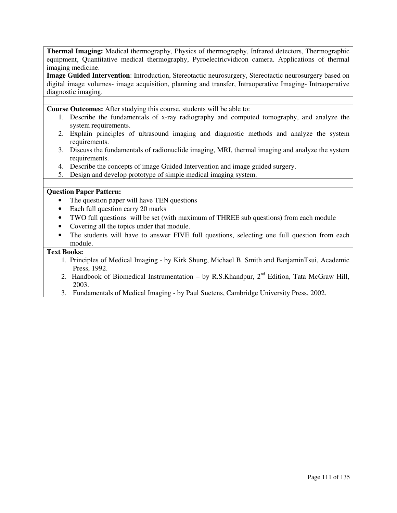**Thermal Imaging:** Medical thermography, Physics of thermography, Infrared detectors, Thermographic equipment, Quantitative medical thermography, Pyroelectricvidicon camera. Applications of thermal imaging medicine.

**Image Guided Intervention**: Introduction, Stereotactic neurosurgery, Stereotactic neurosurgery based on digital image volumes- image acquisition, planning and transfer, Intraoperative Imaging- Intraoperative diagnostic imaging.

**Course Outcomes:** After studying this course, students will be able to:

- 1. Describe the fundamentals of x-ray radiography and computed tomography, and analyze the system requirements.
- 2. Explain principles of ultrasound imaging and diagnostic methods and analyze the system requirements.
- 3. Discuss the fundamentals of radionuclide imaging, MRI, thermal imaging and analyze the system requirements.
- 4. Describe the concepts of image Guided Intervention and image guided surgery.
- 5. Design and develop prototype of simple medical imaging system.

## **Question Paper Pattern:**

- The question paper will have TEN questions
- Each full question carry 20 marks
- TWO full questions will be set (with maximum of THREE sub questions) from each module
- Covering all the topics under that module.
- The students will have to answer FIVE full questions, selecting one full question from each module.

# **Text Books:**

- 1. Principles of Medical Imaging by Kirk Shung, Michael B. Smith and BanjaminTsui, Academic Press, 1992.
- 2. Handbook of Biomedical Instrumentation by R.S.Khandpur,  $2^{nd}$  Edition, Tata McGraw Hill, 2003.
- 3. Fundamentals of Medical Imaging by Paul Suetens, Cambridge University Press, 2002.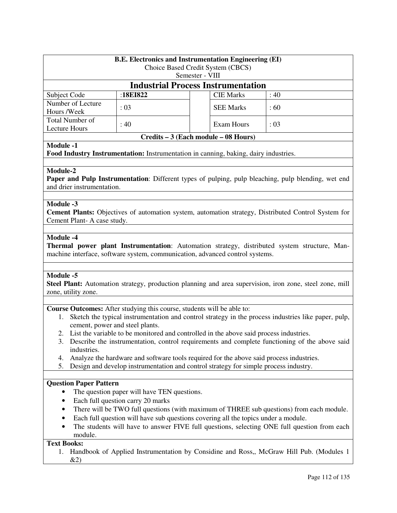|                                                                                                                                                                                                  | <b>B.E. Electronics and Instrumentation Engineering (EI)</b> |                                                                                                     |      |  |  |
|--------------------------------------------------------------------------------------------------------------------------------------------------------------------------------------------------|--------------------------------------------------------------|-----------------------------------------------------------------------------------------------------|------|--|--|
| Choice Based Credit System (CBCS)<br>Semester - VIII                                                                                                                                             |                                                              |                                                                                                     |      |  |  |
|                                                                                                                                                                                                  |                                                              | <b>Industrial Process Instrumentation</b>                                                           |      |  |  |
| Subject Code                                                                                                                                                                                     | :18EI822                                                     | <b>CIE Marks</b>                                                                                    | :40  |  |  |
| Number of Lecture<br>Hours /Week                                                                                                                                                                 | : 03                                                         | <b>SEE Marks</b>                                                                                    | :60  |  |  |
| <b>Total Number of</b><br><b>Lecture Hours</b>                                                                                                                                                   | : 40                                                         | <b>Exam Hours</b>                                                                                   | : 03 |  |  |
|                                                                                                                                                                                                  |                                                              | Credits – 3 (Each module – 08 Hours)                                                                |      |  |  |
| <b>Module -1</b>                                                                                                                                                                                 |                                                              | Food Industry Instrumentation: Instrumentation in canning, baking, dairy industries.                |      |  |  |
| Module-2<br>Paper and Pulp Instrumentation: Different types of pulping, pulp bleaching, pulp blending, wet end<br>and drier instrumentation.                                                     |                                                              |                                                                                                     |      |  |  |
| <b>Module -3</b><br>Cement Plant-A case study.                                                                                                                                                   |                                                              | Cement Plants: Objectives of automation system, automation strategy, Distributed Control System for |      |  |  |
| Module -4<br><b>Thermal power plant Instrumentation:</b> Automation strategy, distributed system structure, Man-<br>machine interface, software system, communication, advanced control systems. |                                                              |                                                                                                     |      |  |  |
| Module -5<br>Steel Plant: Automation strategy, production planning and area supervision, iron zone, steel zone, mill<br>zone, utility zone.                                                      |                                                              |                                                                                                     |      |  |  |
| Course Outcomes: After studying this course, students will be able to:                                                                                                                           |                                                              |                                                                                                     |      |  |  |

- 1. Sketch the typical instrumentation and control strategy in the process industries like paper, pulp, cement, power and steel plants.
- 2. List the variable to be monitored and controlled in the above said process industries.
- 3. Describe the instrumentation, control requirements and complete functioning of the above said industries.
- 4. Analyze the hardware and software tools required for the above said process industries.
- 5. Design and develop instrumentation and control strategy for simple process industry.

# **Question Paper Pattern**

- The question paper will have TEN questions.
- Each full question carry 20 marks
- There will be TWO full questions (with maximum of THREE sub questions) from each module.
- Each full question will have sub questions covering all the topics under a module.
- The students will have to answer FIVE full questions, selecting ONE full question from each module.

# **Text Books:**

1. Handbook of Applied Instrumentation by Considine and Ross,, McGraw Hill Pub. (Modules 1 &2)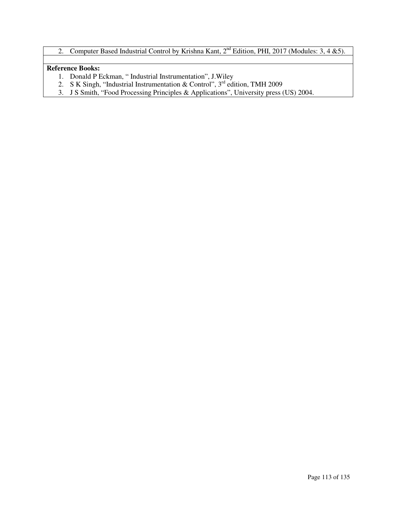2. Computer Based Industrial Control by Krishna Kant,  $2<sup>nd</sup>$  Edition, PHI, 2017 (Modules: 3, 4 &5).

# **Reference Books:**

- 1. Donald P Eckman, " Industrial Instrumentation", J.Wiley
- 2. S K Singh, "Industrial Instrumentation & Control",  $3<sup>rd</sup>$  edition, TMH 2009
- 3. J S Smith, "Food Processing Principles & Applications", University press (US) 2004.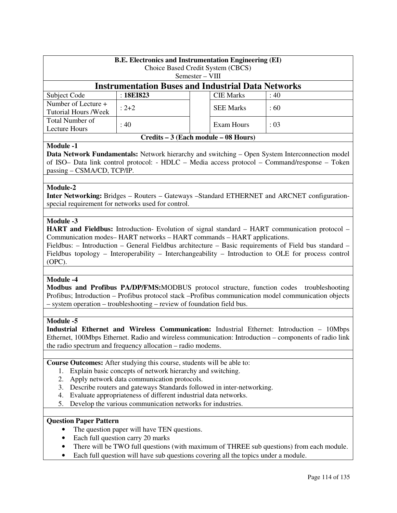| <b>B.E. Electronics and Instrumentation Engineering (EI)</b><br>Choice Based Credit System (CBCS) |                                                           |                   |                  |     |  |
|---------------------------------------------------------------------------------------------------|-----------------------------------------------------------|-------------------|------------------|-----|--|
|                                                                                                   |                                                           | $Semester - VIII$ |                  |     |  |
|                                                                                                   | <b>Instrumentation Buses and Industrial Data Networks</b> |                   |                  |     |  |
| Subject Code                                                                                      | : 18EI823<br><b>CIE Marks</b><br>:40                      |                   |                  |     |  |
| Number of Lecture +<br>Tutorial Hours / Week                                                      | $: 2 + 2$                                                 |                   | <b>SEE Marks</b> | :60 |  |
| Total Number of<br>: 40<br>Exam Hours<br>: 03<br>Lecture Hours                                    |                                                           |                   |                  |     |  |
| Credits – 3 (Each module – 08 Hours)                                                              |                                                           |                   |                  |     |  |

# **Module -1**

**Data Network Fundamentals:** Network hierarchy and switching – Open System Interconnection model of ISO– Data link control protocol: - HDLC – Media access protocol – Command/response – Token passing – CSMA/CD, TCP/IP.

## **Module-2**

**Inter Networking:** Bridges – Routers – Gateways –Standard ETHERNET and ARCNET configurationspecial requirement for networks used for control.

## **Module -3**

**HART and Fieldbus:** Introduction- Evolution of signal standard – HART communication protocol – Communication modes– HART networks – HART commands – HART applications.

Fieldbus: – Introduction – General Fieldbus architecture – Basic requirements of Field bus standard – Fieldbus topology – Interoperability – Interchangeability – Introduction to OLE for process control (OPC).

#### **Module -4**

**Modbus and Profibus PA/DP/FMS:**MODBUS protocol structure, function codes troubleshooting Profibus; Introduction – Profibus protocol stack –Profibus communication model communication objects – system operation – troubleshooting – review of foundation field bus.

#### **Module -5**

**Industrial Ethernet and Wireless Communication:** Industrial Ethernet: Introduction – 10Mbps Ethernet, 100Mbps Ethernet. Radio and wireless communication: Introduction – components of radio link the radio spectrum and frequency allocation – radio modems.

**Course Outcomes:** After studying this course, students will be able to:

- 1. Explain basic concepts of network hierarchy and switching.
- 2. Apply network data communication protocols.
- 3. Describe routers and gateways Standards followed in inter-networking.
- 4. Evaluate appropriateness of different industrial data networks.
- 5. Develop the various communication networks for industries.

# **Question Paper Pattern**

- The question paper will have TEN questions.
- Each full question carry 20 marks
- There will be TWO full questions (with maximum of THREE sub questions) from each module.
- Each full question will have sub questions covering all the topics under a module.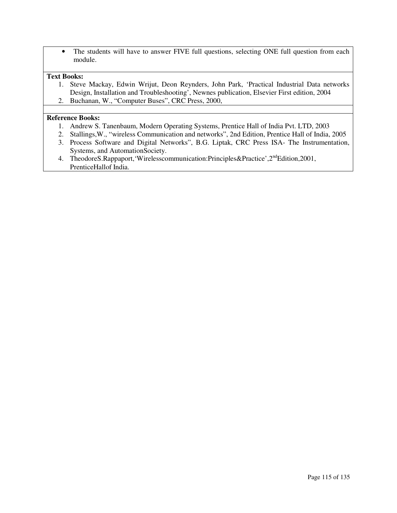• The students will have to answer FIVE full questions, selecting ONE full question from each module.

## **Text Books:**

- 1. Steve Mackay, Edwin Wrijut, Deon Reynders, John Park, 'Practical Industrial Data networks Design, Installation and Troubleshooting', Newnes publication, Elsevier First edition, 2004
- 2. Buchanan, W., "Computer Buses", CRC Press, 2000,

#### **Reference Books:**

- 1. Andrew S. Tanenbaum, Modern Operating Systems, Prentice Hall of India Pvt. LTD, 2003
- 2. Stallings,W., "wireless Communication and networks", 2nd Edition, Prentice Hall of India, 2005
- 3. Process Software and Digital Networks", B.G. Liptak, CRC Press ISA- The Instrumentation, Systems, and AutomationSociety.
- 4. TheodoreS.Rappaport,'Wirelesscommunication:Principles&Practice',2<sup>nd</sup>Edition,2001, PrenticeHallof India.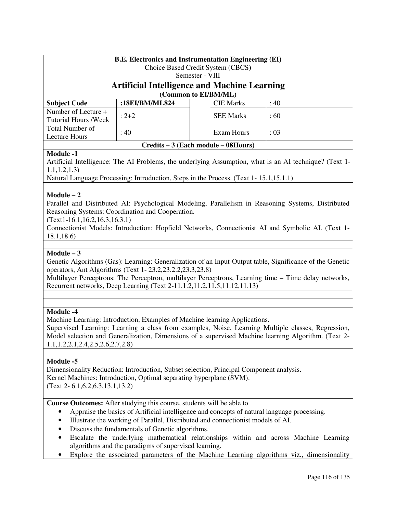| <b>B.E.</b> Electronics and Instrumentation Engineering (EI)<br>Choice Based Credit System (CBCS)<br>Semester - VIII |                |  |                  |       |
|----------------------------------------------------------------------------------------------------------------------|----------------|--|------------------|-------|
| <b>Artificial Intelligence and Machine Learning</b><br>(Common to EI/BM/ML)                                          |                |  |                  |       |
| <b>Subject Code</b>                                                                                                  | :18EI/BM/ML824 |  | <b>CIE Marks</b> | : 40  |
| Number of Lecture +<br><b>Tutorial Hours /Week</b>                                                                   | $: 2 + 2$      |  | <b>SEE Marks</b> | :60   |
| Total Number of<br>Lecture Hours                                                                                     | : 40           |  | Exam Hours       | : 0.3 |

#### **Credits – 3 (Each module – 08Hours)**

# **Module -1**

Artificial Intelligence: The AI Problems, the underlying Assumption, what is an AI technique? (Text 1- 1.1,1.2,1.3)

Natural Language Processing: Introduction, Steps in the Process. (Text 1- 15.1,15.1.1)

# **Module – 2**

Parallel and Distributed AI: Psychological Modeling, Parallelism in Reasoning Systems, Distributed Reasoning Systems: Coordination and Cooperation.

(Text1-16.1,16.2,16.3,16.3.1)

Connectionist Models: Introduction: Hopfield Networks, Connectionist AI and Symbolic AI. (Text 1- 18.1,18.6)

# **Module – 3**

Genetic Algorithms (Gas): Learning: Generalization of an Input-Output table, Significance of the Genetic operators, Ant Algorithms (Text 1- 23.2,23.2.2,23.3,23.8)

Multilayer Perceptrons: The Perceptron, multilayer Perceptrons, Learning time – Time delay networks, Recurrent networks, Deep Learning (Text 2-11.1.2,11.2,11.5,11.12,11.13)

# **Module -4**

Machine Learning: Introduction, Examples of Machine learning Applications.

Supervised Learning: Learning a class from examples, Noise, Learning Multiple classes, Regression, Model selection and Generalization, Dimensions of a supervised Machine learning Algorithm. (Text 2- 1.1,1.2,2.1,2.4,2.5,2.6,2.7,2.8)

# **Module -5**

Dimensionality Reduction: Introduction, Subset selection, Principal Component analysis. Kernel Machines: Introduction, Optimal separating hyperplane (SVM). (Text 2- 6.1,6.2,6.3,13.1,13.2)

**Course Outcomes:** After studying this course, students will be able to

- Appraise the basics of Artificial intelligence and concepts of natural language processing.
- Illustrate the working of Parallel, Distributed and connectionist models of AI.
- Discuss the fundamentals of Genetic algorithms.
- Escalate the underlying mathematical relationships within and across Machine Learning algorithms and the paradigms of supervised learning.
- Explore the associated parameters of the Machine Learning algorithms viz., dimensionality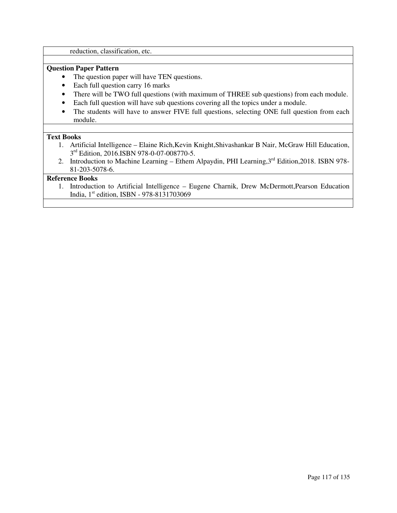reduction, classification, etc.

# **Question Paper Pattern**

- The question paper will have TEN questions.
- Each full question carry 16 marks
- There will be TWO full questions (with maximum of THREE sub questions) from each module.
- Each full question will have sub questions covering all the topics under a module.
- The students will have to answer FIVE full questions, selecting ONE full question from each module.

# **Text Books**

- 1. Artificial Intelligence Elaine Rich,Kevin Knight,Shivashankar B Nair, McGraw Hill Education, 3<sup>rd</sup> Edition, 2016.ISBN 978-0-07-008770-5.
- 2. Introduction to Machine Learning Ethem Alpaydin, PHI Learning, 3<sup>rd</sup> Edition, 2018. ISBN 978-81-203-5078-6.

## **Reference Books**

1. Introduction to Artificial Intelligence – Eugene Charnik, Drew McDermott,Pearson Education India, 1<sup>st</sup> edition, ISBN - 978-8131703069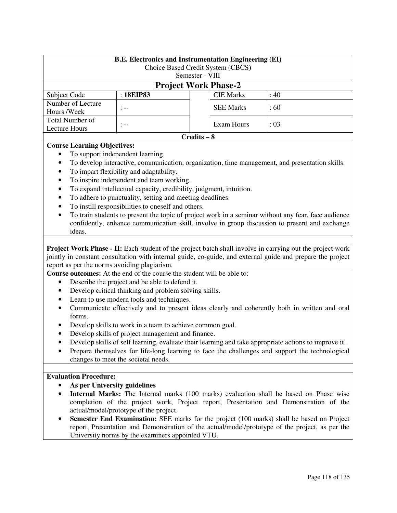|                                    |                                  | <b>B.E. Electronics and Instrumentation Engineering (EI)</b><br>Choice Based Credit System (CBCS) |           |  |
|------------------------------------|----------------------------------|---------------------------------------------------------------------------------------------------|-----------|--|
|                                    |                                  | Semester - VIII                                                                                   |           |  |
|                                    |                                  | <b>Project Work Phase-2</b>                                                                       |           |  |
| Subject Code                       | : 18EIP83                        | <b>CIE Marks</b>                                                                                  | : 40      |  |
| Number of Lecture<br>Hours /Week   | $: - -$                          | <b>SEE Marks</b>                                                                                  | :60       |  |
| Total Number of<br>Lecture Hours   | $: - -$                          | Exam Hours                                                                                        | $\div 03$ |  |
|                                    |                                  | $Credits - 8$                                                                                     |           |  |
| <b>Course Learning Objectives:</b> | To support independent learning. |                                                                                                   |           |  |

- To develop interactive, communication, organization, time management, and presentation skills.
- To impart flexibility and adaptability.
- To inspire independent and team working.
- To expand intellectual capacity, credibility, judgment, intuition.
- To adhere to punctuality, setting and meeting deadlines.
- To instill responsibilities to oneself and others.
- To train students to present the topic of project work in a seminar without any fear, face audience confidently, enhance communication skill, involve in group discussion to present and exchange ideas.

**Project Work Phase - II:** Each student of the project batch shall involve in carrying out the project work jointly in constant consultation with internal guide, co-guide, and external guide and prepare the project report as per the norms avoiding plagiarism.

**Course outcomes:** At the end of the course the student will be able to:

- Describe the project and be able to defend it.
- Develop critical thinking and problem solving skills.
- Learn to use modern tools and techniques.
- Communicate effectively and to present ideas clearly and coherently both in written and oral forms.
- Develop skills to work in a team to achieve common goal.
- Develop skills of project management and finance.
- Develop skills of self learning, evaluate their learning and take appropriate actions to improve it.
- Prepare themselves for life-long learning to face the challenges and support the technological changes to meet the societal needs.

#### **Evaluation Procedure:**

- **As per University guidelines**
- **Internal Marks:** The Internal marks (100 marks) evaluation shall be based on Phase wise completion of the project work, Project report, Presentation and Demonstration of the actual/model/prototype of the project.
- **Semester End Examination:** SEE marks for the project (100 marks) shall be based on Project report, Presentation and Demonstration of the actual/model/prototype of the project, as per the University norms by the examiners appointed VTU.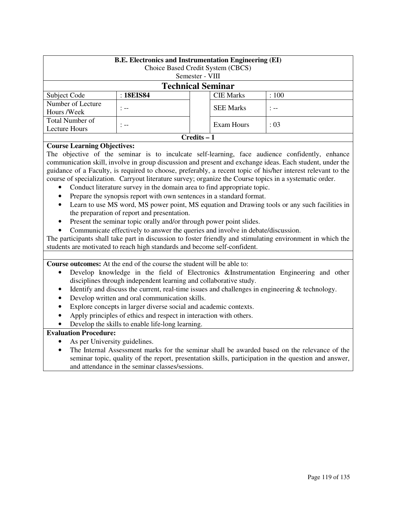| <b>B.E.</b> Electronics and Instrumentation Engineering (EI)<br>Choice Based Credit System (CBCS)<br>Semester - VIII |                                        |  |                  |         |  |
|----------------------------------------------------------------------------------------------------------------------|----------------------------------------|--|------------------|---------|--|
| <b>Technical Seminar</b>                                                                                             |                                        |  |                  |         |  |
| Subject Code                                                                                                         | : 18EIS84<br><b>CIE Marks</b><br>: 100 |  |                  |         |  |
| Number of Lecture<br>Hours /Week                                                                                     | $-$                                    |  | <b>SEE Marks</b> | $: - -$ |  |
| Total Number of<br>Exam Hours<br>: 0.3<br>. .-<br>Lecture Hours                                                      |                                        |  |                  |         |  |
| Credits – 1                                                                                                          |                                        |  |                  |         |  |

# **Course Learning Objectives:**

The objective of the seminar is to inculcate self-learning, face audience confidently, enhance communication skill, involve in group discussion and present and exchange ideas. Each student, under the guidance of a Faculty, is required to choose, preferably, a recent topic of his/her interest relevant to the course of specialization. Carryout literature survey; organize the Course topics in a systematic order.

- Conduct literature survey in the domain area to find appropriate topic.
- Prepare the synopsis report with own sentences in a standard format.
- Learn to use MS word, MS power point, MS equation and Drawing tools or any such facilities in the preparation of report and presentation.
- Present the seminar topic orally and/or through power point slides.
- Communicate effectively to answer the queries and involve in debate/discussion.

The participants shall take part in discussion to foster friendly and stimulating environment in which the students are motivated to reach high standards and become self-confident.

**Course outcomes:** At the end of the course the student will be able to:

- Develop knowledge in the field of Electronics &Instrumentation Engineering and other disciplines through independent learning and collaborative study.
- Identify and discuss the current, real-time issues and challenges in engineering  $&$  technology.
- Develop written and oral communication skills.
- Explore concepts in larger diverse social and academic contexts.
- Apply principles of ethics and respect in interaction with others.
- Develop the skills to enable life-long learning.

# **Evaluation Procedure:**

- As per University guidelines.
- The Internal Assessment marks for the seminar shall be awarded based on the relevance of the seminar topic, quality of the report, presentation skills, participation in the question and answer, and attendance in the seminar classes/sessions.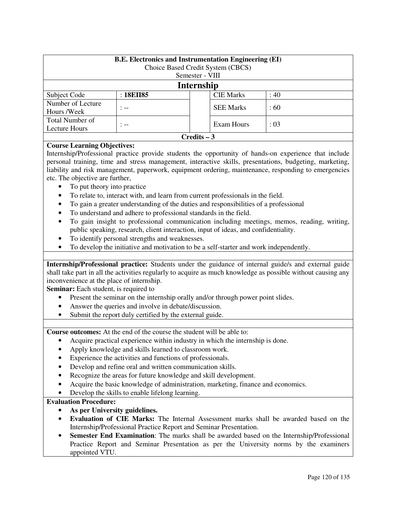| <b>B.E.</b> Electronics and Instrumentation Engineering (EI)<br>Choice Based Credit System (CBCS)<br>Semester - VIII |           |                  |       |  |
|----------------------------------------------------------------------------------------------------------------------|-----------|------------------|-------|--|
| Internship                                                                                                           |           |                  |       |  |
| Subject Code                                                                                                         | : 18EII85 | <b>CIE Marks</b> | :40   |  |
| Number of Lecture<br>Hours /Week                                                                                     | $-$       | <b>SEE Marks</b> | :60   |  |
| Total Number of<br>Lecture Hours                                                                                     | : --      | Exam Hours       | : 0.3 |  |
| $C$ redits $-3$                                                                                                      |           |                  |       |  |

# **Course Learning Objectives:**

Internship/Professional practice provide students the opportunity of hands-on experience that include personal training, time and stress management, interactive skills, presentations, budgeting, marketing, liability and risk management, paperwork, equipment ordering, maintenance, responding to emergencies etc. The objective are further,

- To put theory into practice
- To relate to, interact with, and learn from current professionals in the field.
- To gain a greater understanding of the duties and responsibilities of a professional
- To understand and adhere to professional standards in the field.
- To gain insight to professional communication including meetings, memos, reading, writing, public speaking, research, client interaction, input of ideas, and confidentiality.
- To identify personal strengths and weaknesses.
- To develop the initiative and motivation to be a self-starter and work independently.

**Internship/Professional practice:** Students under the guidance of internal guide/s and external guide shall take part in all the activities regularly to acquire as much knowledge as possible without causing any inconvenience at the place of internship.

**Seminar:** Each student, is required to

- Present the seminar on the internship orally and/or through power point slides.
- Answer the queries and involve in debate/discussion.
- Submit the report duly certified by the external guide.

**Course outcomes:** At the end of the course the student will be able to:

- Acquire practical experience within industry in which the internship is done.
- Apply knowledge and skills learned to classroom work.
- Experience the activities and functions of professionals.
- Develop and refine oral and written communication skills.
- Recognize the areas for future knowledge and skill development.
- Acquire the basic knowledge of administration, marketing, finance and economics.
- Develop the skills to enable lifelong learning.

# **Evaluation Procedure:**

- **As per University guidelines.**
- **Evaluation of CIE Marks:** The Internal Assessment marks shall be awarded based on the Internship/Professional Practice Report and Seminar Presentation.
- **Semester End Examination**: The marks shall be awarded based on the Internship/Professional Practice Report and Seminar Presentation as per the University norms by the examiners appointed VTU.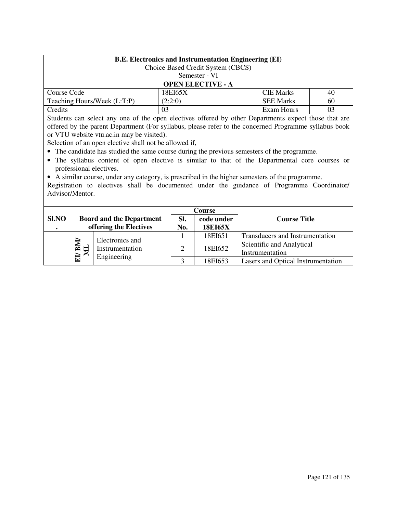| <b>B.E.</b> Electronics and Instrumentation Engineering (EI)<br>Choice Based Credit System (CBCS) |                                   |            |  |  |  |
|---------------------------------------------------------------------------------------------------|-----------------------------------|------------|--|--|--|
|                                                                                                   | Semester - VI                     |            |  |  |  |
| <b>OPEN ELECTIVE - A</b>                                                                          |                                   |            |  |  |  |
| Course Code                                                                                       | <b>CIE Marks</b><br>18EI65X<br>40 |            |  |  |  |
| Teaching Hours/Week (L:T:P)<br>(2:2:0)<br><b>SEE Marks</b><br>60                                  |                                   |            |  |  |  |
| Credits                                                                                           | 03                                | Exam Hours |  |  |  |

Students can select any one of the open electives offered by other Departments expect those that are offered by the parent Department (For syllabus, please refer to the concerned Programme syllabus book or VTU website vtu.ac.in may be visited).

Selection of an open elective shall not be allowed if,

- The candidate has studied the same course during the previous semesters of the programme.
- The syllabus content of open elective is similar to that of the Departmental core courses or professional electives.
- A similar course, under any category, is prescribed in the higher semesters of the programme.

Registration to electives shall be documented under the guidance of Programme Coordinator/ Advisor/Mentor.

|                    |                                                           |                                                           |            | Course                                       |                                    |  |
|--------------------|-----------------------------------------------------------|-----------------------------------------------------------|------------|----------------------------------------------|------------------------------------|--|
| Sl.NO<br>$\bullet$ |                                                           | <b>Board and the Department</b><br>offering the Electives | SI.<br>No. | code under<br><b>18EI65X</b>                 | <b>Course Title</b>                |  |
|                    |                                                           |                                                           | 18EI651    | Transducers and Instrumentation              |                                    |  |
|                    | Electronics and<br>ET BM<br>Instrumentation<br>$\epsilon$ | 2                                                         | 18EI652    | Scientific and Analytical<br>Instrumentation |                                    |  |
|                    |                                                           | Engineering                                               |            | 18EI653                                      | Lasers and Optical Instrumentation |  |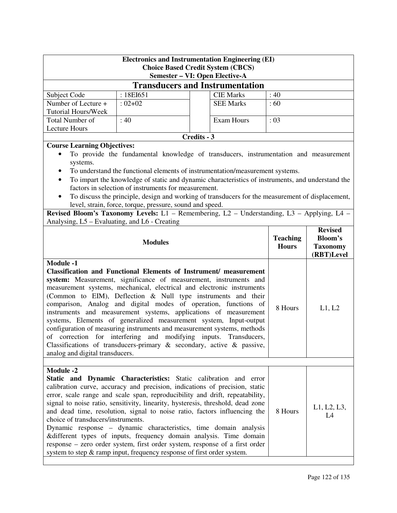| <b>Electronics and Instrumentation Engineering (EI)</b><br><b>Choice Based Credit System (CBCS)</b> |                                                          |                                                                                                                                  |                 |                 |  |  |
|-----------------------------------------------------------------------------------------------------|----------------------------------------------------------|----------------------------------------------------------------------------------------------------------------------------------|-----------------|-----------------|--|--|
| Semester – VI: Open Elective-A                                                                      |                                                          |                                                                                                                                  |                 |                 |  |  |
|                                                                                                     |                                                          | <b>Transducers and Instrumentation</b>                                                                                           |                 |                 |  |  |
| Subject Code                                                                                        | : 18EI651                                                | <b>CIE Marks</b>                                                                                                                 | :40             |                 |  |  |
| Number of Lecture +                                                                                 | $:02+02$                                                 | <b>SEE Marks</b>                                                                                                                 | :60             |                 |  |  |
| Tutorial Hours/Week                                                                                 |                                                          |                                                                                                                                  |                 |                 |  |  |
| Total Number of<br><b>Lecture Hours</b>                                                             | : 40                                                     | <b>Exam Hours</b>                                                                                                                | : 03            |                 |  |  |
|                                                                                                     |                                                          | Credits - 3                                                                                                                      |                 |                 |  |  |
| <b>Course Learning Objectives:</b>                                                                  |                                                          |                                                                                                                                  |                 |                 |  |  |
|                                                                                                     |                                                          | To provide the fundamental knowledge of transducers, instrumentation and measurement                                             |                 |                 |  |  |
| systems.                                                                                            |                                                          |                                                                                                                                  |                 |                 |  |  |
|                                                                                                     |                                                          | To understand the functional elements of instrumentation/measurement systems.                                                    |                 |                 |  |  |
| $\bullet$                                                                                           |                                                          | To impart the knowledge of static and dynamic characteristics of instruments, and understand the                                 |                 |                 |  |  |
|                                                                                                     | factors in selection of instruments for measurement.     |                                                                                                                                  |                 |                 |  |  |
| ٠                                                                                                   |                                                          | To discuss the principle, design and working of transducers for the measurement of displacement,                                 |                 |                 |  |  |
|                                                                                                     | level, strain, force, torque, pressure, sound and speed. |                                                                                                                                  |                 |                 |  |  |
|                                                                                                     |                                                          | Revised Bloom's Taxonomy Levels: L1 - Remembering, L2 - Understanding, L3 - Applying, L4 -                                       |                 |                 |  |  |
| Analysing, L5 – Evaluating, and L6 - Creating                                                       |                                                          |                                                                                                                                  |                 | <b>Revised</b>  |  |  |
|                                                                                                     |                                                          |                                                                                                                                  | <b>Teaching</b> | <b>Bloom's</b>  |  |  |
|                                                                                                     | <b>Modules</b>                                           |                                                                                                                                  | <b>Hours</b>    | <b>Taxonomy</b> |  |  |
|                                                                                                     |                                                          |                                                                                                                                  |                 | (RBT)Level      |  |  |
| <b>Module -1</b>                                                                                    |                                                          |                                                                                                                                  |                 |                 |  |  |
|                                                                                                     |                                                          | <b>Classification and Functional Elements of Instrument/ measurement</b>                                                         |                 |                 |  |  |
|                                                                                                     |                                                          | system: Measurement, significance of measurement, instruments and                                                                |                 |                 |  |  |
|                                                                                                     |                                                          | measurement systems, mechanical, electrical and electronic instruments                                                           |                 |                 |  |  |
|                                                                                                     |                                                          | (Common to EIM), Deflection & Null type instruments and their<br>comparison, Analog and digital modes of operation, functions of |                 |                 |  |  |
|                                                                                                     |                                                          | instruments and measurement systems, applications of measurement                                                                 | 8 Hours         | L1, L2          |  |  |
|                                                                                                     |                                                          | systems, Elements of generalized measurement system, Input-output                                                                |                 |                 |  |  |
|                                                                                                     |                                                          | configuration of measuring instruments and measurement systems, methods                                                          |                 |                 |  |  |
|                                                                                                     |                                                          | of correction for interfering and modifying inputs. Transducers,                                                                 |                 |                 |  |  |
|                                                                                                     |                                                          | Classifications of transducers-primary $\&$ secondary, active $\&$ passive,                                                      |                 |                 |  |  |
| analog and digital transducers.                                                                     |                                                          |                                                                                                                                  |                 |                 |  |  |
|                                                                                                     |                                                          |                                                                                                                                  |                 |                 |  |  |
|                                                                                                     |                                                          |                                                                                                                                  |                 |                 |  |  |
| <b>Module -2</b>                                                                                    |                                                          |                                                                                                                                  |                 |                 |  |  |
|                                                                                                     |                                                          | Static and Dynamic Characteristics: Static calibration and error                                                                 |                 |                 |  |  |
|                                                                                                     |                                                          | calibration curve, accuracy and precision, indications of precision, static                                                      |                 |                 |  |  |
|                                                                                                     |                                                          | error, scale range and scale span, reproducibility and drift, repeatability,                                                     |                 |                 |  |  |
|                                                                                                     |                                                          | signal to noise ratio, sensitivity, linearity, hysteresis, threshold, dead zone                                                  | 8 Hours         | L1, L2, L3,     |  |  |
| choice of transducers/instruments.                                                                  |                                                          | and dead time, resolution, signal to noise ratio, factors influencing the                                                        |                 | L4              |  |  |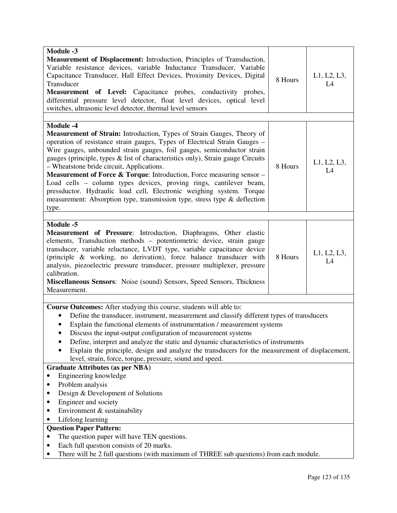| Module -3<br>Measurement of Displacement: Introduction, Principles of Transduction,<br>Variable resistance devices, variable Inductance Transducer, Variable<br>Capacitance Transducer, Hall Effect Devices, Proximity Devices, Digital<br>Transducer<br>Measurement of Level: Capacitance probes, conductivity probes,<br>differential pressure level detector, float level devices, optical level<br>switches, ultrasonic level detector, thermal level sensors                                                                                                                                                                                                                                          | 8 Hours | L1, L2, L3,<br>L4 |
|------------------------------------------------------------------------------------------------------------------------------------------------------------------------------------------------------------------------------------------------------------------------------------------------------------------------------------------------------------------------------------------------------------------------------------------------------------------------------------------------------------------------------------------------------------------------------------------------------------------------------------------------------------------------------------------------------------|---------|-------------------|
| Module -4<br><b>Measurement of Strain:</b> Introduction, Types of Strain Gauges, Theory of<br>operation of resistance strain gauges, Types of Electrical Strain Gauges -<br>Wire gauges, unbounded strain gauges, foil gauges, semiconductor strain<br>gauges (principle, types & list of characteristics only), Strain gauge Circuits<br>- Wheatstone bride circuit, Applications.<br>Measurement of Force & Torque: Introduction, Force measuring sensor -<br>Load cells - column types devices, proving rings, cantilever beam,<br>pressductor. Hydraulic load cell, Electronic weighing system. Torque<br>measurement: Absorption type, transmission type, stress type & deflection<br>type.           | 8 Hours | L1, L2, L3,<br>L4 |
| Module -5<br>Measurement of Pressure: Introduction, Diaphragms, Other elastic<br>elements, Transduction methods - potentiometric device, strain gauge<br>transducer, variable reluctance, LVDT type, variable capacitance device<br>(principle & working, no derivation), force balance transducer with<br>analysis, piezoelectric pressure transducer, pressure multiplexer, pressure<br>calibration.<br>Miscellaneous Sensors: Noise (sound) Sensors, Speed Sensors, Thickness<br>Measurement.                                                                                                                                                                                                           | 8 Hours | L1, L2, L3,<br>L4 |
| Course Outcomes: After studying this course, students will able to:<br>Define the transducer, instrument, measurement and classify different types of transducers<br>Explain the functional elements of instrumentation / measurement systems<br>Discuss the input-output configuration of measurement systems<br>Define, interpret and analyze the static and dynamic characteristics of instruments<br>Explain the principle, design and analyze the transducers for the measurement of displacement,<br>level, strain, force, torque, pressure, sound and speed.<br><b>Graduate Attributes (as per NBA)</b><br>Engineering knowledge<br>Problem analysis<br>٠<br>Design & Development of Solutions<br>٠ |         |                   |
| Engineer and society<br>Environment & sustainability<br>$\bullet$<br>Lifelong learning<br>٠<br><b>Question Paper Pattern:</b><br>The question paper will have TEN questions.<br>$\bullet$<br>Each full question consists of 20 marks.<br>$\bullet$<br>There will be 2 full questions (with maximum of THREE sub questions) from each module.<br>٠                                                                                                                                                                                                                                                                                                                                                          |         |                   |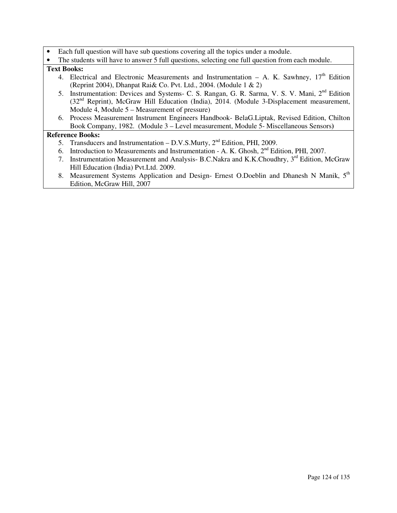- Each full question will have sub questions covering all the topics under a module.
- The students will have to answer 5 full questions, selecting one full question from each module.

# **Text Books:**

- 4. Electrical and Electronic Measurements and Instrumentation A. K. Sawhney,  $17<sup>th</sup>$  Edition (Reprint 2004), Dhanpat Rai& Co. Pvt. Ltd., 2004. (Module 1 & 2)
- 5. Instrumentation: Devices and Systems- C. S. Rangan, G. R. Sarma, V. S. V. Mani, 2nd Edition (32nd Reprint), McGraw Hill Education (India), 2014. (Module 3-Displacement measurement, Module 4, Module 5 – Measurement of pressure)
- 6. Process Measurement Instrument Engineers Handbook- BelaG.Liptak, Revised Edition, Chilton Book Company, 1982. (Module 3 – Level measurement, Module 5- Miscellaneous Sensors**)**

# **Reference Books:**

- 5. Transducers and Instrumentation D.V.S.Murty,  $2<sup>nd</sup>$  Edition, PHI, 2009.
- 6. Introduction to Measurements and Instrumentation A. K. Ghosh, 2nd Edition, PHI, 2007.
- 7. Instrumentation Measurement and Analysis- B.C.Nakra and K.K.Choudhry, 3<sup>rd</sup> Edition, McGraw Hill Education (India) Pvt.Ltd. 2009.
- 8. Measurement Systems Application and Design- Ernest O.Doeblin and Dhanesh N Manik, 5<sup>th</sup> Edition, McGraw Hill, 2007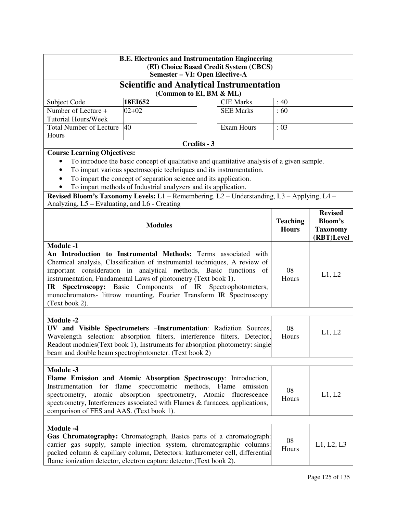| <b>B.E. Electronics and Instrumentation Engineering</b><br>(EI) Choice Based Credit System (CBCS)                                                                                                                                                                                                                                                                                                                                                                                          |                                                                                                                                                                                                                                                                                                         |                                                                                                                                                                                                                                                           |                   |                                 |                                                                   |  |  |
|--------------------------------------------------------------------------------------------------------------------------------------------------------------------------------------------------------------------------------------------------------------------------------------------------------------------------------------------------------------------------------------------------------------------------------------------------------------------------------------------|---------------------------------------------------------------------------------------------------------------------------------------------------------------------------------------------------------------------------------------------------------------------------------------------------------|-----------------------------------------------------------------------------------------------------------------------------------------------------------------------------------------------------------------------------------------------------------|-------------------|---------------------------------|-------------------------------------------------------------------|--|--|
| Semester - VI: Open Elective-A                                                                                                                                                                                                                                                                                                                                                                                                                                                             |                                                                                                                                                                                                                                                                                                         |                                                                                                                                                                                                                                                           |                   |                                 |                                                                   |  |  |
|                                                                                                                                                                                                                                                                                                                                                                                                                                                                                            | <b>Scientific and Analytical Instrumentation</b><br>(Common to EI, BM & ML)                                                                                                                                                                                                                             |                                                                                                                                                                                                                                                           |                   |                                 |                                                                   |  |  |
| Subject Code                                                                                                                                                                                                                                                                                                                                                                                                                                                                               | <b>CIE Marks</b>                                                                                                                                                                                                                                                                                        | : 40                                                                                                                                                                                                                                                      |                   |                                 |                                                                   |  |  |
| Number of Lecture +                                                                                                                                                                                                                                                                                                                                                                                                                                                                        | :60                                                                                                                                                                                                                                                                                                     |                                                                                                                                                                                                                                                           |                   |                                 |                                                                   |  |  |
| <b>Tutorial Hours/Week</b>                                                                                                                                                                                                                                                                                                                                                                                                                                                                 |                                                                                                                                                                                                                                                                                                         |                                                                                                                                                                                                                                                           |                   |                                 |                                                                   |  |  |
| <b>Total Number of Lecture</b><br>Hours                                                                                                                                                                                                                                                                                                                                                                                                                                                    | 40                                                                                                                                                                                                                                                                                                      |                                                                                                                                                                                                                                                           | <b>Exam Hours</b> | : 03                            |                                                                   |  |  |
|                                                                                                                                                                                                                                                                                                                                                                                                                                                                                            |                                                                                                                                                                                                                                                                                                         | Credits - 3                                                                                                                                                                                                                                               |                   |                                 |                                                                   |  |  |
| <b>Course Learning Objectives:</b><br>$\bullet$<br>Revised Bloom's Taxonomy Levels: L1 - Remembering, L2 - Understanding, L3 - Applying, L4 -                                                                                                                                                                                                                                                                                                                                              | To introduce the basic concept of qualitative and quantitative analysis of a given sample.<br>To impart various spectroscopic techniques and its instrumentation.<br>To impart the concept of separation science and its application.<br>To impart methods of Industrial analyzers and its application. |                                                                                                                                                                                                                                                           |                   |                                 |                                                                   |  |  |
| Analyzing, L5 – Evaluating, and L6 - Creating                                                                                                                                                                                                                                                                                                                                                                                                                                              |                                                                                                                                                                                                                                                                                                         |                                                                                                                                                                                                                                                           |                   |                                 |                                                                   |  |  |
|                                                                                                                                                                                                                                                                                                                                                                                                                                                                                            | <b>Modules</b>                                                                                                                                                                                                                                                                                          |                                                                                                                                                                                                                                                           |                   | <b>Teaching</b><br><b>Hours</b> | <b>Revised</b><br><b>Bloom's</b><br><b>Taxonomy</b><br>(RBT)Level |  |  |
| <b>Module -1</b><br>An Introduction to Instrumental Methods: Terms associated with<br>Chemical analysis, Classification of instrumental techniques, A review of<br>important consideration in analytical methods, Basic functions of<br>08<br>instrumentation, Fundamental Laws of photometry (Text book 1).<br>Hours<br>Components of IR Spectrophotometers,<br><b>Spectroscopy:</b> Basic<br>IR<br>monochromators- littrow mounting, Fourier Transform IR Spectroscopy<br>(Text book 2). |                                                                                                                                                                                                                                                                                                         |                                                                                                                                                                                                                                                           |                   |                                 | L1, L2                                                            |  |  |
| <b>Module -2</b><br>UV and Visible Spectrometers - Instrumentation: Radiation Sources,<br>08<br>Wavelength selection: absorption filters, interference filters, Detector,<br>Hours<br>Readout modules(Text book 1), Instruments for absorption photometry: single<br>beam and double beam spectrophotometer. (Text book 2)                                                                                                                                                                 |                                                                                                                                                                                                                                                                                                         |                                                                                                                                                                                                                                                           |                   |                                 | L1, L2                                                            |  |  |
| <b>Module -3</b>                                                                                                                                                                                                                                                                                                                                                                                                                                                                           |                                                                                                                                                                                                                                                                                                         |                                                                                                                                                                                                                                                           |                   |                                 |                                                                   |  |  |
| Flame Emission and Atomic Absorption Spectroscopy: Introduction,<br>spectrometric<br>methods, Flame emission<br>Instrumentation for flame<br>08<br>absorption spectrometry, Atomic fluorescence<br>L1, L2<br>spectrometry,<br>atomic<br>Hours<br>spectrometry, Interferences associated with Flames & furnaces, applications,<br>comparison of FES and AAS. (Text book 1).                                                                                                                 |                                                                                                                                                                                                                                                                                                         |                                                                                                                                                                                                                                                           |                   |                                 |                                                                   |  |  |
| <b>Module -4</b><br>flame ionization detector, electron capture detector. (Text book 2).                                                                                                                                                                                                                                                                                                                                                                                                   |                                                                                                                                                                                                                                                                                                         | Gas Chromatography: Chromatograph, Basics parts of a chromatograph:<br>08<br>carrier gas supply, sample injection system, chromatographic columns:<br>L1, L2, L3<br>Hours<br>packed column & capillary column, Detectors: katharometer cell, differential |                   |                                 |                                                                   |  |  |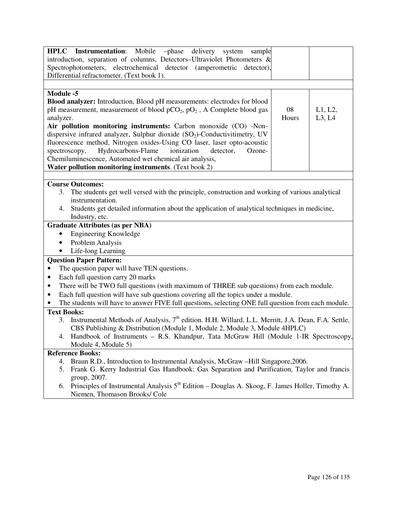| HPLC Instrumentation: Mobile<br>-phase<br>delivery system<br>sample                                                  |
|----------------------------------------------------------------------------------------------------------------------|
| introduction, separation of columns, Detectors-Ultraviolet Photometers $\&$                                          |
| Spectrophotometers, electrochemical detector (amperometric<br>detector),                                             |
| Differential refractometer. (Text book 1).                                                                           |
|                                                                                                                      |
| Module -5                                                                                                            |
| Blood analyzer: Introduction, Blood pH measurements: electrodes for blood                                            |
| pH measurement, measurement of blood $pCO_2$ , $pO_2$ , A Complete blood gas<br>08<br>L1, L2,                        |
| Hours<br>L3, L4<br>analyzer.                                                                                         |
| Air pollution monitoring instruments: Carbon monoxide (CO) -Non-                                                     |
| dispersive infrared analyzer, Sulphur dioxide (SO <sub>2</sub> )-Conductivitimetry, UV                               |
| fluorescence method, Nitrogen oxides-Using CO laser, laser opto-acoustic                                             |
| Hydrocarbons-Flame<br>spectroscopy,<br>ionization<br>detector,<br>Ozone-                                             |
| Chemiluminescence, Automated wet chemical air analysis,                                                              |
| Water pollution monitoring instruments. (Text book 2)                                                                |
|                                                                                                                      |
| <b>Course Outcomes:</b>                                                                                              |
| The students get well versed with the principle, construction and working of various analytical<br>3.                |
| instrumentation.                                                                                                     |
| 4. Students get detailed information about the application of analytical techniques in medicine,                     |
| Industry, etc.                                                                                                       |
| <b>Graduate Attributes (as per NBA)</b>                                                                              |
| <b>Engineering Knowledge</b>                                                                                         |
| Problem Analysis<br>$\bullet$                                                                                        |
| Life-long Learning<br>٠                                                                                              |
| <b>Question Paper Pattern:</b>                                                                                       |
| The question paper will have TEN questions.<br>$\bullet$                                                             |
| Each full question carry 20 marks<br>$\bullet$                                                                       |
| There will be TWO full questions (with maximum of THREE sub questions) from each module.<br>$\bullet$                |
| Each full question will have sub questions covering all the topics under a module.<br>$\bullet$                      |
| The students will have to answer FIVE full questions, selecting ONE full question from each module.                  |
| <b>Text Books:</b>                                                                                                   |
| Instrumental Methods of Analysis, 7 <sup>th</sup> edition. H.H. Willard, L.L. Merritt, J.A. Dean, F.A. Settle,<br>3. |
| CBS Publishing & Distribution (Module 1, Module 2, Module 3, Module 4HPLC)                                           |
| 4.<br>Handbook of Instruments – R.S. Khandpur, Tata McGraw Hill (Module 1-IR Spectroscopy,                           |
| Module 4, Module 5)                                                                                                  |
| <b>Reference Books:</b>                                                                                              |
| Braun R.D., Introduction to Instrumental Analysis, McGraw -Hill Singapore, 2006.<br>4.                               |
| Frank G. Kerry Industrial Gas Handbook: Gas Separation and Purification, Taylor and francis<br>5.                    |
| group, 2007.                                                                                                         |
| Principles of Instrumental Analysis 5 <sup>th</sup> Edition – Douglas A. Skoog, F. James Holler, Timothy A.<br>6.    |
| Niemen, Thomason Brooks/ Cole                                                                                        |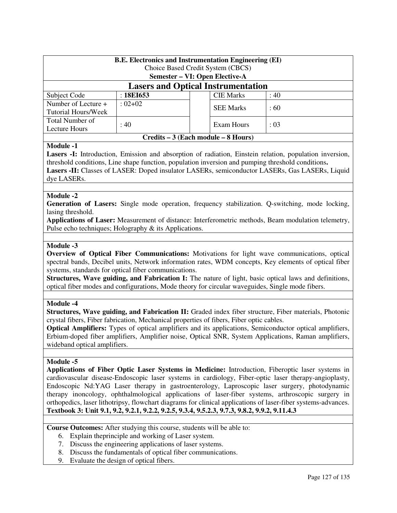| <b>B.E. Electronics and Instrumentation Engineering (EI)</b><br>Choice Based Credit System (CBCS)<br>Semester – VI: Open Elective-A |                                     |  |                  |      |  |  |  |
|-------------------------------------------------------------------------------------------------------------------------------------|-------------------------------------|--|------------------|------|--|--|--|
| <b>Lasers and Optical Instrumentation</b>                                                                                           |                                     |  |                  |      |  |  |  |
| Subject Code                                                                                                                        | :18E1653                            |  | <b>CIE Marks</b> | : 40 |  |  |  |
| Number of Lecture +                                                                                                                 | $: 02 + 02$                         |  | <b>SEE Marks</b> | :60  |  |  |  |
| Tutorial Hours/Week                                                                                                                 |                                     |  |                  |      |  |  |  |
| Total Number of                                                                                                                     | : 40                                |  |                  | : 03 |  |  |  |
| Exam Hours<br><b>Lecture Hours</b>                                                                                                  |                                     |  |                  |      |  |  |  |
|                                                                                                                                     | Credits – 3 (Each module – 8 Hours) |  |                  |      |  |  |  |

# **Module -1**

Lasers -I: Introduction, Emission and absorption of radiation, Einstein relation, population inversion, threshold conditions, Line shape function, population inversion and pumping threshold conditions**. Lasers -II:** Classes of LASER: Doped insulator LASERs, semiconductor LASERs, Gas LASERs, Liquid dye LASERs.

# **Module -2**

**Generation of Lasers:** Single mode operation, frequency stabilization. Q-switching, mode locking, lasing threshold.

**Applications of Laser:** Measurement of distance: Interferometric methods, Beam modulation telemetry, Pulse echo techniques; Holography & its Applications.

# **Module -3**

**Overview of Optical Fiber Communications:** Motivations for light wave communications, optical spectral bands, Decibel units, Network information rates, WDM concepts, Key elements of optical fiber systems, standards for optical fiber communications.

**Structures, Wave guiding, and Fabrication I:** The nature of light, basic optical laws and definitions, optical fiber modes and configurations, Mode theory for circular waveguides, Single mode fibers.

# **Module -4**

**Structures, Wave guiding, and Fabrication II:** Graded index fiber structure, Fiber materials, Photonic crystal fibers, Fiber fabrication, Mechanical properties of fibers, Fiber optic cables.

**Optical Amplifiers:** Types of optical amplifiers and its applications, Semiconductor optical amplifiers, Erbium-doped fiber amplifiers, Amplifier noise, Optical SNR, System Applications, Raman amplifiers, wideband optical amplifiers.

# **Module -5**

**Applications of Fiber Optic Laser Systems in Medicine:** Introduction, Fiberoptic laser systems in cardiovascular disease-Endoscopic laser systems in cardiology, Fiber-optic laser therapy-angioplasty, Endoscopic Nd:YAG Laser therapy in gastroenterology, Laproscopic laser surgery, photodynamic therapy inoncology, ophthalmological applications of laser-fiber systems, arthroscopic surgery in orthopedics, laser lithotripsy, flowchart diagrams for clinical applications of laser-fiber systems-advances. **Textbook 3: Unit 9.1, 9.2, 9.2.1, 9.2.2, 9.2.5, 9.3.4, 9.5.2.3, 9.7.3, 9.8.2, 9.9.2, 9.11.4.3** 

**Course Outcomes:** After studying this course, students will be able to:

- 6. Explain theprinciple and working of Laser system.
- 7. Discuss the engineering applications of laser systems.
- 8. Discuss the fundamentals of optical fiber communications.
- 9. Evaluate the design of optical fibers.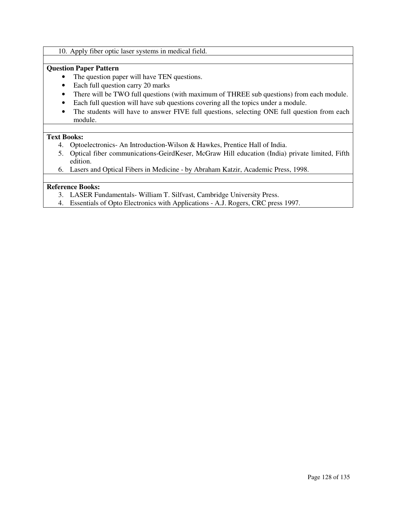## 10. Apply fiber optic laser systems in medical field.

# **Question Paper Pattern**

- The question paper will have TEN questions.
- Each full question carry 20 marks
- There will be TWO full questions (with maximum of THREE sub questions) from each module.
- Each full question will have sub questions covering all the topics under a module.
- The students will have to answer FIVE full questions, selecting ONE full question from each module.

## **Text Books:**

- 4. Optoelectronics- An Introduction-Wilson & Hawkes, Prentice Hall of India.
- 5. Optical fiber communications-GeirdKeser, McGraw Hill education (India) private limited, Fifth edition.
- 6. Lasers and Optical Fibers in Medicine by Abraham Katzir, Academic Press, 1998.

# **Reference Books:**

- 3. LASER Fundamentals- William T. Silfvast, Cambridge University Press.
- 4. Essentials of Opto Electronics with Applications A.J. Rogers, CRC press 1997.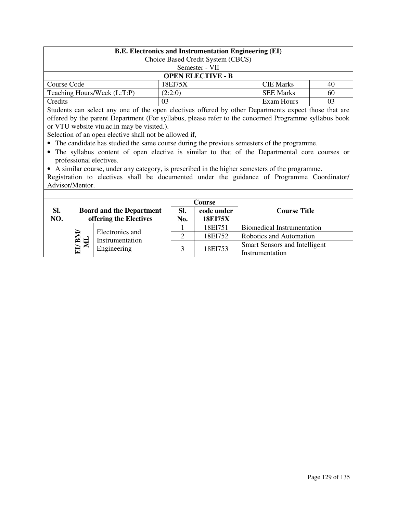| <b>B.E.</b> Electronics and Instrumentation Engineering (EI)     |                                   |            |  |  |  |  |
|------------------------------------------------------------------|-----------------------------------|------------|--|--|--|--|
|                                                                  | Choice Based Credit System (CBCS) |            |  |  |  |  |
|                                                                  | Semester - VII                    |            |  |  |  |  |
| <b>OPEN ELECTIVE - B</b>                                         |                                   |            |  |  |  |  |
| Course Code                                                      | <b>CIE Marks</b><br>18EI75X<br>40 |            |  |  |  |  |
| (2:2:0)<br><b>SEE Marks</b><br>Teaching Hours/Week (L:T:P)<br>60 |                                   |            |  |  |  |  |
| Credits                                                          | 03                                | Exam Hours |  |  |  |  |

Students can select any one of the open electives offered by other Departments expect those that are offered by the parent Department (For syllabus, please refer to the concerned Programme syllabus book or VTU website vtu.ac.in may be visited.).

Selection of an open elective shall not be allowed if,

- The candidate has studied the same course during the previous semesters of the programme.
- The syllabus content of open elective is similar to that of the Departmental core courses or professional electives.

• A similar course, under any category, is prescribed in the higher semesters of the programme. Registration to electives shall be documented under the guidance of Programme Coordinator/ Advisor/Mentor.

|            |                                                                  |                                                           | <b>Course</b> |                                                         |                         |
|------------|------------------------------------------------------------------|-----------------------------------------------------------|---------------|---------------------------------------------------------|-------------------------|
| SI.<br>NO. |                                                                  | <b>Board and the Department</b><br>offering the Electives | SI.<br>No.    | code under<br><b>18EI75X</b>                            | <b>Course Title</b>     |
|            |                                                                  |                                                           | 18EI751       | Biomedical Instrumentation                              |                         |
|            | Electronics and<br>EI/BM/<br>Instrumentation<br>◚<br>Engineering |                                                           |               | 18EI752                                                 | Robotics and Automation |
|            |                                                                  |                                                           | 18EI753       | <b>Smart Sensors and Intelligent</b><br>Instrumentation |                         |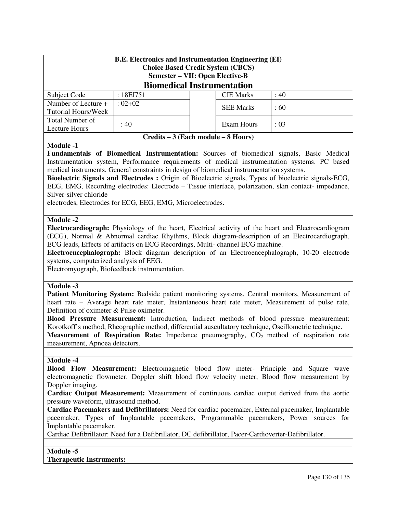| <b>B.E.</b> Electronics and Instrumentation Engineering (EI)<br><b>Choice Based Credit System (CBCS)</b><br><b>Semester - VII: Open Elective-B</b> |                                     |  |                  |           |  |  |  |
|----------------------------------------------------------------------------------------------------------------------------------------------------|-------------------------------------|--|------------------|-----------|--|--|--|
| <b>Biomedical Instrumentation</b>                                                                                                                  |                                     |  |                  |           |  |  |  |
| Subject Code                                                                                                                                       | : $18E1751$                         |  | <b>CIE Marks</b> | :40       |  |  |  |
| Number of Lecture +                                                                                                                                | $: 02 + 02$                         |  | <b>SEE Marks</b> | $\pm 60$  |  |  |  |
| Tutorial Hours/Week                                                                                                                                |                                     |  |                  |           |  |  |  |
| Total Number of                                                                                                                                    | :40                                 |  | Exam Hours       | $\div 03$ |  |  |  |
| Lecture Hours                                                                                                                                      |                                     |  |                  |           |  |  |  |
|                                                                                                                                                    | Credits – 3 (Each module – 8 Hours) |  |                  |           |  |  |  |

## **Module -1**

**Fundamentals of Biomedical Instrumentation:** Sources of biomedical signals, Basic Medical Instrumentation system, Performance requirements of medical instrumentation systems. PC based medical instruments, General constraints in design of biomedical instrumentation systems.

**Bioelectric Signals and Electrodes :** Origin of Bioelectric signals, Types of bioelectric signals-ECG, EEG, EMG, Recording electrodes: Electrode – Tissue interface, polarization, skin contact- impedance, Silver-silver chloride

electrodes, Electrodes for ECG, EEG, EMG, Microelectrodes.

## **Module -2**

**Electrocardiograph:** Physiology of the heart, Electrical activity of the heart and Electrocardiogram (ECG), Normal & Abnormal cardiac Rhythms, Block diagram-description of an Electrocardiograph, ECG leads, Effects of artifacts on ECG Recordings, Multi- channel ECG machine.

**Electroencephalograph:** Block diagram description of an Electroencephalograph, 10-20 electrode systems, computerized analysis of EEG.

Electromyograph, Biofeedback instrumentation.

#### **Module -3**

**Patient Monitoring System:** Bedside patient monitoring systems, Central monitors, Measurement of heart rate – Average heart rate meter, Instantaneous heart rate meter, Measurement of pulse rate, Definition of oximeter & Pulse oximeter.

**Blood Pressure Measurement:** Introduction, Indirect methods of blood pressure measurement: Korotkoff's method, Rheographic method, differential auscultatory technique, Oscillometric technique. **Measurement of Respiration Rate:** Impedance pneumography,  $CO<sub>2</sub>$  method of respiration rate measurement, Apnoea detectors.

#### **Module -4**

**Blood Flow Measurement:** Electromagnetic blood flow meter- Principle and Square wave electromagnetic flowmeter. Doppler shift blood flow velocity meter, Blood flow measurement by Doppler imaging.

**Cardiac Output Measurement:** Measurement of continuous cardiac output derived from the aortic pressure waveform, ultrasound method.

**Cardiac Pacemakers and Defibrillators:** Need for cardiac pacemaker, External pacemaker, Implantable pacemaker, Types of Implantable pacemakers, Programmable pacemakers, Power sources for Implantable pacemaker.

Cardiac Defibrillator: Need for a Defibrillator, DC defibrillator, Pacer-Cardioverter-Defibrillator.

#### **Module -5**

#### **Therapeutic Instruments:**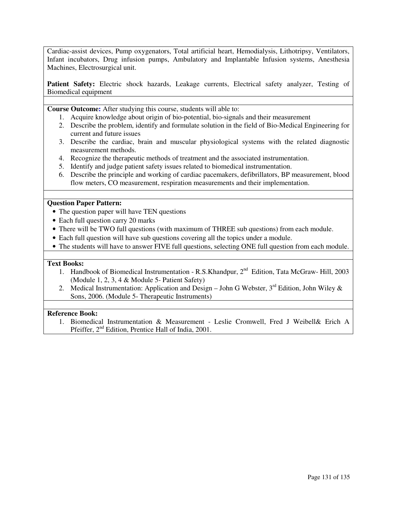Cardiac-assist devices, Pump oxygenators, Total artificial heart, Hemodialysis, Lithotripsy, Ventilators, Infant incubators, Drug infusion pumps, Ambulatory and Implantable Infusion systems, Anesthesia Machines, Electrosurgical unit.

**Patient Safety:** Electric shock hazards, Leakage currents, Electrical safety analyzer, Testing of Biomedical equipment

**Course Outcome:** After studying this course, students will able to:

- 1. Acquire knowledge about origin of bio-potential, bio-signals and their measurement
- 2. Describe the problem, identify and formulate solution in the field of Bio-Medical Engineering for current and future issues
- 3. Describe the cardiac, brain and muscular physiological systems with the related diagnostic measurement methods.
- 4. Recognize the therapeutic methods of treatment and the associated instrumentation.
- 5. Identify and judge patient safety issues related to biomedical instrumentation.
- 6. Describe the principle and working of cardiac pacemakers, defibrillators, BP measurement, blood flow meters, CO measurement, respiration measurements and their implementation.

## **Question Paper Pattern:**

- The question paper will have TEN questions
- Each full question carry 20 marks
- There will be TWO full questions (with maximum of THREE sub questions) from each module.
- Each full question will have sub questions covering all the topics under a module.
- The students will have to answer FIVE full questions, selecting ONE full question from each module.

#### **Text Books:**

- 1. Handbook of Biomedical Instrumentation R.S. Khandpur,  $2^{nd}$  Edition, Tata McGraw- Hill, 2003 (Module 1, 2, 3, 4 & Module 5- Patient Safety)
- 2. Medical Instrumentation: Application and Design John G Webster,  $3<sup>rd</sup>$  Edition, John Wiley & Sons, 2006. (Module 5- Therapeutic Instruments)

## **Reference Book:**

1. Biomedical Instrumentation & Measurement - Leslie Cromwell, Fred J Weibell& Erich A Pfeiffer, 2nd Edition, Prentice Hall of India, 2001.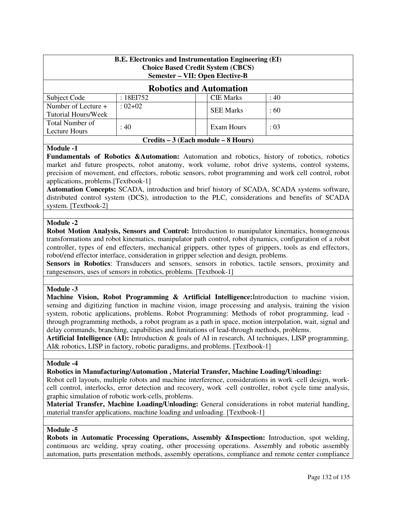| <b>B.E. Electronics and Instrumentation Engineering (EI)</b><br><b>Choice Based Credit System (CBCS)</b><br><b>Semester – VII: Open Elective-B</b> |                                     |                  |      |  |  |  |
|----------------------------------------------------------------------------------------------------------------------------------------------------|-------------------------------------|------------------|------|--|--|--|
| <b>Robotics and Automation</b>                                                                                                                     |                                     |                  |      |  |  |  |
| Subject Code                                                                                                                                       | : $18EI752$                         | <b>CIE Marks</b> | : 40 |  |  |  |
| Number of Lecture +<br><b>Tutorial Hours/Week</b>                                                                                                  | $: 02 + 02$                         | <b>SEE Marks</b> | :60  |  |  |  |
| Total Number of<br>: 40<br>Exam Hours<br>: 03<br>Lecture Hours                                                                                     |                                     |                  |      |  |  |  |
|                                                                                                                                                    | Credits – 3 (Each module – 8 Hours) |                  |      |  |  |  |

## **Module -1**

**Fundamentals of Robotics &Automation:** Automation and robotics, history of robotics, robotics market and future prospects, robot anatomy, work volume, robot drive systems, control systems, precision of movement, end effectors, robotic sensors, robot programming and work cell control, robot applications, problems.[Textbook-1]

**Automation Concepts:** SCADA, introduction and brief history of SCADA, SCADA systems software, distributed control system (DCS), introduction to the PLC, considerations and benefits of SCADA system. [Textbook-2]

# **Module -2**

**Robot Motion Analysis, Sensors and Control:** Introduction to manipulator kinematics, homogeneous transformations and robot kinematics, manipulator path control, robot dynamics, configuration of a robot controller, types of end effecters, mechanical grippers, other types of grippers, tools as end effectors, robot/end effector interface, consideration in gripper selection and design, problems.

**Sensors in Robotics**: Transducers and sensors, sensors in robotics, tactile sensors, proximity and rangesensors, uses of sensors in robotics, problems. [Textbook-1]

#### **Module -3**

**Machine Vision, Robot Programming & Artificial Intelligence:**Introduction to machine vision, sensing and digitizing function in machine vision, image processing and analysis, training the vision system, robotic applications, problems. Robot Programming: Methods of robot programming, lead through programming methods, a robot program as a path in space, motion interpolation, wait, signal and delay commands, branching, capabilities and limitations of lead-through methods, problems.

**Artificial Intelligence (AI):** Introduction & goals of AI in research, AI techniques, LISP programming, AI& robotics, LISP in factory, robotic paradigms, and problems. [Textbook-1]

#### **Module -4**

**Robotics in Manufacturing/Automation , Material Transfer, Machine Loading/Unloading:**

Robot cell layouts, multiple robots and machine interference, considerations in work -cell design, workcell control, interlocks, error detection and recovery, work -cell controller, robot cycle time analysis, graphic simulation of robotic work-cells, problems.

**Material Transfer, Machine Loading/Unloading:** General considerations in robot material handling, material transfer applications, machine loading and unloading. [Textbook-1]

#### **Module -5**

**Robots in Automatic Processing Operations, Assembly &Inspection:** Introduction, spot welding, continuous arc welding, spray coating, other processing operations. Assembly and robotic assembly automation, parts presentation methods, assembly operations, compliance and remote center compliance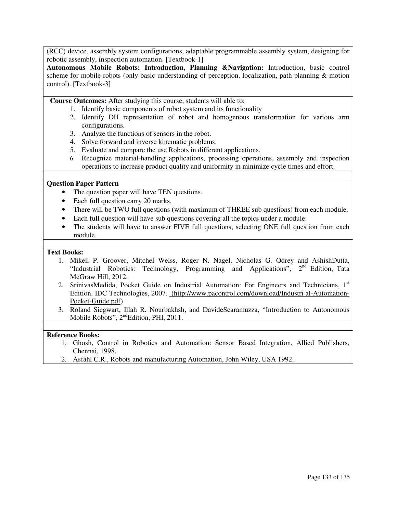(RCC) device, assembly system configurations, adaptable programmable assembly system, designing for robotic assembly, inspection automation. [Textbook-1]

**Autonomous Mobile Robots: Introduction, Planning &Navigation:** Introduction, basic control scheme for mobile robots (only basic understanding of perception, localization, path planning & motion control). [Textbook-3]

**Course Outcomes:** After studying this course, students will able to:

- 1. Identify basic components of robot system and its functionality
- 2. Identify DH representation of robot and homogenous transformation for various arm configurations.
- 3. Analyze the functions of sensors in the robot.
- 4. Solve forward and inverse kinematic problems.
- 5. Evaluate and compare the use Robots in different applications.
- 6. Recognize material-handling applications, processing operations, assembly and inspection operations to increase product quality and uniformity in minimize cycle times and effort.

## **Question Paper Pattern**

- The question paper will have TEN questions.
- Each full question carry 20 marks.
- There will be TWO full questions (with maximum of THREE sub questions) from each module.
- Each full question will have sub questions covering all the topics under a module.
- The students will have to answer FIVE full questions, selecting ONE full question from each module.

#### **Text Books:**

- 1. Mikell P. Groover, Mitchel Weiss, Roger N. Nagel, Nicholas G. Odrey and AshishDutta, "Industrial Robotics: Technology, Programming and Applications", 2<sup>nd</sup> Edition, Tata McGraw Hill, 2012.
- 2. SrinivasMedida, Pocket Guide on Industrial Automation: For Engineers and Technicians, 1<sup>st</sup> Edition, IDC Technologies, 2007. (http://www.pacontrol.com/download/Industri al-Automation-Pocket-Guide.pdf)
- 3. Roland Siegwart, Illah R. Nourbakhsh, and DavideScaramuzza, "Introduction to Autonomous Mobile Robots", 2<sup>nd</sup>Edition, PHI, 2011.

#### **Reference Books:**

- 1. Ghosh, Control in Robotics and Automation: Sensor Based Integration, Allied Publishers, Chennai, 1998.
- 2. Asfahl C.R., Robots and manufacturing Automation, John Wiley, USA 1992.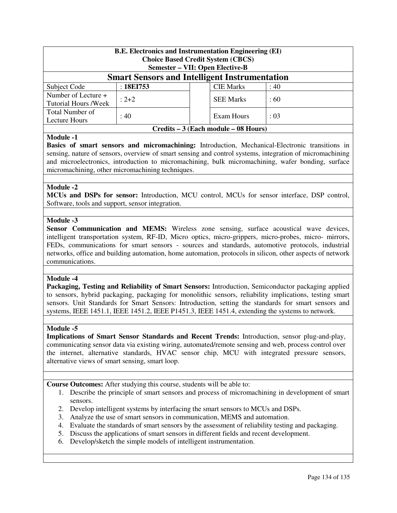| <b>B.E.</b> Electronics and Instrumentation Engineering (EI)<br><b>Choice Based Credit System (CBCS)</b><br><b>Semester – VII: Open Elective-B</b> |           |  |                  |      |  |  |
|----------------------------------------------------------------------------------------------------------------------------------------------------|-----------|--|------------------|------|--|--|
| <b>Smart Sensors and Intelligent Instrumentation</b>                                                                                               |           |  |                  |      |  |  |
| Subject Code                                                                                                                                       | :18E1753  |  | <b>CIE Marks</b> | : 40 |  |  |
| Number of Lecture +<br><b>Tutorial Hours /Week</b>                                                                                                 | $: 2 + 2$ |  | <b>SEE Marks</b> | :60  |  |  |
| Total Number of<br>: 40<br>Exam Hours<br>: 03<br>Lecture Hours                                                                                     |           |  |                  |      |  |  |
| Credits – 3 (Each module – 08 Hours)                                                                                                               |           |  |                  |      |  |  |

## **Module -1**

**Basics of smart sensors and micromachining:** Introduction, Mechanical-Electronic transitions in sensing, nature of sensors, overview of smart sensing and control systems, integration of micromachining and microelectronics, introduction to micromachining, bulk micromachining, wafer bonding, surface micromachining, other micromachining techniques.

## **Module -2**

**MCUs and DSPs for sensor:** Introduction, MCU control, MCUs for sensor interface, DSP control, Software, tools and support, sensor integration.

## **Module -3**

**Sensor Communication and MEMS:** Wireless zone sensing, surface acoustical wave devices, intelligent transportation system, RF-ID, Micro optics, micro-grippers, micro-probes, micro- mirrors, FEDs, communications for smart sensors - sources and standards, automotive protocols, industrial networks, office and building automation, home automation, protocols in silicon, other aspects of network communications.

#### **Module -4**

**Packaging, Testing and Reliability of Smart Sensors:** Introduction, Semiconductor packaging applied to sensors, hybrid packaging, packaging for monolithic sensors, reliability implications, testing smart sensors. Unit Standards for Smart Sensors: Introduction, setting the standards for smart sensors and systems, IEEE 1451.1, IEEE 1451.2, IEEE P1451.3, IEEE 1451.4, extending the systems to network.

#### **Module -5**

**Implications of Smart Sensor Standards and Recent Trends:** Introduction, sensor plug-and-play, communicating sensor data via existing wiring, automated/remote sensing and web, process control over the internet, alternative standards, HVAC sensor chip, MCU with integrated pressure sensors, alternative views of smart sensing, smart loop.

**Course Outcomes:** After studying this course, students will be able to:

- 1. Describe the principle of smart sensors and process of micromachining in development of smart sensors.
- 2. Develop intelligent systems by interfacing the smart sensors to MCUs and DSPs.
- 3. Analyze the use of smart sensors in communication, MEMS and automation.
- 4. Evaluate the standards of smart sensors by the assessment of reliability testing and packaging.
- 5. Discuss the applications of smart sensors in different fields and recent development.
- 6. Develop/sketch the simple models of intelligent instrumentation.